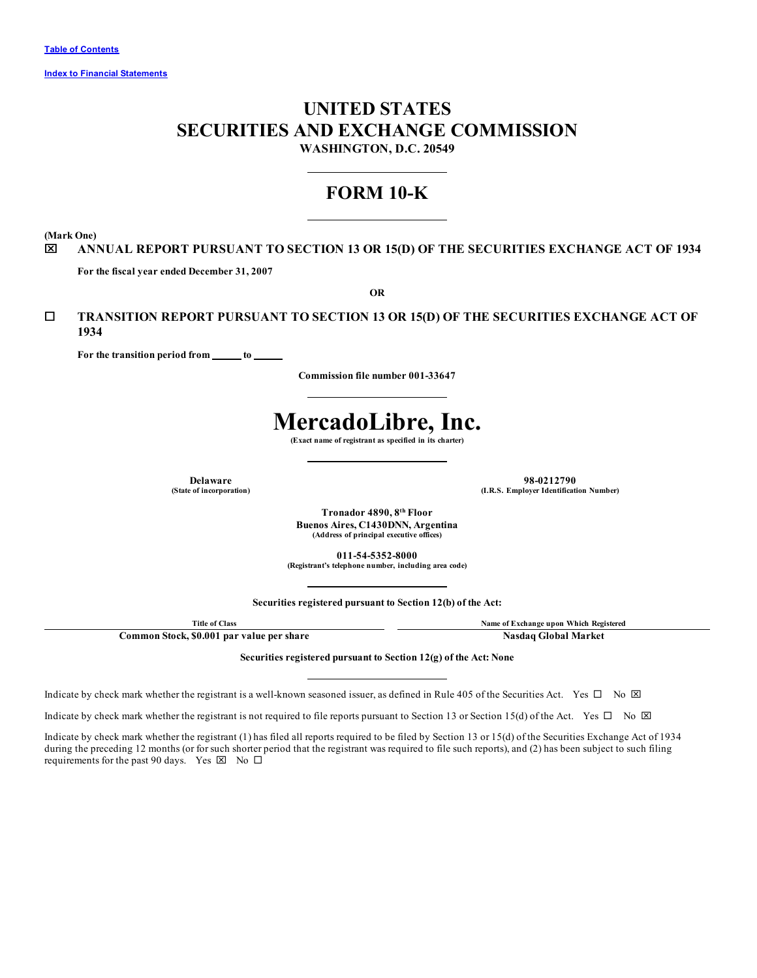**Index to Financial Statements**

# **UNITED STATES SECURITIES AND EXCHANGE COMMISSION WASHINGTON, D.C. 20549**

# **FORM 10-K**

**(Mark One)**

# x **ANNUAL REPORT PURSUANT TO SECTION 13 OR 15(D) OF THE SECURITIES EXCHANGE ACT OF 1934**

**For the fiscal year ended December 31, 2007**

**OR**

# ¨ **TRANSITION REPORT PURSUANT TO SECTION 13 OR 15(D) OF THE SECURITIES EXCHANGE ACT OF 1934**

**For the transition period from to**

**Commission file number 001-33647**

# **MercadoLibre, Inc.**

**(Exact name of registrant as specified in its charter)**

**Delaware 98-0212790 (State of incorporation) (I.R.S. Employer Identification Number)**

> **Tronador 4890, 8 th Floor Buenos Aires, C1430DNN, Argentina (Address of principal executive offices)**

**011-54-5352-8000 (Registrant's telephone number, including area code)**

**Securities registered pursuant to Section 12(b) of the Act:**

**Title of Class Name of Exchange upon Which Registered**

**Common Stock, \$0.001 par value per share Nasdaq Global Market**

**Securities registered pursuant to Section 12(g) of the Act: None**

Indicate by check mark whether the registrant is a well-known seasoned issuer, as defined in Rule 405 of the Securities Act. Yes  $\Box$  No  $\boxtimes$ 

Indicate by check mark whether the registrant is not required to file reports pursuant to Section 13 or Section 15(d) of the Act. Yes  $\Box$  No  $\boxtimes$ 

Indicate by check mark whether the registrant (1) has filed all reports required to be filed by Section 13 or 15(d) of the Securities Exchange Act of 1934 during the preceding 12 months (or for such shorter period that the registrant was required to file such reports), and (2) has been subject to such filing requirements for the past 90 days. Yes  $\boxtimes$  No  $\Box$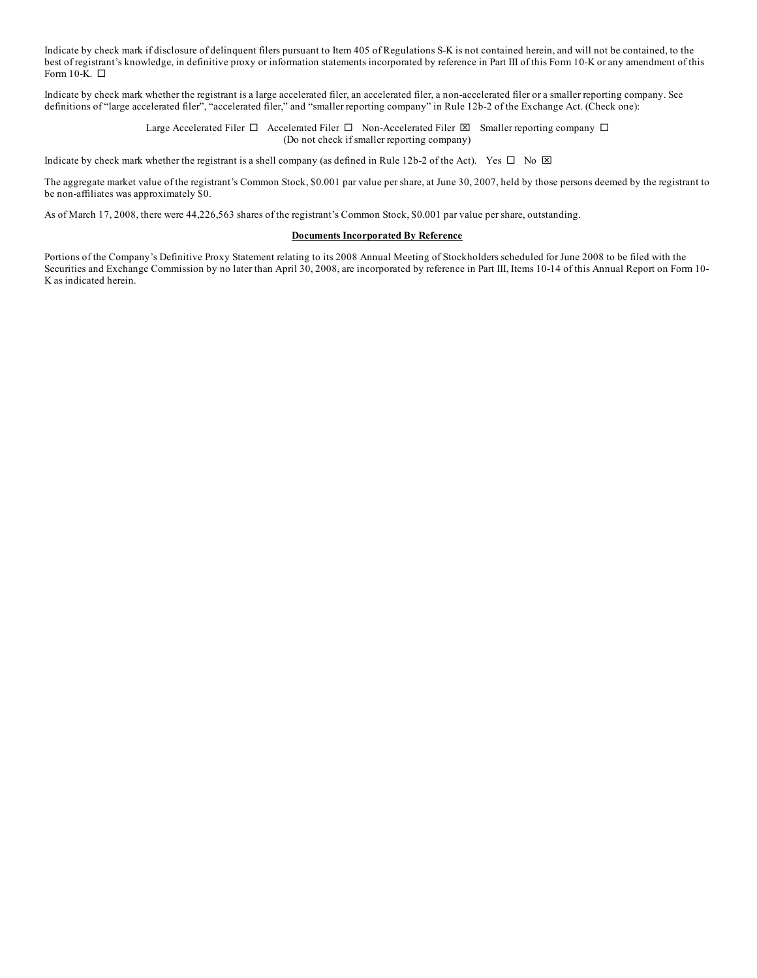Indicate by check mark if disclosure of delinquent filers pursuant to Item 405 of Regulations S-K is not contained herein, and will not be contained, to the best of registrant's knowledge, in definitive proxy or information statements incorporated by reference in Part III of this Form 10-K or any amendment of this Form 10-K.  $\square$ 

Indicate by check mark whether the registrant is a large accelerated filer, an accelerated filer, a non-accelerated filer or a smaller reporting company. See definitions of "large accelerated filer", "accelerated filer," and "smaller reporting company" in Rule 12b-2 of the Exchange Act. (Check one):

> Large Accelerated Filer  $\Box$  Accelerated Filer  $\Box$  Non-Accelerated Filer  $\boxtimes$  Smaller reporting company  $\Box$ (Do not check if smaller reporting company)

Indicate by check mark whether the registrant is a shell company (as defined in Rule 12b-2 of the Act). Yes  $\Box$  No  $\boxtimes$ 

The aggregate market value of the registrant's Common Stock, \$0.001 par value per share, at June 30, 2007, held by those persons deemed by the registrant to be non-affiliates was approximately \$0.

As of March 17, 2008, there were 44,226,563 shares of the registrant's Common Stock, \$0.001 par value per share, outstanding.

#### **Documents Incorporated By Reference**

Portions of the Company's Definitive Proxy Statement relating to its 2008 Annual Meeting of Stockholders scheduled for June 2008 to be filed with the Securities and Exchange Commission by no later than April 30, 2008, are incorporated by reference in Part III, Items 10-14 of this Annual Report on Form 10- K as indicated herein.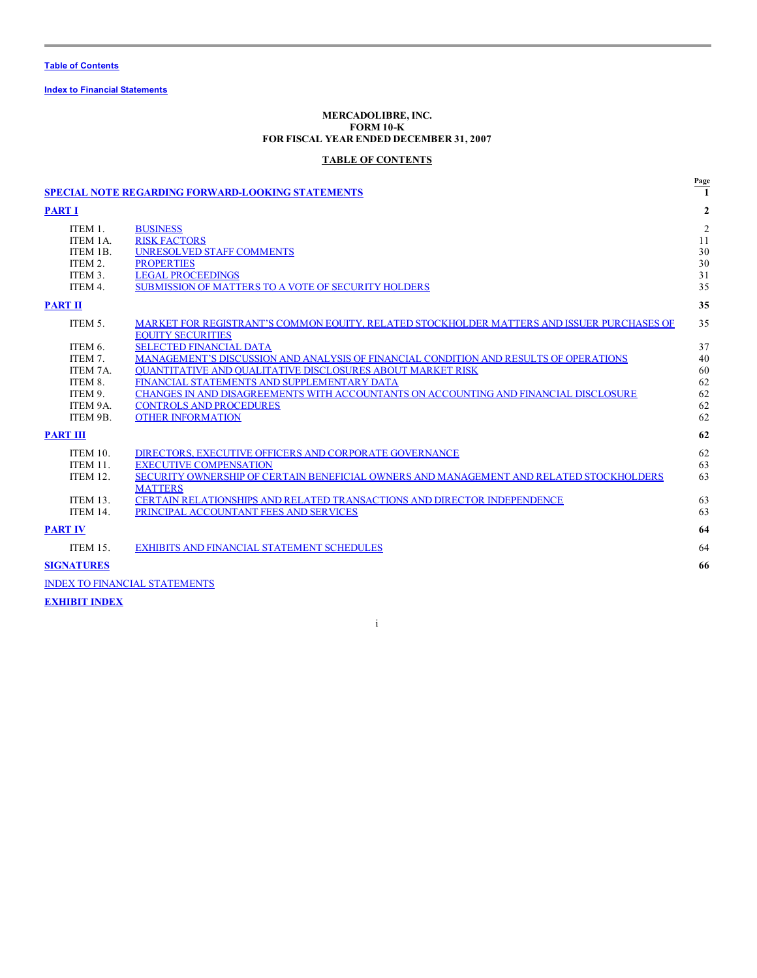# <span id="page-2-0"></span>**Index to Financial Statements**

# **MERCADOLIBRE, INC. FORM 10-K FOR FISCAL YEAR ENDED DECEMBER 31, 2007**

# **TABLE OF CONTENTS**

| <b>SPECIAL NOTE REGARDING FORWARD-LOOKING STATEMENTS</b>                     |                                                                                                                                                                                                                                                                                                                                                                                                   |                                              |  |
|------------------------------------------------------------------------------|---------------------------------------------------------------------------------------------------------------------------------------------------------------------------------------------------------------------------------------------------------------------------------------------------------------------------------------------------------------------------------------------------|----------------------------------------------|--|
| <b>PART I</b>                                                                |                                                                                                                                                                                                                                                                                                                                                                                                   | $\mathbf{2}$                                 |  |
| ITEM 1.<br>ITEM 1A.<br>ITEM 1B.<br>ITEM 2.<br>ITEM 3.<br>ITEM 4.             | <b>BUSINESS</b><br><b>RISK FACTORS</b><br><b>UNRESOLVED STAFF COMMENTS</b><br><b>PROPERTIES</b><br><b>LEGAL PROCEEDINGS</b><br>SUBMISSION OF MATTERS TO A VOTE OF SECURITY HOLDERS                                                                                                                                                                                                                | $\overline{c}$<br>11<br>30<br>30<br>31<br>35 |  |
| <b>PART II</b>                                                               |                                                                                                                                                                                                                                                                                                                                                                                                   | 35                                           |  |
| ITEM 5.                                                                      | MARKET FOR REGISTRANT'S COMMON EQUITY, RELATED STOCKHOLDER MATTERS AND ISSUER PURCHASES OF<br><b>EQUITY SECURITIES</b>                                                                                                                                                                                                                                                                            | 35                                           |  |
| ITEM 6.<br>ITEM 7.<br>ITEM 7A.<br>ITEM 8.<br>ITEM 9.<br>ITEM 9A.<br>ITEM 9B. | <b>SELECTED FINANCIAL DATA</b><br>MANAGEMENT'S DISCUSSION AND ANALYSIS OF FINANCIAL CONDITION AND RESULTS OF OPERATIONS<br><b>OUANTITATIVE AND OUALITATIVE DISCLOSURES ABOUT MARKET RISK</b><br>FINANCIAL STATEMENTS AND SUPPLEMENTARY DATA<br>CHANGES IN AND DISAGREEMENTS WITH ACCOUNTANTS ON ACCOUNTING AND FINANCIAL DISCLOSURE<br><b>CONTROLS AND PROCEDURES</b><br><b>OTHER INFORMATION</b> | 37<br>40<br>60<br>62<br>62<br>62<br>62       |  |
| <b>PART III</b>                                                              |                                                                                                                                                                                                                                                                                                                                                                                                   | 62                                           |  |
| ITEM 10.<br><b>ITEM 11.</b><br>ITEM 12.                                      | DIRECTORS. EXECUTIVE OFFICERS AND CORPORATE GOVERNANCE<br><b>EXECUTIVE COMPENSATION</b><br>SECURITY OWNERSHIP OF CERTAIN BENEFICIAL OWNERS AND MANAGEMENT AND RELATED STOCKHOLDERS<br><b>MATTERS</b>                                                                                                                                                                                              | 62<br>63<br>63                               |  |
| <b>ITEM 13.</b><br>ITEM 14.                                                  | CERTAIN RELATIONSHIPS AND RELATED TRANSACTIONS AND DIRECTOR INDEPENDENCE<br>PRINCIPAL ACCOUNTANT FEES AND SERVICES                                                                                                                                                                                                                                                                                | 63<br>63                                     |  |
| <b>PART IV</b>                                                               |                                                                                                                                                                                                                                                                                                                                                                                                   | 64                                           |  |
| <b>ITEM 15.</b>                                                              | <b>EXHIBITS AND FINANCIAL STATEMENT SCHEDULES</b>                                                                                                                                                                                                                                                                                                                                                 | 64                                           |  |
| <b>SIGNATURES</b>                                                            |                                                                                                                                                                                                                                                                                                                                                                                                   | 66                                           |  |
|                                                                              | <b>INDEX TO FINANCIAL STATEMENTS</b>                                                                                                                                                                                                                                                                                                                                                              |                                              |  |

i

**[EXHIBIT](#page-118-0) INDEX**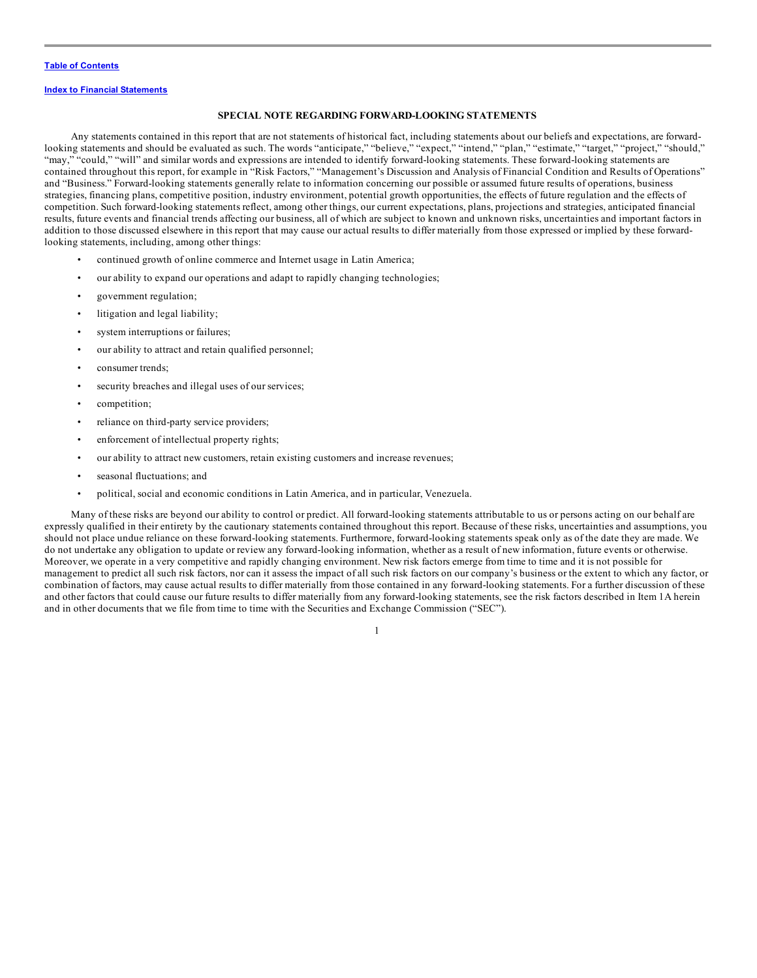# <span id="page-3-0"></span>**Index to Financial Statements**

# **SPECIAL NOTE REGARDING FORWARD-LOOKING STATEMENTS**

Any statements contained in this report that are not statements of historical fact, including statements about our beliefs and expectations, are forwardlooking statements and should be evaluated as such. The words "anticipate," "believe," "expect," "intend," "plan," "estimate," "target," "project," "should," "may," "could," "will" and similar words and expressions are intended to identify forward-looking statements. These forward-looking statements are contained throughout this report, for example in "Risk Factors," "Management's Discussion and Analysis of Financial Condition and Results of Operations" and "Business." Forward-looking statements generally relate to information concerning our possible or assumed future results of operations, business strategies, financing plans, competitive position, industry environment, potential growth opportunities, the effects of future regulation and the effects of competition. Such forward-looking statements reflect, among other things, our current expectations, plans, projections and strategies, anticipated financial results, future events and financial trends affecting our business, all of which are subject to known and unknown risks, uncertainties and important factors in addition to those discussed elsewhere in this report that may cause our actual results to differ materially from those expressed or implied by these forwardlooking statements, including, among other things:

- continued growth of online commerce and Internet usage in Latin America;
- our ability to expand our operations and adapt to rapidly changing technologies;
- government regulation;
- litigation and legal liability;
- system interruptions or failures;
- our ability to attract and retain qualified personnel;
- consumer trends:
- security breaches and illegal uses of our services;
- competition;
- reliance on third-party service providers;
- enforcement of intellectual property rights;
- our ability to attract new customers, retain existing customers and increase revenues;
- seasonal fluctuations; and
- political, social and economic conditions in Latin America, and in particular, Venezuela.

Many of these risks are beyond our ability to control or predict. All forward-looking statements attributable to us or persons acting on our behalf are expressly qualified in their entirety by the cautionary statements contained throughout this report. Because of these risks, uncertainties and assumptions, you should not place undue reliance on these forward-looking statements. Furthermore, forward-looking statements speak only as of the date they are made. We do not undertake any obligation to update or review any forward-looking information, whether as a result of new information, future events or otherwise. Moreover, we operate in a very competitive and rapidly changing environment. New risk factors emerge from time to time and it is not possible for management to predict all such risk factors, nor can it assess the impact of all such risk factors on our company's business or the extent to which any factor, or combination of factors, may cause actual results to differ materially from those contained in any forward-looking statements. For a further discussion of these and other factors that could cause our future results to differ materially from any forward-looking statements, see the risk factors described in Item 1A herein and in other documents that we file from time to time with the Securities and Exchange Commission ("SEC").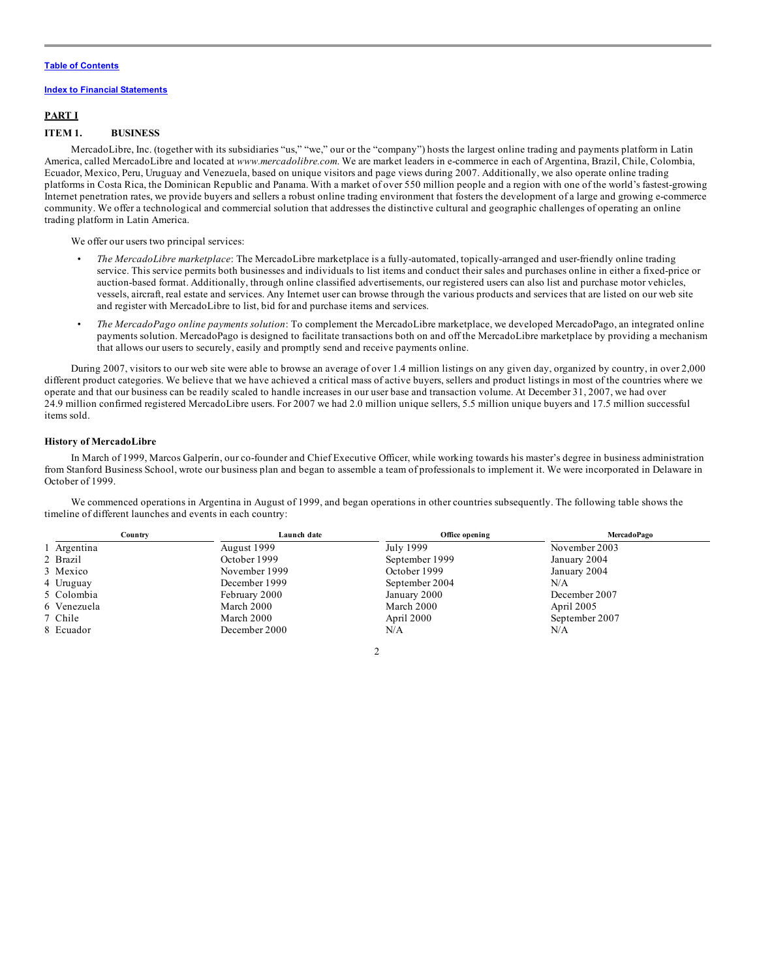# <span id="page-4-0"></span>**Index to Financial Statements**

# **PART I**

# **ITEM 1. BUSINESS**

MercadoLibre, Inc. (together with its subsidiaries "us," "we," our or the "company") hosts the largest online trading and payments platform in Latin America, called MercadoLibre and located at *www.mercadolibre.com*. We are market leaders in e-commerce in each of Argentina, Brazil, Chile, Colombia, Ecuador, Mexico, Peru, Uruguay and Venezuela, based on unique visitors and page views during 2007. Additionally, we also operate online trading platforms in Costa Rica, the Dominican Republic and Panama. With a market of over 550 million people and a region with one of the world's fastest-growing Internet penetration rates, we provide buyers and sellers a robust online trading environment that fosters the development of a large and growing e-commerce community. We offer a technological and commercial solution that addresses the distinctive cultural and geographic challenges of operating an online trading platform in Latin America.

We offer our users two principal services:

- *The MercadoLibre marketplace*: The MercadoLibre marketplace is a fully-automated, topically-arranged and user-friendly online trading service. This service permits both businesses and individuals to list items and conduct their sales and purchases online in either a fixed-price or auction-based format. Additionally, through online classified advertisements, our registered users can also list and purchase motor vehicles, vessels, aircraft, real estate and services. Any Internet user can browse through the various products and services that are listed on our web site and register with MercadoLibre to list, bid for and purchase items and services.
- *The MercadoPago online payments solution*: To complement the MercadoLibre marketplace, we developed MercadoPago, an integrated online payments solution. MercadoPago is designed to facilitate transactions both on and off the MercadoLibre marketplace by providing a mechanism that allows our users to securely, easily and promptly send and receive payments online.

During 2007, visitors to our web site were able to browse an average of over 1.4 million listings on any given day, organized by country, in over 2,000 different product categories. We believe that we have achieved a critical mass of active buyers, sellers and product listings in most of the countries where we operate and that our business can be readily scaled to handle increases in our user base and transaction volume. At December 31, 2007, we had over 24.9 million confirmed registered MercadoLibre users. For 2007 we had 2.0 million unique sellers, 5.5 million unique buyers and 17.5 million successful items sold.

#### **History of MercadoLibre**

In March of 1999, Marcos Galperín, our co-founder and Chief Executive Officer, while working towards his master's degree in business administration from Stanford Business School, wrote our business plan and began to assemble a team of professionals to implement it. We were incorporated in Delaware in October of 1999.

We commenced operations in Argentina in August of 1999, and began operations in other countries subsequently. The following table shows the timeline of different launches and events in each country:

| Country     | Launch date   | Office opening | MercadoPago    |
|-------------|---------------|----------------|----------------|
| Argentina   | August 1999   | July 1999      | November 2003  |
| 2 Brazil    | October 1999  | September 1999 | January 2004   |
| 3 Mexico    | November 1999 | October 1999   | January 2004   |
| 4 Uruguay   | December 1999 | September 2004 | N/A            |
| 5 Colombia  | February 2000 | January 2000   | December 2007  |
| 6 Venezuela | March 2000    | March 2000     | April 2005     |
| 7 Chile     | March 2000    | April 2000     | September 2007 |
| 8 Ecuador   | December 2000 | N/A            | N/A            |

 $\mathfrak{Z}$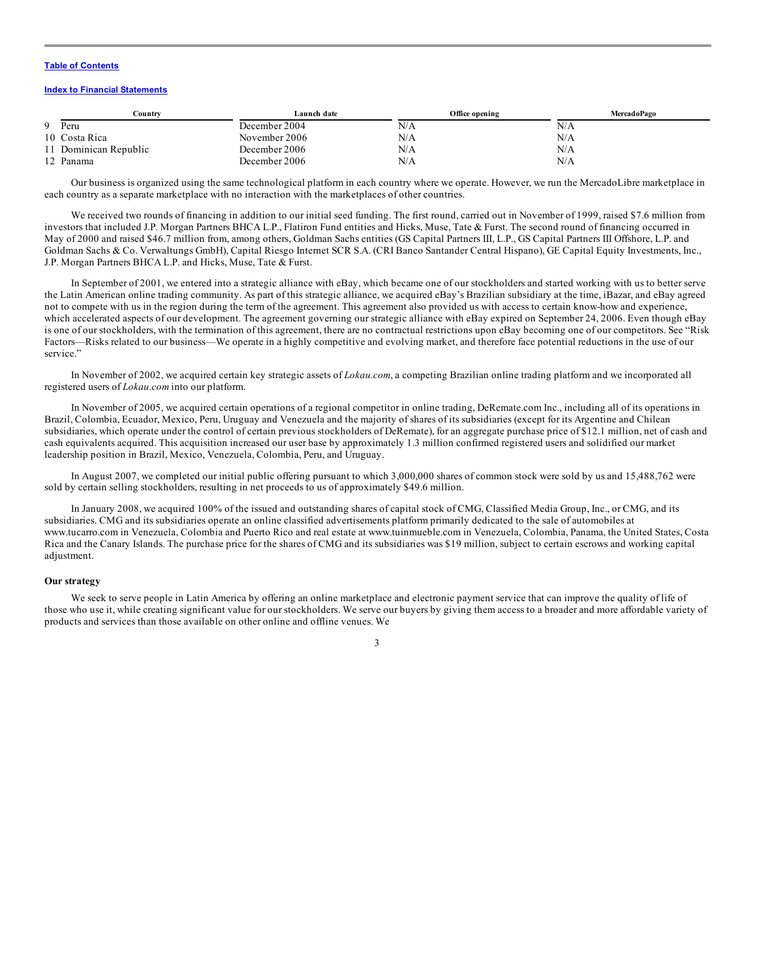# **Index to Financial Statements**

|             | Country               | Launch date   | Office opening | MercadoPago |
|-------------|-----------------------|---------------|----------------|-------------|
| $\mathbf Q$ | Peru                  | December 2004 | N/A            | N/A         |
|             | 10 Costa Rica         | November 2006 | N/A            | N/A         |
|             | 11 Dominican Republic | December 2006 | N/A            | N/A         |
|             | 12 Panama             | December 2006 | N/A            | N/A         |

Our business is organized using the same technological platform in each country where we operate. However, we run the MercadoLibre marketplace in each country as a separate marketplace with no interaction with the marketplaces of other countries.

We received two rounds of financing in addition to our initial seed funding. The first round, carried out in November of 1999, raised \$7.6 million from investors that included J.P. Morgan Partners BHCA L.P., Flatiron Fund entities and Hicks, Muse, Tate & Furst. The second round of financing occurred in May of 2000 and raised \$46.7 million from, among others, Goldman Sachs entities (GS Capital Partners III, L.P., GS Capital Partners III Offshore, L.P. and Goldman Sachs & Co. Verwaltungs GmbH), Capital Riesgo Internet SCR S.A. (CRI Banco Santander Central Hispano), GE Capital Equity Investments, Inc., J.P. Morgan Partners BHCA L.P. and Hicks, Muse, Tate & Furst.

In September of 2001, we entered into a strategic alliance with eBay, which became one of our stockholders and started working with us to better serve the Latin American online trading community. As part of this strategic alliance, we acquired eBay's Brazilian subsidiary at the time, iBazar, and eBay agreed not to compete with us in the region during the term of the agreement. This agreement also provided us with access to certain know-how and experience, which accelerated aspects of our development. The agreement governing our strategic alliance with eBay expired on September 24, 2006. Even though eBay is one of our stockholders, with the termination of this agreement, there are no contractual restrictions upon eBay becoming one of our competitors. See "Risk Factors—Risks related to our business—We operate in a highly competitive and evolving market, and therefore face potential reductions in the use of our service."

In November of 2002, we acquired certain key strategic assets of *Lokau.com*, a competing Brazilian online trading platform and we incorporated all registered users of *Lokau.com* into our platform.

In November of 2005, we acquired certain operations of a regional competitor in online trading, DeRemate.com Inc., including all of its operations in Brazil, Colombia, Ecuador, Mexico, Peru, Uruguay and Venezuela and the majority of shares of its subsidiaries (except for its Argentine and Chilean subsidiaries, which operate under the control of certain previous stockholders of DeRemate), for an aggregate purchase price of \$12.1 million, net of cash and cash equivalents acquired. This acquisition increased our user base by approximately 1.3 million confirmed registered users and solidified our market leadership position in Brazil, Mexico, Venezuela, Colombia, Peru, and Uruguay.

In August 2007, we completed our initial public offering pursuant to which 3,000,000 shares of common stock were sold by us and 15,488,762 were sold by certain selling stockholders, resulting in net proceeds to us of approximately \$49.6 million.

In January 2008, we acquired 100% of the issued and outstanding shares of capital stock of CMG, Classified Media Group, Inc., or CMG, and its subsidiaries. CMG and its subsidiaries operate an online classified advertisements platform primarily dedicated to the sale of automobiles at www.tucarro.com in Venezuela, Colombia and Puerto Rico and real estate at www.tuinmueble.com in Venezuela, Colombia, Panama, the United States, Costa Rica and the Canary Islands. The purchase price for the shares of CMG and its subsidiaries was \$19 million, subject to certain escrows and working capital adjustment.

#### **Our strategy**

We seek to serve people in Latin America by offering an online marketplace and electronic payment service that can improve the quality of life of those who use it, while creating significant value for our stockholders. We serve our buyers by giving them access to a broader and more affordable variety of products and services than those available on other online and offline venues. We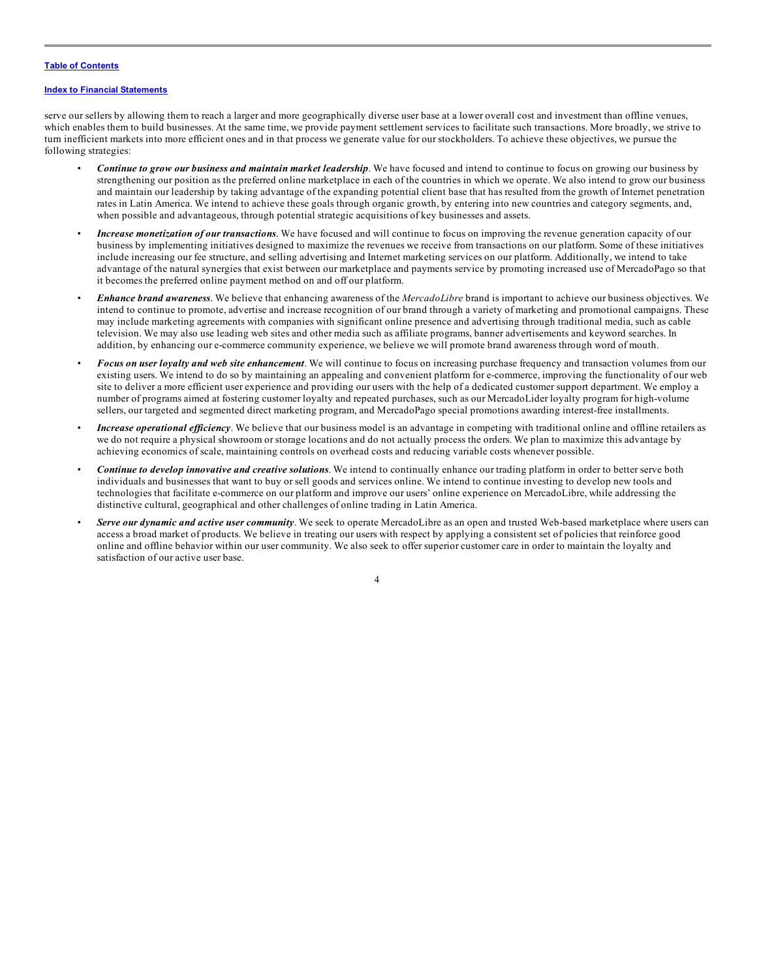# **Index to Financial Statements**

serve our sellers by allowing them to reach a larger and more geographically diverse user base at a lower overall cost and investment than offline venues, which enables them to build businesses. At the same time, we provide payment settlement services to facilitate such transactions. More broadly, we strive to turn inefficient markets into more efficient ones and in that process we generate value for our stockholders. To achieve these objectives, we pursue the following strategies:

- *Continue to grow our business and maintain market leadership*. We have focused and intend to continue to focus on growing our business by strengthening our position as the preferred online marketplace in each of the countries in which we operate. We also intend to grow our business and maintain our leadership by taking advantage of the expanding potential client base that has resulted from the growth of Internet penetration rates in Latin America. We intend to achieve these goals through organic growth, by entering into new countries and category segments, and, when possible and advantageous, through potential strategic acquisitions of key businesses and assets.
- *Increase monetization of our transactions*. We have focused and will continue to focus on improving the revenue generation capacity of our business by implementing initiatives designed to maximize the revenues we receive from transactions on our platform. Some of these initiatives include increasing our fee structure, and selling advertising and Internet marketing services on our platform. Additionally, we intend to take advantage of the natural synergies that exist between our marketplace and payments service by promoting increased use of MercadoPago so that it becomes the preferred online payment method on and off our platform.
- *Enhance brand awareness*. We believe that enhancing awareness of the *MercadoLibre* brand is important to achieve our business objectives. We intend to continue to promote, advertise and increase recognition of our brand through a variety of marketing and promotional campaigns. These may include marketing agreements with companies with significant online presence and advertising through traditional media, such as cable television. We may also use leading web sites and other media such as affiliate programs, banner advertisements and keyword searches. In addition, by enhancing our e-commerce community experience, we believe we will promote brand awareness through word of mouth.
- *Focus on user loyalty and web site enhancement*. We will continue to focus on increasing purchase frequency and transaction volumes from our existing users. We intend to do so by maintaining an appealing and convenient platform for e-commerce, improving the functionality of our web site to deliver a more efficient user experience and providing our users with the help of a dedicated customer support department. We employ a number of programs aimed at fostering customer loyalty and repeated purchases, such as our MercadoLider loyalty program for high-volume sellers, our targeted and segmented direct marketing program, and MercadoPago special promotions awarding interest-free installments.
- *Increase operational ef iciency*. We believe that our business model is an advantage in competing with traditional online and offline retailers as we do not require a physical showroom or storage locations and do not actually process the orders. We plan to maximize this advantage by achieving economics of scale, maintaining controls on overhead costs and reducing variable costs whenever possible.
- *Continue to develop innovative and creative solutions*. We intend to continually enhance our trading platform in order to better serve both individuals and businesses that want to buy or sell goods and services online. We intend to continue investing to develop new tools and technologies that facilitate e-commerce on our platform and improve our users' online experience on MercadoLibre, while addressing the distinctive cultural, geographical and other challenges of online trading in Latin America.
- *Serve our dynamic and active user community*. We seek to operate MercadoLibre as an open and trusted Web-based marketplace where users can access a broad market of products. We believe in treating our users with respect by applying a consistent set of policies that reinforce good online and offline behavior within our user community. We also seek to offer superior customer care in order to maintain the loyalty and satisfaction of our active user base.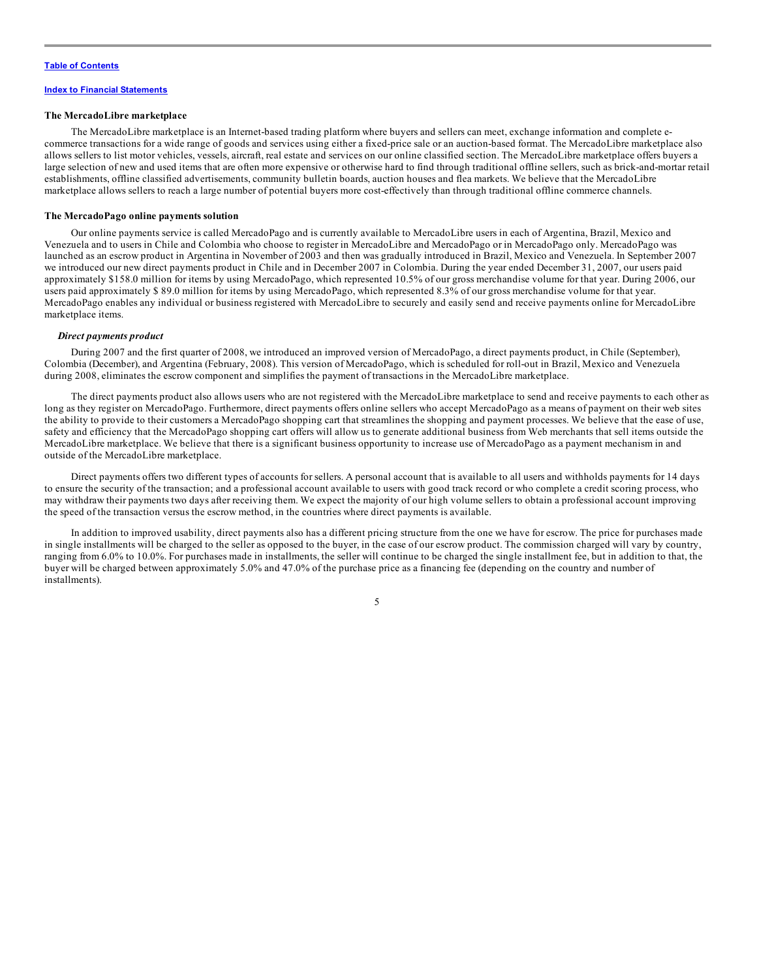# **Index to Financial Statements**

# **The MercadoLibre marketplace**

The MercadoLibre marketplace is an Internet-based trading platform where buyers and sellers can meet, exchange information and complete ecommerce transactions for a wide range of goods and services using either a fixed-price sale or an auction-based format. The MercadoLibre marketplace also allows sellers to list motor vehicles, vessels, aircraft, real estate and services on our online classified section. The MercadoLibre marketplace offers buyers a large selection of new and used items that are often more expensive or otherwise hard to find through traditional offline sellers, such as brick-and-mortar retail establishments, offline classified advertisements, community bulletin boards, auction houses and flea markets. We believe that the MercadoLibre marketplace allows sellers to reach a large number of potential buyers more cost-effectively than through traditional offline commerce channels.

#### **The MercadoPago online payments solution**

Our online payments service is called MercadoPago and is currently available to MercadoLibre users in each of Argentina, Brazil, Mexico and Venezuela and to users in Chile and Colombia who choose to register in MercadoLibre and MercadoPago or in MercadoPago only. MercadoPago was launched as an escrow product in Argentina in November of 2003 and then was gradually introduced in Brazil, Mexico and Venezuela. In September 2007 we introduced our new direct payments product in Chile and in December 2007 in Colombia. During the year ended December 31, 2007, our users paid approximately \$158.0 million for items by using MercadoPago, which represented 10.5% of our gross merchandise volume for that year. During 2006, our users paid approximately \$ 89.0 million for items by using MercadoPago, which represented 8.3% of our gross merchandise volume for that year. MercadoPago enables any individual or business registered with MercadoLibre to securely and easily send and receive payments online for MercadoLibre marketplace items.

#### *Direct payments product*

During 2007 and the first quarter of 2008, we introduced an improved version of MercadoPago, a direct payments product, in Chile (September), Colombia (December), and Argentina (February, 2008). This version of MercadoPago, which is scheduled for roll-out in Brazil, Mexico and Venezuela during 2008, eliminates the escrow component and simplifies the payment of transactions in the MercadoLibre marketplace.

The direct payments product also allows users who are not registered with the MercadoLibre marketplace to send and receive payments to each other as long as they register on MercadoPago. Furthermore, direct payments offers online sellers who accept MercadoPago as a means of payment on their web sites the ability to provide to their customers a MercadoPago shopping cart that streamlines the shopping and payment processes. We believe that the ease of use, safety and efficiency that the MercadoPago shopping cart offers will allow us to generate additional business from Web merchants that sell items outside the MercadoLibre marketplace. We believe that there is a significant business opportunity to increase use of MercadoPago as a payment mechanism in and outside of the MercadoLibre marketplace.

Direct payments offers two different types of accounts for sellers. A personal account that is available to all users and withholds payments for 14 days to ensure the security of the transaction; and a professional account available to users with good track record or who complete a credit scoring process, who may withdraw their payments two days after receiving them. We expect the majority of our high volume sellers to obtain a professional account improving the speed of the transaction versus the escrow method, in the countries where direct payments is available.

In addition to improved usability, direct payments also has a different pricing structure from the one we have for escrow. The price for purchases made in single installments will be charged to the seller as opposed to the buyer, in the case of our escrow product. The commission charged will vary by country, ranging from 6.0% to 10.0%. For purchases made in installments, the seller will continue to be charged the single installment fee, but in addition to that, the buyer will be charged between approximately 5.0% and 47.0% of the purchase price as a financing fee (depending on the country and number of installments).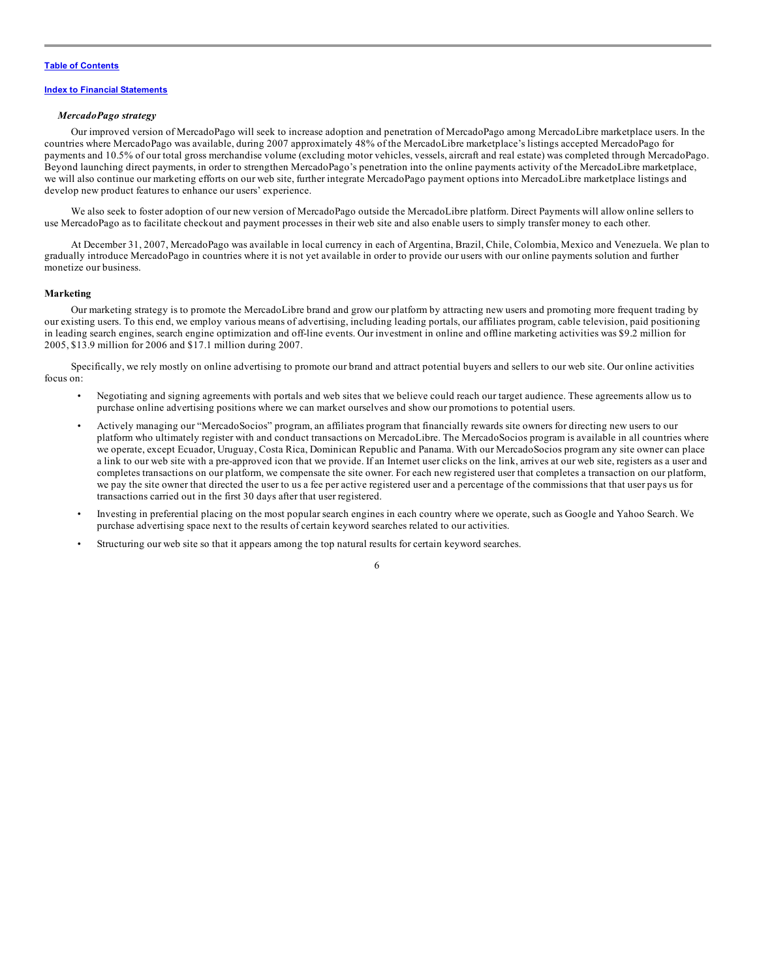# **Index to Financial Statements**

# *MercadoPago strategy*

Our improved version of MercadoPago will seek to increase adoption and penetration of MercadoPago among MercadoLibre marketplace users. In the countries where MercadoPago was available, during 2007 approximately 48% of the MercadoLibre marketplace's listings accepted MercadoPago for payments and 10.5% of our total gross merchandise volume (excluding motor vehicles, vessels, aircraft and real estate) was completed through MercadoPago. Beyond launching direct payments, in order to strengthen MercadoPago's penetration into the online payments activity of the MercadoLibre marketplace, we will also continue our marketing efforts on our web site, further integrate MercadoPago payment options into MercadoLibre marketplace listings and develop new product features to enhance our users' experience.

We also seek to foster adoption of our new version of MercadoPago outside the MercadoLibre platform. Direct Payments will allow online sellers to use MercadoPago as to facilitate checkout and payment processes in their web site and also enable users to simply transfer money to each other.

At December 31, 2007, MercadoPago was available in local currency in each of Argentina, Brazil, Chile, Colombia, Mexico and Venezuela. We plan to gradually introduce MercadoPago in countries where it is not yet available in order to provide our users with our online payments solution and further monetize our business.

#### **Marketing**

Our marketing strategy is to promote the MercadoLibre brand and grow our platform by attracting new users and promoting more frequent trading by our existing users. To this end, we employ various means of advertising, including leading portals, our affiliates program, cable television, paid positioning in leading search engines, search engine optimization and off-line events. Our investment in online and offline marketing activities was \$9.2 million for 2005, \$13.9 million for 2006 and \$17.1 million during 2007.

Specifically, we rely mostly on online advertising to promote our brand and attract potential buyers and sellers to our web site. Our online activities focus on:

- Negotiating and signing agreements with portals and web sites that we believe could reach our target audience. These agreements allow us to purchase online advertising positions where we can market ourselves and show our promotions to potential users.
- Actively managing our "MercadoSocios" program, an affiliates program that financially rewards site owners for directing new users to our platform who ultimately register with and conduct transactions on MercadoLibre. The MercadoSocios program is available in all countries where we operate, except Ecuador, Uruguay, Costa Rica, Dominican Republic and Panama. With our MercadoSocios program any site owner can place a link to our web site with a pre-approved icon that we provide. If an Internet user clicks on the link, arrives at our web site, registers as a user and completes transactions on our platform, we compensate the site owner. For each new registered user that completes a transaction on our platform, we pay the site owner that directed the user to us a fee per active registered user and a percentage of the commissions that that user pays us for transactions carried out in the first 30 days after that user registered.
- Investing in preferential placing on the most popular search engines in each country where we operate, such as Google and Yahoo Search. We purchase advertising space next to the results of certain keyword searches related to our activities.
- Structuring our web site so that it appears among the top natural results for certain keyword searches.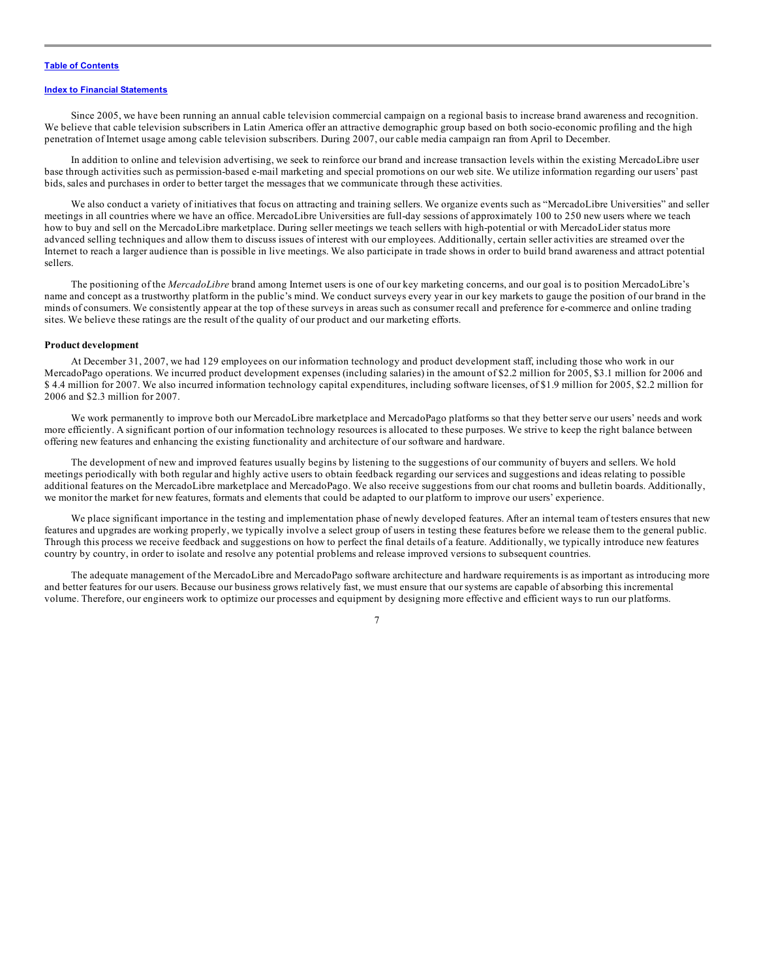# **Index to Financial Statements**

Since 2005, we have been running an annual cable television commercial campaign on a regional basis to increase brand awareness and recognition. We believe that cable television subscribers in Latin America offer an attractive demographic group based on both socio-economic profiling and the high penetration of Internet usage among cable television subscribers. During 2007, our cable media campaign ran from April to December.

In addition to online and television advertising, we seek to reinforce our brand and increase transaction levels within the existing MercadoLibre user base through activities such as permission-based e-mail marketing and special promotions on our web site. We utilize information regarding our users' past bids, sales and purchases in order to better target the messages that we communicate through these activities.

We also conduct a variety of initiatives that focus on attracting and training sellers. We organize events such as "MercadoLibre Universities" and seller meetings in all countries where we have an office. MercadoLibre Universities are full-day sessions of approximately 100 to 250 new users where we teach how to buy and sell on the MercadoLibre marketplace. During seller meetings we teach sellers with high-potential or with MercadoLider status more advanced selling techniques and allow them to discuss issues of interest with our employees. Additionally, certain seller activities are streamed over the Internet to reach a larger audience than is possible in live meetings. We also participate in trade shows in order to build brand awareness and attract potential sellers.

The positioning of the *MercadoLibre* brand among Internet users is one of our key marketing concerns, and our goal is to position MercadoLibre's name and concept as a trustworthy platform in the public's mind. We conduct surveys every year in our key markets to gauge the position of our brand in the minds of consumers. We consistently appear at the top of these surveys in areas such as consumer recall and preference for e-commerce and online trading sites. We believe these ratings are the result of the quality of our product and our marketing efforts.

#### **Product development**

At December 31, 2007, we had 129 employees on our information technology and product development staff, including those who work in our MercadoPago operations. We incurred product development expenses (including salaries) in the amount of \$2.2 million for 2005, \$3.1 million for 2006 and \$ 4.4 million for 2007. We also incurred information technology capital expenditures, including software licenses, of \$1.9 million for 2005, \$2.2 million for 2006 and \$2.3 million for 2007.

We work permanently to improve both our MercadoLibre marketplace and MercadoPago platforms so that they better serve our users' needs and work more efficiently. A significant portion of our information technology resources is allocated to these purposes. We strive to keep the right balance between offering new features and enhancing the existing functionality and architecture of our software and hardware.

The development of new and improved features usually begins by listening to the suggestions of our community of buyers and sellers. We hold meetings periodically with both regular and highly active users to obtain feedback regarding our services and suggestions and ideas relating to possible additional features on the MercadoLibre marketplace and MercadoPago. We also receive suggestions from our chat rooms and bulletin boards. Additionally, we monitor the market for new features, formats and elements that could be adapted to our platform to improve our users' experience.

We place significant importance in the testing and implementation phase of newly developed features. After an internal team of testers ensures that new features and upgrades are working properly, we typically involve a select group of users in testing these features before we release them to the general public. Through this process we receive feedback and suggestions on how to perfect the final details of a feature. Additionally, we typically introduce new features country by country, in order to isolate and resolve any potential problems and release improved versions to subsequent countries.

The adequate management of the MercadoLibre and MercadoPago software architecture and hardware requirements is as important as introducing more and better features for our users. Because our business grows relatively fast, we must ensure that our systems are capable of absorbing this incremental volume. Therefore, our engineers work to optimize our processes and equipment by designing more effective and efficient ways to run our platforms.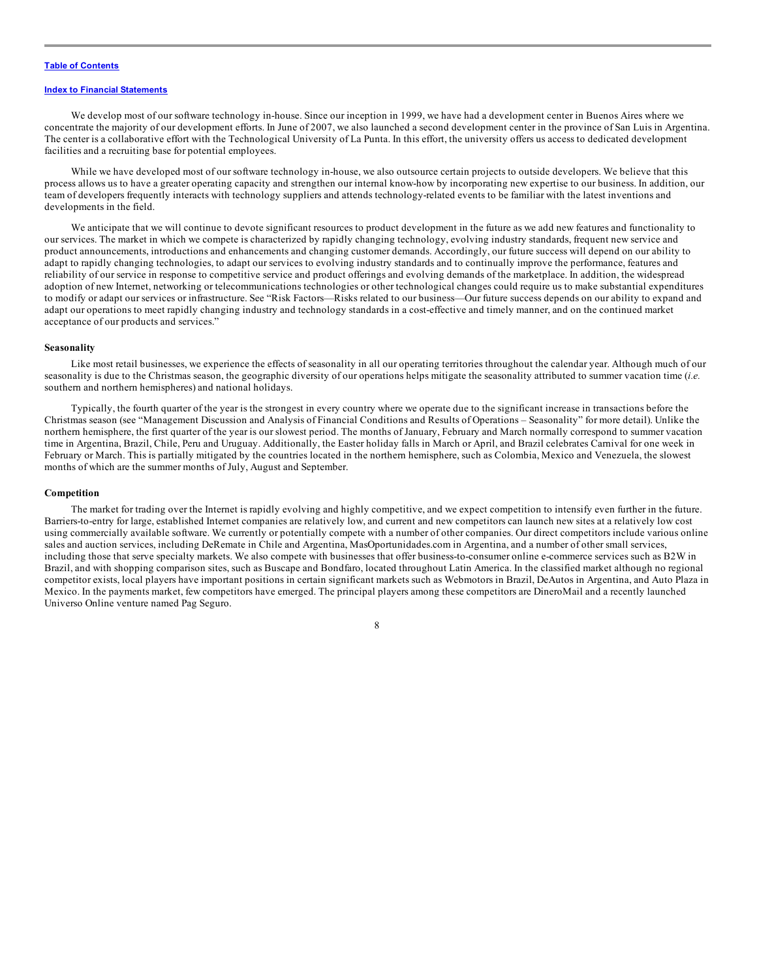#### **Index to Financial Statements**

We develop most of our software technology in-house. Since our inception in 1999, we have had a development center in Buenos Aires where we concentrate the majority of our development efforts. In June of 2007, we also launched a second development center in the province of San Luis in Argentina. The center is a collaborative effort with the Technological University of La Punta. In this effort, the university offers us access to dedicated development facilities and a recruiting base for potential employees.

While we have developed most of our software technology in-house, we also outsource certain projects to outside developers. We believe that this process allows us to have a greater operating capacity and strengthen our internal know-how by incorporating new expertise to our business. In addition, our team of developers frequently interacts with technology suppliers and attends technology-related events to be familiar with the latest inventions and developments in the field.

We anticipate that we will continue to devote significant resources to product development in the future as we add new features and functionality to our services. The market in which we compete is characterized by rapidly changing technology, evolving industry standards, frequent new service and product announcements, introductions and enhancements and changing customer demands. Accordingly, our future success will depend on our ability to adapt to rapidly changing technologies, to adapt our services to evolving industry standards and to continually improve the performance, features and reliability of our service in response to competitive service and product offerings and evolving demands of the marketplace. In addition, the widespread adoption of new Internet, networking or telecommunications technologies or other technological changes could require us to make substantial expenditures to modify or adapt our services or infrastructure. See "Risk Factors—Risks related to our business—Our future success depends on our ability to expand and adapt our operations to meet rapidly changing industry and technology standards in a cost-effective and timely manner, and on the continued market acceptance of our products and services."

#### **Seasonality**

Like most retail businesses, we experience the effects of seasonality in all our operating territories throughout the calendar year. Although much of our seasonality is due to the Christmas season, the geographic diversity of our operations helps mitigate the seasonality attributed to summer vacation time (*i.e.* southern and northern hemispheres) and national holidays.

Typically, the fourth quarter of the year is the strongest in every country where we operate due to the significant increase in transactions before the Christmas season (see "Management Discussion and Analysis of Financial Conditions and Results of Operations – Seasonality" for more detail). Unlike the northern hemisphere, the first quarter of the year is our slowest period. The months of January, February and March normally correspond to summer vacation time in Argentina, Brazil, Chile, Peru and Uruguay. Additionally, the Easter holiday falls in March or April, and Brazil celebrates Carnival for one week in February or March. This is partially mitigated by the countries located in the northern hemisphere, such as Colombia, Mexico and Venezuela, the slowest months of which are the summer months of July, August and September.

#### **Competition**

The market for trading over the Internet is rapidly evolving and highly competitive, and we expect competition to intensify even further in the future. Barriers-to-entry for large, established Internet companies are relatively low, and current and new competitors can launch new sites at a relatively low cost using commercially available software. We currently or potentially compete with a number of other companies. Our direct competitors include various online sales and auction services, including DeRemate in Chile and Argentina, MasOportunidades.com in Argentina, and a number of other small services, including those that serve specialty markets. We also compete with businesses that offer business-to-consumer online e-commerce services such as B2W in Brazil, and with shopping comparison sites, such as Buscape and Bondfaro, located throughout Latin America. In the classified market although no regional competitor exists, local players have important positions in certain significant markets such as Webmotors in Brazil, DeAutos in Argentina, and Auto Plaza in Mexico. In the payments market, few competitors have emerged. The principal players among these competitors are DineroMail and a recently launched Universo Online venture named Pag Seguro.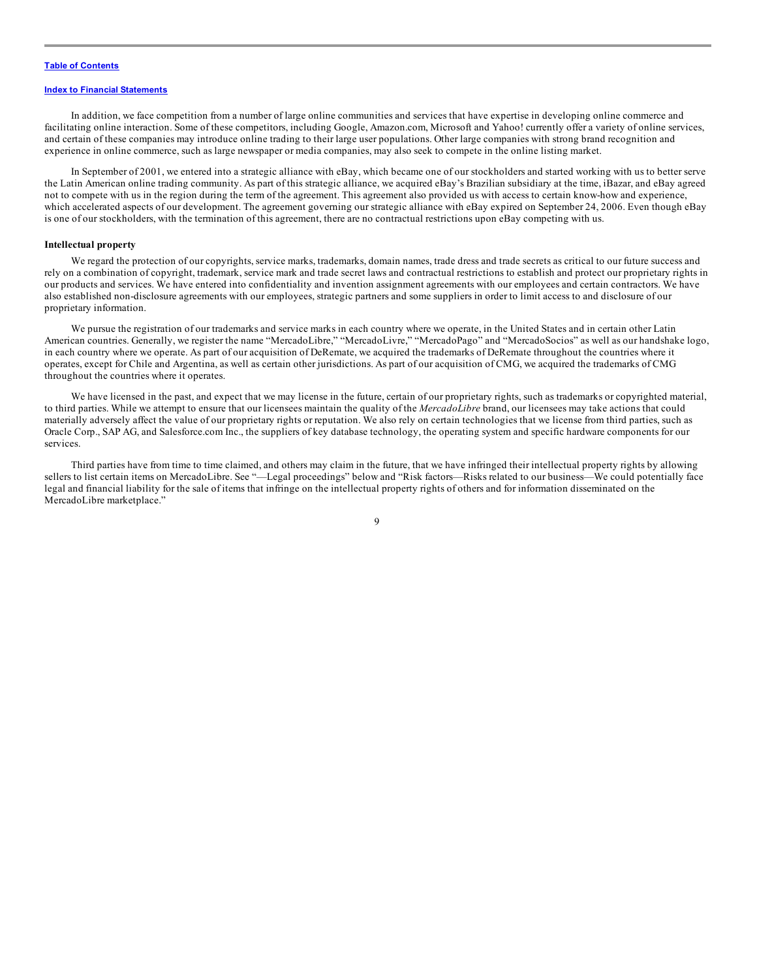#### **Index to Financial Statements**

In addition, we face competition from a number of large online communities and services that have expertise in developing online commerce and facilitating online interaction. Some of these competitors, including Google, Amazon.com, Microsoft and Yahoo! currently offer a variety of online services, and certain of these companies may introduce online trading to their large user populations. Other large companies with strong brand recognition and experience in online commerce, such as large newspaper or media companies, may also seek to compete in the online listing market.

In September of 2001, we entered into a strategic alliance with eBay, which became one of our stockholders and started working with us to better serve the Latin American online trading community. As part of this strategic alliance, we acquired eBay's Brazilian subsidiary at the time, iBazar, and eBay agreed not to compete with us in the region during the term of the agreement. This agreement also provided us with access to certain know-how and experience, which accelerated aspects of our development. The agreement governing our strategic alliance with eBay expired on September 24, 2006. Even though eBay is one of our stockholders, with the termination of this agreement, there are no contractual restrictions upon eBay competing with us.

# **Intellectual property**

We regard the protection of our copyrights, service marks, trademarks, domain names, trade dress and trade secrets as critical to our future success and rely on a combination of copyright, trademark, service mark and trade secret laws and contractual restrictions to establish and protect our proprietary rights in our products and services. We have entered into confidentiality and invention assignment agreements with our employees and certain contractors. We have also established non-disclosure agreements with our employees, strategic partners and some suppliers in order to limit access to and disclosure of our proprietary information.

We pursue the registration of our trademarks and service marks in each country where we operate, in the United States and in certain other Latin American countries. Generally, we register the name "MercadoLibre," "MercadoLivre," "MercadoPago" and "MercadoSocios" as well as our handshake logo, in each country where we operate. As part of our acquisition of DeRemate, we acquired the trademarks of DeRemate throughout the countries where it operates, except for Chile and Argentina, as well as certain other jurisdictions. As part of our acquisition of CMG, we acquired the trademarks of CMG throughout the countries where it operates.

We have licensed in the past, and expect that we may license in the future, certain of our proprietary rights, such as trademarks or copyrighted material, to third parties. While we attempt to ensure that our licensees maintain the quality of the *MercadoLibre* brand, our licensees may take actions that could materially adversely affect the value of our proprietary rights or reputation. We also rely on certain technologies that we license from third parties, such as Oracle Corp., SAP AG, and Salesforce.com Inc., the suppliers of key database technology, the operating system and specific hardware components for our services.

Third parties have from time to time claimed, and others may claim in the future, that we have infringed their intellectual property rights by allowing sellers to list certain items on MercadoLibre. See "—Legal proceedings" below and "Risk factors—Risks related to our business—We could potentially face legal and financial liability for the sale of items that infringe on the intellectual property rights of others and for information disseminated on the MercadoLibre marketplace."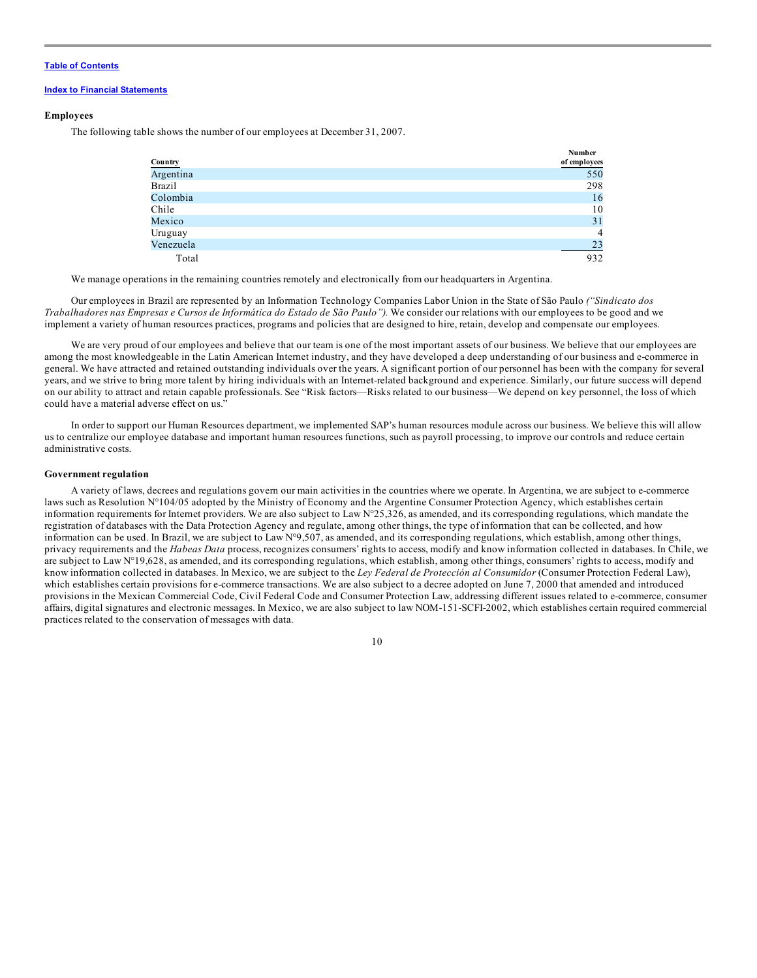# **Index to Financial Statements**

# **Employees**

The following table shows the number of our employees at December 31, 2007.

| Country   | <b>Number</b><br>of employees |
|-----------|-------------------------------|
| Argentina | 550                           |
| Brazil    | 298                           |
| Colombia  | 16                            |
| Chile     | 10                            |
| Mexico    | 31                            |
| Uruguay   | $\overline{4}$                |
| Venezuela | 23                            |
| Total     | 932                           |

We manage operations in the remaining countries remotely and electronically from our headquarters in Argentina.

Our employees in Brazil are represented by an Information Technology Companies Labor Union in the State of São Paulo *("Sindicato dos Trabalhadores nas Empresas e Cursos de Informática do Estado de São Paulo").* We consider our relations with our employees to be good and we implement a variety of human resources practices, programs and policies that are designed to hire, retain, develop and compensate our employees.

We are very proud of our employees and believe that our team is one of the most important assets of our business. We believe that our employees are among the most knowledgeable in the Latin American Internet industry, and they have developed a deep understanding of our business and e-commerce in general. We have attracted and retained outstanding individuals over the years. A significant portion of our personnel has been with the company for several years, and we strive to bring more talent by hiring individuals with an Internet-related background and experience. Similarly, our future success will depend on our ability to attract and retain capable professionals. See "Risk factors—Risks related to our business—We depend on key personnel, the loss of which could have a material adverse effect on us.'

In order to support our Human Resources department, we implemented SAP's human resources module across our business. We believe this will allow us to centralize our employee database and important human resources functions, such as payroll processing, to improve our controls and reduce certain administrative costs.

#### **Government regulation**

A variety of laws, decrees and regulations govern our main activities in the countries where we operate. In Argentina, we are subject to e-commerce laws such as Resolution N°104/05 adopted by the Ministry of Economy and the Argentine Consumer Protection Agency, which establishes certain information requirements for Internet providers. We are also subject to Law  $N^{\circ}25,326$ , as amended, and its corresponding regulations, which mandate the registration of databases with the Data Protection Agency and regulate, among other things, the type of information that can be collected, and how information can be used. In Brazil, we are subject to Law N°9,507, as amended, and its corresponding regulations, which establish, among other things, privacy requirements and the *Habeas Data* process, recognizes consumers' rights to access, modify and know information collected in databases. In Chile, we are subject to Law N°19,628, as amended, and its corresponding regulations, which establish, among other things, consumers' rights to access, modify and know information collected in databases. In Mexico, we are subject to the *Ley Federal de Protección al Consumidor* (Consumer Protection Federal Law), which establishes certain provisions for e-commerce transactions. We are also subject to a decree adopted on June 7, 2000 that amended and introduced provisions in the Mexican Commercial Code, Civil Federal Code and Consumer Protection Law, addressing different issues related to e-commerce, consumer affairs, digital signatures and electronic messages. In Mexico, we are also subject to law NOM-151-SCFI-2002, which establishes certain required commercial practices related to the conservation of messages with data.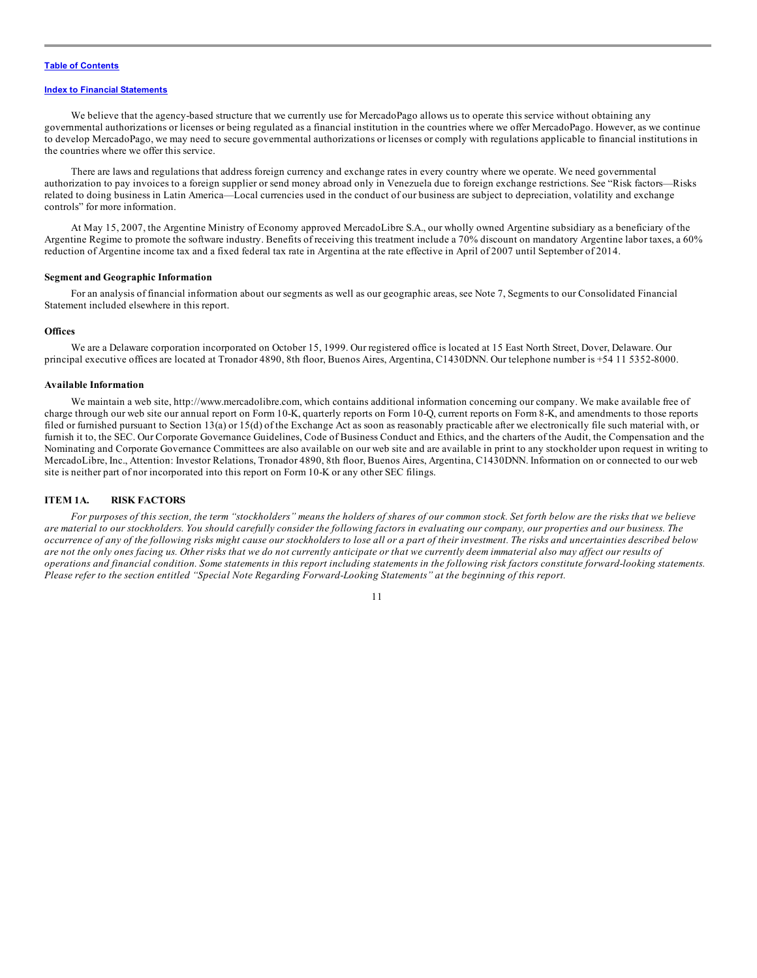# <span id="page-13-0"></span>**Index to Financial Statements**

We believe that the agency-based structure that we currently use for MercadoPago allows us to operate this service without obtaining any governmental authorizations or licenses or being regulated as a financial institution in the countries where we offer MercadoPago. However, as we continue to develop MercadoPago, we may need to secure governmental authorizations or licenses or comply with regulations applicable to financial institutions in the countries where we offer this service.

There are laws and regulations that address foreign currency and exchange rates in every country where we operate. We need governmental authorization to pay invoices to a foreign supplier or send money abroad only in Venezuela due to foreign exchange restrictions. See "Risk factors—Risks related to doing business in Latin America—Local currencies used in the conduct of our business are subject to depreciation, volatility and exchange controls" for more information.

At May 15, 2007, the Argentine Ministry of Economy approved MercadoLibre S.A., our wholly owned Argentine subsidiary as a beneficiary of the Argentine Regime to promote the software industry. Benefits of receiving this treatment include a 70% discount on mandatory Argentine labor taxes, a 60% reduction of Argentine income tax and a fixed federal tax rate in Argentina at the rate effective in April of 2007 until September of 2014.

#### **Segment and Geographic Information**

For an analysis of financial information about our segments as well as our geographic areas, see Note 7, Segments to our Consolidated Financial Statement included elsewhere in this report.

#### **Offices**

We are a Delaware corporation incorporated on October 15, 1999. Our registered office is located at 15 East North Street, Dover, Delaware. Our principal executive offices are located at Tronador 4890, 8th floor, Buenos Aires, Argentina, C1430DNN. Our telephone number is +54 11 5352-8000.

#### **Available Information**

We maintain a web site, http://www.mercadolibre.com, which contains additional information concerning our company. We make available free of charge through our web site our annual report on Form 10-K, quarterly reports on Form 10-Q, current reports on Form 8-K, and amendments to those reports filed or furnished pursuant to Section 13(a) or 15(d) of the Exchange Act as soon as reasonably practicable after we electronically file such material with, or furnish it to, the SEC. Our Corporate Governance Guidelines, Code of Business Conduct and Ethics, and the charters of the Audit, the Compensation and the Nominating and Corporate Governance Committees are also available on our web site and are available in print to any stockholder upon request in writing to MercadoLibre, Inc., Attention: Investor Relations, Tronador 4890, 8th floor, Buenos Aires, Argentina, C1430DNN. Information on or connected to our web site is neither part of nor incorporated into this report on Form 10-K or any other SEC filings.

#### **ITEM 1A. RISK FACTORS**

For purposes of this section, the term "stockholders" means the holders of shares of our common stock. Set forth below are the risks that we believe are material to our stockholders. You should carefully consider the following factors in evaluating our company, our properties and our business. The occurrence of any of the following risks might cause our stockholders to lose all or a part of their investment. The risks and uncertainties described below are not the only ones facing us. Other risks that we do not currently anticipate or that we currently deem immaterial also may affect our results of operations and financial condition. Some statements in this report including statements in the following risk factors constitute forward-looking statements. Please refer to the section entitled "Special Note Regarding Forward-Looking Statements" at the beginning of this report.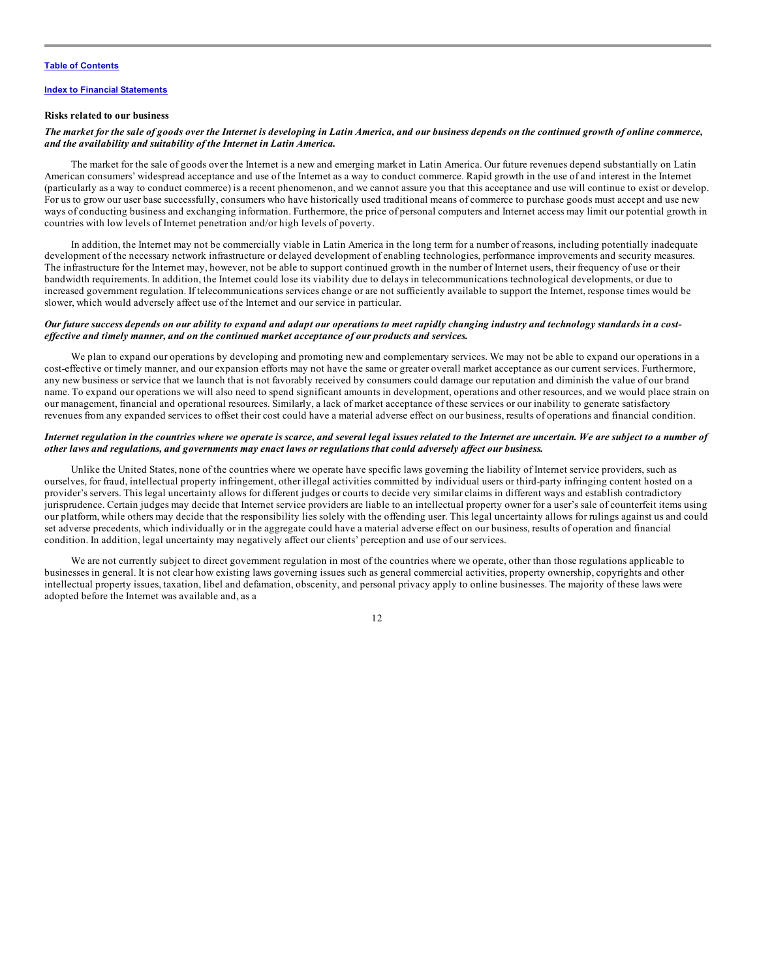# **Index to Financial Statements**

#### **Risks related to our business**

# The market for the sale of goods over the Internet is developing in Latin America, and our business depends on the continued growth of online commerce, *and the availability and suitability of the Internet in Latin America.*

The market for the sale of goods over the Internet is a new and emerging market in Latin America. Our future revenues depend substantially on Latin American consumers' widespread acceptance and use of the Internet as a way to conduct commerce. Rapid growth in the use of and interest in the Internet (particularly as a way to conduct commerce) is a recent phenomenon, and we cannot assure you that this acceptance and use will continue to exist or develop. For us to grow our user base successfully, consumers who have historically used traditional means of commerce to purchase goods must accept and use new ways of conducting business and exchanging information. Furthermore, the price of personal computers and Internet access may limit our potential growth in countries with low levels of Internet penetration and/or high levels of poverty.

In addition, the Internet may not be commercially viable in Latin America in the long term for a number of reasons, including potentially inadequate development of the necessary network infrastructure or delayed development of enabling technologies, performance improvements and security measures. The infrastructure for the Internet may, however, not be able to support continued growth in the number of Internet users, their frequency of use or their bandwidth requirements. In addition, the Internet could lose its viability due to delays in telecommunications technological developments, or due to increased government regulation. If telecommunications services change or are not sufficiently available to support the Internet, response times would be slower, which would adversely affect use of the Internet and our service in particular.

#### Our future success depends on our ability to expand and adapt our operations to meet rapidly changing industry and technology standards in a cost*ef ective and timely manner, and on the continued market acceptance of our products and services.*

We plan to expand our operations by developing and promoting new and complementary services. We may not be able to expand our operations in a cost-effective or timely manner, and our expansion efforts may not have the same or greater overall market acceptance as our current services. Furthermore, any new business or service that we launch that is not favorably received by consumers could damage our reputation and diminish the value of our brand name. To expand our operations we will also need to spend significant amounts in development, operations and other resources, and we would place strain on our management, financial and operational resources. Similarly, a lack of market acceptance of these services or our inability to generate satisfactory revenues from any expanded services to offset their cost could have a material adverse effect on our business, results of operations and financial condition.

#### Internet regulation in the countries where we operate is scarce, and several legal issues related to the Internet are uncertain. We are subject to a number of other laws and regulations, and governments may enact laws or regulations that could adversely affect our business.

Unlike the United States, none of the countries where we operate have specific laws governing the liability of Internet service providers, such as ourselves, for fraud, intellectual property infringement, other illegal activities committed by individual users or third-party infringing content hosted on a provider's servers. This legal uncertainty allows for different judges or courts to decide very similar claims in different ways and establish contradictory jurisprudence. Certain judges may decide that Internet service providers are liable to an intellectual property owner for a user's sale of counterfeit items using our platform, while others may decide that the responsibility lies solely with the offending user. This legal uncertainty allows for rulings against us and could set adverse precedents, which individually or in the aggregate could have a material adverse effect on our business, results of operation and financial condition. In addition, legal uncertainty may negatively affect our clients' perception and use of our services.

We are not currently subject to direct government regulation in most of the countries where we operate, other than those regulations applicable to businesses in general. It is not clear how existing laws governing issues such as general commercial activities, property ownership, copyrights and other intellectual property issues, taxation, libel and defamation, obscenity, and personal privacy apply to online businesses. The majority of these laws were adopted before the Internet was available and, as a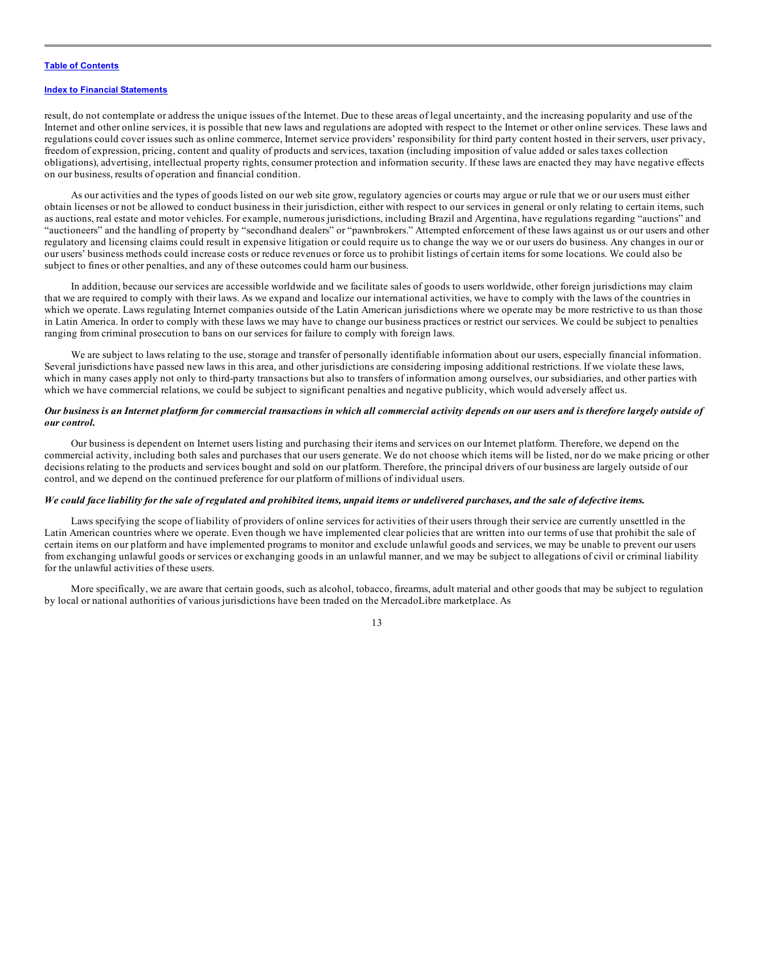# **Index to Financial Statements**

result, do not contemplate or address the unique issues of the Internet. Due to these areas of legal uncertainty, and the increasing popularity and use of the Internet and other online services, it is possible that new laws and regulations are adopted with respect to the Internet or other online services. These laws and regulations could cover issues such as online commerce, Internet service providers' responsibility for third party content hosted in their servers, user privacy, freedom of expression, pricing, content and quality of products and services, taxation (including imposition of value added or sales taxes collection obligations), advertising, intellectual property rights, consumer protection and information security. If these laws are enacted they may have negative effects on our business, results of operation and financial condition.

As our activities and the types of goods listed on our web site grow, regulatory agencies or courts may argue or rule that we or our users must either obtain licenses or not be allowed to conduct business in their jurisdiction, either with respect to our services in general or only relating to certain items, such as auctions, real estate and motor vehicles. For example, numerous jurisdictions, including Brazil and Argentina, have regulations regarding "auctions" and "auctioneers" and the handling of property by "secondhand dealers" or "pawnbrokers." Attempted enforcement of these laws against us or our users and other regulatory and licensing claims could result in expensive litigation or could require us to change the way we or our users do business. Any changes in our or our users' business methods could increase costs or reduce revenues or force us to prohibit listings of certain items for some locations. We could also be subject to fines or other penalties, and any of these outcomes could harm our business.

In addition, because our services are accessible worldwide and we facilitate sales of goods to users worldwide, other foreign jurisdictions may claim that we are required to comply with their laws. As we expand and localize our international activities, we have to comply with the laws of the countries in which we operate. Laws regulating Internet companies outside of the Latin American jurisdictions where we operate may be more restrictive to us than those in Latin America. In order to comply with these laws we may have to change our business practices or restrict our services. We could be subject to penalties ranging from criminal prosecution to bans on our services for failure to comply with foreign laws.

We are subject to laws relating to the use, storage and transfer of personally identifiable information about our users, especially financial information. Several jurisdictions have passed new laws in this area, and other jurisdictions are considering imposing additional restrictions. If we violate these laws, which in many cases apply not only to third-party transactions but also to transfers of information among ourselves, our subsidiaries, and other parties with which we have commercial relations, we could be subject to significant penalties and negative publicity, which would adversely affect us.

# Our business is an Internet platform for commercial transactions in which all commercial activity depends on our users and is therefore largely outside of *our control.*

Our business is dependent on Internet users listing and purchasing their items and services on our Internet platform. Therefore, we depend on the commercial activity, including both sales and purchases that our users generate. We do not choose which items will be listed, nor do we make pricing or other decisions relating to the products and services bought and sold on our platform. Therefore, the principal drivers of our business are largely outside of our control, and we depend on the continued preference for our platform of millions of individual users.

#### We could face liability for the sale of regulated and prohibited items, unpaid items or undelivered purchases, and the sale of defective items.

Laws specifying the scope of liability of providers of online services for activities of their users through their service are currently unsettled in the Latin American countries where we operate. Even though we have implemented clear policies that are written into our terms of use that prohibit the sale of certain items on our platform and have implemented programs to monitor and exclude unlawful goods and services, we may be unable to prevent our users from exchanging unlawful goods or services or exchanging goods in an unlawful manner, and we may be subject to allegations of civil or criminal liability for the unlawful activities of these users.

More specifically, we are aware that certain goods, such as alcohol, tobacco, firearms, adult material and other goods that may be subject to regulation by local or national authorities of various jurisdictions have been traded on the MercadoLibre marketplace. As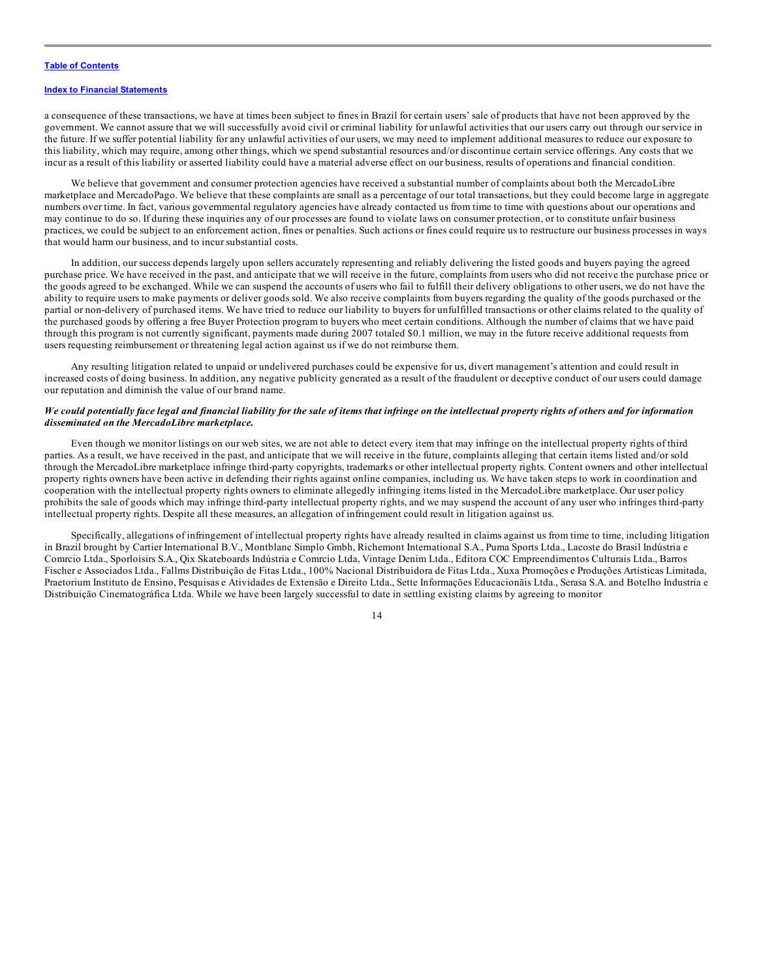#### **Index to Financial Statements**

a consequence of these transactions, we have at times been subject to fines in Brazil for certain users' sale of products that have not been approved by the government. We cannot assure that we will successfully avoid civil or criminal liability for unlawful activities that our users carry out through our service in the future. If we suffer potential liability for any unlawful activities of our users, we may need to implement additional measures to reduce our exposure to this liability, which may require, among other things, which we spend substantial resources and/or discontinue certain service offerings. Any costs that we incur as a result of this liability or asserted liability could have a material adverse effect on our business, results of operations and financial condition.

We believe that government and consumer protection agencies have received a substantial number of complaints about both the MercadoLibre marketplace and MercadoPago. We believe that these complaints are small as a percentage of our total transactions, but they could become large in aggregate numbers over time. In fact, various governmental regulatory agencies have already contacted us from time to time with questions about our operations and may continue to do so. If during these inquiries any of our processes are found to violate laws on consumer protection, or to constitute unfair business practices, we could be subject to an enforcement action, fines or penalties. Such actions or fines could require us to restructure our business processes in ways that would harm our business, and to incur substantial costs.

In addition, our success depends largely upon sellers accurately representing and reliably delivering the listed goods and buyers paying the agreed purchase price. We have received in the past, and anticipate that we will receive in the future, complaints from users who did not receive the purchase price or the goods agreed to be exchanged. While we can suspend the accounts of users who fail to fulfill their delivery obligations to other users, we do not have the ability to require users to make payments or deliver goods sold. We also receive complaints from buyers regarding the quality of the goods purchased or the partial or non-delivery of purchased items. We have tried to reduce our liability to buyers for unfulfilled transactions or other claims related to the quality of the purchased goods by offering a free Buyer Protection program to buyers who meet certain conditions. Although the number of claims that we have paid through this program is not currently significant, payments made during 2007 totaled \$0.1 million, we may in the future receive additional requests from users requesting reimbursement or threatening legal action against us if we do not reimburse them.

Any resulting litigation related to unpaid or undelivered purchases could be expensive for us, divert management's attention and could result in increased costs of doing business. In addition, any negative publicity generated as a result of the fraudulent or deceptive conduct of our users could damage our reputation and diminish the value of our brand name.

# We could potentially face legal and financial liability for the sale of items that infringe on the intellectual property rights of others and for information *disseminated on the MercadoLibre marketplace.*

Even though we monitor listings on our web sites, we are not able to detect every item that may infringe on the intellectual property rights of third parties. As a result, we have received in the past, and anticipate that we will receive in the future, complaints alleging that certain items listed and/or sold through the MercadoLibre marketplace infringe third-party copyrights, trademarks or other intellectual property rights. Content owners and other intellectual property rights owners have been active in defending their rights against online companies, including us. We have taken steps to work in coordination and cooperation with the intellectual property rights owners to eliminate allegedly infringing items listed in the MercadoLibre marketplace. Our user policy prohibits the sale of goods which may infringe third-party intellectual property rights, and we may suspend the account of any user who infringes third-party intellectual property rights. Despite all these measures, an allegation of infringement could result in litigation against us.

Specifically, allegations of infringement of intellectual property rights have already resulted in claims against us from time to time, including litigation in Brazil brought by Cartier International B.V., Montblanc Simplo Gmbh, Richemont International S.A., Puma Sports Ltda., Lacoste do Brasil Indústria e Comrcio Ltda., Sporloisirs S.A., Qix Skateboards Indústria e Comrcio Ltda, Vintage Denim Ltda., Editora COC Empreendimentos Culturais Ltda., Barros Fischer e Associados Ltda., Fallms Distribuição de Fitas Ltda., 100% Nacional Distribuidora de Fitas Ltda., Xuxa Promoções e Produções Artísticas Limitada, Praetorium Instituto de Ensino, Pesquisas e Atividades de Extensāo e Direito Ltda., Sette Informações Educacionāis Ltda., Serasa S.A. and Botelho Industria e Distribuiçāo Cinematográfica Ltda. While we have been largely successful to date in settling existing claims by agreeing to monitor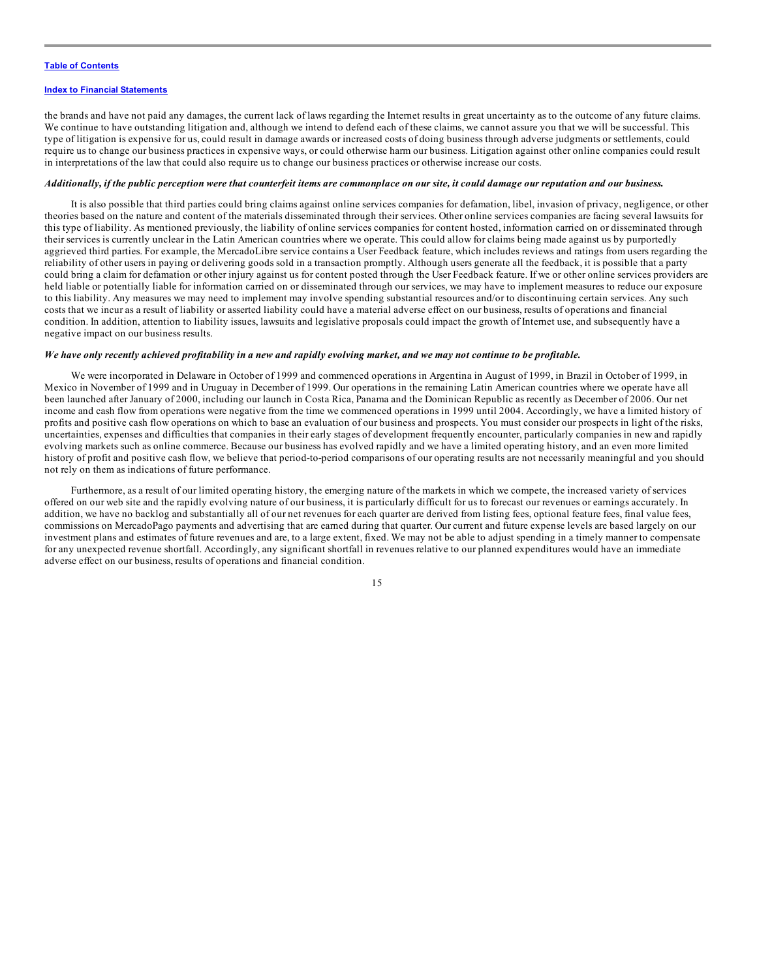# **Index to Financial Statements**

the brands and have not paid any damages, the current lack of laws regarding the Internet results in great uncertainty as to the outcome of any future claims. We continue to have outstanding litigation and, although we intend to defend each of these claims, we cannot assure you that we will be successful. This type of litigation is expensive for us, could result in damage awards or increased costs of doing business through adverse judgments or settlements, could require us to change our business practices in expensive ways, or could otherwise harm our business. Litigation against other online companies could result in interpretations of the law that could also require us to change our business practices or otherwise increase our costs.

#### Additionally, if the public perception were that counterfeit items are commonplace on our site, it could damage our reputation and our business.

It is also possible that third parties could bring claims against online services companies for defamation, libel, invasion of privacy, negligence, or other theories based on the nature and content of the materials disseminated through their services. Other online services companies are facing several lawsuits for this type of liability. As mentioned previously, the liability of online services companies for content hosted, information carried on or disseminated through their services is currently unclear in the Latin American countries where we operate. This could allow for claims being made against us by purportedly aggrieved third parties. For example, the MercadoLibre service contains a User Feedback feature, which includes reviews and ratings from users regarding the reliability of other users in paying or delivering goods sold in a transaction promptly. Although users generate all the feedback, it is possible that a party could bring a claim for defamation or other injury against us for content posted through the User Feedback feature. If we or other online services providers are held liable or potentially liable for information carried on or disseminated through our services, we may have to implement measures to reduce our exposure to this liability. Any measures we may need to implement may involve spending substantial resources and/or to discontinuing certain services. Any such costs that we incur as a result of liability or asserted liability could have a material adverse effect on our business, results of operations and financial condition. In addition, attention to liability issues, lawsuits and legislative proposals could impact the growth of Internet use, and subsequently have a negative impact on our business results.

#### We have only recently achieved profitability in a new and rapidly evolving market, and we may not continue to be profitable.

We were incorporated in Delaware in October of 1999 and commenced operations in Argentina in August of 1999, in Brazil in October of 1999, in Mexico in November of 1999 and in Uruguay in December of 1999. Our operations in the remaining Latin American countries where we operate have all been launched after January of 2000, including our launch in Costa Rica, Panama and the Dominican Republic as recently as December of 2006. Our net income and cash flow from operations were negative from the time we commenced operations in 1999 until 2004. Accordingly, we have a limited history of profits and positive cash flow operations on which to base an evaluation of our business and prospects. You must consider our prospects in light of the risks, uncertainties, expenses and difficulties that companies in their early stages of development frequently encounter, particularly companies in new and rapidly evolving markets such as online commerce. Because our business has evolved rapidly and we have a limited operating history, and an even more limited history of profit and positive cash flow, we believe that period-to-period comparisons of our operating results are not necessarily meaningful and you should not rely on them as indications of future performance.

Furthermore, as a result of our limited operating history, the emerging nature of the markets in which we compete, the increased variety of services offered on our web site and the rapidly evolving nature of our business, it is particularly difficult for us to forecast our revenues or earnings accurately. In addition, we have no backlog and substantially all of our net revenues for each quarter are derived from listing fees, optional feature fees, final value fees, commissions on MercadoPago payments and advertising that are earned during that quarter. Our current and future expense levels are based largely on our investment plans and estimates of future revenues and are, to a large extent, fixed. We may not be able to adjust spending in a timely manner to compensate for any unexpected revenue shortfall. Accordingly, any significant shortfall in revenues relative to our planned expenditures would have an immediate adverse effect on our business, results of operations and financial condition.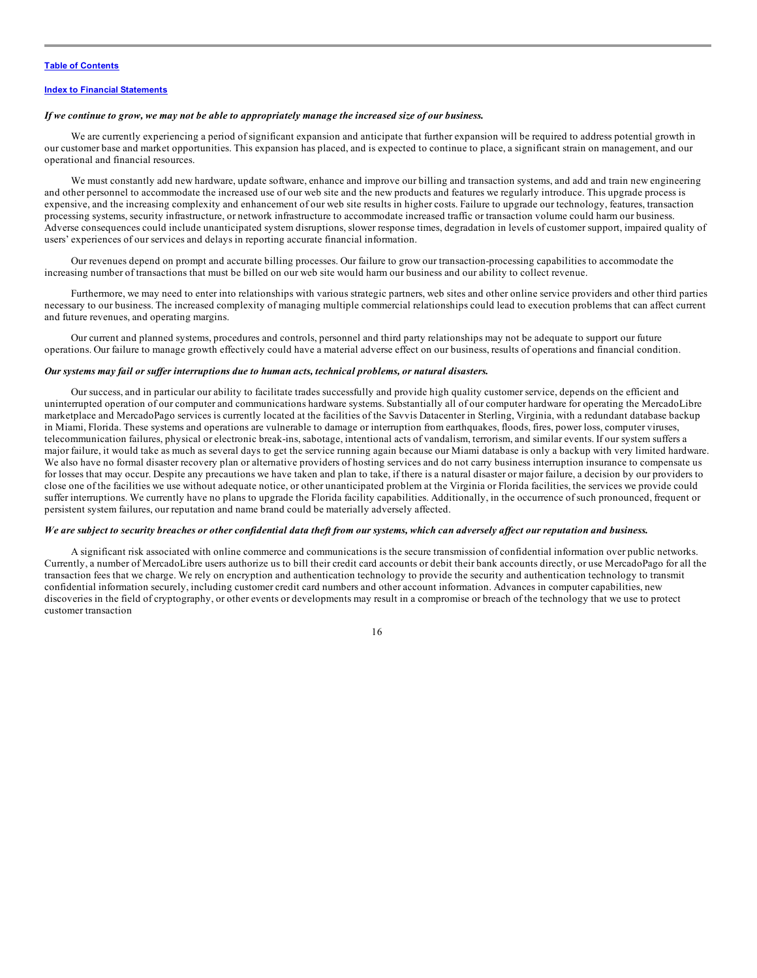# **Index to Financial Statements**

#### If we continue to grow, we may not be able to appropriately manage the increased size of our business.

We are currently experiencing a period of significant expansion and anticipate that further expansion will be required to address potential growth in our customer base and market opportunities. This expansion has placed, and is expected to continue to place, a significant strain on management, and our operational and financial resources.

We must constantly add new hardware, update software, enhance and improve our billing and transaction systems, and add and train new engineering and other personnel to accommodate the increased use of our web site and the new products and features we regularly introduce. This upgrade process is expensive, and the increasing complexity and enhancement of our web site results in higher costs. Failure to upgrade our technology, features, transaction processing systems, security infrastructure, or network infrastructure to accommodate increased traffic or transaction volume could harm our business. Adverse consequences could include unanticipated system disruptions, slower response times, degradation in levels of customer support, impaired quality of users' experiences of our services and delays in reporting accurate financial information.

Our revenues depend on prompt and accurate billing processes. Our failure to grow our transaction-processing capabilities to accommodate the increasing number of transactions that must be billed on our web site would harm our business and our ability to collect revenue.

Furthermore, we may need to enter into relationships with various strategic partners, web sites and other online service providers and other third parties necessary to our business. The increased complexity of managing multiple commercial relationships could lead to execution problems that can affect current and future revenues, and operating margins.

Our current and planned systems, procedures and controls, personnel and third party relationships may not be adequate to support our future operations. Our failure to manage growth effectively could have a material adverse effect on our business, results of operations and financial condition.

#### *Our systems may fail or suf er interruptions due to human acts, technical problems, or natural disasters.*

Our success, and in particular our ability to facilitate trades successfully and provide high quality customer service, depends on the efficient and uninterrupted operation of our computer and communications hardware systems. Substantially all of our computer hardware for operating the MercadoLibre marketplace and MercadoPago services is currently located at the facilities of the Savvis Datacenter in Sterling, Virginia, with a redundant database backup in Miami, Florida. These systems and operations are vulnerable to damage or interruption from earthquakes, floods, fires, power loss, computer viruses, telecommunication failures, physical or electronic break-ins, sabotage, intentional acts of vandalism, terrorism, and similar events. If our system suffers a major failure, it would take as much as several days to get the service running again because our Miami database is only a backup with very limited hardware. We also have no formal disaster recovery plan or alternative providers of hosting services and do not carry business interruption insurance to compensate us for losses that may occur. Despite any precautions we have taken and plan to take, if there is a natural disaster or major failure, a decision by our providers to close one of the facilities we use without adequate notice, or other unanticipated problem at the Virginia or Florida facilities, the services we provide could suffer interruptions. We currently have no plans to upgrade the Florida facility capabilities. Additionally, in the occurrence of such pronounced, frequent or persistent system failures, our reputation and name brand could be materially adversely affected.

#### We are subject to security breaches or other confidential data theft from our systems, which can adversely affect our reputation and business.

A significant risk associated with online commerce and communications is the secure transmission of confidential information over public networks. Currently, a number of MercadoLibre users authorize us to bill their credit card accounts or debit their bank accounts directly, or use MercadoPago for all the transaction fees that we charge. We rely on encryption and authentication technology to provide the security and authentication technology to transmit confidential information securely, including customer credit card numbers and other account information. Advances in computer capabilities, new discoveries in the field of cryptography, or other events or developments may result in a compromise or breach of the technology that we use to protect customer transaction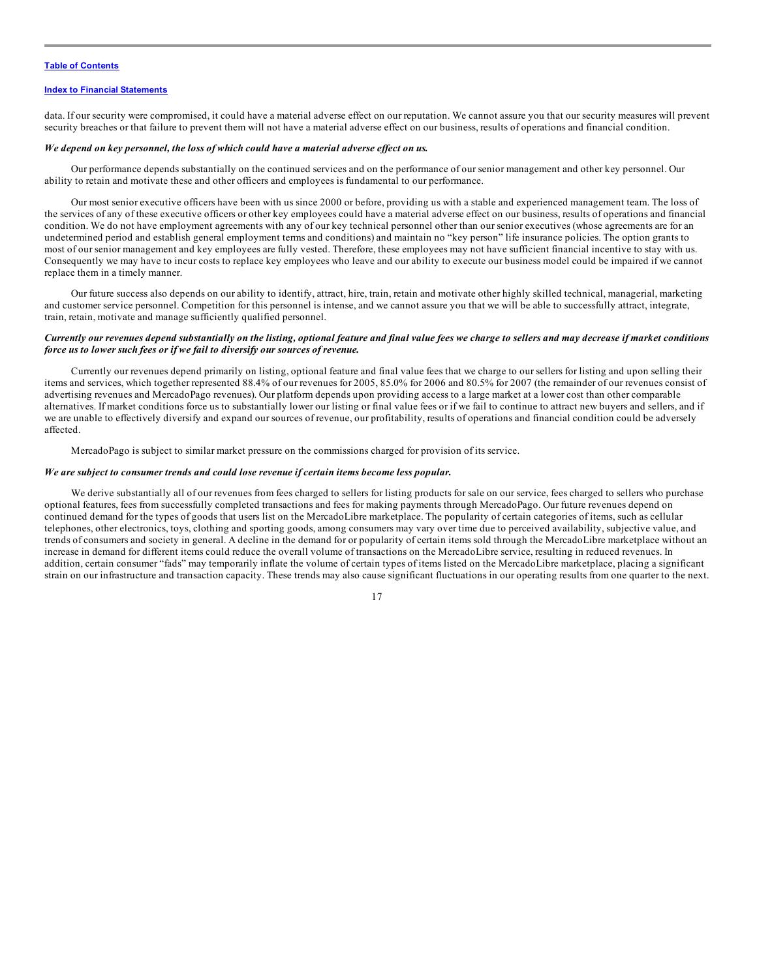# **Index to Financial Statements**

data. If our security were compromised, it could have a material adverse effect on our reputation. We cannot assure you that our security measures will prevent security breaches or that failure to prevent them will not have a material adverse effect on our business, results of operations and financial condition.

#### *We depend on key personnel, the loss of which could have a material adverse ef ect on us.*

Our performance depends substantially on the continued services and on the performance of our senior management and other key personnel. Our ability to retain and motivate these and other officers and employees is fundamental to our performance.

Our most senior executive officers have been with us since 2000 or before, providing us with a stable and experienced management team. The loss of the services of any of these executive officers or other key employees could have a material adverse effect on our business, results of operations and financial condition. We do not have employment agreements with any of our key technical personnel other than our senior executives (whose agreements are for an undetermined period and establish general employment terms and conditions) and maintain no "key person" life insurance policies. The option grants to most of our senior management and key employees are fully vested. Therefore, these employees may not have sufficient financial incentive to stay with us. Consequently we may have to incur costs to replace key employees who leave and our ability to execute our business model could be impaired if we cannot replace them in a timely manner.

Our future success also depends on our ability to identify, attract, hire, train, retain and motivate other highly skilled technical, managerial, marketing and customer service personnel. Competition for this personnel is intense, and we cannot assure you that we will be able to successfully attract, integrate, train, retain, motivate and manage sufficiently qualified personnel.

# Currently our revenues depend substantially on the listing, optional feature and final value fees we charge to sellers and may decrease if market conditions *force us to lower such fees or if we fail to diversify our sources of revenue.*

Currently our revenues depend primarily on listing, optional feature and final value fees that we charge to our sellers for listing and upon selling their items and services, which together represented 88.4% of our revenues for 2005, 85.0% for 2006 and 80.5% for 2007 (the remainder of our revenues consist of advertising revenues and MercadoPago revenues). Our platform depends upon providing access to a large market at a lower cost than other comparable alternatives. If market conditions force us to substantially lower our listing or final value fees or if we fail to continue to attract new buyers and sellers, and if we are unable to effectively diversify and expand our sources of revenue, our profitability, results of operations and financial condition could be adversely affected.

MercadoPago is subject to similar market pressure on the commissions charged for provision of its service.

#### *We are subject to consumer trends and could lose revenue if certain items become less popular.*

We derive substantially all of our revenues from fees charged to sellers for listing products for sale on our service, fees charged to sellers who purchase optional features, fees from successfully completed transactions and fees for making payments through MercadoPago. Our future revenues depend on continued demand for the types of goods that users list on the MercadoLibre marketplace. The popularity of certain categories of items, such as cellular telephones, other electronics, toys, clothing and sporting goods, among consumers may vary over time due to perceived availability, subjective value, and trends of consumers and society in general. A decline in the demand for or popularity of certain items sold through the MercadoLibre marketplace without an increase in demand for different items could reduce the overall volume of transactions on the MercadoLibre service, resulting in reduced revenues. In addition, certain consumer "fads" may temporarily inflate the volume of certain types of items listed on the MercadoLibre marketplace, placing a significant strain on our infrastructure and transaction capacity. These trends may also cause significant fluctuations in our operating results from one quarter to the next.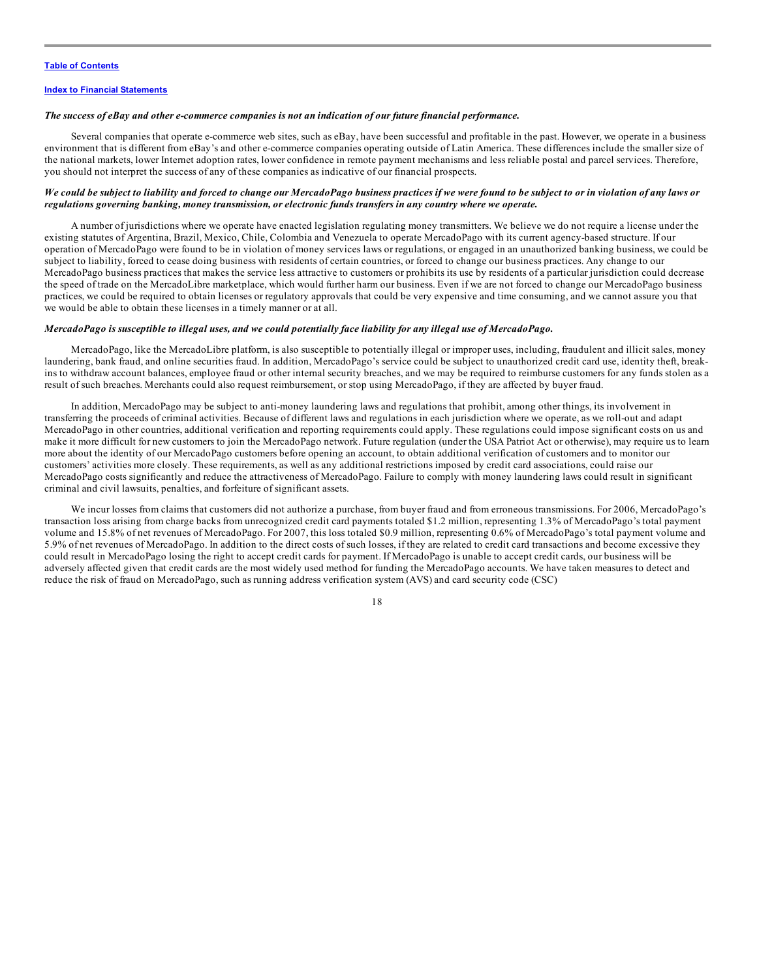# **Index to Financial Statements**

#### The success of eBay and other e-commerce companies is not an indication of our future financial performance.

Several companies that operate e-commerce web sites, such as eBay, have been successful and profitable in the past. However, we operate in a business environment that is different from eBay's and other e-commerce companies operating outside of Latin America. These differences include the smaller size of the national markets, lower Internet adoption rates, lower confidence in remote payment mechanisms and less reliable postal and parcel services. Therefore, you should not interpret the success of any of these companies as indicative of our financial prospects.

# We could be subiect to liability and forced to change our MercadoPago business practices if we were found to be subject to or in violation of any laws or *regulations governing banking, money transmission, or electronic funds transfers in any country where we operate.*

A number of jurisdictions where we operate have enacted legislation regulating money transmitters. We believe we do not require a license under the existing statutes of Argentina, Brazil, Mexico, Chile, Colombia and Venezuela to operate MercadoPago with its current agency-based structure. If our operation of MercadoPago were found to be in violation of money services laws or regulations, or engaged in an unauthorized banking business, we could be subject to liability, forced to cease doing business with residents of certain countries, or forced to change our business practices. Any change to our MercadoPago business practices that makes the service less attractive to customers or prohibits its use by residents of a particular jurisdiction could decrease the speed of trade on the MercadoLibre marketplace, which would further harm our business. Even if we are not forced to change our MercadoPago business practices, we could be required to obtain licenses or regulatory approvals that could be very expensive and time consuming, and we cannot assure you that we would be able to obtain these licenses in a timely manner or at all.

#### MercadoPago is susceptible to illegal uses, and we could potentially face liability for any illegal use of MercadoPago.

MercadoPago, like the MercadoLibre platform, is also susceptible to potentially illegal or improper uses, including, fraudulent and illicit sales, money laundering, bank fraud, and online securities fraud. In addition, MercadoPago's service could be subject to unauthorized credit card use, identity theft, breakins to withdraw account balances, employee fraud or other internal security breaches, and we may be required to reimburse customers for any funds stolen as a result of such breaches. Merchants could also request reimbursement, or stop using MercadoPago, if they are affected by buyer fraud.

In addition, MercadoPago may be subject to anti-money laundering laws and regulations that prohibit, among other things, its involvement in transferring the proceeds of criminal activities. Because of different laws and regulations in each jurisdiction where we operate, as we roll-out and adapt MercadoPago in other countries, additional verification and reporting requirements could apply. These regulations could impose significant costs on us and make it more difficult for new customers to join the MercadoPago network. Future regulation (under the USA Patriot Act or otherwise), may require us to learn more about the identity of our MercadoPago customers before opening an account, to obtain additional verification of customers and to monitor our customers' activities more closely. These requirements, as well as any additional restrictions imposed by credit card associations, could raise our MercadoPago costs significantly and reduce the attractiveness of MercadoPago. Failure to comply with money laundering laws could result in significant criminal and civil lawsuits, penalties, and forfeiture of significant assets.

We incur losses from claims that customers did not authorize a purchase, from buyer fraud and from erroneous transmissions. For 2006, MercadoPago's transaction loss arising from charge backs from unrecognized credit card payments totaled \$1.2 million, representing 1.3% of MercadoPago's total payment volume and 15.8% of net revenues of MercadoPago. For 2007, this loss totaled \$0.9 million, representing 0.6% of MercadoPago's total payment volume and 5.9% of net revenues of MercadoPago. In addition to the direct costs of such losses, if they are related to credit card transactions and become excessive they could result in MercadoPago losing the right to accept credit cards for payment. If MercadoPago is unable to accept credit cards, our business will be adversely affected given that credit cards are the most widely used method for funding the MercadoPago accounts. We have taken measures to detect and reduce the risk of fraud on MercadoPago, such as running address verification system (AVS) and card security code (CSC)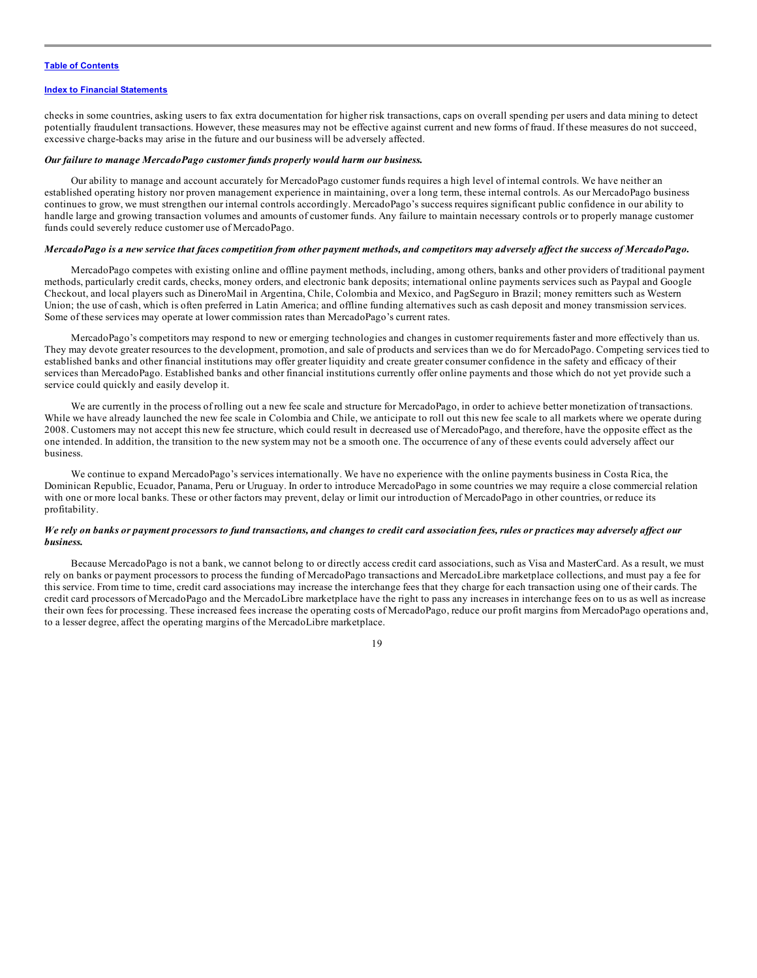# **Index to Financial Statements**

checks in some countries, asking users to fax extra documentation for higher risk transactions, caps on overall spending per users and data mining to detect potentially fraudulent transactions. However, these measures may not be effective against current and new forms of fraud. If these measures do not succeed, excessive charge-backs may arise in the future and our business will be adversely affected.

#### *Our failure to manage MercadoPago customer funds properly would harm our business.*

Our ability to manage and account accurately for MercadoPago customer funds requires a high level of internal controls. We have neither an established operating history nor proven management experience in maintaining, over a long term, these internal controls. As our MercadoPago business continues to grow, we must strengthen our internal controls accordingly. MercadoPago's success requires significant public confidence in our ability to handle large and growing transaction volumes and amounts of customer funds. Any failure to maintain necessary controls or to properly manage customer funds could severely reduce customer use of MercadoPago.

#### MercadoPago is a new service that faces competition from other payment methods, and competitors may adversely affect the success of MercadoPago.

MercadoPago competes with existing online and offline payment methods, including, among others, banks and other providers of traditional payment methods, particularly credit cards, checks, money orders, and electronic bank deposits; international online payments services such as Paypal and Google Checkout, and local players such as DineroMail in Argentina, Chile, Colombia and Mexico, and PagSeguro in Brazil; money remitters such as Western Union; the use of cash, which is often preferred in Latin America; and offline funding alternatives such as cash deposit and money transmission services. Some of these services may operate at lower commission rates than MercadoPago's current rates.

MercadoPago's competitors may respond to new or emerging technologies and changes in customer requirements faster and more effectively than us. They may devote greater resources to the development, promotion, and sale of products and services than we do for MercadoPago. Competing services tied to established banks and other financial institutions may offer greater liquidity and create greater consumer confidence in the safety and efficacy of their services than MercadoPago. Established banks and other financial institutions currently offer online payments and those which do not yet provide such a service could quickly and easily develop it.

We are currently in the process of rolling out a new fee scale and structure for MercadoPago, in order to achieve better monetization of transactions. While we have already launched the new fee scale in Colombia and Chile, we anticipate to roll out this new fee scale to all markets where we operate during 2008. Customers may not accept this new fee structure, which could result in decreased use of MercadoPago, and therefore, have the opposite effect as the one intended. In addition, the transition to the new system may not be a smooth one. The occurrence of any of these events could adversely affect our business.

We continue to expand MercadoPago's services internationally. We have no experience with the online payments business in Costa Rica, the Dominican Republic, Ecuador, Panama, Peru or Uruguay. In order to introduce MercadoPago in some countries we may require a close commercial relation with one or more local banks. These or other factors may prevent, delay or limit our introduction of MercadoPago in other countries, or reduce its profitability.

# We rely on banks or payment processors to fund transactions, and changes to credit card association fees, rules or practices may adversely affect our *business.*

Because MercadoPago is not a bank, we cannot belong to or directly access credit card associations, such as Visa and MasterCard. As a result, we must rely on banks or payment processors to process the funding of MercadoPago transactions and MercadoLibre marketplace collections, and must pay a fee for this service. From time to time, credit card associations may increase the interchange fees that they charge for each transaction using one of their cards. The credit card processors of MercadoPago and the MercadoLibre marketplace have the right to pass any increases in interchange fees on to us as well as increase their own fees for processing. These increased fees increase the operating costs of MercadoPago, reduce our profit margins from MercadoPago operations and, to a lesser degree, affect the operating margins of the MercadoLibre marketplace.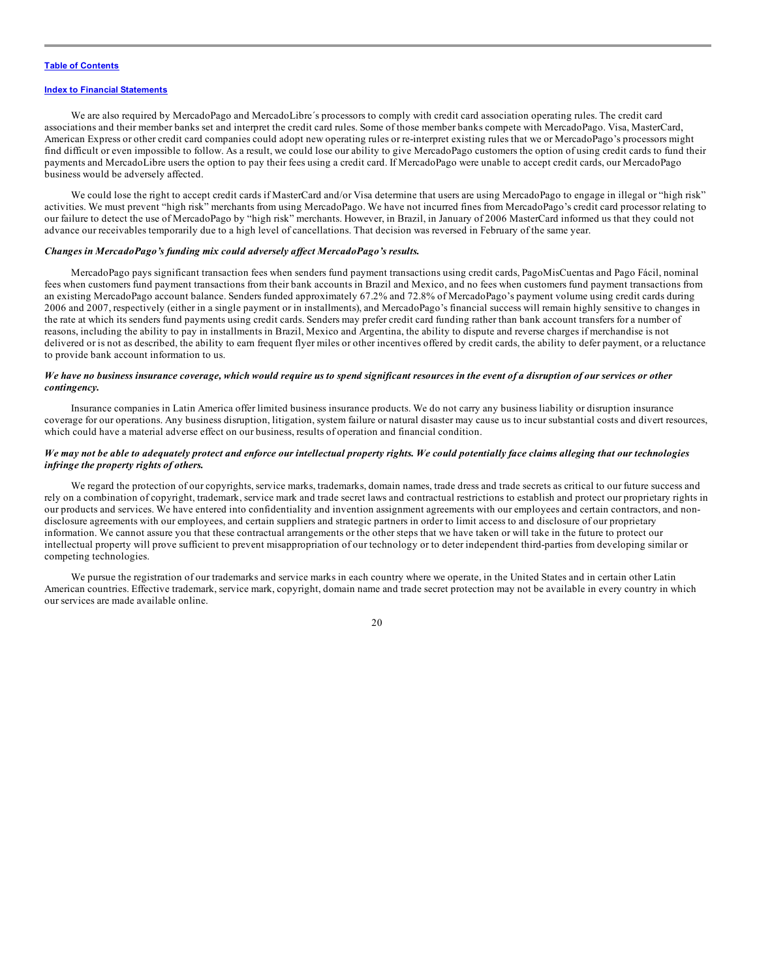# **Index to Financial Statements**

We are also required by MercadoPago and MercadoLibre´s processors to comply with credit card association operating rules. The credit card associations and their member banks set and interpret the credit card rules. Some of those member banks compete with MercadoPago. Visa, MasterCard, American Express or other credit card companies could adopt new operating rules or re-interpret existing rules that we or MercadoPago's processors might find difficult or even impossible to follow. As a result, we could lose our ability to give MercadoPago customers the option of using credit cards to fund their payments and MercadoLibre users the option to pay their fees using a credit card. If MercadoPago were unable to accept credit cards, our MercadoPago business would be adversely affected.

We could lose the right to accept credit cards if MasterCard and/or Visa determine that users are using MercadoPago to engage in illegal or "high risk" activities. We must prevent "high risk" merchants from using MercadoPago. We have not incurred fines from MercadoPago's credit card processor relating to our failure to detect the use of MercadoPago by "high risk" merchants. However, in Brazil, in January of 2006 MasterCard informed us that they could not advance our receivables temporarily due to a high level of cancellations. That decision was reversed in February of the same year.

# *Changes in MercadoPago's funding mix could adversely af ect MercadoPago's results.*

MercadoPago pays significant transaction fees when senders fund payment transactions using credit cards, PagoMisCuentas and Pago Fácil, nominal fees when customers fund payment transactions from their bank accounts in Brazil and Mexico, and no fees when customers fund payment transactions from an existing MercadoPago account balance. Senders funded approximately 67.2% and 72.8% of MercadoPago's payment volume using credit cards during 2006 and 2007, respectively (either in a single payment or in installments), and MercadoPago's financial success will remain highly sensitive to changes in the rate at which its senders fund payments using credit cards. Senders may prefer credit card funding rather than bank account transfers for a number of reasons, including the ability to pay in installments in Brazil, Mexico and Argentina, the ability to dispute and reverse charges if merchandise is not delivered or is not as described, the ability to earn frequent flyer miles or other incentives offered by credit cards, the ability to defer payment, or a reluctance to provide bank account information to us.

# We have no business insurance coverage, which would require us to spend significant resources in the event of a disruption of our services or other *contingency.*

Insurance companies in Latin America offer limited business insurance products. We do not carry any business liability or disruption insurance coverage for our operations. Any business disruption, litigation, system failure or natural disaster may cause us to incur substantial costs and divert resources, which could have a material adverse effect on our business, results of operation and financial condition.

# We may not be able to adequately protect and enforce our intellectual property rights. We could potentially face claims alleging that our technologies *infringe the property rights of others.*

We regard the protection of our copyrights, service marks, trademarks, domain names, trade dress and trade secrets as critical to our future success and rely on a combination of copyright, trademark, service mark and trade secret laws and contractual restrictions to establish and protect our proprietary rights in our products and services. We have entered into confidentiality and invention assignment agreements with our employees and certain contractors, and nondisclosure agreements with our employees, and certain suppliers and strategic partners in order to limit access to and disclosure of our proprietary information. We cannot assure you that these contractual arrangements or the other steps that we have taken or will take in the future to protect our intellectual property will prove sufficient to prevent misappropriation of our technology or to deter independent third-parties from developing similar or competing technologies.

We pursue the registration of our trademarks and service marks in each country where we operate, in the United States and in certain other Latin American countries. Effective trademark, service mark, copyright, domain name and trade secret protection may not be available in every country in which our services are made available online.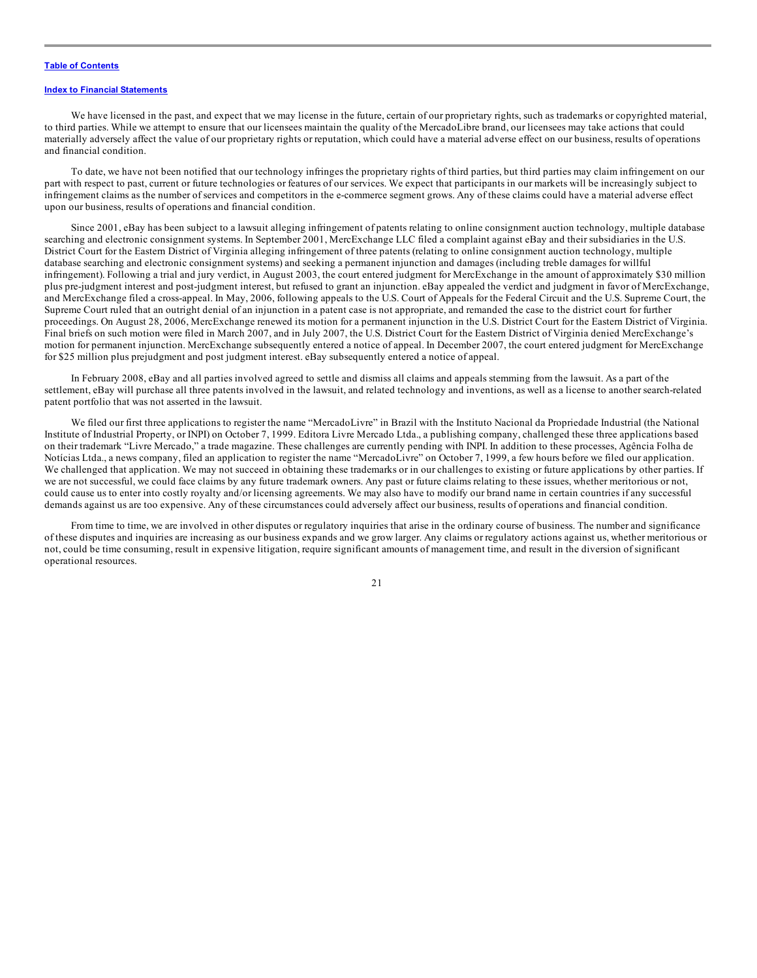# **Index to Financial Statements**

We have licensed in the past, and expect that we may license in the future, certain of our proprietary rights, such as trademarks or copyrighted material, to third parties. While we attempt to ensure that our licensees maintain the quality of the MercadoLibre brand, our licensees may take actions that could materially adversely affect the value of our proprietary rights or reputation, which could have a material adverse effect on our business, results of operations and financial condition.

To date, we have not been notified that our technology infringes the proprietary rights of third parties, but third parties may claim infringement on our part with respect to past, current or future technologies or features of our services. We expect that participants in our markets will be increasingly subject to infringement claims as the number of services and competitors in the e-commerce segment grows. Any of these claims could have a material adverse effect upon our business, results of operations and financial condition.

Since 2001, eBay has been subject to a lawsuit alleging infringement of patents relating to online consignment auction technology, multiple database searching and electronic consignment systems. In September 2001, MercExchange LLC filed a complaint against eBay and their subsidiaries in the U.S. District Court for the Eastern District of Virginia alleging infringement of three patents (relating to online consignment auction technology, multiple database searching and electronic consignment systems) and seeking a permanent injunction and damages (including treble damages for willful infringement). Following a trial and jury verdict, in August 2003, the court entered judgment for MercExchange in the amount of approximately \$30 million plus pre-judgment interest and post-judgment interest, but refused to grant an injunction. eBay appealed the verdict and judgment in favor of MercExchange, and MercExchange filed a cross-appeal. In May, 2006, following appeals to the U.S. Court of Appeals for the Federal Circuit and the U.S. Supreme Court, the Supreme Court ruled that an outright denial of an injunction in a patent case is not appropriate, and remanded the case to the district court for further proceedings. On August 28, 2006, MercExchange renewed its motion for a permanent injunction in the U.S. District Court for the Eastern District of Virginia. Final briefs on such motion were filed in March 2007, and in July 2007, the U.S. District Court for the Eastern District of Virginia denied MercExchange's motion for permanent injunction. MercExchange subsequently entered a notice of appeal. In December 2007, the court entered judgment for MercExchange for \$25 million plus prejudgment and post judgment interest. eBay subsequently entered a notice of appeal.

In February 2008, eBay and all parties involved agreed to settle and dismiss all claims and appeals stemming from the lawsuit. As a part of the settlement, eBay will purchase all three patents involved in the lawsuit, and related technology and inventions, as well as a license to another search-related patent portfolio that was not asserted in the lawsuit.

We filed our first three applications to register the name "MercadoLivre" in Brazil with the Instituto Nacional da Propriedade Industrial (the National Institute of Industrial Property, or INPI) on October 7, 1999. Editora Livre Mercado Ltda., a publishing company, challenged these three applications based on their trademark "Livre Mercado," a trade magazine. These challenges are currently pending with INPI. In addition to these processes, Agência Folha de Notícias Ltda., a news company, filed an application to register the name "MercadoLivre" on October 7, 1999, a few hours before we filed our application. We challenged that application. We may not succeed in obtaining these trademarks or in our challenges to existing or future applications by other parties. If we are not successful, we could face claims by any future trademark owners. Any past or future claims relating to these issues, whether meritorious or not, could cause us to enter into costly royalty and/or licensing agreements. We may also have to modify our brand name in certain countries if any successful demands against us are too expensive. Any of these circumstances could adversely affect our business, results of operations and financial condition.

From time to time, we are involved in other disputes or regulatory inquiries that arise in the ordinary course of business. The number and significance of these disputes and inquiries are increasing as our business expands and we grow larger. Any claims or regulatory actions against us, whether meritorious or not, could be time consuming, result in expensive litigation, require significant amounts of management time, and result in the diversion of significant operational resources.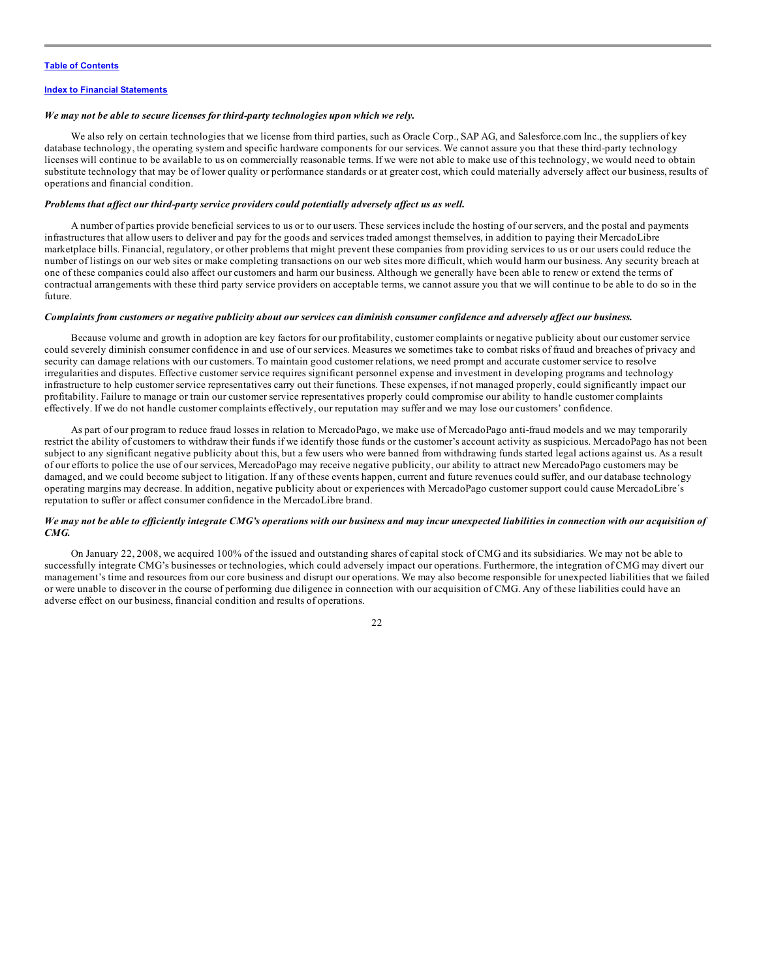# **Index to Financial Statements**

#### *We may not be able to secure licenses for third-party technologies upon which we rely.*

We also rely on certain technologies that we license from third parties, such as Oracle Corp., SAP AG, and Salesforce.com Inc., the suppliers of key database technology, the operating system and specific hardware components for our services. We cannot assure you that these third-party technology licenses will continue to be available to us on commercially reasonable terms. If we were not able to make use of this technology, we would need to obtain substitute technology that may be of lower quality or performance standards or at greater cost, which could materially adversely affect our business, results of operations and financial condition.

#### *Problems that af ect our third-party service providers could potentially adversely af ect us as well.*

A number of parties provide beneficial services to us or to our users. These services include the hosting of our servers, and the postal and payments infrastructures that allow users to deliver and pay for the goods and services traded amongst themselves, in addition to paying their MercadoLibre marketplace bills. Financial, regulatory, or other problems that might prevent these companies from providing services to us or our users could reduce the number of listings on our web sites or make completing transactions on our web sites more difficult, which would harm our business. Any security breach at one of these companies could also affect our customers and harm our business. Although we generally have been able to renew or extend the terms of contractual arrangements with these third party service providers on acceptable terms, we cannot assure you that we will continue to be able to do so in the future.

#### Complaints from customers or negative publicity about our services can diminish consumer confidence and adversely affect our business.

Because volume and growth in adoption are key factors for our profitability, customer complaints or negative publicity about our customer service could severely diminish consumer confidence in and use of our services. Measures we sometimes take to combat risks of fraud and breaches of privacy and security can damage relations with our customers. To maintain good customer relations, we need prompt and accurate customer service to resolve irregularities and disputes. Effective customer service requires significant personnel expense and investment in developing programs and technology infrastructure to help customer service representatives carry out their functions. These expenses, if not managed properly, could significantly impact our profitability. Failure to manage or train our customer service representatives properly could compromise our ability to handle customer complaints effectively. If we do not handle customer complaints effectively, our reputation may suffer and we may lose our customers' confidence.

As part of our program to reduce fraud losses in relation to MercadoPago, we make use of MercadoPago anti-fraud models and we may temporarily restrict the ability of customers to withdraw their funds if we identify those funds or the customer's account activity as suspicious. MercadoPago has not been subject to any significant negative publicity about this, but a few users who were banned from withdrawing funds started legal actions against us. As a result of our efforts to police the use of our services, MercadoPago may receive negative publicity, our ability to attract new MercadoPago customers may be damaged, and we could become subject to litigation. If any of these events happen, current and future revenues could suffer, and our database technology operating margins may decrease. In addition, negative publicity about or experiences with MercadoPago customer support could cause MercadoLibre´s reputation to suffer or affect consumer confidence in the MercadoLibre brand.

#### We may not be able to efficiently integrate CMG's operations with our business and may incur unexpected liabilities in connection with our acquisition of *CMG.*

On January 22, 2008, we acquired 100% of the issued and outstanding shares of capital stock of CMG and its subsidiaries. We may not be able to successfully integrate CMG's businesses or technologies, which could adversely impact our operations. Furthermore, the integration of CMG may divert our management's time and resources from our core business and disrupt our operations. We may also become responsible for unexpected liabilities that we failed or were unable to discover in the course of performing due diligence in connection with our acquisition of CMG. Any of these liabilities could have an adverse effect on our business, financial condition and results of operations.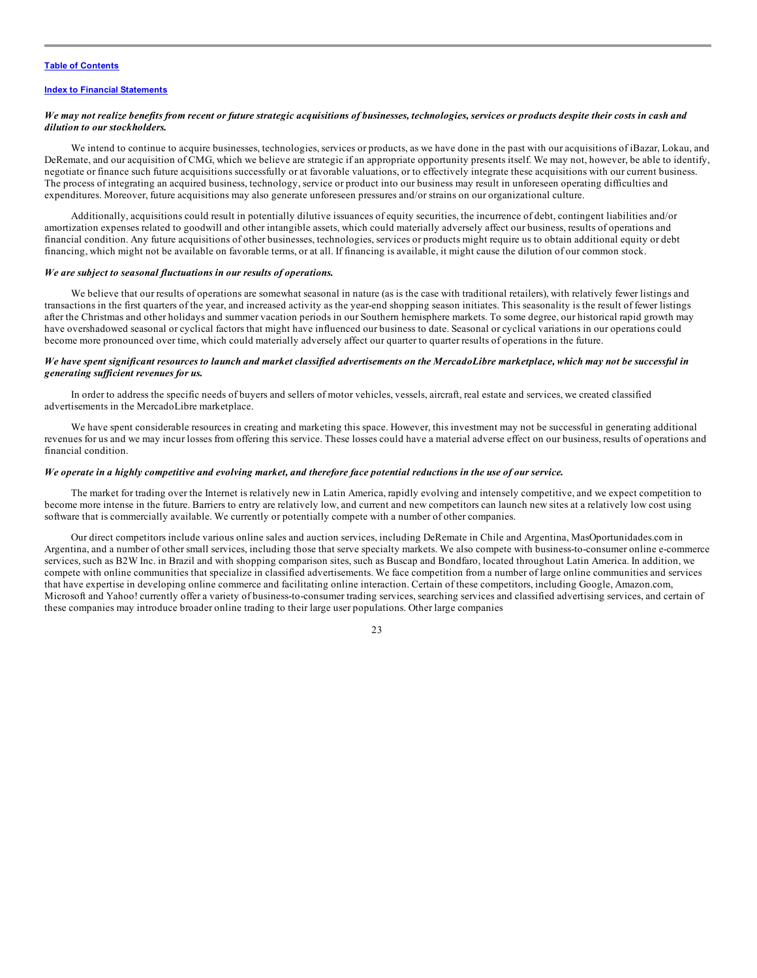# **Index to Financial Statements**

# We may not realize benefits from recent or future strategic acquisitions of businesses, technologies, services or products despite their costs in cash and *dilution to our stockholders.*

We intend to continue to acquire businesses, technologies, services or products, as we have done in the past with our acquisitions of iBazar, Lokau, and DeRemate, and our acquisition of CMG, which we believe are strategic if an appropriate opportunity presents itself. We may not, however, be able to identify, negotiate or finance such future acquisitions successfully or at favorable valuations, or to effectively integrate these acquisitions with our current business. The process of integrating an acquired business, technology, service or product into our business may result in unforeseen operating difficulties and expenditures. Moreover, future acquisitions may also generate unforeseen pressures and/or strains on our organizational culture.

Additionally, acquisitions could result in potentially dilutive issuances of equity securities, the incurrence of debt, contingent liabilities and/or amortization expenses related to goodwill and other intangible assets, which could materially adversely affect our business, results of operations and financial condition. Any future acquisitions of other businesses, technologies, services or products might require us to obtain additional equity or debt financing, which might not be available on favorable terms, or at all. If financing is available, it might cause the dilution of our common stock.

#### *We are subject to seasonal fluctuations in our results of operations.*

We believe that our results of operations are somewhat seasonal in nature (as is the case with traditional retailers), with relatively fewer listings and transactions in the first quarters of the year, and increased activity as the year-end shopping season initiates. This seasonality is the result of fewer listings after the Christmas and other holidays and summer vacation periods in our Southern hemisphere markets. To some degree, our historical rapid growth may have overshadowed seasonal or cyclical factors that might have influenced our business to date. Seasonal or cyclical variations in our operations could become more pronounced over time, which could materially adversely affect our quarter to quarter results of operations in the future.

## We have spent significant resources to launch and market classified advertisements on the MercadoLibre marketplace, which may not be successful in *generating suf icient revenues for us.*

In order to address the specific needs of buyers and sellers of motor vehicles, vessels, aircraft, real estate and services, we created classified advertisements in the MercadoLibre marketplace.

We have spent considerable resources in creating and marketing this space. However, this investment may not be successful in generating additional revenues for us and we may incur losses from offering this service. These losses could have a material adverse effect on our business, results of operations and financial condition.

#### We operate in a highly competitive and evolving market, and therefore face potential reductions in the use of our service.

The market for trading over the Internet is relatively new in Latin America, rapidly evolving and intensely competitive, and we expect competition to become more intense in the future. Barriers to entry are relatively low, and current and new competitors can launch new sites at a relatively low cost using software that is commercially available. We currently or potentially compete with a number of other companies.

Our direct competitors include various online sales and auction services, including DeRemate in Chile and Argentina, MasOportunidades.com in Argentina, and a number of other small services, including those that serve specialty markets. We also compete with business-to-consumer online e-commerce services, such as B2W Inc. in Brazil and with shopping comparison sites, such as Buscap and Bondfaro, located throughout Latin America. In addition, we compete with online communities that specialize in classified advertisements. We face competition from a number of large online communities and services that have expertise in developing online commerce and facilitating online interaction. Certain of these competitors, including Google, Amazon.com, Microsoft and Yahoo! currently offer a variety of business-to-consumer trading services, searching services and classified advertising services, and certain of these companies may introduce broader online trading to their large user populations. Other large companies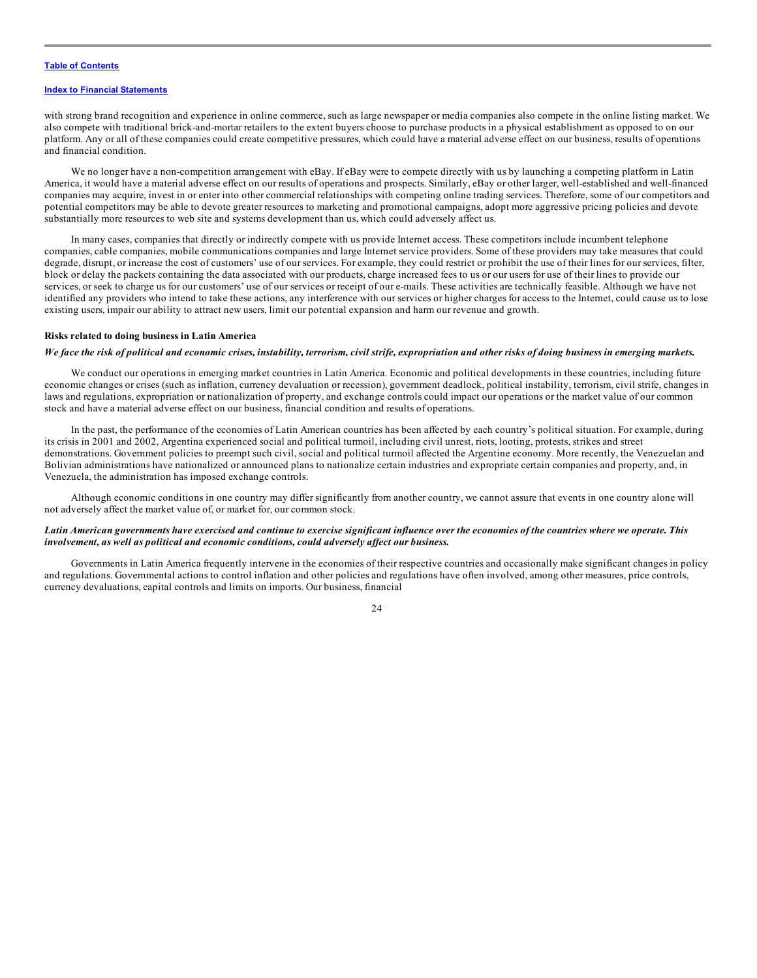# **Index to Financial Statements**

with strong brand recognition and experience in online commerce, such as large newspaper or media companies also compete in the online listing market. We also compete with traditional brick-and-mortar retailers to the extent buyers choose to purchase products in a physical establishment as opposed to on our platform. Any or all of these companies could create competitive pressures, which could have a material adverse effect on our business, results of operations and financial condition.

We no longer have a non-competition arrangement with eBay. If eBay were to compete directly with us by launching a competing platform in Latin America, it would have a material adverse effect on our results of operations and prospects. Similarly, eBay or other larger, well-established and well-financed companies may acquire, invest in or enter into other commercial relationships with competing online trading services. Therefore, some of our competitors and potential competitors may be able to devote greater resources to marketing and promotional campaigns, adopt more aggressive pricing policies and devote substantially more resources to web site and systems development than us, which could adversely affect us.

In many cases, companies that directly or indirectly compete with us provide Internet access. These competitors include incumbent telephone companies, cable companies, mobile communications companies and large Internet service providers. Some of these providers may take measures that could degrade, disrupt, or increase the cost of customers' use of our services. For example, they could restrict or prohibit the use of their lines for our services, filter, block or delay the packets containing the data associated with our products, charge increased fees to us or our users for use of their lines to provide our services, or seek to charge us for our customers' use of our services or receipt of our e-mails. These activities are technically feasible. Although we have not identified any providers who intend to take these actions, any interference with our services or higher charges for access to the Internet, could cause us to lose existing users, impair our ability to attract new users, limit our potential expansion and harm our revenue and growth.

#### **Risks related to doing business in Latin America**

#### We face the risk of political and economic crises, instability, terrorism, civil strife, expropriation and other risks of doing business in emerging markets.

We conduct our operations in emerging market countries in Latin America. Economic and political developments in these countries, including future economic changes or crises (such as inflation, currency devaluation or recession), government deadlock, political instability, terrorism, civil strife, changes in laws and regulations, expropriation or nationalization of property, and exchange controls could impact our operations or the market value of our common stock and have a material adverse effect on our business, financial condition and results of operations.

In the past, the performance of the economies of Latin American countries has been affected by each country's political situation. For example, during its crisis in 2001 and 2002, Argentina experienced social and political turmoil, including civil unrest, riots, looting, protests, strikes and street demonstrations. Government policies to preempt such civil, social and political turmoil affected the Argentine economy. More recently, the Venezuelan and Bolivian administrations have nationalized or announced plans to nationalize certain industries and expropriate certain companies and property, and, in Venezuela, the administration has imposed exchange controls.

Although economic conditions in one country may differ significantly from another country, we cannot assure that events in one country alone will not adversely affect the market value of, or market for, our common stock.

#### Latin American governments have exercised and continue to exercise significant influence over the economies of the countries where we operate. This *involvement, as well as political and economic conditions, could adversely af ect our business.*

Governments in Latin America frequently intervene in the economies of their respective countries and occasionally make significant changes in policy and regulations. Governmental actions to control inflation and other policies and regulations have often involved, among other measures, price controls, currency devaluations, capital controls and limits on imports. Our business, financial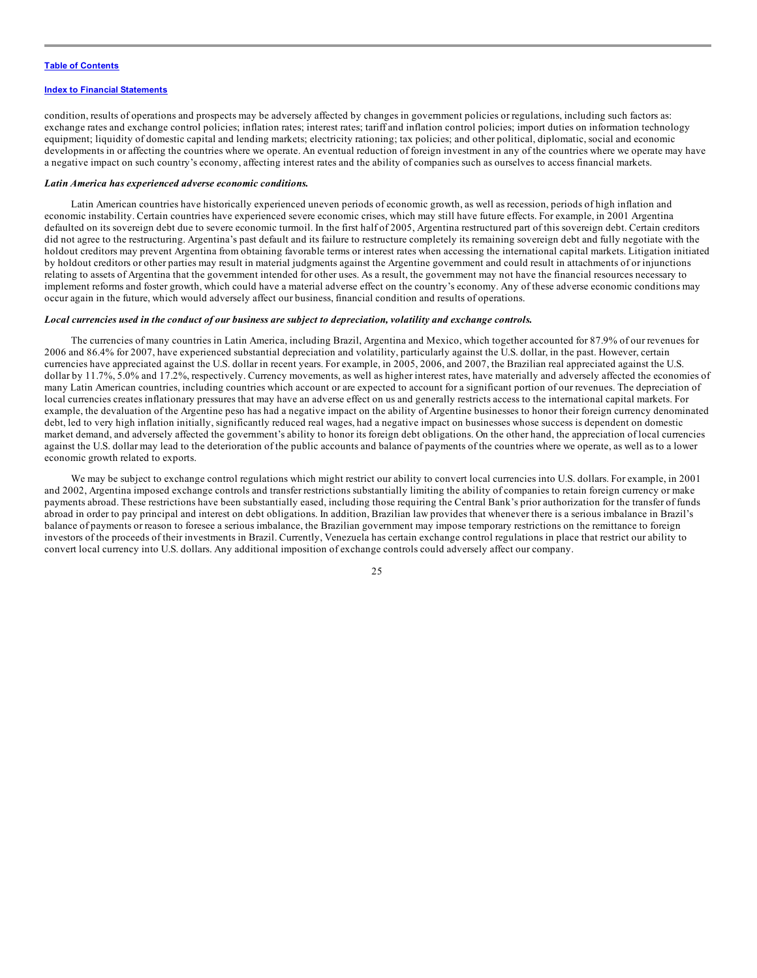# **Index to Financial Statements**

condition, results of operations and prospects may be adversely affected by changes in government policies or regulations, including such factors as: exchange rates and exchange control policies; inflation rates; interest rates; tariff and inflation control policies; import duties on information technology equipment; liquidity of domestic capital and lending markets; electricity rationing; tax policies; and other political, diplomatic, social and economic developments in or affecting the countries where we operate. An eventual reduction of foreign investment in any of the countries where we operate may have a negative impact on such country's economy, affecting interest rates and the ability of companies such as ourselves to access financial markets.

#### *Latin America has experienced adverse economic conditions.*

Latin American countries have historically experienced uneven periods of economic growth, as well as recession, periods of high inflation and economic instability. Certain countries have experienced severe economic crises, which may still have future effects. For example, in 2001 Argentina defaulted on its sovereign debt due to severe economic turmoil. In the first half of 2005, Argentina restructured part of this sovereign debt. Certain creditors did not agree to the restructuring. Argentina's past default and its failure to restructure completely its remaining sovereign debt and fully negotiate with the holdout creditors may prevent Argentina from obtaining favorable terms or interest rates when accessing the international capital markets. Litigation initiated by holdout creditors or other parties may result in material judgments against the Argentine government and could result in attachments of or injunctions relating to assets of Argentina that the government intended for other uses. As a result, the government may not have the financial resources necessary to implement reforms and foster growth, which could have a material adverse effect on the country's economy. Any of these adverse economic conditions may occur again in the future, which would adversely affect our business, financial condition and results of operations.

#### Local currencies used in the conduct of our business are subject to depreciation, volatility and exchange controls.

The currencies of many countries in Latin America, including Brazil, Argentina and Mexico, which together accounted for 87.9% of our revenues for 2006 and 86.4% for 2007, have experienced substantial depreciation and volatility, particularly against the U.S. dollar, in the past. However, certain currencies have appreciated against the U.S. dollar in recent years. For example, in 2005, 2006, and 2007, the Brazilian real appreciated against the U.S. dollar by 11.7%, 5.0% and 17.2%, respectively. Currency movements, as well as higher interest rates, have materially and adversely affected the economies of many Latin American countries, including countries which account or are expected to account for a significant portion of our revenues. The depreciation of local currencies creates inflationary pressures that may have an adverse effect on us and generally restricts access to the international capital markets. For example, the devaluation of the Argentine peso has had a negative impact on the ability of Argentine businesses to honor their foreign currency denominated debt, led to very high inflation initially, significantly reduced real wages, had a negative impact on businesses whose success is dependent on domestic market demand, and adversely affected the government's ability to honor its foreign debt obligations. On the other hand, the appreciation of local currencies against the U.S. dollar may lead to the deterioration of the public accounts and balance of payments of the countries where we operate, as well as to a lower economic growth related to exports.

We may be subject to exchange control regulations which might restrict our ability to convert local currencies into U.S. dollars. For example, in 2001 and 2002, Argentina imposed exchange controls and transfer restrictions substantially limiting the ability of companies to retain foreign currency or make payments abroad. These restrictions have been substantially eased, including those requiring the Central Bank's prior authorization for the transfer of funds abroad in order to pay principal and interest on debt obligations. In addition, Brazilian law provides that whenever there is a serious imbalance in Brazil's balance of payments or reason to foresee a serious imbalance, the Brazilian government may impose temporary restrictions on the remittance to foreign investors of the proceeds of their investments in Brazil. Currently, Venezuela has certain exchange control regulations in place that restrict our ability to convert local currency into U.S. dollars. Any additional imposition of exchange controls could adversely affect our company.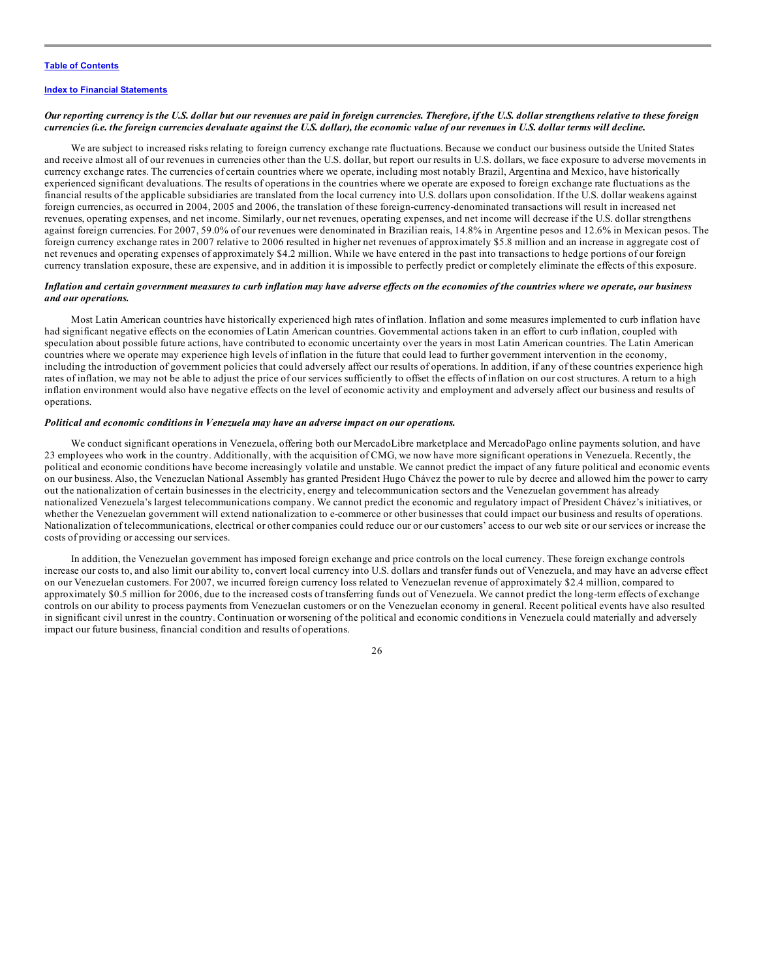# **Index to Financial Statements**

#### Our reporting currency is the U.S. dollar but our revenues are paid in foreign currencies. Therefore, if the U.S. dollar strengthens relative to these foreign currencies (i.e. the foreign currencies devaluate against the U.S. dollar), the economic value of our revenues in U.S. dollar terms will decline.

We are subject to increased risks relating to foreign currency exchange rate fluctuations. Because we conduct our business outside the United States and receive almost all of our revenues in currencies other than the U.S. dollar, but report our results in U.S. dollars, we face exposure to adverse movements in currency exchange rates. The currencies of certain countries where we operate, including most notably Brazil, Argentina and Mexico, have historically experienced significant devaluations. The results of operations in the countries where we operate are exposed to foreign exchange rate fluctuations as the financial results of the applicable subsidiaries are translated from the local currency into U.S. dollars upon consolidation. If the U.S. dollar weakens against foreign currencies, as occurred in 2004, 2005 and 2006, the translation of these foreign-currency-denominated transactions will result in increased net revenues, operating expenses, and net income. Similarly, our net revenues, operating expenses, and net income will decrease if the U.S. dollar strengthens against foreign currencies. For 2007, 59.0% of our revenues were denominated in Brazilian reais, 14.8% in Argentine pesos and 12.6% in Mexican pesos. The foreign currency exchange rates in 2007 relative to 2006 resulted in higher net revenues of approximately \$5.8 million and an increase in aggregate cost of net revenues and operating expenses of approximately \$4.2 million. While we have entered in the past into transactions to hedge portions of our foreign currency translation exposure, these are expensive, and in addition it is impossible to perfectly predict or completely eliminate the effects of this exposure.

# Inflation and certain government measures to curb inflation may have adverse effects on the economies of the countries where we operate, our business *and our operations.*

Most Latin American countries have historically experienced high rates of inflation. Inflation and some measures implemented to curb inflation have had significant negative effects on the economies of Latin American countries. Governmental actions taken in an effort to curb inflation, coupled with speculation about possible future actions, have contributed to economic uncertainty over the years in most Latin American countries. The Latin American countries where we operate may experience high levels of inflation in the future that could lead to further government intervention in the economy, including the introduction of government policies that could adversely affect our results of operations. In addition, if any of these countries experience high rates of inflation, we may not be able to adjust the price of our services sufficiently to offset the effects of inflation on our cost structures. A return to a high inflation environment would also have negative effects on the level of economic activity and employment and adversely affect our business and results of operations.

#### *Political and economic conditions in Venezuela may have an adverse impact on our operations.*

We conduct significant operations in Venezuela, offering both our MercadoLibre marketplace and MercadoPago online payments solution, and have 23 employees who work in the country. Additionally, with the acquisition of CMG, we now have more significant operations in Venezuela. Recently, the political and economic conditions have become increasingly volatile and unstable. We cannot predict the impact of any future political and economic events on our business. Also, the Venezuelan National Assembly has granted President Hugo Chávez the power to rule by decree and allowed him the power to carry out the nationalization of certain businesses in the electricity, energy and telecommunication sectors and the Venezuelan government has already nationalized Venezuela's largest telecommunications company. We cannot predict the economic and regulatory impact of President Chávez's initiatives, or whether the Venezuelan government will extend nationalization to e-commerce or other businesses that could impact our business and results of operations. Nationalization of telecommunications, electrical or other companies could reduce our or our customers' access to our web site or our services or increase the costs of providing or accessing our services.

In addition, the Venezuelan government has imposed foreign exchange and price controls on the local currency. These foreign exchange controls increase our costs to, and also limit our ability to, convert local currency into U.S. dollars and transfer funds out of Venezuela, and may have an adverse effect on our Venezuelan customers. For 2007, we incurred foreign currency loss related to Venezuelan revenue of approximately \$2.4 million, compared to approximately \$0.5 million for 2006, due to the increased costs of transferring funds out of Venezuela. We cannot predict the long-term effects of exchange controls on our ability to process payments from Venezuelan customers or on the Venezuelan economy in general. Recent political events have also resulted in significant civil unrest in the country. Continuation or worsening of the political and economic conditions in Venezuela could materially and adversely impact our future business, financial condition and results of operations.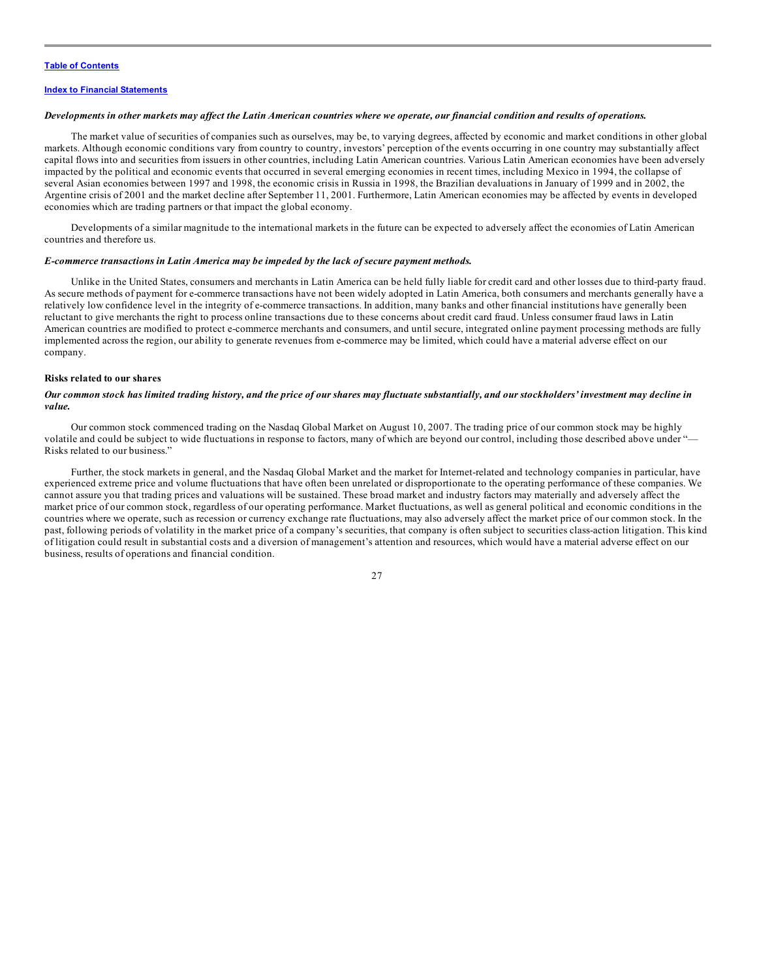# **Index to Financial Statements**

#### Developments in other markets may affect the Latin American countries where we operate, our financial condition and results of operations.

The market value of securities of companies such as ourselves, may be, to varying degrees, affected by economic and market conditions in other global markets. Although economic conditions vary from country to country, investors' perception of the events occurring in one country may substantially affect capital flows into and securities from issuers in other countries, including Latin American countries. Various Latin American economies have been adversely impacted by the political and economic events that occurred in several emerging economies in recent times, including Mexico in 1994, the collapse of several Asian economies between 1997 and 1998, the economic crisis in Russia in 1998, the Brazilian devaluations in January of 1999 and in 2002, the Argentine crisis of 2001 and the market decline after September 11, 2001. Furthermore, Latin American economies may be affected by events in developed economies which are trading partners or that impact the global economy.

Developments of a similar magnitude to the international markets in the future can be expected to adversely affect the economies of Latin American countries and therefore us.

#### *E-commerce transactions in Latin America may be impeded by the lack of secure payment methods.*

Unlike in the United States, consumers and merchants in Latin America can be held fully liable for credit card and other losses due to third-party fraud. As secure methods of payment for e-commerce transactions have not been widely adopted in Latin America, both consumers and merchants generally have a relatively low confidence level in the integrity of e-commerce transactions. In addition, many banks and other financial institutions have generally been reluctant to give merchants the right to process online transactions due to these concerns about credit card fraud. Unless consumer fraud laws in Latin American countries are modified to protect e-commerce merchants and consumers, and until secure, integrated online payment processing methods are fully implemented across the region, our ability to generate revenues from e-commerce may be limited, which could have a material adverse effect on our company.

# **Risks related to our shares**

# Our common stock has limited trading history, and the price of our shares may fluctuate substantially, and our stockholders' investment may decline in *value.*

Our common stock commenced trading on the Nasdaq Global Market on August 10, 2007. The trading price of our common stock may be highly volatile and could be subject to wide fluctuations in response to factors, many of which are beyond our control, including those described above under "— Risks related to our business."

Further, the stock markets in general, and the Nasdaq Global Market and the market for Internet-related and technology companies in particular, have experienced extreme price and volume fluctuations that have often been unrelated or disproportionate to the operating performance of these companies. We cannot assure you that trading prices and valuations will be sustained. These broad market and industry factors may materially and adversely affect the market price of our common stock, regardless of our operating performance. Market fluctuations, as well as general political and economic conditions in the countries where we operate, such as recession or currency exchange rate fluctuations, may also adversely affect the market price of our common stock. In the past, following periods of volatility in the market price of a company's securities, that company is often subject to securities class-action litigation. This kind of litigation could result in substantial costs and a diversion of management's attention and resources, which would have a material adverse effect on our business, results of operations and financial condition.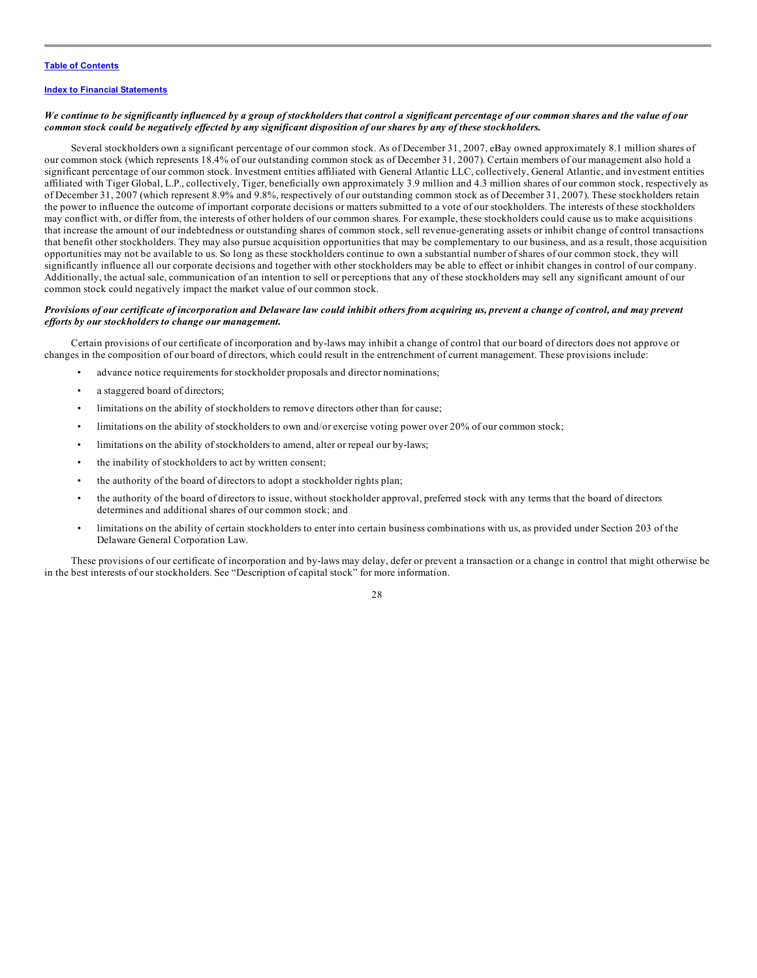# **Index to Financial Statements**

# We continue to be significantly influenced by a group of stockholders that control a significant percentage of our common shares and the value of our common stock could be negatively effected by any significant disposition of our shares by any of these stockholders.

Several stockholders own a significant percentage of our common stock. As of December 31, 2007, eBay owned approximately 8.1 million shares of our common stock (which represents 18.4% of our outstanding common stock as of December 31, 2007). Certain members of our management also hold a significant percentage of our common stock. Investment entities affiliated with General Atlantic LLC, collectively, General Atlantic, and investment entities affiliated with Tiger Global, L.P., collectively, Tiger, beneficially own approximately 3.9 million and 4.3 million shares of our common stock, respectively as of December 31, 2007 (which represent 8.9% and 9.8%, respectively of our outstanding common stock as of December 31, 2007). These stockholders retain the power to influence the outcome of important corporate decisions or matters submitted to a vote of our stockholders. The interests of these stockholders may conflict with, or differ from, the interests of other holders of our common shares. For example, these stockholders could cause us to make acquisitions that increase the amount of our indebtedness or outstanding shares of common stock, sell revenue-generating assets or inhibit change of control transactions that benefit other stockholders. They may also pursue acquisition opportunities that may be complementary to our business, and as a result, those acquisition opportunities may not be available to us. So long as these stockholders continue to own a substantial number of shares of our common stock, they will significantly influence all our corporate decisions and together with other stockholders may be able to effect or inhibit changes in control of our company. Additionally, the actual sale, communication of an intention to sell or perceptions that any of these stockholders may sell any significant amount of our common stock could negatively impact the market value of our common stock.

# Provisions of our certificate of incorporation and Delaware law could inhibit others from acquiring us, prevent a change of control, and may prevent *ef orts by our stockholders to change our management.*

Certain provisions of our certificate of incorporation and by-laws may inhibit a change of control that our board of directors does not approve or changes in the composition of our board of directors, which could result in the entrenchment of current management. These provisions include:

- advance notice requirements for stockholder proposals and director nominations;
- a staggered board of directors;
- limitations on the ability of stockholders to remove directors other than for cause;
- limitations on the ability of stockholders to own and/or exercise voting power over 20% of our common stock;
- limitations on the ability of stockholders to amend, alter or repeal our by-laws;
- the inability of stockholders to act by written consent;
- the authority of the board of directors to adopt a stockholder rights plan;
- the authority of the board of directors to issue, without stockholder approval, preferred stock with any terms that the board of directors determines and additional shares of our common stock; and
- limitations on the ability of certain stockholders to enter into certain business combinations with us, as provided under Section 203 of the Delaware General Corporation Law.

These provisions of our certificate of incorporation and by-laws may delay, defer or prevent a transaction or a change in control that might otherwise be in the best interests of our stockholders. See "Description of capital stock" for more information.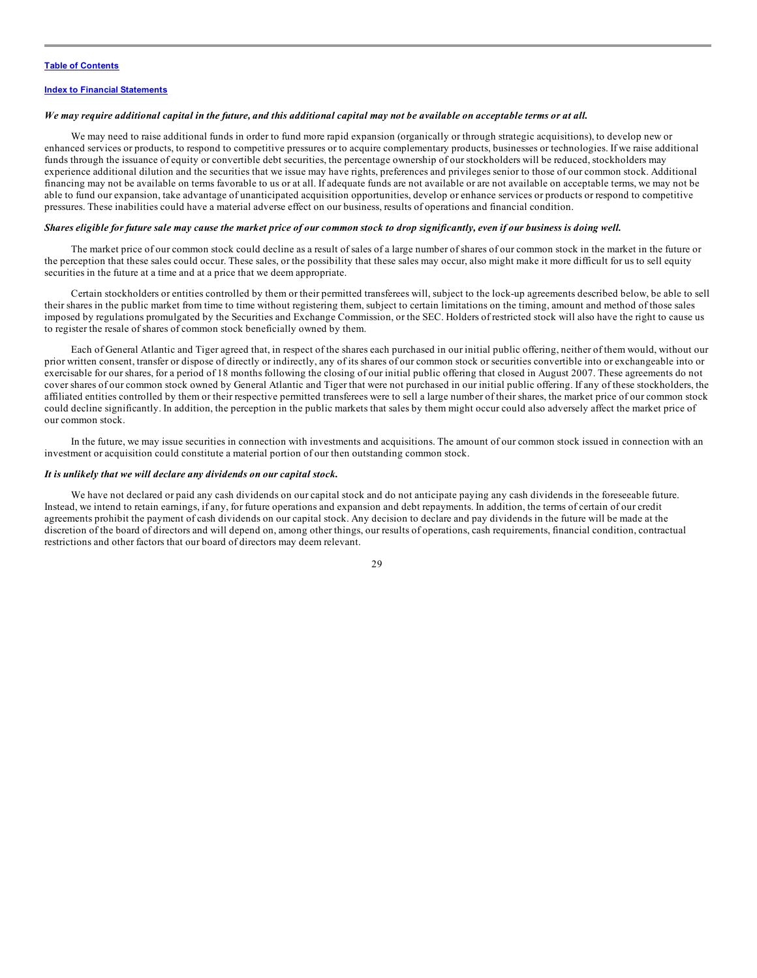# **Index to Financial Statements**

# We may require additional capital in the future, and this additional capital may not be available on acceptable terms or at all.

We may need to raise additional funds in order to fund more rapid expansion (organically or through strategic acquisitions), to develop new or enhanced services or products, to respond to competitive pressures or to acquire complementary products, businesses or technologies. If we raise additional funds through the issuance of equity or convertible debt securities, the percentage ownership of our stockholders will be reduced, stockholders may experience additional dilution and the securities that we issue may have rights, preferences and privileges senior to those of our common stock. Additional financing may not be available on terms favorable to us or at all. If adequate funds are not available or are not available on acceptable terms, we may not be able to fund our expansion, take advantage of unanticipated acquisition opportunities, develop or enhance services or products or respond to competitive pressures. These inabilities could have a material adverse effect on our business, results of operations and financial condition.

#### Shares eligible for future sale may cause the market price of our common stock to drop significantly, even if our business is doing well.

The market price of our common stock could decline as a result of sales of a large number of shares of our common stock in the market in the future or the perception that these sales could occur. These sales, or the possibility that these sales may occur, also might make it more difficult for us to sell equity securities in the future at a time and at a price that we deem appropriate.

Certain stockholders or entities controlled by them or their permitted transferees will, subject to the lock-up agreements described below, be able to sell their shares in the public market from time to time without registering them, subject to certain limitations on the timing, amount and method of those sales imposed by regulations promulgated by the Securities and Exchange Commission, or the SEC. Holders of restricted stock will also have the right to cause us to register the resale of shares of common stock beneficially owned by them.

Each of General Atlantic and Tiger agreed that, in respect of the shares each purchased in our initial public offering, neither of them would, without our prior written consent, transfer or dispose of directly or indirectly, any of its shares of our common stock or securities convertible into or exchangeable into or exercisable for our shares, for a period of 18 months following the closing of our initial public offering that closed in August 2007. These agreements do not cover shares of our common stock owned by General Atlantic and Tiger that were not purchased in our initial public offering. If any of these stockholders, the affiliated entities controlled by them or their respective permitted transferees were to sell a large number of their shares, the market price of our common stock could decline significantly. In addition, the perception in the public markets that sales by them might occur could also adversely affect the market price of our common stock.

In the future, we may issue securities in connection with investments and acquisitions. The amount of our common stock issued in connection with an investment or acquisition could constitute a material portion of our then outstanding common stock.

#### *It is unlikely that we will declare any dividends on our capital stock.*

We have not declared or paid any cash dividends on our capital stock and do not anticipate paying any cash dividends in the foreseeable future. Instead, we intend to retain earnings, if any, for future operations and expansion and debt repayments. In addition, the terms of certain of our credit agreements prohibit the payment of cash dividends on our capital stock. Any decision to declare and pay dividends in the future will be made at the discretion of the board of directors and will depend on, among other things, our results of operations, cash requirements, financial condition, contractual restrictions and other factors that our board of directors may deem relevant.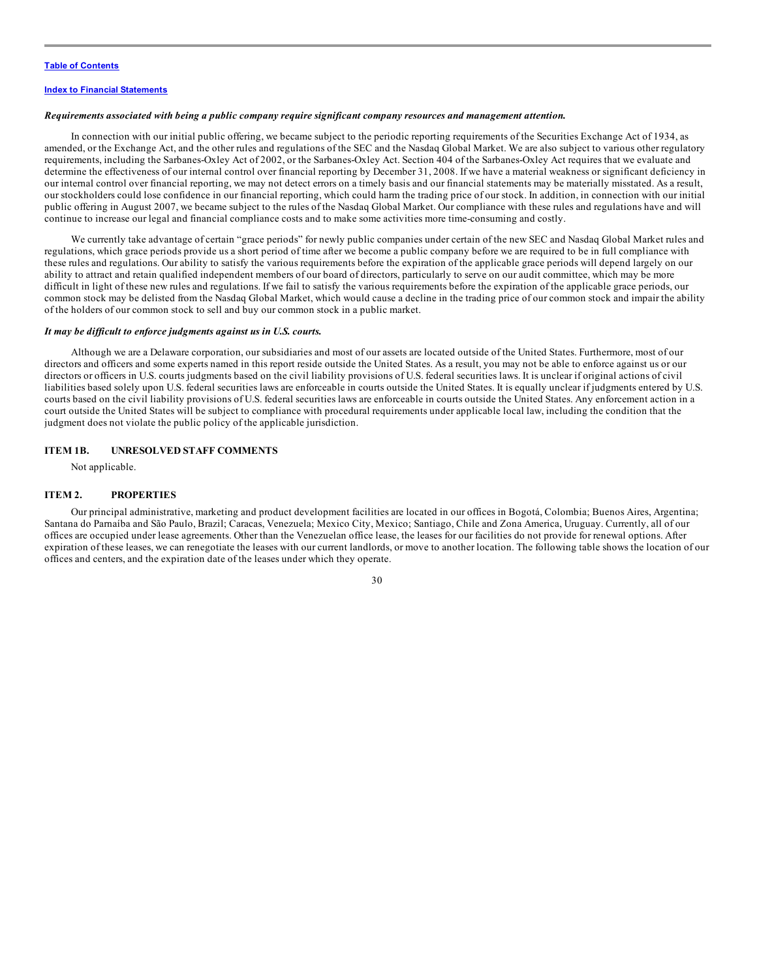# <span id="page-32-0"></span>**Index to Financial Statements**

# *Requirements associated with being a public company require significant company resources and management attention.*

In connection with our initial public offering, we became subject to the periodic reporting requirements of the Securities Exchange Act of 1934, as amended, or the Exchange Act, and the other rules and regulations of the SEC and the Nasdaq Global Market. We are also subject to various other regulatory requirements, including the Sarbanes-Oxley Act of 2002, or the Sarbanes-Oxley Act. Section 404 of the Sarbanes-Oxley Act requires that we evaluate and determine the effectiveness of our internal control over financial reporting by December 31, 2008. If we have a material weakness or significant deficiency in our internal control over financial reporting, we may not detect errors on a timely basis and our financial statements may be materially misstated. As a result, our stockholders could lose confidence in our financial reporting, which could harm the trading price of our stock. In addition, in connection with our initial public offering in August 2007, we became subject to the rules of the Nasdaq Global Market. Our compliance with these rules and regulations have and will continue to increase our legal and financial compliance costs and to make some activities more time-consuming and costly.

We currently take advantage of certain "grace periods" for newly public companies under certain of the new SEC and Nasdaq Global Market rules and regulations, which grace periods provide us a short period of time after we become a public company before we are required to be in full compliance with these rules and regulations. Our ability to satisfy the various requirements before the expiration of the applicable grace periods will depend largely on our ability to attract and retain qualified independent members of our board of directors, particularly to serve on our audit committee, which may be more difficult in light of these new rules and regulations. If we fail to satisfy the various requirements before the expiration of the applicable grace periods, our common stock may be delisted from the Nasdaq Global Market, which would cause a decline in the trading price of our common stock and impair the ability of the holders of our common stock to sell and buy our common stock in a public market.

#### *It may be dif icult to enforce judgments against us in U.S. courts.*

Although we are a Delaware corporation, our subsidiaries and most of our assets are located outside of the United States. Furthermore, most of our directors and officers and some experts named in this report reside outside the United States. As a result, you may not be able to enforce against us or our directors or officers in U.S. courts judgments based on the civil liability provisions of U.S. federal securities laws. It is unclear if original actions of civil liabilities based solely upon U.S. federal securities laws are enforceable in courts outside the United States. It is equally unclear if judgments entered by U.S. courts based on the civil liability provisions of U.S. federal securities laws are enforceable in courts outside the United States. Any enforcement action in a court outside the United States will be subject to compliance with procedural requirements under applicable local law, including the condition that the judgment does not violate the public policy of the applicable jurisdiction.

#### **ITEM 1B. UNRESOLVED STAFF COMMENTS**

Not applicable.

# **ITEM 2. PROPERTIES**

Our principal administrative, marketing and product development facilities are located in our offices in Bogotá, Colombia; Buenos Aires, Argentina; Santana do Parnaíba and São Paulo, Brazil; Caracas, Venezuela; Mexico City, Mexico; Santiago, Chile and Zona America, Uruguay. Currently, all of our offices are occupied under lease agreements. Other than the Venezuelan office lease, the leases for our facilities do not provide for renewal options. After expiration of these leases, we can renegotiate the leases with our current landlords, or move to another location. The following table shows the location of our offices and centers, and the expiration date of the leases under which they operate.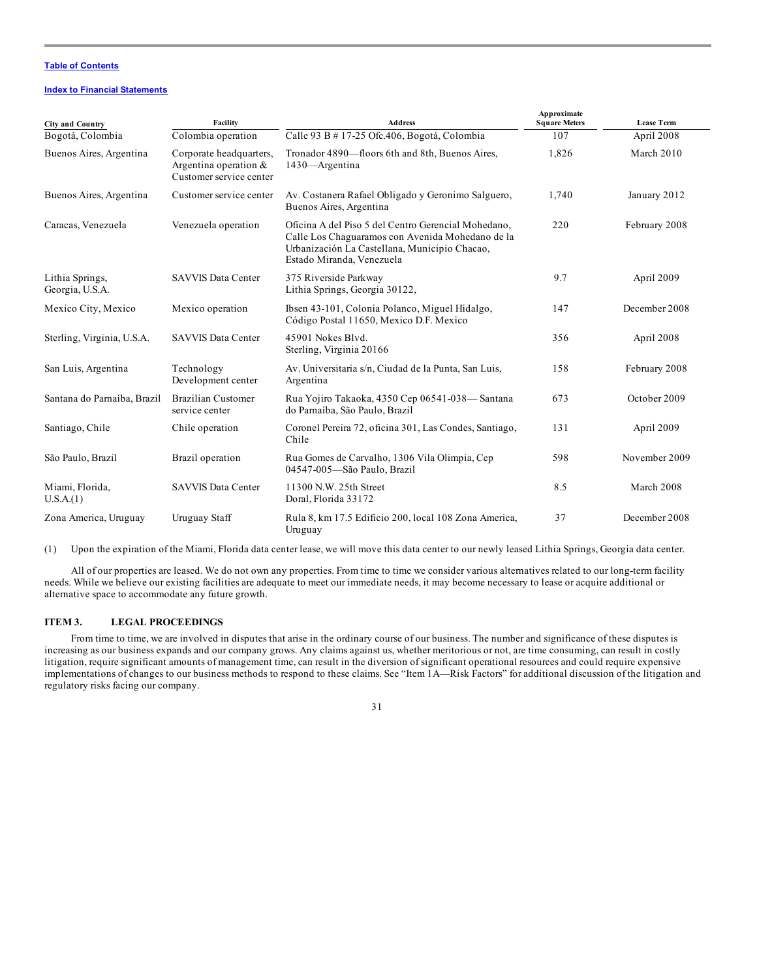# <span id="page-33-0"></span>**Index to Financial Statements**

| City and Country                   | Facility                                                                      | <b>Address</b>                                                                                                                                                                        | Approximate<br><b>Square Meters</b> | <b>Lease Term</b> |
|------------------------------------|-------------------------------------------------------------------------------|---------------------------------------------------------------------------------------------------------------------------------------------------------------------------------------|-------------------------------------|-------------------|
| Bogotá, Colombia                   | Colombia operation                                                            | Calle 93 B # 17-25 Ofc.406, Bogotá, Colombia                                                                                                                                          | 107                                 | April 2008        |
| Buenos Aires, Argentina            | Corporate headquarters,<br>Argentina operation $&$<br>Customer service center | Tronador 4890—floors 6th and 8th, Buenos Aires,<br>1430-Argentina                                                                                                                     | 1,826                               | March 2010        |
| Buenos Aires, Argentina            | Customer service center                                                       | Av. Costanera Rafael Obligado y Geronimo Salguero,<br>Buenos Aires, Argentina                                                                                                         | 1,740                               | January 2012      |
| Caracas, Venezuela                 | Venezuela operation                                                           | Oficina A del Piso 5 del Centro Gerencial Mohedano,<br>Calle Los Chaguaramos con Avenida Mohedano de la<br>Urbanización La Castellana, Municipio Chacao,<br>Estado Miranda, Venezuela | 220                                 | February 2008     |
| Lithia Springs,<br>Georgia, U.S.A. | <b>SAVVIS Data Center</b>                                                     | 375 Riverside Parkway<br>Lithia Springs, Georgia 30122,                                                                                                                               | 9.7                                 | April 2009        |
| Mexico City, Mexico                | Mexico operation                                                              | Ibsen 43-101, Colonia Polanco, Miguel Hidalgo,<br>Código Postal 11650, Mexico D.F. Mexico                                                                                             | 147                                 | December 2008     |
| Sterling, Virginia, U.S.A.         | <b>SAVVIS Data Center</b>                                                     | 45901 Nokes Blyd.<br>Sterling, Virginia 20166                                                                                                                                         | 356                                 | April 2008        |
| San Luis, Argentina                | Technology<br>Development center                                              | Av. Universitaria s/n, Ciudad de la Punta, San Luis,<br>Argentina                                                                                                                     | 158                                 | February 2008     |
| Santana do Parnaíba, Brazil        | Brazilian Customer<br>service center                                          | Rua Yojiro Takaoka, 4350 Cep 06541-038-Santana<br>do Parnaíba, São Paulo, Brazil                                                                                                      | 673                                 | October 2009      |
| Santiago, Chile                    | Chile operation                                                               | Coronel Pereira 72, oficina 301, Las Condes, Santiago,<br>Chile                                                                                                                       | 131                                 | April 2009        |
| São Paulo, Brazil                  | Brazil operation                                                              | Rua Gomes de Carvalho, 1306 Vila Olimpia, Cep<br>04547-005-São Paulo, Brazil                                                                                                          | 598                                 | November 2009     |
| Miami, Florida,<br>U.S.A.(1)       | <b>SAVVIS Data Center</b>                                                     | 11300 N.W. 25th Street<br>Doral, Florida 33172                                                                                                                                        | 8.5                                 | March 2008        |
| Zona America, Uruguay              | Uruguay Staff                                                                 | Rula 8, km 17.5 Edificio 200, local 108 Zona America,<br>Uruguay                                                                                                                      | 37                                  | December 2008     |

(1) Upon the expiration of the Miami, Florida data center lease, we will move this data center to our newly leased Lithia Springs, Georgia data center.

All of our properties are leased. We do not own any properties. From time to time we consider various alternatives related to our long-term facility needs. While we believe our existing facilities are adequate to meet our immediate needs, it may become necessary to lease or acquire additional or alternative space to accommodate any future growth.

#### **ITEM 3. LEGAL PROCEEDINGS**

From time to time, we are involved in disputes that arise in the ordinary course of our business. The number and significance of these disputes is increasing as our business expands and our company grows. Any claims against us, whether meritorious or not, are time consuming, can result in costly litigation, require significant amounts of management time, can result in the diversion of significant operational resources and could require expensive implementations of changes to our business methods to respond to these claims. See "Item 1A—Risk Factors" for additional discussion of the litigation and regulatory risks facing our company.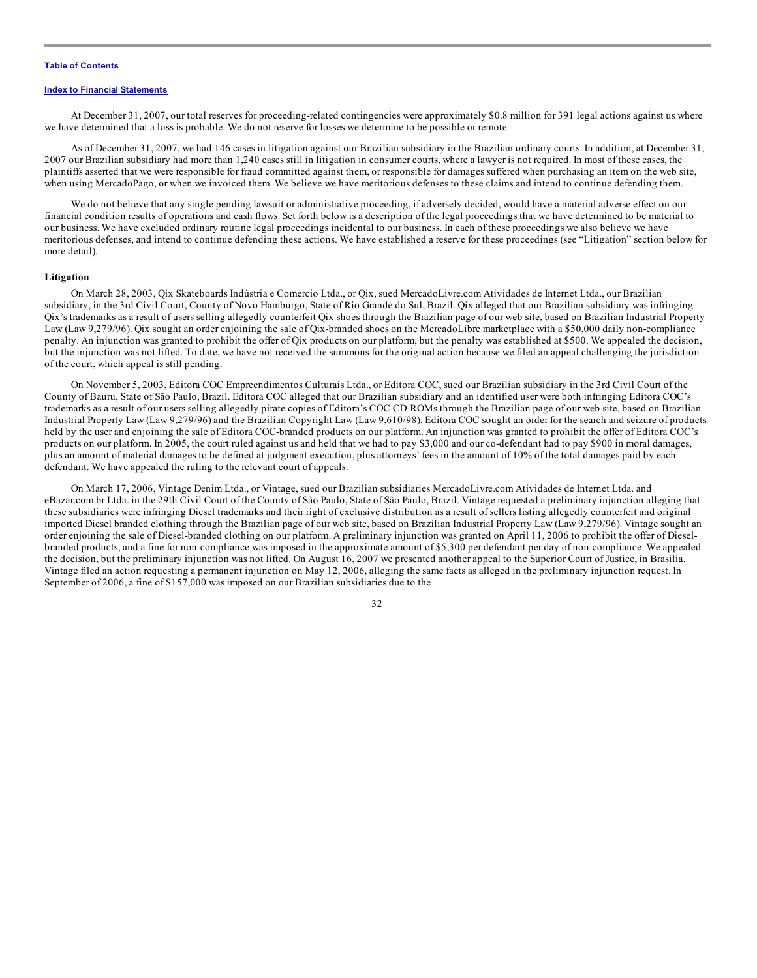# **Index to Financial Statements**

At December 31, 2007, our total reserves for proceeding-related contingencies were approximately \$0.8 million for 391 legal actions against us where we have determined that a loss is probable. We do not reserve for losses we determine to be possible or remote.

As of December 31, 2007, we had 146 cases in litigation against our Brazilian subsidiary in the Brazilian ordinary courts. In addition, at December 31, 2007 our Brazilian subsidiary had more than 1,240 cases still in litigation in consumer courts, where a lawyer is not required. In most of these cases, the plaintiffs asserted that we were responsible for fraud committed against them, or responsible for damages suffered when purchasing an item on the web site, when using MercadoPago, or when we invoiced them. We believe we have meritorious defenses to these claims and intend to continue defending them.

We do not believe that any single pending lawsuit or administrative proceeding, if adversely decided, would have a material adverse effect on our financial condition results of operations and cash flows. Set forth below is a description of the legal proceedings that we have determined to be material to our business. We have excluded ordinary routine legal proceedings incidental to our business. In each of these proceedings we also believe we have meritorious defenses, and intend to continue defending these actions. We have established a reserve for these proceedings (see "Litigation" section below for more detail).

#### **Litigation**

On March 28, 2003, Qix Skateboards Indústria e Comercio Ltda., or Qix, sued MercadoLivre.com Atividades de Internet Ltda., our Brazilian subsidiary, in the 3rd Civil Court, County of Novo Hamburgo, State of Rio Grande do Sul, Brazil. Qix alleged that our Brazilian subsidiary was infringing Qix's trademarks as a result of users selling allegedly counterfeit Qix shoes through the Brazilian page of our web site, based on Brazilian Industrial Property Law (Law 9,279/96). Qix sought an order enjoining the sale of Qix-branded shoes on the MercadoLibre marketplace with a \$50,000 daily non-compliance penalty. An injunction was granted to prohibit the offer of Qix products on our platform, but the penalty was established at \$500. We appealed the decision, but the injunction was not lifted. To date, we have not received the summons for the original action because we filed an appeal challenging the jurisdiction of the court, which appeal is still pending.

On November 5, 2003, Editora COC Empreendimentos Culturais Ltda., or Editora COC, sued our Brazilian subsidiary in the 3rd Civil Court of the County of Bauru, State of São Paulo, Brazil. Editora COC alleged that our Brazilian subsidiary and an identified user were both infringing Editora COC's trademarks as a result of our users selling allegedly pirate copies of Editora's COC CD-ROMs through the Brazilian page of our web site, based on Brazilian Industrial Property Law (Law 9,279/96) and the Brazilian Copyright Law (Law 9,610/98). Editora COC sought an order for the search and seizure of products held by the user and enjoining the sale of Editora COC-branded products on our platform. An injunction was granted to prohibit the offer of Editora COC's products on our platform. In 2005, the court ruled against us and held that we had to pay \$3,000 and our co-defendant had to pay \$900 in moral damages, plus an amount of material damages to be defined at judgment execution, plus attorneys' fees in the amount of 10% of the total damages paid by each defendant. We have appealed the ruling to the relevant court of appeals.

On March 17, 2006, Vintage Denim Ltda., or Vintage, sued our Brazilian subsidiaries MercadoLivre.com Atividades de Internet Ltda. and eBazar.com.br Ltda. in the 29th Civil Court of the County of São Paulo, State of São Paulo, Brazil. Vintage requested a preliminary injunction alleging that these subsidiaries were infringing Diesel trademarks and their right of exclusive distribution as a result of sellers listing allegedly counterfeit and original imported Diesel branded clothing through the Brazilian page of our web site, based on Brazilian Industrial Property Law (Law 9,279/96). Vintage sought an order enjoining the sale of Diesel-branded clothing on our platform. A preliminary injunction was granted on April 11, 2006 to prohibit the offer of Dieselbranded products, and a fine for non-compliance was imposed in the approximate amount of \$5,300 per defendant per day of non-compliance. We appealed the decision, but the preliminary injunction was not lifted. On August 16, 2007 we presented another appeal to the Superior Court of Justice, in Brasilia. Vintage filed an action requesting a permanent injunction on May 12, 2006, alleging the same facts as alleged in the preliminary injunction request. In September of 2006, a fine of \$157,000 was imposed on our Brazilian subsidiaries due to the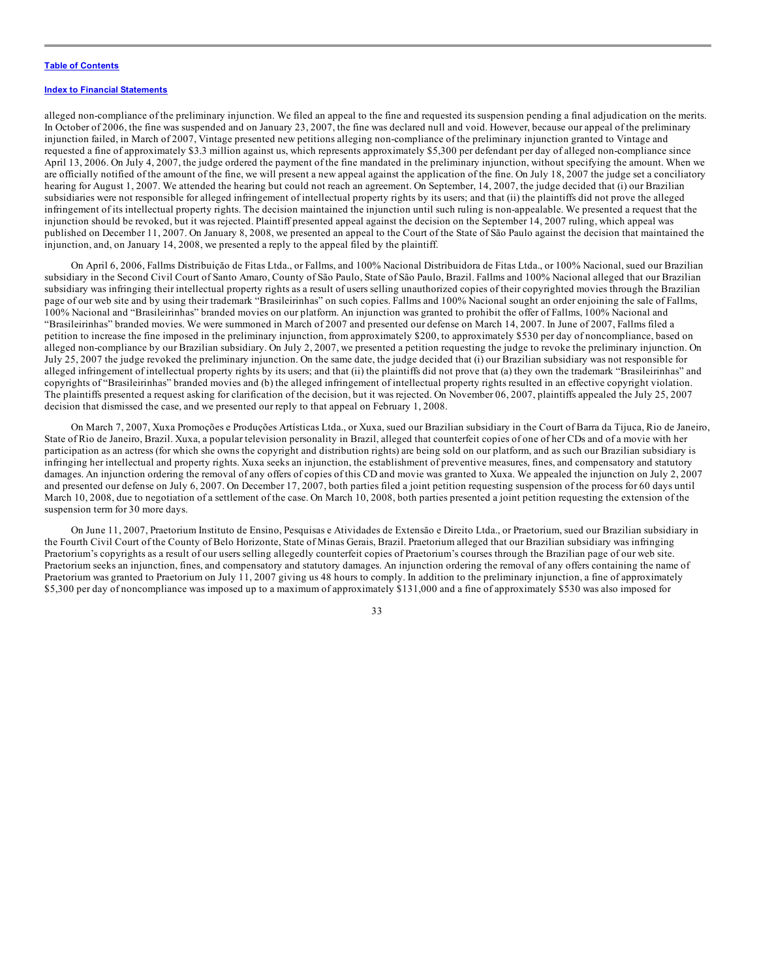# **Index to Financial Statements**

alleged non-compliance of the preliminary injunction. We filed an appeal to the fine and requested its suspension pending a final adjudication on the merits. In October of 2006, the fine was suspended and on January 23, 2007, the fine was declared null and void. However, because our appeal of the preliminary injunction failed, in March of 2007, Vintage presented new petitions alleging non-compliance of the preliminary injunction granted to Vintage and requested a fine of approximately \$3.3 million against us, which represents approximately \$5,300 per defendant per day of alleged non-compliance since April 13, 2006. On July 4, 2007, the judge ordered the payment of the fine mandated in the preliminary injunction, without specifying the amount. When we are officially notified of the amount of the fine, we will present a new appeal against the application of the fine. On July 18, 2007 the judge set a conciliatory hearing for August 1, 2007. We attended the hearing but could not reach an agreement. On September, 14, 2007, the judge decided that (i) our Brazilian subsidiaries were not responsible for alleged infringement of intellectual property rights by its users; and that (ii) the plaintiffs did not prove the alleged infringement of its intellectual property rights. The decision maintained the injunction until such ruling is non-appealable. We presented a request that the injunction should be revoked, but it was rejected. Plaintiff presented appeal against the decision on the September 14, 2007 ruling, which appeal was published on December 11, 2007. On January 8, 2008, we presented an appeal to the Court of the State of São Paulo against the decision that maintained the injunction, and, on January 14, 2008, we presented a reply to the appeal filed by the plaintiff.

On April 6, 2006, Fallms Distribuiçăo de Fitas Ltda., or Fallms, and 100% Nacional Distribuidora de Fitas Ltda., or 100% Nacional, sued our Brazilian subsidiary in the Second Civil Court of Santo Amaro, County of São Paulo, State of São Paulo, Brazil. Fallms and 100% Nacional alleged that our Brazilian subsidiary was infringing their intellectual property rights as a result of users selling unauthorized copies of their copyrighted movies through the Brazilian page of our web site and by using their trademark "Brasileirinhas" on such copies. Fallms and 100% Nacional sought an order enjoining the sale of Fallms, 100% Nacional and "Brasileirinhas" branded movies on our platform. An injunction was granted to prohibit the offer of Fallms, 100% Nacional and "Brasileirinhas" branded movies. We were summoned in March of 2007 and presented our defense on March 14, 2007. In June of 2007, Fallms filed a petition to increase the fine imposed in the preliminary injunction, from approximately \$200, to approximately \$530 per day of noncompliance, based on alleged non-compliance by our Brazilian subsidiary. On July 2, 2007, we presented a petition requesting the judge to revoke the preliminary injunction. On July 25, 2007 the judge revoked the preliminary injunction. On the same date, the judge decided that (i) our Brazilian subsidiary was not responsible for alleged infringement of intellectual property rights by its users; and that (ii) the plaintiffs did not prove that (a) they own the trademark "Brasileirinhas" and copyrights of "Brasileirinhas" branded movies and (b) the alleged infringement of intellectual property rights resulted in an effective copyright violation. The plaintiffs presented a request asking for clarification of the decision, but it was rejected. On November 06, 2007, plaintiffs appealed the July 25, 2007 decision that dismissed the case, and we presented our reply to that appeal on February 1, 2008.

On March 7, 2007, Xuxa Promoções e Produções Artísticas Ltda., or Xuxa, sued our Brazilian subsidiary in the Court of Barra da Tijuca, Rio de Janeiro, State of Rio de Janeiro, Brazil. Xuxa, a popular television personality in Brazil, alleged that counterfeit copies of one of her CDs and of a movie with her participation as an actress (for which she owns the copyright and distribution rights) are being sold on our platform, and as such our Brazilian subsidiary is infringing her intellectual and property rights. Xuxa seeks an injunction, the establishment of preventive measures, fines, and compensatory and statutory damages. An injunction ordering the removal of any offers of copies of this CD and movie was granted to Xuxa. We appealed the injunction on July 2, 2007 and presented our defense on July 6, 2007. On December 17, 2007, both parties filed a joint petition requesting suspension of the process for 60 days until March 10, 2008, due to negotiation of a settlement of the case. On March 10, 2008, both parties presented a joint petition requesting the extension of the suspension term for 30 more days.

On June 11, 2007, Praetorium Instituto de Ensino, Pesquisas e Atividades de Extensăo e Direito Ltda., or Praetorium, sued our Brazilian subsidiary in the Fourth Civil Court of the County of Belo Horizonte, State of Minas Gerais, Brazil. Praetorium alleged that our Brazilian subsidiary was infringing Praetorium's copyrights as a result of our users selling allegedly counterfeit copies of Praetorium's courses through the Brazilian page of our web site. Praetorium seeks an injunction, fines, and compensatory and statutory damages. An injunction ordering the removal of any offers containing the name of Praetorium was granted to Praetorium on July 11, 2007 giving us 48 hours to comply. In addition to the preliminary injunction, a fine of approximately \$5,300 per day of noncompliance was imposed up to a maximum of approximately \$131,000 and a fine of approximately \$530 was also imposed for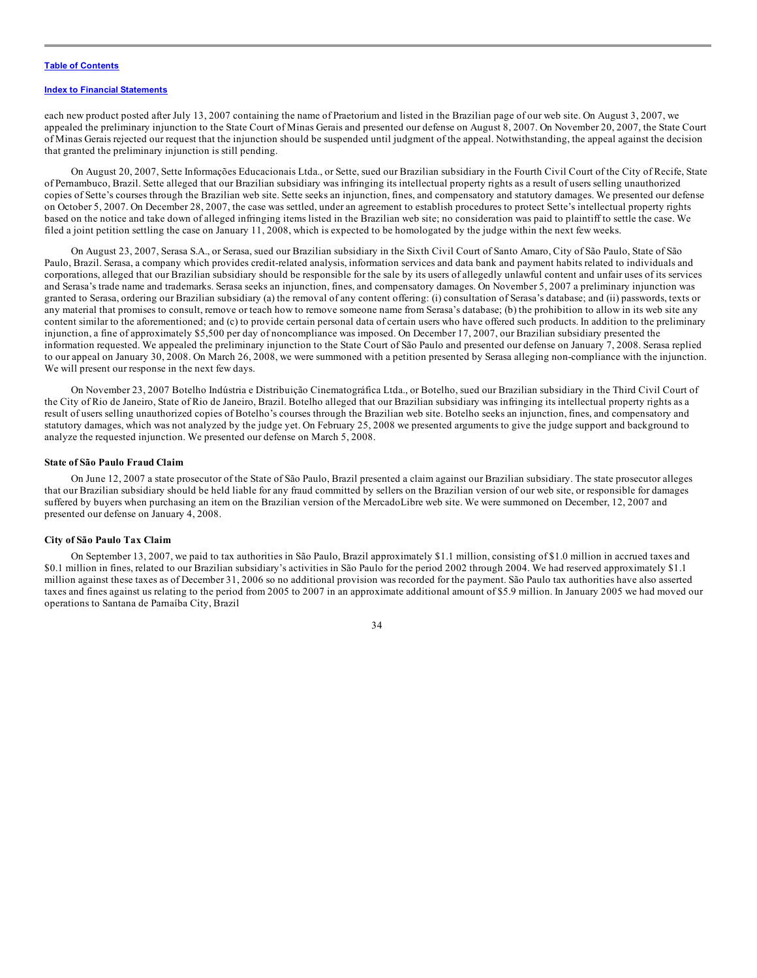# **Index to Financial Statements**

each new product posted after July 13, 2007 containing the name of Praetorium and listed in the Brazilian page of our web site. On August 3, 2007, we appealed the preliminary injunction to the State Court of Minas Gerais and presented our defense on August 8, 2007. On November 20, 2007, the State Court of Minas Gerais rejected our request that the injunction should be suspended until judgment of the appeal. Notwithstanding, the appeal against the decision that granted the preliminary injunction is still pending.

On August 20, 2007, Sette Informações Educacionais Ltda., or Sette, sued our Brazilian subsidiary in the Fourth Civil Court of the City of Recife, State of Pernambuco, Brazil. Sette alleged that our Brazilian subsidiary was infringing its intellectual property rights as a result of users selling unauthorized copies of Sette's courses through the Brazilian web site. Sette seeks an injunction, fines, and compensatory and statutory damages. We presented our defense on October 5, 2007. On December 28, 2007, the case was settled, under an agreement to establish procedures to protect Sette's intellectual property rights based on the notice and take down of alleged infringing items listed in the Brazilian web site; no consideration was paid to plaintiff to settle the case. We filed a joint petition settling the case on January 11, 2008, which is expected to be homologated by the judge within the next few weeks.

On August 23, 2007, Serasa S.A., or Serasa, sued our Brazilian subsidiary in the Sixth Civil Court of Santo Amaro, City of São Paulo, State of São Paulo, Brazil. Serasa, a company which provides credit-related analysis, information services and data bank and payment habits related to individuals and corporations, alleged that our Brazilian subsidiary should be responsible for the sale by its users of allegedly unlawful content and unfair uses of its services and Serasa's trade name and trademarks. Serasa seeks an injunction, fines, and compensatory damages. On November 5, 2007 a preliminary injunction was granted to Serasa, ordering our Brazilian subsidiary (a) the removal of any content offering: (i) consultation of Serasa's database; and (ii) passwords, texts or any material that promises to consult, remove or teach how to remove someone name from Serasa's database; (b) the prohibition to allow in its web site any content similar to the aforementioned; and (c) to provide certain personal data of certain users who have offered such products. In addition to the preliminary injunction, a fine of approximately \$5,500 per day of noncompliance was imposed. On December 17, 2007, our Brazilian subsidiary presented the information requested. We appealed the preliminary injunction to the State Court of São Paulo and presented our defense on January 7, 2008. Serasa replied to our appeal on January 30, 2008. On March 26, 2008, we were summoned with a petition presented by Serasa alleging non-compliance with the injunction. We will present our response in the next few days.

On November 23, 2007 Botelho Indústria e Distribuição Cinematográfica Ltda., or Botelho, sued our Brazilian subsidiary in the Third Civil Court of the City of Rio de Janeiro, State of Rio de Janeiro, Brazil. Botelho alleged that our Brazilian subsidiary was infringing its intellectual property rights as a result of users selling unauthorized copies of Botelho's courses through the Brazilian web site. Botelho seeks an injunction, fines, and compensatory and statutory damages, which was not analyzed by the judge yet. On February 25, 2008 we presented arguments to give the judge support and background to analyze the requested injunction. We presented our defense on March 5, 2008.

### **State of São Paulo Fraud Claim**

On June 12, 2007 a state prosecutor of the State of São Paulo, Brazil presented a claim against our Brazilian subsidiary. The state prosecutor alleges that our Brazilian subsidiary should be held liable for any fraud committed by sellers on the Brazilian version of our web site, or responsible for damages suffered by buyers when purchasing an item on the Brazilian version of the MercadoLibre web site. We were summoned on December, 12, 2007 and presented our defense on January 4, 2008.

#### **City of São Paulo Tax Claim**

On September 13, 2007, we paid to tax authorities in São Paulo, Brazil approximately \$1.1 million, consisting of \$1.0 million in accrued taxes and \$0.1 million in fines, related to our Brazilian subsidiary's activities in São Paulo for the period 2002 through 2004. We had reserved approximately \$1.1 million against these taxes as of December 31, 2006 so no additional provision was recorded for the payment. São Paulo tax authorities have also asserted taxes and fines against us relating to the period from 2005 to 2007 in an approximate additional amount of \$5.9 million. In January 2005 we had moved our operations to Santana de Parnaíba City, Brazil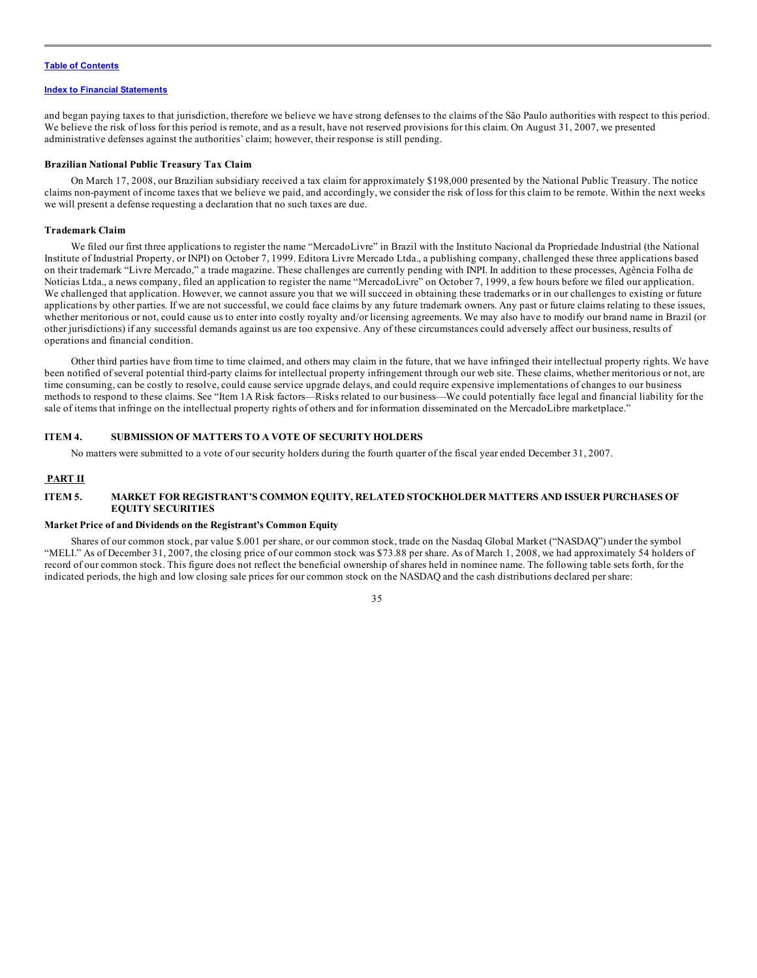## **Index to Financial Statements**

and began paying taxes to that jurisdiction, therefore we believe we have strong defenses to the claims of the São Paulo authorities with respect to this period. We believe the risk of loss for this period is remote, and as a result, have not reserved provisions for this claim. On August 31, 2007, we presented administrative defenses against the authorities' claim; however, their response is still pending.

#### **Brazilian National Public Treasury Tax Claim**

On March 17, 2008, our Brazilian subsidiary received a tax claim for approximately \$198,000 presented by the National Public Treasury. The notice claims non-payment of income taxes that we believe we paid, and accordingly, we consider the risk of loss for this claim to be remote. Within the next weeks we will present a defense requesting a declaration that no such taxes are due.

### **Trademark Claim**

We filed our first three applications to register the name "MercadoLivre" in Brazil with the Instituto Nacional da Propriedade Industrial (the National Institute of Industrial Property, or INPI) on October 7, 1999. Editora Livre Mercado Ltda., a publishing company, challenged these three applications based on their trademark "Livre Mercado," a trade magazine. These challenges are currently pending with INPI. In addition to these processes, Agência Folha de Notícias Ltda., a news company, filed an application to register the name "MercadoLivre" on October 7, 1999, a few hours before we filed our application. We challenged that application. However, we cannot assure you that we will succeed in obtaining these trademarks or in our challenges to existing or future applications by other parties. If we are not successful, we could face claims by any future trademark owners. Any past or future claims relating to these issues, whether meritorious or not, could cause us to enter into costly royalty and/or licensing agreements. We may also have to modify our brand name in Brazil (or other jurisdictions) if any successful demands against us are too expensive. Any of these circumstances could adversely affect our business, results of operations and financial condition.

Other third parties have from time to time claimed, and others may claim in the future, that we have infringed their intellectual property rights. We have been notified of several potential third-party claims for intellectual property infringement through our web site. These claims, whether meritorious or not, are time consuming, can be costly to resolve, could cause service upgrade delays, and could require expensive implementations of changes to our business methods to respond to these claims. See "Item 1A Risk factors—Risks related to our business—We could potentially face legal and financial liability for the sale of items that infringe on the intellectual property rights of others and for information disseminated on the MercadoLibre marketplace."

# **ITEM 4. SUBMISSION OF MATTERS TO A VOTE OF SECURITY HOLDERS**

No matters were submitted to a vote of our security holders during the fourth quarter of the fiscal year ended December 31, 2007.

# **PART II**

# **ITEM 5. MARKET FOR REGISTRANT'S COMMON EQUITY, RELATED STOCKHOLDER MATTERS AND ISSUER PURCHASES OF EQUITY SECURITIES**

### **Market Price of and Dividends on the Registrant's Common Equity**

Shares of our common stock, par value \$.001 per share, or our common stock, trade on the Nasdaq Global Market ("NASDAQ") under the symbol "MELI." As of December 31, 2007, the closing price of our common stock was \$73.88 per share. As of March 1, 2008, we had approximately 54 holders of record of our common stock. This figure does not reflect the beneficial ownership of shares held in nominee name. The following table sets forth, for the indicated periods, the high and low closing sale prices for our common stock on the NASDAQ and the cash distributions declared per share: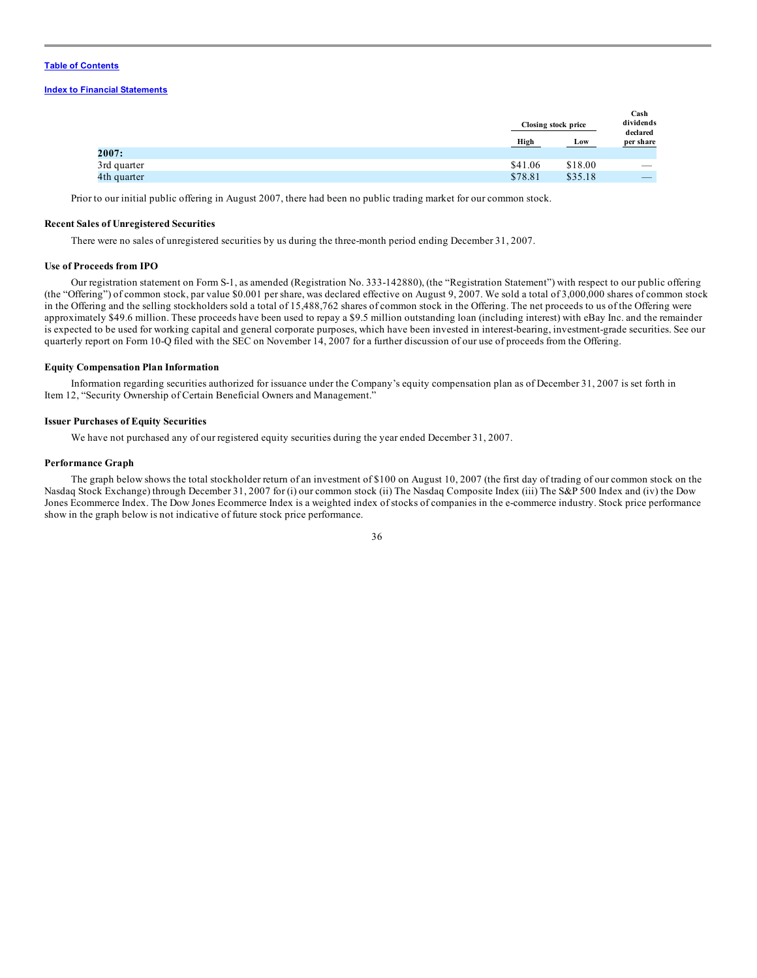# **Index to Financial Statements**

|         |         | Cash<br>dividends<br>declared |
|---------|---------|-------------------------------|
|         | Low     | per share                     |
|         |         |                               |
| \$41.06 | \$18.00 |                               |
| \$78.81 | \$35.18 |                               |
|         | High    | Closing stock price           |

Prior to our initial public offering in August 2007, there had been no public trading market for our common stock.

## **Recent Sales of Unregistered Securities**

There were no sales of unregistered securities by us during the three-month period ending December 31, 2007.

#### **Use of Proceeds from IPO**

Our registration statement on Form S-1, as amended (Registration No. 333-142880), (the "Registration Statement") with respect to our public offering (the "Offering") of common stock, par value \$0.001 per share, was declared effective on August 9, 2007. We sold a total of 3,000,000 shares of common stock in the Offering and the selling stockholders sold a total of 15,488,762 shares of common stock in the Offering. The net proceeds to us of the Offering were approximately \$49.6 million. These proceeds have been used to repay a \$9.5 million outstanding loan (including interest) with eBay Inc. and the remainder is expected to be used for working capital and general corporate purposes, which have been invested in interest-bearing, investment-grade securities. See our quarterly report on Form 10-Q filed with the SEC on November 14, 2007 for a further discussion of our use of proceeds from the Offering.

#### **Equity Compensation Plan Information**

Information regarding securities authorized for issuance under the Company's equity compensation plan as of December 31, 2007 is set forth in Item 12, "Security Ownership of Certain Beneficial Owners and Management."

## **Issuer Purchases of Equity Securities**

We have not purchased any of our registered equity securities during the year ended December 31, 2007.

#### **Performance Graph**

The graph below shows the total stockholder return of an investment of \$100 on August 10, 2007 (the first day of trading of our common stock on the Nasdaq Stock Exchange) through December 31, 2007 for (i) our common stock (ii) The Nasdaq Composite Index (iii) The S&P 500 Index and (iv) the Dow Jones Ecommerce Index. The Dow Jones Ecommerce Index is a weighted index of stocks of companies in the e-commerce industry. Stock price performance show in the graph below is not indicative of future stock price performance.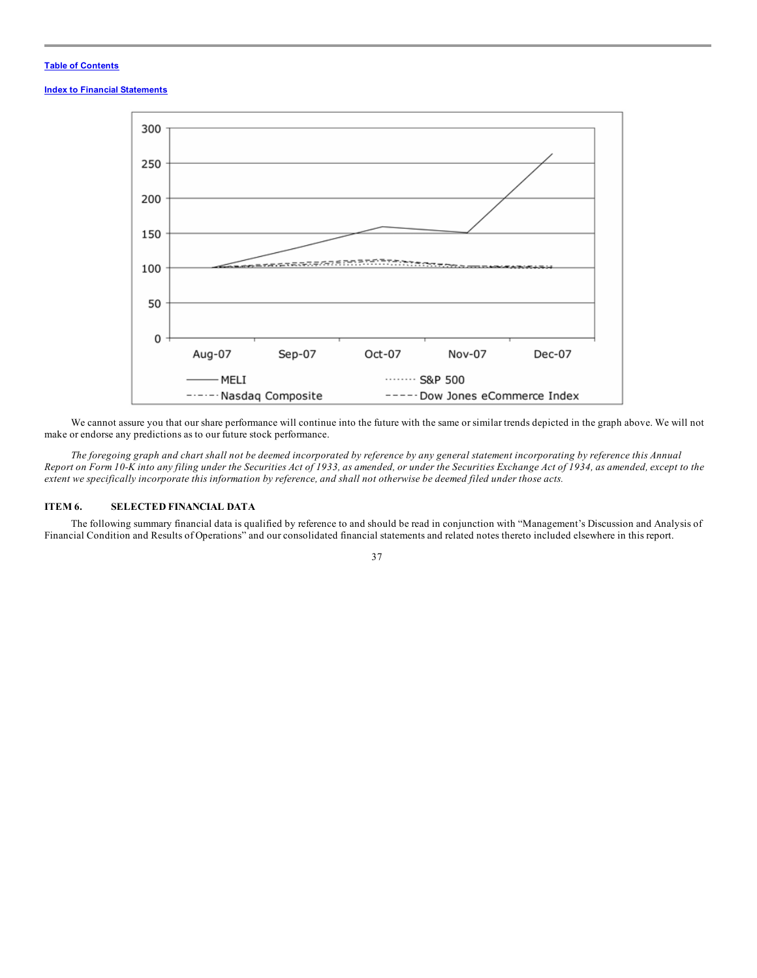**Index to Financial Statements**



We cannot assure you that our share performance will continue into the future with the same or similar trends depicted in the graph above. We will not make or endorse any predictions as to our future stock performance.

The foregoing graph and chart shall not be deemed incorporated by reference by any general statement incorporating by reference this Annual Report on Form 10-K into any filing under the Securities Act of 1933, as amended, or under the Securities Exchange Act of 1934, as amended, except to the extent we specifically incorporate this information by reference, and shall not otherwise be deemed filed under those acts.

# **ITEM 6. SELECTED FINANCIAL DATA**

The following summary financial data is qualified by reference to and should be read in conjunction with "Management's Discussion and Analysis of Financial Condition and Results of Operations" and our consolidated financial statements and related notes thereto included elsewhere in this report.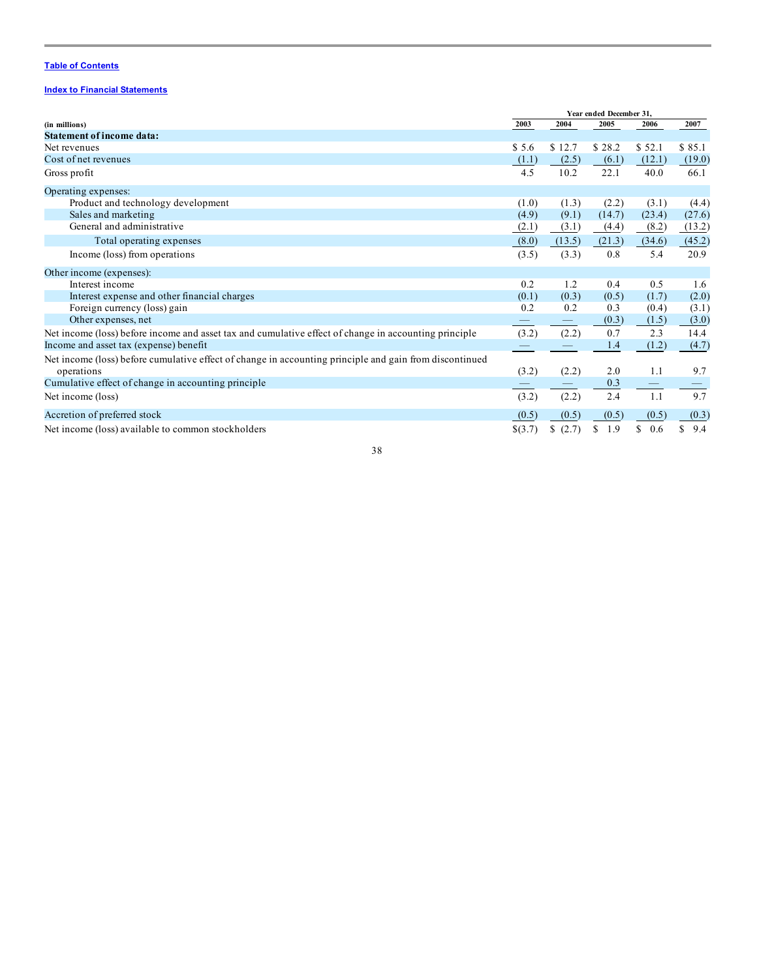# **Index to Financial Statements**

|                                                                                                         | Year ended December 31. |         |           |                                 |           |  |  |
|---------------------------------------------------------------------------------------------------------|-------------------------|---------|-----------|---------------------------------|-----------|--|--|
| (in millions)                                                                                           | 2003                    | 2004    | 2005      | 2006                            | 2007      |  |  |
| Statement of income data:                                                                               |                         |         |           |                                 |           |  |  |
| Net revenues                                                                                            | \$5.6                   | \$12.7  | \$28.2    | \$52.1                          | \$85.1    |  |  |
| Cost of net revenues                                                                                    | (1.1)                   | (2.5)   | (6.1)     | (12.1)                          | (19.0)    |  |  |
| Gross profit                                                                                            | 4.5                     | 10.2    | 22.1      | 40.0                            | 66.1      |  |  |
| Operating expenses:                                                                                     |                         |         |           |                                 |           |  |  |
| Product and technology development                                                                      | (1.0)                   | (1.3)   | (2.2)     | (3.1)                           | (4.4)     |  |  |
| Sales and marketing                                                                                     | (4.9)                   | (9.1)   | (14.7)    | (23.4)                          | (27.6)    |  |  |
| General and administrative                                                                              | (2.1)                   | (3.1)   | (4.4)     | (8.2)                           | (13.2)    |  |  |
| Total operating expenses                                                                                | (8.0)                   | (13.5)  | (21.3)    | (34.6)                          | (45.2)    |  |  |
| Income (loss) from operations                                                                           | (3.5)                   | (3.3)   | 0.8       | 5.4                             | 20.9      |  |  |
| Other income (expenses):                                                                                |                         |         |           |                                 |           |  |  |
| Interest income                                                                                         | 0.2                     | 1.2     | 0.4       | 0.5                             | 1.6       |  |  |
| Interest expense and other financial charges                                                            | (0.1)                   | (0.3)   | (0.5)     | (1.7)                           | (2.0)     |  |  |
| Foreign currency (loss) gain                                                                            | 0.2                     | 0.2     | 0.3       | (0.4)                           | (3.1)     |  |  |
| Other expenses, net                                                                                     |                         |         | (0.3)     | (1.5)                           | (3.0)     |  |  |
| Net income (loss) before income and asset tax and cumulative effect of change in accounting principle   | (3.2)                   | (2.2)   | 0.7       | 2.3                             | 14.4      |  |  |
| Income and asset tax (expense) benefit                                                                  |                         |         | 1.4       | (1.2)                           | (4.7)     |  |  |
| Net income (loss) before cumulative effect of change in accounting principle and gain from discontinued |                         |         |           |                                 |           |  |  |
| operations                                                                                              | (3.2)                   | (2.2)   | 2.0       | 1.1                             | 9.7       |  |  |
| Cumulative effect of change in accounting principle                                                     |                         |         | 0.3       | $\hspace{0.1mm}-\hspace{0.1mm}$ |           |  |  |
| Net income (loss)                                                                                       | (3.2)                   | (2.2)   | 2.4       | 1.1                             | 9.7       |  |  |
| Accretion of preferred stock                                                                            | (0.5)                   | (0.5)   | (0.5)     | (0.5)                           | (0.3)     |  |  |
| Net income (loss) available to common stockholders                                                      | \$(3.7)                 | \$(2.7) | S.<br>1.9 | $\mathbb{S}$<br>0.6             | \$<br>9.4 |  |  |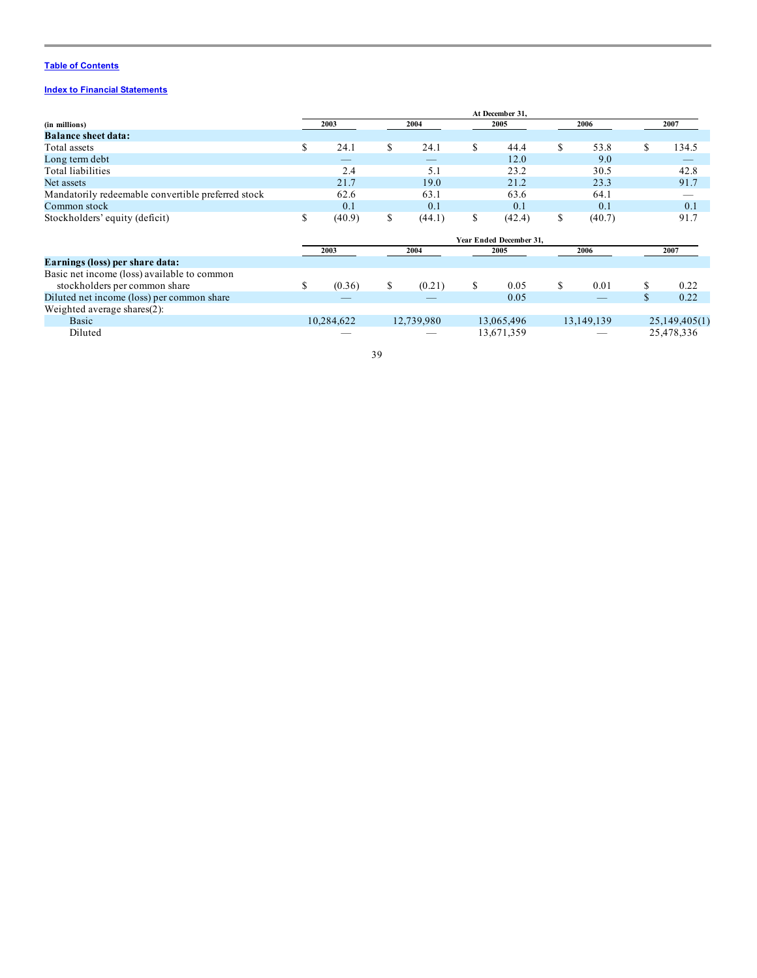# **Index to Financial Statements**

|                                                    |              |              | At December 31.                |    |        |             |
|----------------------------------------------------|--------------|--------------|--------------------------------|----|--------|-------------|
| (in millions)                                      | 2003         | 2004         | 2005                           |    | 2006   | 2007        |
| <b>Balance sheet data:</b>                         |              |              |                                |    |        |             |
| Total assets                                       | \$<br>24.1   | 24.1         | \$<br>44.4                     | S  | 53.8   | \$<br>134.5 |
| Long term debt                                     |              | __           | 12.0                           |    | 9.0    |             |
| Total liabilities                                  | 2.4          | 5.1          | 23.2                           |    | 30.5   | 42.8        |
| Net assets                                         | 21.7         | 19.0         | 21.2                           |    | 23.3   | 91.7        |
| Mandatorily redeemable convertible preferred stock | 62.6         | 63.1         | 63.6                           |    | 64.1   |             |
| Common stock                                       | 0.1          | 0.1          | 0.1                            |    | 0.1    | 0.1         |
| Stockholders' equity (deficit)                     | \$<br>(40.9) | \$<br>(44.1) | \$<br>(42.4)                   | \$ | (40.7) | 91.7        |
|                                                    |              |              | <b>Year Ended December 31.</b> |    |        |             |

|                                             | Year Ended December 31. |            |  |            |   |            |  |            |  |               |
|---------------------------------------------|-------------------------|------------|--|------------|---|------------|--|------------|--|---------------|
|                                             |                         | 2003       |  | 2004       |   | 2005       |  | 2006       |  | 2007          |
| Earnings (loss) per share data:             |                         |            |  |            |   |            |  |            |  |               |
| Basic net income (loss) available to common |                         |            |  |            |   |            |  |            |  |               |
| stockholders per common share               |                         | (0.36)     |  | (0.21)     | S | 0.05       |  | 0.01       |  | 0.22          |
| Diluted net income (loss) per common share  |                         |            |  |            |   | 0.05       |  |            |  | 0.22          |
| Weighted average shares $(2)$ :             |                         |            |  |            |   |            |  |            |  |               |
| Basic                                       |                         | 10.284.622 |  | 12.739.980 |   | 13.065.496 |  | 13.149.139 |  | 25,149,405(1) |
| Diluted                                     |                         |            |  |            |   | 13,671,359 |  |            |  | 25,478,336    |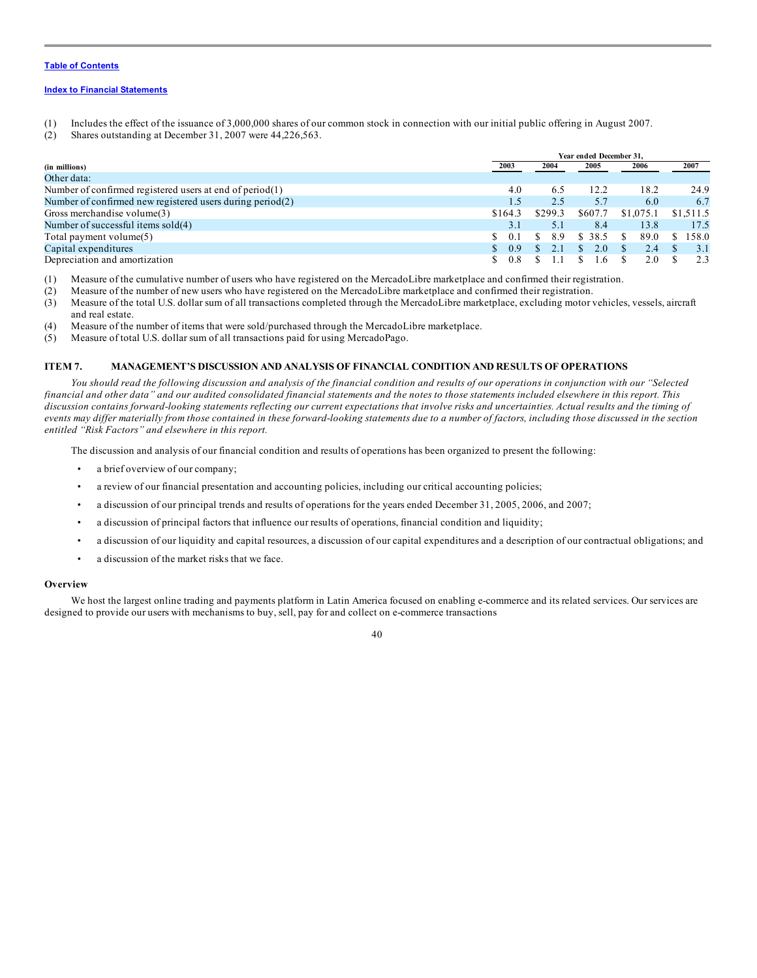# **Index to Financial Statements**

- (1) Includes the effect of the issuance of 3,000,000 shares of our common stock in connection with our initial public offering in August 2007.
- (2) Shares outstanding at December 31, 2007 were 44,226,563.

|                                                           |            | Year ended December 31. |         |           |           |
|-----------------------------------------------------------|------------|-------------------------|---------|-----------|-----------|
| (in millions)                                             | 2003       | 2004                    | 2005    | 2006      | 2007      |
| Other data:                                               |            |                         |         |           |           |
| Number of confirmed registered users at end of period(1)  | 4.0        | 6.5                     | 12.2    | 18.2      | 24.9      |
| Number of confirmed new registered users during period(2) |            | 2.5                     | 5.7     | 6.0       | 6.7       |
| Gross merchandise volume(3)                               | \$164.3    | \$299.3                 | \$607.7 | \$1,075.1 | \$1,511.5 |
| Number of successful items sold(4)                        | 3.1        |                         | 8.4     | 13.8      | 17.5      |
| Total payment volume(5)                                   | $\Omega$ . | 8.9                     | 38.5    | 89.0      | 158.0     |
| Capital expenditures                                      | 0.9<br>S.  |                         | 2.0     | 2.4       | 3.1       |
| Depreciation and amortization                             | 0.8        |                         | .6      | 2.0       | 2.3       |

- (1) Measure of the cumulative number of users who have registered on the MercadoLibre marketplace and confirmed their registration.
- (2) Measure of the number of new users who have registered on the MercadoLibre marketplace and confirmed their registration.
- (3) Measure of the total U.S. dollar sum of all transactions completed through the MercadoLibre marketplace, excluding motor vehicles, vessels, aircraft and real estate.
- (4) Measure of the number of items that were sold/purchased through the MercadoLibre marketplace.
- (5) Measure of total U.S. dollar sum of all transactions paid for using MercadoPago.

# **ITEM 7. MANAGEMENT'S DISCUSSION AND ANALYSIS OF FINANCIAL CONDITION AND RESULTS OF OPERATIONS**

You should read the following discussion and analysis of the financial condition and results of our operations in conjunction with our "Selected financial and other data" and our audited consolidated financial statements and the notes to those statements included elsewhere in this report. This discussion contains forward-looking statements reflecting our current expectations that involve risks and uncertainties. Actual results and the timing of events may differ materially from those contained in these forward-looking statements due to a number of factors, including those discussed in the section *entitled "Risk Factors" and elsewhere in this report.*

The discussion and analysis of our financial condition and results of operations has been organized to present the following:

- a brief overview of our company;
- a review of our financial presentation and accounting policies, including our critical accounting policies;
- a discussion of our principal trends and results of operations for the years ended December 31, 2005, 2006, and 2007;
- a discussion of principal factors that influence our results of operations, financial condition and liquidity;
- a discussion of our liquidity and capital resources, a discussion of our capital expenditures and a description of our contractual obligations; and
- a discussion of the market risks that we face.

# **Overview**

We host the largest online trading and payments platform in Latin America focused on enabling e-commerce and its related services. Our services are designed to provide our users with mechanisms to buy, sell, pay for and collect on e-commerce transactions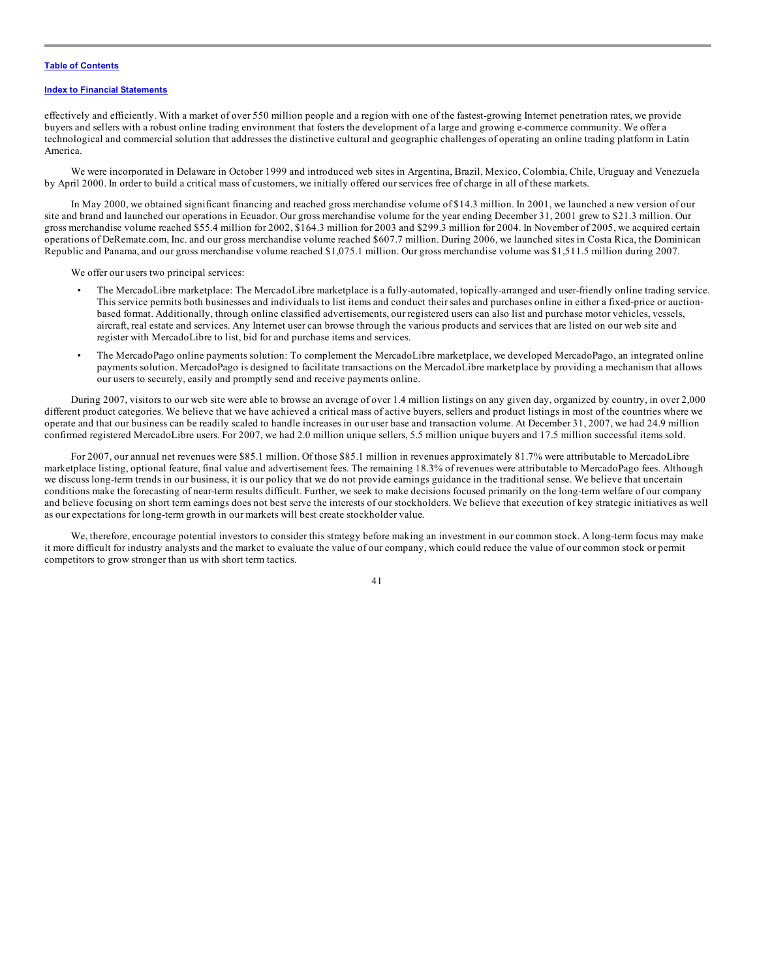# **Index to Financial Statements**

effectively and efficiently. With a market of over 550 million people and a region with one of the fastest-growing Internet penetration rates, we provide buyers and sellers with a robust online trading environment that fosters the development of a large and growing e-commerce community. We offer a technological and commercial solution that addresses the distinctive cultural and geographic challenges of operating an online trading platform in Latin America.

We were incorporated in Delaware in October 1999 and introduced web sites in Argentina, Brazil, Mexico, Colombia, Chile, Uruguay and Venezuela by April 2000. In order to build a critical mass of customers, we initially offered our services free of charge in all of these markets.

In May 2000, we obtained significant financing and reached gross merchandise volume of \$14.3 million. In 2001, we launched a new version of our site and brand and launched our operations in Ecuador. Our gross merchandise volume for the year ending December 31, 2001 grew to \$21.3 million. Our gross merchandise volume reached \$55.4 million for 2002, \$164.3 million for 2003 and \$299.3 million for 2004. In November of 2005, we acquired certain operations of DeRemate.com, Inc. and our gross merchandise volume reached \$607.7 million. During 2006, we launched sites in Costa Rica, the Dominican Republic and Panama, and our gross merchandise volume reached \$1,075.1 million. Our gross merchandise volume was \$1,511.5 million during 2007.

We offer our users two principal services:

- The MercadoLibre marketplace: The MercadoLibre marketplace is a fully-automated, topically-arranged and user-friendly online trading service. This service permits both businesses and individuals to list items and conduct their sales and purchases online in either a fixed-price or auctionbased format. Additionally, through online classified advertisements, our registered users can also list and purchase motor vehicles, vessels, aircraft, real estate and services. Any Internet user can browse through the various products and services that are listed on our web site and register with MercadoLibre to list, bid for and purchase items and services.
- The MercadoPago online payments solution: To complement the MercadoLibre marketplace, we developed MercadoPago, an integrated online payments solution. MercadoPago is designed to facilitate transactions on the MercadoLibre marketplace by providing a mechanism that allows our users to securely, easily and promptly send and receive payments online.

During 2007, visitors to our web site were able to browse an average of over 1.4 million listings on any given day, organized by country, in over 2,000 different product categories. We believe that we have achieved a critical mass of active buyers, sellers and product listings in most of the countries where we operate and that our business can be readily scaled to handle increases in our user base and transaction volume. At December 31, 2007, we had 24.9 million confirmed registered MercadoLibre users. For 2007, we had 2.0 million unique sellers, 5.5 million unique buyers and 17.5 million successful items sold.

For 2007, our annual net revenues were \$85.1 million. Of those \$85.1 million in revenues approximately 81.7% were attributable to MercadoLibre marketplace listing, optional feature, final value and advertisement fees. The remaining 18.3% of revenues were attributable to MercadoPago fees. Although we discuss long-term trends in our business, it is our policy that we do not provide earnings guidance in the traditional sense. We believe that uncertain conditions make the forecasting of near-term results difficult. Further, we seek to make decisions focused primarily on the long-term welfare of our company and believe focusing on short term earnings does not best serve the interests of our stockholders. We believe that execution of key strategic initiatives as well as our expectations for long-term growth in our markets will best create stockholder value.

We, therefore, encourage potential investors to consider this strategy before making an investment in our common stock. A long-term focus may make it more difficult for industry analysts and the market to evaluate the value of our company, which could reduce the value of our common stock or permit competitors to grow stronger than us with short term tactics.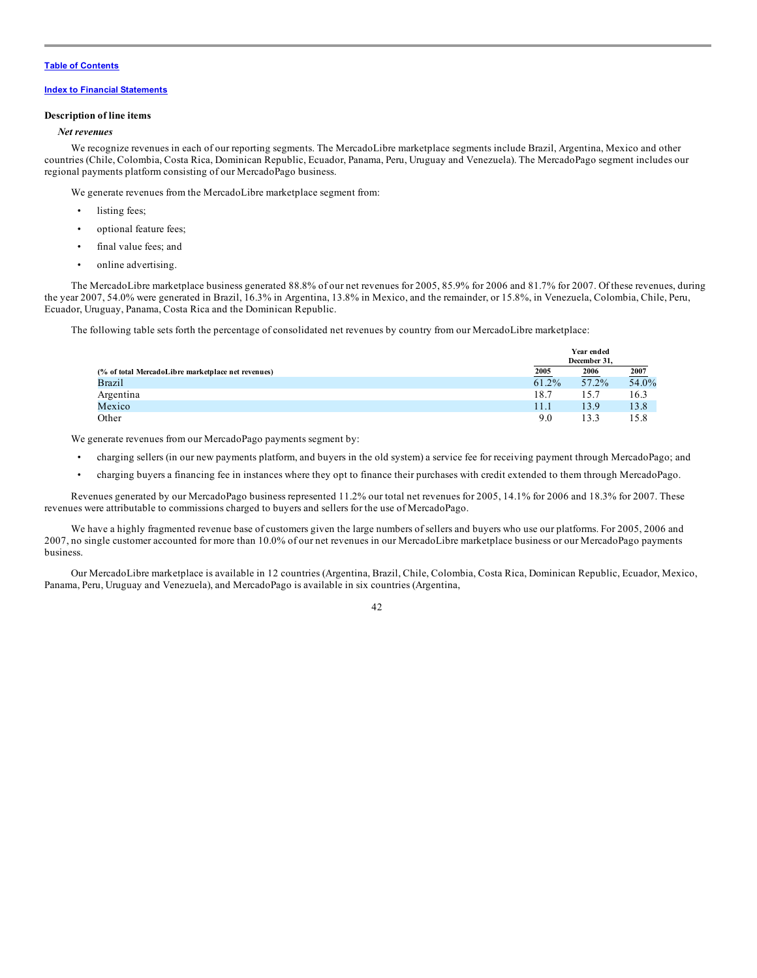# **Index to Financial Statements**

## **Description of line items**

### *Net revenues*

We recognize revenues in each of our reporting segments. The MercadoLibre marketplace segments include Brazil, Argentina, Mexico and other countries (Chile, Colombia, Costa Rica, Dominican Republic, Ecuador, Panama, Peru, Uruguay and Venezuela). The MercadoPago segment includes our regional payments platform consisting of our MercadoPago business.

We generate revenues from the MercadoLibre marketplace segment from:

- listing fees;
- optional feature fees;
- final value fees; and
- online advertising.

The MercadoLibre marketplace business generated 88.8% of our net revenues for 2005, 85.9% for 2006 and 81.7% for 2007. Of these revenues, during the year 2007, 54.0% were generated in Brazil, 16.3% in Argentina, 13.8% in Mexico, and the remainder, or 15.8%, in Venezuela, Colombia, Chile, Peru, Ecuador, Uruguay, Panama, Costa Rica and the Dominican Republic.

The following table sets forth the percentage of consolidated net revenues by country from our MercadoLibre marketplace:

|                                                    | Year ended<br>December 31. |       |                       |
|----------------------------------------------------|----------------------------|-------|-----------------------|
| (% of total MercadoLibre marketplace net revenues) | 2005                       | 2006  |                       |
| <b>Brazil</b>                                      | 61.2%                      | 57.2% | $\frac{2007}{54.0\%}$ |
| Argentina                                          | 18.7                       | 15.7  | 16.3                  |
| Mexico                                             | 11.1                       | 13.9  | 13.8                  |
| Other                                              | 9.0                        | 13.3  | 15.8                  |

We generate revenues from our MercadoPago payments segment by:

- charging sellers (in our new payments platform, and buyers in the old system) a service fee for receiving payment through MercadoPago; and
- charging buyers a financing fee in instances where they opt to finance their purchases with credit extended to them through MercadoPago.

Revenues generated by our MercadoPago business represented 11.2% our total net revenues for 2005, 14.1% for 2006 and 18.3% for 2007. These revenues were attributable to commissions charged to buyers and sellers for the use of MercadoPago.

We have a highly fragmented revenue base of customers given the large numbers of sellers and buyers who use our platforms. For 2005, 2006 and 2007, no single customer accounted for more than 10.0% of our net revenues in our MercadoLibre marketplace business or our MercadoPago payments business.

Our MercadoLibre marketplace is available in 12 countries (Argentina, Brazil, Chile, Colombia, Costa Rica, Dominican Republic, Ecuador, Mexico, Panama, Peru, Uruguay and Venezuela), and MercadoPago is available in six countries (Argentina,

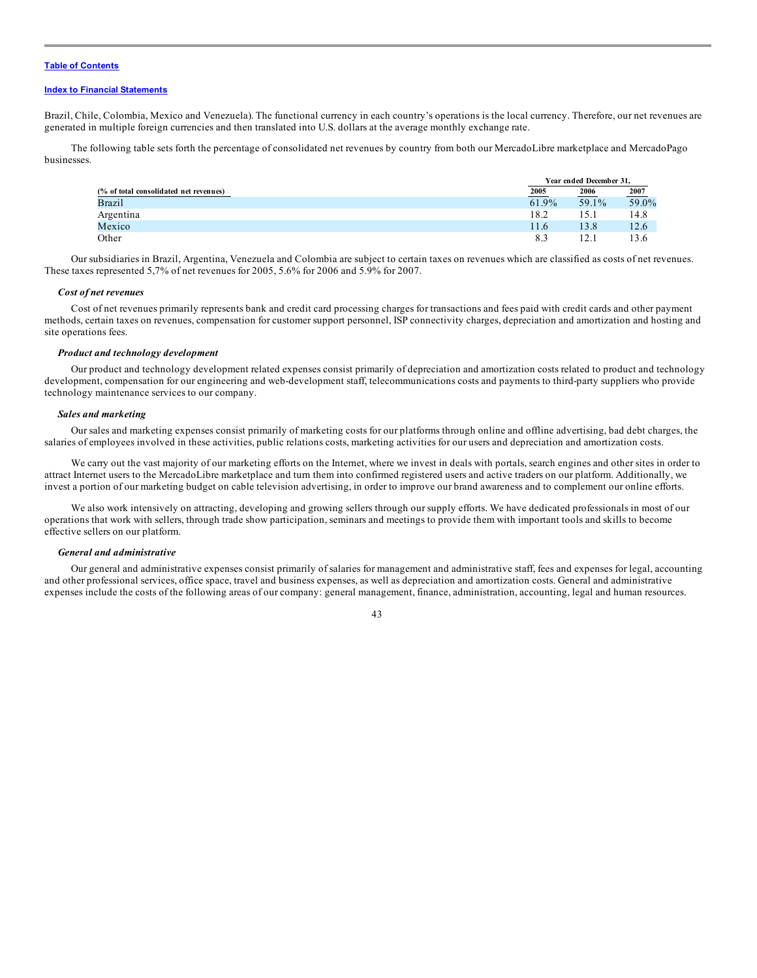# **Index to Financial Statements**

Brazil, Chile, Colombia, Mexico and Venezuela). The functional currency in each country's operations is the local currency. Therefore, our net revenues are generated in multiple foreign currencies and then translated into U.S. dollars at the average monthly exchange rate.

The following table sets forth the percentage of consolidated net revenues by country from both our MercadoLibre marketplace and MercadoPago businesses.

|                                        |       | Year ended December 31. |       |
|----------------------------------------|-------|-------------------------|-------|
| (% of total consolidated net revenues) | 2005  | 2006                    | 2007  |
| <b>Brazil</b>                          | 61.9% | 59.1%                   | 59.0% |
| Argentina                              | 18.2  | 15.1                    | 14.8  |
| Mexico                                 | 11.6  | 13.8                    | 12.6  |
| Other                                  | 8.3   |                         | 13.6  |

Our subsidiaries in Brazil, Argentina, Venezuela and Colombia are subject to certain taxes on revenues which are classified as costs of net revenues. These taxes represented 5,7% of net revenues for 2005, 5.6% for 2006 and 5.9% for 2007.

#### *Cost of net revenues*

Cost of net revenues primarily represents bank and credit card processing charges for transactions and fees paid with credit cards and other payment methods, certain taxes on revenues, compensation for customer support personnel, ISP connectivity charges, depreciation and amortization and hosting and site operations fees.

#### *Product and technology development*

Our product and technology development related expenses consist primarily of depreciation and amortization costs related to product and technology development, compensation for our engineering and web-development staff, telecommunications costs and payments to third-party suppliers who provide technology maintenance services to our company.

#### *Sales and marketing*

Our sales and marketing expenses consist primarily of marketing costs for our platforms through online and offline advertising, bad debt charges, the salaries of employees involved in these activities, public relations costs, marketing activities for our users and depreciation and amortization costs.

We carry out the vast majority of our marketing efforts on the Internet, where we invest in deals with portals, search engines and other sites in order to attract Internet users to the MercadoLibre marketplace and turn them into confirmed registered users and active traders on our platform. Additionally, we invest a portion of our marketing budget on cable television advertising, in order to improve our brand awareness and to complement our online efforts.

We also work intensively on attracting, developing and growing sellers through our supply efforts. We have dedicated professionals in most of our operations that work with sellers, through trade show participation, seminars and meetings to provide them with important tools and skills to become effective sellers on our platform.

#### *General and administrative*

Our general and administrative expenses consist primarily of salaries for management and administrative staff, fees and expenses for legal, accounting and other professional services, office space, travel and business expenses, as well as depreciation and amortization costs. General and administrative expenses include the costs of the following areas of our company: general management, finance, administration, accounting, legal and human resources.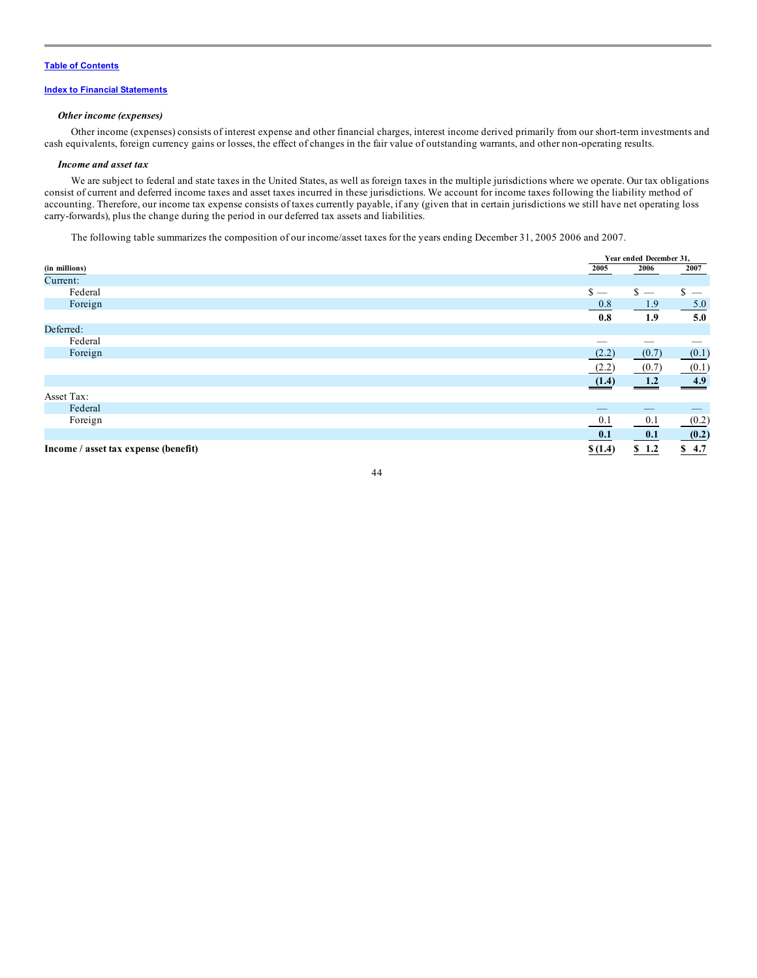# **Index to Financial Statements**

# *Other income (expenses)*

Other income (expenses) consists of interest expense and other financial charges, interest income derived primarily from our short-term investments and cash equivalents, foreign currency gains or losses, the effect of changes in the fair value of outstanding warrants, and other non-operating results.

## *Income and asset tax*

We are subject to federal and state taxes in the United States, as well as foreign taxes in the multiple jurisdictions where we operate. Our tax obligations consist of current and deferred income taxes and asset taxes incurred in these jurisdictions. We account for income taxes following the liability method of accounting. Therefore, our income tax expense consists of taxes currently payable, if any (given that in certain jurisdictions we still have net operating loss carry-forwards), plus the change during the period in our deferred tax assets and liabilities.

The following table summarizes the composition of our income/asset taxes for the years ending December 31, 2005 2006 and 2007.

|                                      |                | Year ended December 31,                  |                               |
|--------------------------------------|----------------|------------------------------------------|-------------------------------|
| (in millions)                        | 2005           | 2006                                     | 2007                          |
| Current:                             |                |                                          |                               |
| Federal                              | $\mathbf{s}$ — | $\mathbf{s}$<br>$\overline{\phantom{a}}$ | S<br>$\overline{\phantom{a}}$ |
| Foreign                              | 0.8            | 1.9                                      | 5.0                           |
|                                      | 0.8            | 1.9                                      | 5.0                           |
| Deferred:                            |                |                                          |                               |
| Federal                              |                |                                          |                               |
| Foreign                              | (2.2)          | (0.7)                                    | (0.1)                         |
|                                      | (2.2)          | (0.7)                                    | (0.1)                         |
|                                      | (1.4)          | $\frac{1.2}{2}$                          | 4.9                           |
| Asset Tax:                           |                |                                          |                               |
| Federal                              | __             |                                          |                               |
| Foreign                              | 0.1            | 0.1                                      | (0.2)                         |
|                                      | 0.1            | 0.1                                      | (0.2)                         |
| Income / asset tax expense (benefit) | \$ (1.4)       | \$1.2                                    | \$4.7                         |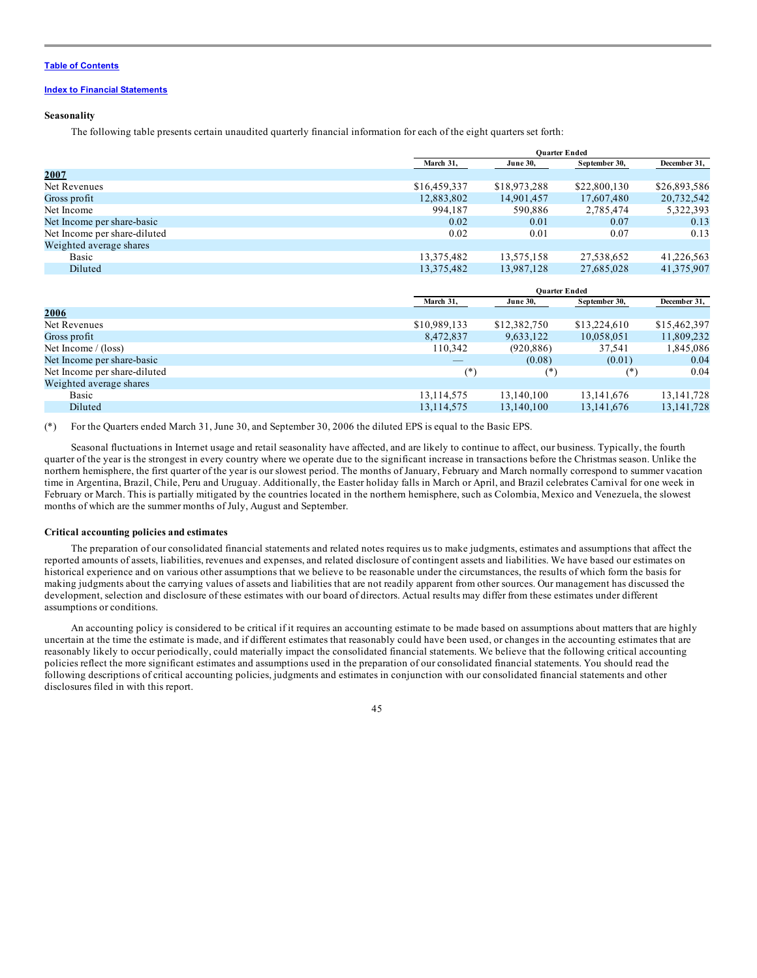# **Index to Financial Statements**

## **Seasonality**

The following table presents certain unaudited quarterly financial information for each of the eight quarters set forth:

|                              |              | <b>Ouarter Ended</b> |               |              |  |  |
|------------------------------|--------------|----------------------|---------------|--------------|--|--|
|                              | March 31,    | <b>June 30,</b>      | September 30, | December 31, |  |  |
| 2007                         |              |                      |               |              |  |  |
| Net Revenues                 | \$16,459,337 | \$18,973,288         | \$22,800,130  | \$26,893,586 |  |  |
| Gross profit                 | 12,883,802   | 14,901,457           | 17,607,480    | 20,732,542   |  |  |
| Net Income                   | 994.187      | 590,886              | 2,785,474     | 5,322,393    |  |  |
| Net Income per share-basic   | 0.02         | 0.01                 | 0.07          | 0.13         |  |  |
| Net Income per share-diluted | 0.02         | 0.01                 | 0.07          | 0.13         |  |  |
| Weighted average shares      |              |                      |               |              |  |  |
| Basic                        | 13,375,482   | 13.575.158           | 27,538,652    | 41,226,563   |  |  |
| Diluted                      | 13.375.482   | 13.987.128           | 27.685.028    | 41,375,907   |  |  |

|                              |                   | <b>Ouarter Ended</b> |               |              |  |  |
|------------------------------|-------------------|----------------------|---------------|--------------|--|--|
|                              | March 31,         | <b>June 30,</b>      | September 30, | December 31, |  |  |
| 2006                         |                   |                      |               |              |  |  |
| Net Revenues                 | \$10,989,133      | \$12,382,750         | \$13,224,610  | \$15,462,397 |  |  |
| Gross profit                 | 8,472,837         | 9,633,122            | 10,058,051    | 11,809,232   |  |  |
| Net Income / (loss)          | 110,342           | (920, 886)           | 37,541        | 1,845,086    |  |  |
| Net Income per share-basic   | $\qquad \qquad -$ | (0.08)               | (0.01)        | 0.04         |  |  |
| Net Income per share-diluted | $(*)$             | (*)                  | $(*$          | 0.04         |  |  |
| Weighted average shares      |                   |                      |               |              |  |  |
| Basic                        | 13, 114, 575      | 13,140,100           | 13, 141, 676  | 13, 141, 728 |  |  |
| Diluted                      | 13, 114, 575      | 13,140,100           | 13, 141, 676  | 13, 141, 728 |  |  |

(\*) For the Quarters ended March 31, June 30, and September 30, 2006 the diluted EPS is equal to the Basic EPS.

Seasonal fluctuations in Internet usage and retail seasonality have affected, and are likely to continue to affect, our business. Typically, the fourth quarter of the year is the strongest in every country where we operate due to the significant increase in transactions before the Christmas season. Unlike the northern hemisphere, the first quarter of the year is our slowest period. The months of January, February and March normally correspond to summer vacation time in Argentina, Brazil, Chile, Peru and Uruguay. Additionally, the Easter holiday falls in March or April, and Brazil celebrates Carnival for one week in February or March. This is partially mitigated by the countries located in the northern hemisphere, such as Colombia, Mexico and Venezuela, the slowest months of which are the summer months of July, August and September.

### **Critical accounting policies and estimates**

The preparation of our consolidated financial statements and related notes requires us to make judgments, estimates and assumptions that affect the reported amounts of assets, liabilities, revenues and expenses, and related disclosure of contingent assets and liabilities. We have based our estimates on historical experience and on various other assumptions that we believe to be reasonable under the circumstances, the results of which form the basis for making judgments about the carrying values of assets and liabilities that are not readily apparent from other sources. Our management has discussed the development, selection and disclosure of these estimates with our board of directors. Actual results may differ from these estimates under different assumptions or conditions.

An accounting policy is considered to be critical if it requires an accounting estimate to be made based on assumptions about matters that are highly uncertain at the time the estimate is made, and if different estimates that reasonably could have been used, or changes in the accounting estimates that are reasonably likely to occur periodically, could materially impact the consolidated financial statements. We believe that the following critical accounting policies reflect the more significant estimates and assumptions used in the preparation of our consolidated financial statements. You should read the following descriptions of critical accounting policies, judgments and estimates in conjunction with our consolidated financial statements and other disclosures filed in with this report.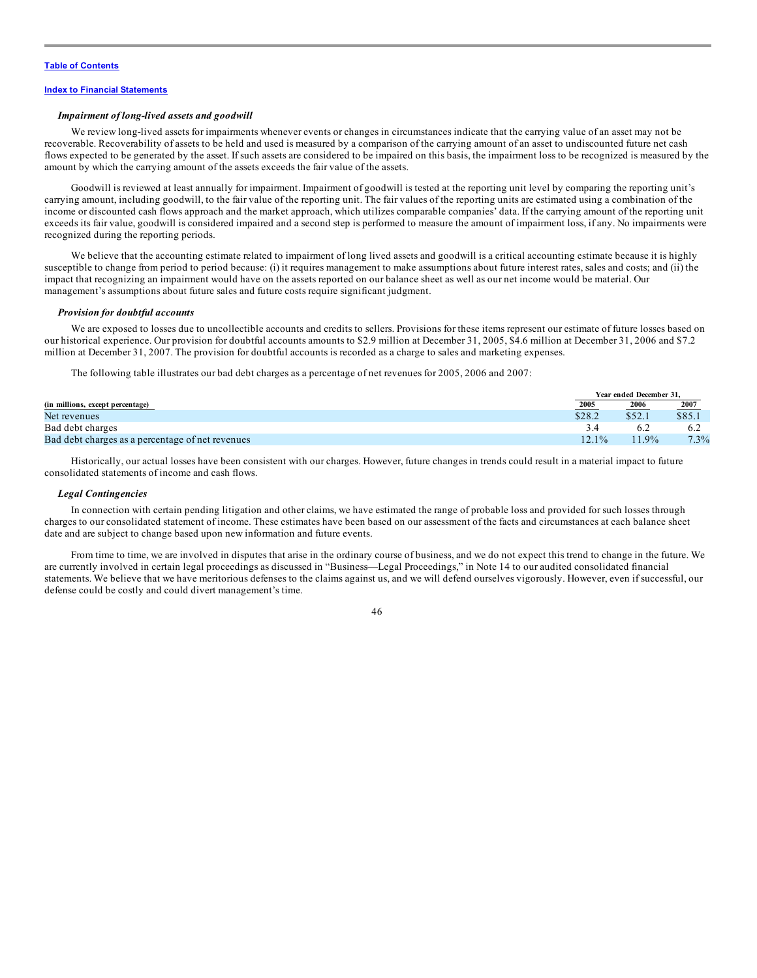## **Index to Financial Statements**

### *Impairment of long-lived assets and goodwill*

We review long-lived assets for impairments whenever events or changes in circumstances indicate that the carrying value of an asset may not be recoverable. Recoverability of assets to be held and used is measured by a comparison of the carrying amount of an asset to undiscounted future net cash flows expected to be generated by the asset. If such assets are considered to be impaired on this basis, the impairment loss to be recognized is measured by the amount by which the carrying amount of the assets exceeds the fair value of the assets.

Goodwill is reviewed at least annually for impairment. Impairment of goodwill is tested at the reporting unit level by comparing the reporting unit's carrying amount, including goodwill, to the fair value of the reporting unit. The fair values of the reporting units are estimated using a combination of the income or discounted cash flows approach and the market approach, which utilizes comparable companies' data. If the carrying amount of the reporting unit exceeds its fair value, goodwill is considered impaired and a second step is performed to measure the amount of impairment loss, if any. No impairments were recognized during the reporting periods.

We believe that the accounting estimate related to impairment of long lived assets and goodwill is a critical accounting estimate because it is highly susceptible to change from period to period because: (i) it requires management to make assumptions about future interest rates, sales and costs; and (ii) the impact that recognizing an impairment would have on the assets reported on our balance sheet as well as our net income would be material. Our management's assumptions about future sales and future costs require significant judgment.

### *Provision for doubtful accounts*

We are exposed to losses due to uncollectible accounts and credits to sellers. Provisions for these items represent our estimate of future losses based on our historical experience. Our provision for doubtful accounts amounts to \$2.9 million at December 31, 2005, \$4.6 million at December 31, 2006 and \$7.2 million at December 31, 2007. The provision for doubtful accounts is recorded as a charge to sales and marketing expenses.

The following table illustrates our bad debt charges as a percentage of net revenues for 2005, 2006 and 2007:

|                                                  |          | Year ended December 31. |         |  |
|--------------------------------------------------|----------|-------------------------|---------|--|
| (in millions, except percentage)                 | 2005     | 2006                    | 2007    |  |
| Net revenues                                     | \$28.2   | \$52.1                  | \$85.1  |  |
| Bad debt charges                                 |          |                         | 6.2     |  |
| Bad debt charges as a percentage of net revenues | $12.1\%$ | 119%                    | $7.3\%$ |  |

Historically, our actual losses have been consistent with our charges. However, future changes in trends could result in a material impact to future consolidated statements of income and cash flows.

## *Legal Contingencies*

In connection with certain pending litigation and other claims, we have estimated the range of probable loss and provided for such losses through charges to our consolidated statement of income. These estimates have been based on our assessment of the facts and circumstances at each balance sheet date and are subject to change based upon new information and future events.

From time to time, we are involved in disputes that arise in the ordinary course of business, and we do not expect this trend to change in the future. We are currently involved in certain legal proceedings as discussed in "Business—Legal Proceedings," in Note 14 to our audited consolidated financial statements. We believe that we have meritorious defenses to the claims against us, and we will defend ourselves vigorously. However, even if successful, our defense could be costly and could divert management's time.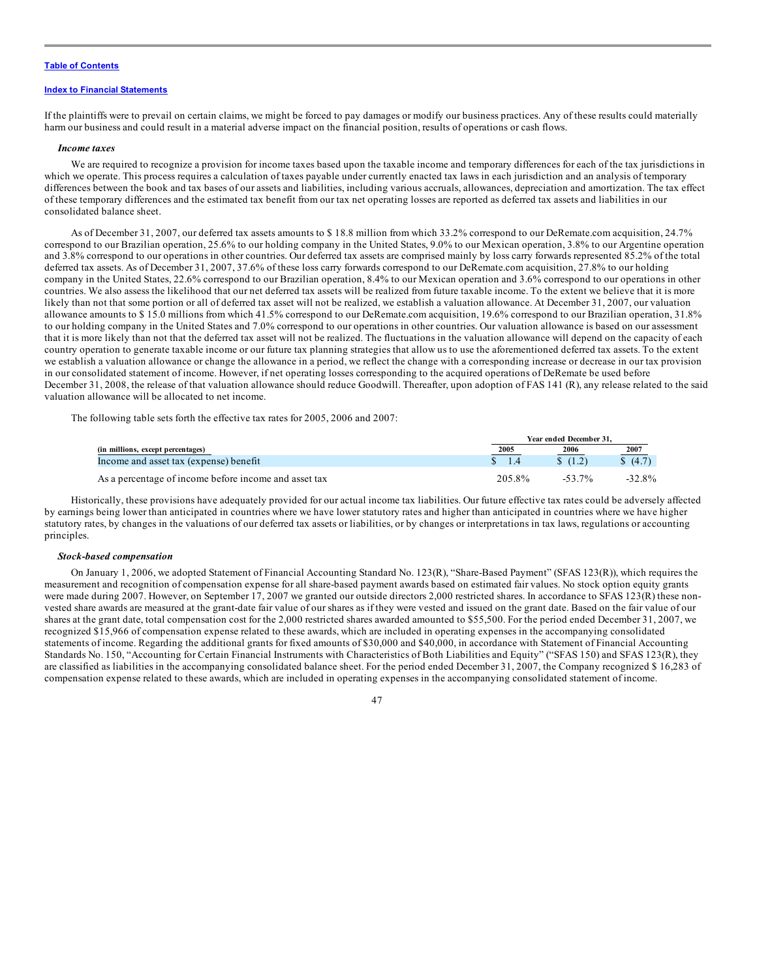# **Index to Financial Statements**

If the plaintiffs were to prevail on certain claims, we might be forced to pay damages or modify our business practices. Any of these results could materially harm our business and could result in a material adverse impact on the financial position, results of operations or cash flows.

#### *Income taxes*

We are required to recognize a provision for income taxes based upon the taxable income and temporary differences for each of the tax jurisdictions in which we operate. This process requires a calculation of taxes payable under currently enacted tax laws in each jurisdiction and an analysis of temporary differences between the book and tax bases of our assets and liabilities, including various accruals, allowances, depreciation and amortization. The tax effect of these temporary differences and the estimated tax benefit from our tax net operating losses are reported as deferred tax assets and liabilities in our consolidated balance sheet.

As of December 31, 2007, our deferred tax assets amounts to \$ 18.8 million from which 33.2% correspond to our DeRemate.com acquisition, 24.7% correspond to our Brazilian operation, 25.6% to our holding company in the United States, 9.0% to our Mexican operation, 3.8% to our Argentine operation and 3.8% correspond to our operations in other countries. Our deferred tax assets are comprised mainly by loss carry forwards represented 85.2% of the total deferred tax assets. As of December 31, 2007, 37.6% of these loss carry forwards correspond to our DeRemate.com acquisition, 27.8% to our holding company in the United States, 22.6% correspond to our Brazilian operation, 8.4% to our Mexican operation and 3.6% correspond to our operations in other countries. We also assess the likelihood that our net deferred tax assets will be realized from future taxable income. To the extent we believe that it is more likely than not that some portion or all of deferred tax asset will not be realized, we establish a valuation allowance. At December 31, 2007, our valuation allowance amounts to \$ 15.0 millions from which 41.5% correspond to our DeRemate.com acquisition, 19.6% correspond to our Brazilian operation, 31.8% to our holding company in the United States and 7.0% correspond to our operations in other countries. Our valuation allowance is based on our assessment that it is more likely than not that the deferred tax asset will not be realized. The fluctuations in the valuation allowance will depend on the capacity of each country operation to generate taxable income or our future tax planning strategies that allow us to use the aforementioned deferred tax assets. To the extent we establish a valuation allowance or change the allowance in a period, we reflect the change with a corresponding increase or decrease in our tax provision in our consolidated statement of income. However, if net operating losses corresponding to the acquired operations of DeRemate be used before December 31, 2008, the release of that valuation allowance should reduce Goodwill. Thereafter, upon adoption of FAS 141 (R), any release related to the said valuation allowance will be allocated to net income.

The following table sets forth the effective tax rates for 2005, 2006 and 2007:

|                                                       |        | Year ended December 31. |           |  |  |  |
|-------------------------------------------------------|--------|-------------------------|-----------|--|--|--|
| (in millions, except percentages)                     | 2005   | 2006                    | 2007      |  |  |  |
| Income and asset tax (expense) benefit                |        |                         | \$(4.7)   |  |  |  |
| As a percentage of income before income and asset tax | 205.8% | $-53.7\%$               | $-32.8\%$ |  |  |  |

Historically, these provisions have adequately provided for our actual income tax liabilities. Our future effective tax rates could be adversely affected by earnings being lower than anticipated in countries where we have lower statutory rates and higher than anticipated in countries where we have higher statutory rates, by changes in the valuations of our deferred tax assets or liabilities, or by changes or interpretations in tax laws, regulations or accounting principles.

### *Stock-based compensation*

On January 1, 2006, we adopted Statement of Financial Accounting Standard No. 123(R), "Share-Based Payment" (SFAS 123(R)), which requires the measurement and recognition of compensation expense for all share-based payment awards based on estimated fair values. No stock option equity grants were made during 2007. However, on September 17, 2007 we granted our outside directors 2,000 restricted shares. In accordance to SFAS 123(R) these nonvested share awards are measured at the grant-date fair value of our shares as if they were vested and issued on the grant date. Based on the fair value of our shares at the grant date, total compensation cost for the 2,000 restricted shares awarded amounted to \$55,500. For the period ended December 31, 2007, we recognized \$15,966 of compensation expense related to these awards, which are included in operating expenses in the accompanying consolidated statements of income. Regarding the additional grants for fixed amounts of \$30,000 and \$40,000, in accordance with Statement of Financial Accounting Standards No. 150, "Accounting for Certain Financial Instruments with Characteristics of Both Liabilities and Equity" ("SFAS 150) and SFAS 123(R), they are classified as liabilities in the accompanying consolidated balance sheet. For the period ended December 31, 2007, the Company recognized \$ 16,283 of compensation expense related to these awards, which are included in operating expenses in the accompanying consolidated statement of income.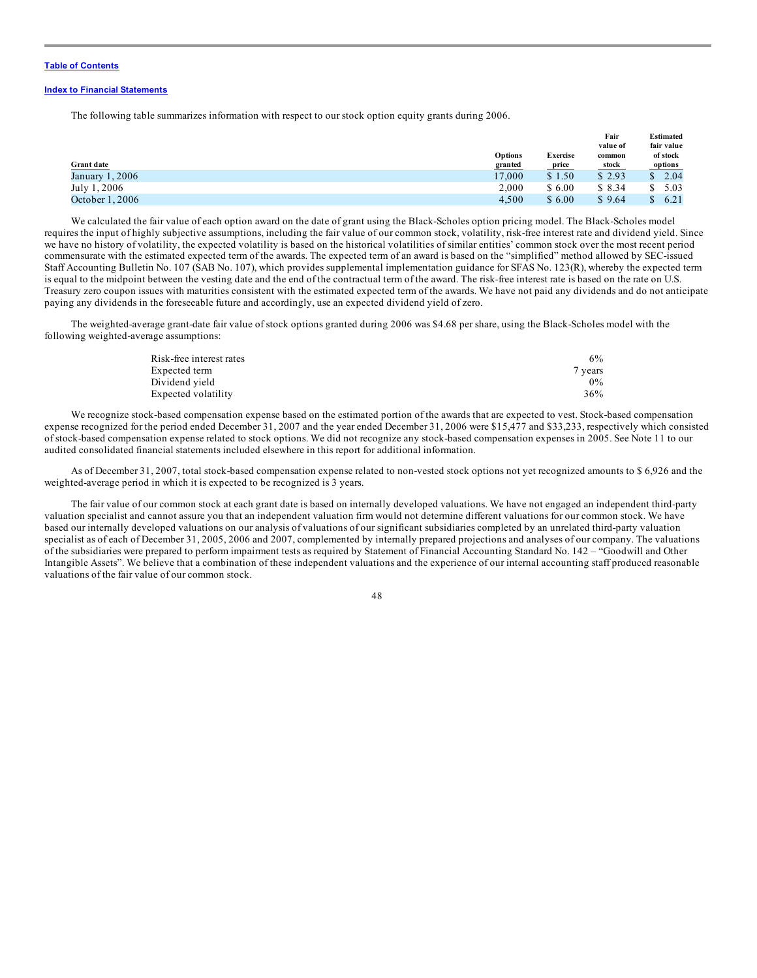# **Index to Financial Statements**

The following table summarizes information with respect to our stock option equity grants during 2006.

|                 |                    |                          | Fair            | <b>Estimated</b>       |
|-----------------|--------------------|--------------------------|-----------------|------------------------|
|                 |                    |                          | value of        | fair value<br>of stock |
| Grant date      | Options<br>granted | <b>Exercise</b><br>price | common<br>stock | options                |
| January 1, 2006 | 17.000             | \$1.50                   | \$2.93          | 2.04<br>\$             |
| July 1, 2006    | 2.000              | \$6.00                   | \$8.34          | 5.03<br>\$             |
| October 1, 2006 | 4.500              | \$6.00                   | \$9.64          | 6.21<br>\$             |

We calculated the fair value of each option award on the date of grant using the Black-Scholes option pricing model. The Black-Scholes model requires the input of highly subjective assumptions, including the fair value of our common stock, volatility, risk-free interest rate and dividend yield. Since we have no history of volatility, the expected volatility is based on the historical volatilities of similar entities' common stock over the most recent period commensurate with the estimated expected term of the awards. The expected term of an award is based on the "simplified" method allowed by SEC-issued Staff Accounting Bulletin No. 107 (SAB No. 107), which provides supplemental implementation guidance for SFAS No. 123(R), whereby the expected term is equal to the midpoint between the vesting date and the end of the contractual term of the award. The risk-free interest rate is based on the rate on U.S. Treasury zero coupon issues with maturities consistent with the estimated expected term of the awards. We have not paid any dividends and do not anticipate paying any dividends in the foreseeable future and accordingly, use an expected dividend yield of zero.

The weighted-average grant-date fair value of stock options granted during 2006 was \$4.68 per share, using the Black-Scholes model with the following weighted-average assumptions:

| Risk-free interest rates | $6\%$   |
|--------------------------|---------|
| Expected term            | 7 years |
| Dividend vield           | $0\%$   |
| Expected volatility      | $36\%$  |

We recognize stock-based compensation expense based on the estimated portion of the awards that are expected to vest. Stock-based compensation expense recognized for the period ended December 31, 2007 and the year ended December 31, 2006 were \$15,477 and \$33,233, respectively which consisted of stock-based compensation expense related to stock options. We did not recognize any stock-based compensation expenses in 2005. See Note 11 to our audited consolidated financial statements included elsewhere in this report for additional information.

As of December 31, 2007, total stock-based compensation expense related to non-vested stock options not yet recognized amounts to \$ 6,926 and the weighted-average period in which it is expected to be recognized is 3 years.

The fair value of our common stock at each grant date is based on internally developed valuations. We have not engaged an independent third-party valuation specialist and cannot assure you that an independent valuation firm would not determine different valuations for our common stock. We have based our internally developed valuations on our analysis of valuations of our significant subsidiaries completed by an unrelated third-party valuation specialist as of each of December 31, 2005, 2006 and 2007, complemented by internally prepared projections and analyses of our company. The valuations of the subsidiaries were prepared to perform impairment tests as required by Statement of Financial Accounting Standard No. 142 – "Goodwill and Other Intangible Assets". We believe that a combination of these independent valuations and the experience of our internal accounting staff produced reasonable valuations of the fair value of our common stock.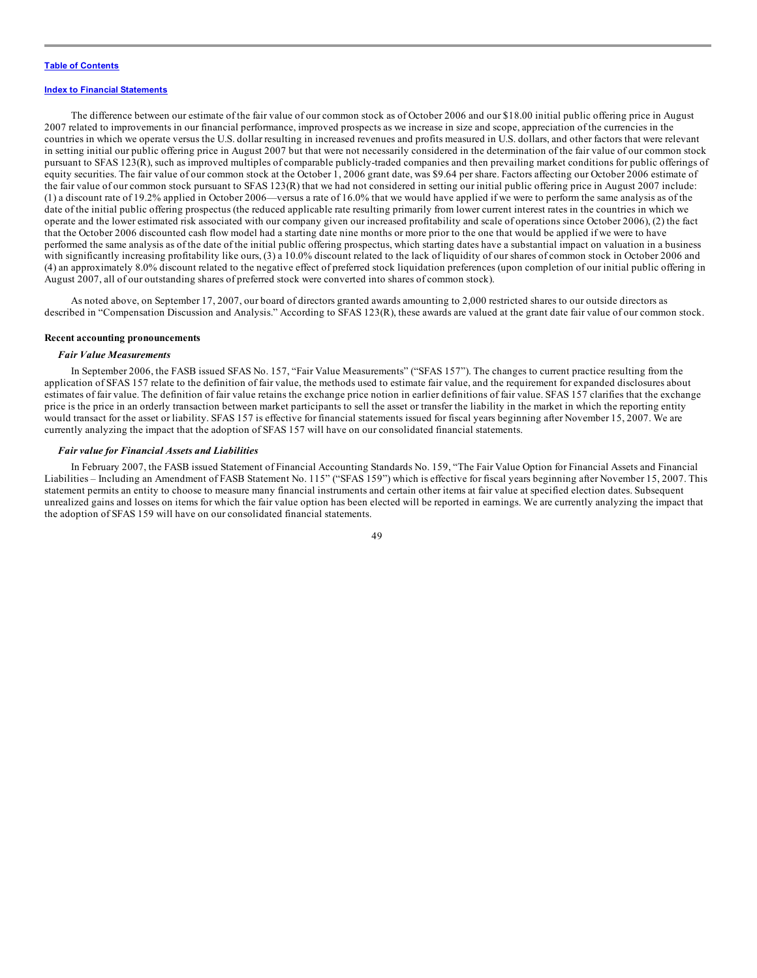# **Index to Financial Statements**

The difference between our estimate of the fair value of our common stock as of October 2006 and our \$18.00 initial public offering price in August 2007 related to improvements in our financial performance, improved prospects as we increase in size and scope, appreciation of the currencies in the countries in which we operate versus the U.S. dollar resulting in increased revenues and profits measured in U.S. dollars, and other factors that were relevant in setting initial our public offering price in August 2007 but that were not necessarily considered in the determination of the fair value of our common stock pursuant to SFAS 123(R), such as improved multiples of comparable publicly-traded companies and then prevailing market conditions for public offerings of equity securities. The fair value of our common stock at the October 1, 2006 grant date, was \$9.64 per share. Factors affecting our October 2006 estimate of the fair value of our common stock pursuant to SFAS 123(R) that we had not considered in setting our initial public offering price in August 2007 include: (1) a discount rate of 19.2% applied in October 2006—versus a rate of 16.0% that we would have applied if we were to perform the same analysis as of the date of the initial public offering prospectus (the reduced applicable rate resulting primarily from lower current interest rates in the countries in which we operate and the lower estimated risk associated with our company given our increased profitability and scale of operations since October 2006), (2) the fact that the October 2006 discounted cash flow model had a starting date nine months or more prior to the one that would be applied if we were to have performed the same analysis as of the date of the initial public offering prospectus, which starting dates have a substantial impact on valuation in a business with significantly increasing profitability like ours, (3) a 10.0% discount related to the lack of liquidity of our shares of common stock in October 2006 and (4) an approximately 8.0% discount related to the negative effect of preferred stock liquidation preferences (upon completion of our initial public offering in August 2007, all of our outstanding shares of preferred stock were converted into shares of common stock).

As noted above, on September 17, 2007, our board of directors granted awards amounting to 2,000 restricted shares to our outside directors as described in "Compensation Discussion and Analysis." According to SFAS 123(R), these awards are valued at the grant date fair value of our common stock.

### **Recent accounting pronouncements**

#### *Fair Value Measurements*

In September 2006, the FASB issued SFAS No. 157, "Fair Value Measurements" ("SFAS 157"). The changes to current practice resulting from the application of SFAS 157 relate to the definition of fair value, the methods used to estimate fair value, and the requirement for expanded disclosures about estimates of fair value. The definition of fair value retains the exchange price notion in earlier definitions of fair value. SFAS 157 clarifies that the exchange price is the price in an orderly transaction between market participants to sell the asset or transfer the liability in the market in which the reporting entity would transact for the asset or liability. SFAS 157 is effective for financial statements issued for fiscal years beginning after November 15, 2007. We are currently analyzing the impact that the adoption of SFAS 157 will have on our consolidated financial statements.

### *Fair value for Financial Assets and Liabilities*

In February 2007, the FASB issued Statement of Financial Accounting Standards No. 159, "The Fair Value Option for Financial Assets and Financial Liabilities – Including an Amendment of FASB Statement No. 115" ("SFAS 159") which is effective for fiscal years beginning after November 15, 2007. This statement permits an entity to choose to measure many financial instruments and certain other items at fair value at specified election dates. Subsequent unrealized gains and losses on items for which the fair value option has been elected will be reported in earnings. We are currently analyzing the impact that the adoption of SFAS 159 will have on our consolidated financial statements.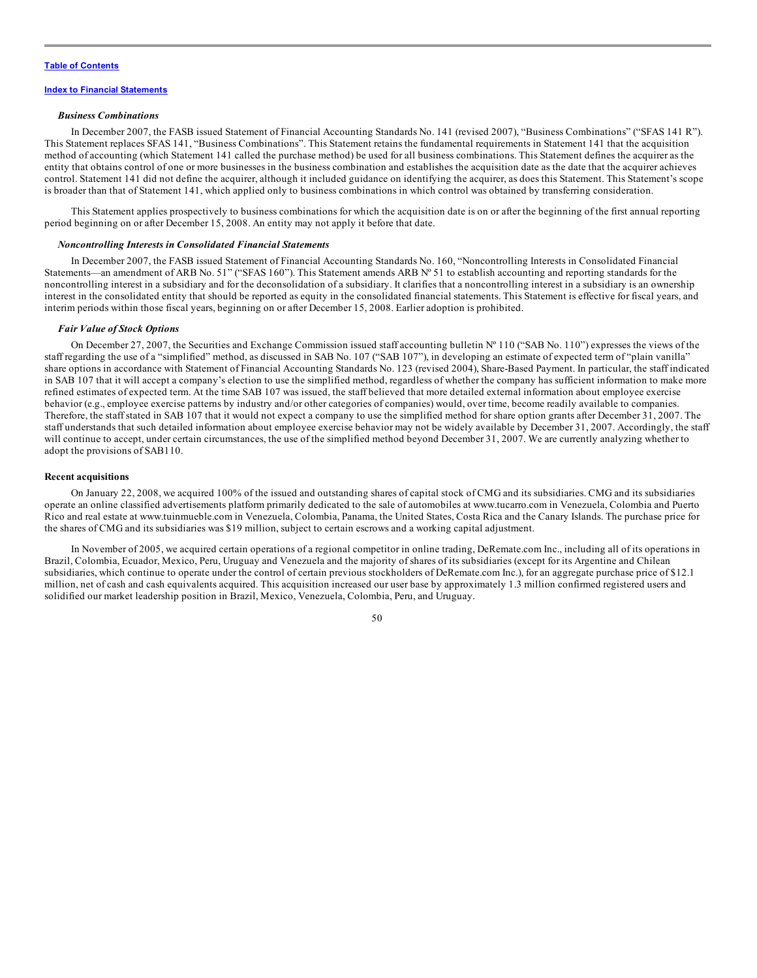# **Index to Financial Statements**

# *Business Combinations*

In December 2007, the FASB issued Statement of Financial Accounting Standards No. 141 (revised 2007), "Business Combinations" ("SFAS 141 R"). This Statement replaces SFAS 141, "Business Combinations". This Statement retains the fundamental requirements in Statement 141 that the acquisition method of accounting (which Statement 141 called the purchase method) be used for all business combinations. This Statement defines the acquirer as the entity that obtains control of one or more businesses in the business combination and establishes the acquisition date as the date that the acquirer achieves control. Statement 141 did not define the acquirer, although it included guidance on identifying the acquirer, as does this Statement. This Statement's scope is broader than that of Statement 141, which applied only to business combinations in which control was obtained by transferring consideration.

This Statement applies prospectively to business combinations for which the acquisition date is on or after the beginning of the first annual reporting period beginning on or after December 15, 2008. An entity may not apply it before that date.

## *Noncontrolling Interests in Consolidated Financial Statements*

In December 2007, the FASB issued Statement of Financial Accounting Standards No. 160, "Noncontrolling Interests in Consolidated Financial Statements—an amendment of ARB No. 51" ("SFAS 160"). This Statement amends ARB Nº 51 to establish accounting and reporting standards for the noncontrolling interest in a subsidiary and for the deconsolidation of a subsidiary. It clarifies that a noncontrolling interest in a subsidiary is an ownership interest in the consolidated entity that should be reported as equity in the consolidated financial statements. This Statement is effective for fiscal years, and interim periods within those fiscal years, beginning on or after December 15, 2008. Earlier adoption is prohibited.

## *Fair Value of Stock Options*

On December 27, 2007, the Securities and Exchange Commission issued staff accounting bulletin Nº 110 ("SAB No. 110") expresses the views of the staff regarding the use of a "simplified" method, as discussed in SAB No. 107 ("SAB 107"), in developing an estimate of expected term of "plain vanilla" share options in accordance with Statement of Financial Accounting Standards No. 123 (revised 2004), Share-Based Payment. In particular, the staff indicated in SAB 107 that it will accept a company's election to use the simplified method, regardless of whether the company has sufficient information to make more refined estimates of expected term. At the time SAB 107 was issued, the staff believed that more detailed external information about employee exercise behavior (e.g., employee exercise patterns by industry and/or other categories of companies) would, over time, become readily available to companies. Therefore, the staff stated in SAB 107 that it would not expect a company to use the simplified method for share option grants after December 31, 2007. The staff understands that such detailed information about employee exercise behavior may not be widely available by December 31, 2007. Accordingly, the staff will continue to accept, under certain circumstances, the use of the simplified method beyond December 31, 2007. We are currently analyzing whether to adopt the provisions of SAB110.

### **Recent acquisitions**

On January 22, 2008, we acquired 100% of the issued and outstanding shares of capital stock of CMG and its subsidiaries. CMG and its subsidiaries operate an online classified advertisements platform primarily dedicated to the sale of automobiles at www.tucarro.com in Venezuela, Colombia and Puerto Rico and real estate at www.tuinmueble.com in Venezuela, Colombia, Panama, the United States, Costa Rica and the Canary Islands. The purchase price for the shares of CMG and its subsidiaries was \$19 million, subject to certain escrows and a working capital adjustment.

In November of 2005, we acquired certain operations of a regional competitor in online trading, DeRemate.com Inc., including all of its operations in Brazil, Colombia, Ecuador, Mexico, Peru, Uruguay and Venezuela and the majority of shares of its subsidiaries (except for its Argentine and Chilean subsidiaries, which continue to operate under the control of certain previous stockholders of DeRemate.com Inc.), for an aggregate purchase price of \$12.1 million, net of cash and cash equivalents acquired. This acquisition increased our user base by approximately 1.3 million confirmed registered users and solidified our market leadership position in Brazil, Mexico, Venezuela, Colombia, Peru, and Uruguay.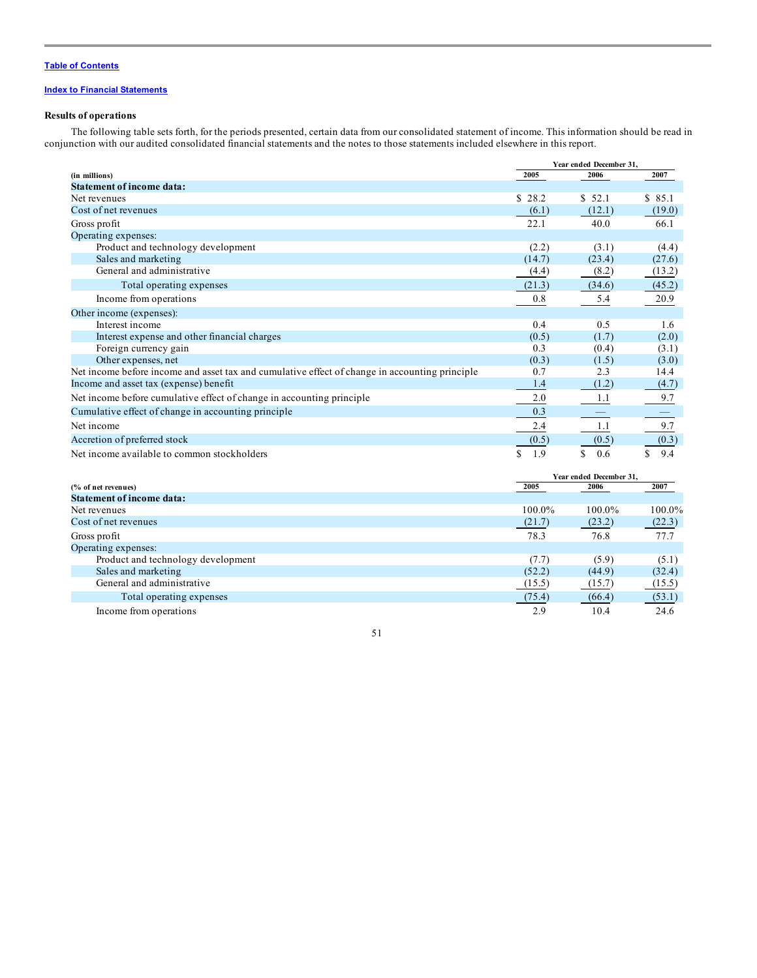# **Index to Financial Statements**

# **Results of operations**

The following table sets forth, for the periods presented, certain data from our consolidated statement of income. This information should be read in conjunction with our audited consolidated financial statements and the notes to those statements included elsewhere in this report.

|                                                                                                | Year ended December 31, |           |        |
|------------------------------------------------------------------------------------------------|-------------------------|-----------|--------|
| (in millions)                                                                                  | 2005                    | 2006      | 2007   |
| <b>Statement of income data:</b>                                                               |                         |           |        |
| Net revenues                                                                                   | \$28.2                  | \$52.1    | \$85.1 |
| Cost of net revenues                                                                           | (6.1)                   | (12.1)    | (19.0) |
| Gross profit                                                                                   | 22.1                    | 40.0      | 66.1   |
| Operating expenses:                                                                            |                         |           |        |
| Product and technology development                                                             | (2.2)                   | (3.1)     | (4.4)  |
| Sales and marketing                                                                            | (14.7)                  | (23.4)    | (27.6) |
| General and administrative                                                                     | (4.4)                   | (8.2)     | (13.2) |
| Total operating expenses                                                                       | (21.3)                  | (34.6)    | (45.2) |
| Income from operations                                                                         | 0.8                     | 5.4       | 20.9   |
| Other income (expenses):                                                                       |                         |           |        |
| Interest income                                                                                | 0.4                     | 0.5       | 1.6    |
| Interest expense and other financial charges                                                   | (0.5)                   | (1.7)     | (2.0)  |
| Foreign currency gain                                                                          | 0.3                     | (0.4)     | (3.1)  |
| Other expenses, net                                                                            | (0.3)                   | (1.5)     | (3.0)  |
| Net income before income and asset tax and cumulative effect of change in accounting principle | 0.7                     | 2.3       | 14.4   |
| Income and asset tax (expense) benefit                                                         | 1.4                     | (1.2)     | (4.7)  |
| Net income before cumulative effect of change in accounting principle                          | 2.0                     | 1.1       | 9.7    |
| Cumulative effect of change in accounting principle                                            | 0.3                     |           |        |
| Net income                                                                                     | 2.4                     | 1.1       | 9.7    |
| Accretion of preferred stock                                                                   | (0.5)                   | (0.5)     | (0.3)  |
| Net income available to common stockholders                                                    | \$<br>1.9               | S.<br>0.6 | 9.4    |

|                                    |        | Year ended December 31, |        |
|------------------------------------|--------|-------------------------|--------|
| (% of net revenues)                | 2005   | 2006                    | 2007   |
| <b>Statement of income data:</b>   |        |                         |        |
| Net revenues                       | 100.0% | 100.0%                  | 100.0% |
| Cost of net revenues               | (21.7) | (23.2)                  | (22.3) |
| Gross profit                       | 78.3   | 76.8                    | 77.7   |
| Operating expenses:                |        |                         |        |
| Product and technology development | (7.7)  | (5.9)                   | (5.1)  |
| Sales and marketing                | (52.2) | (44.9)                  | (32.4) |
| General and administrative         | (15.5) | (15.7)                  | (15.5) |
| Total operating expenses           | (75.4) | (66.4)                  | (53.1) |
| Income from operations             | 2.9    | 10.4                    | 24.6   |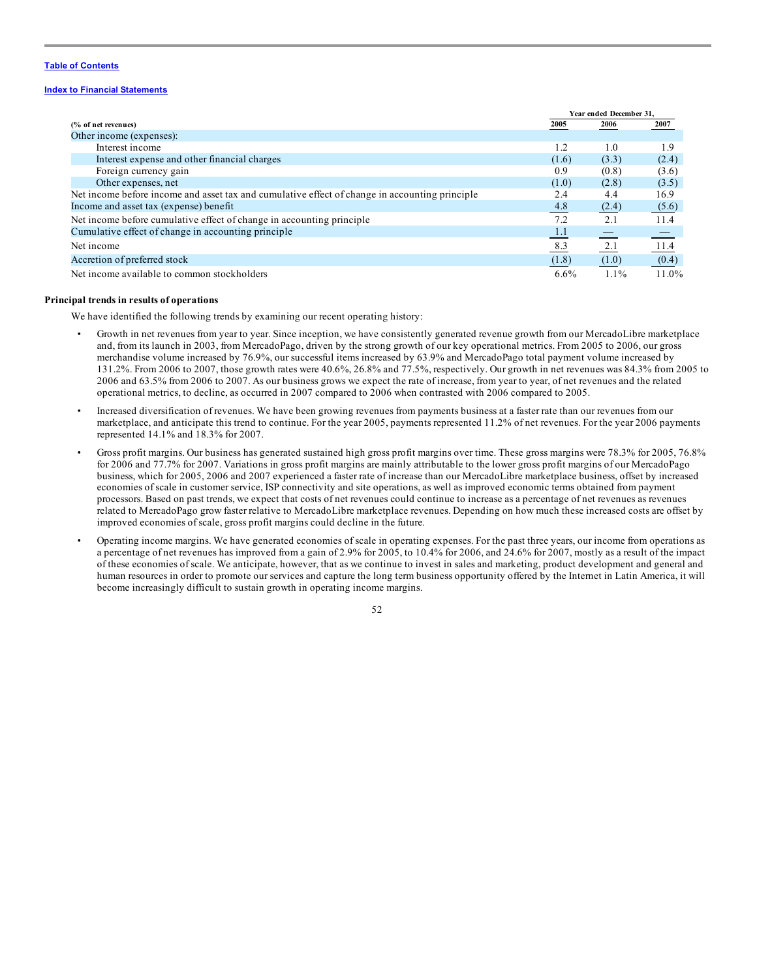# **Index to Financial Statements**

|                                                                                                |       | Year ended December 31, |        |
|------------------------------------------------------------------------------------------------|-------|-------------------------|--------|
| (% of net revenues)                                                                            | 2005  | 2006                    | 2007   |
| Other income (expenses):                                                                       |       |                         |        |
| Interest income                                                                                | 1.2   | 1.0                     | 1.9    |
| Interest expense and other financial charges                                                   | (1.6) | (3.3)                   | (2.4)  |
| Foreign currency gain                                                                          | 0.9   | (0.8)                   | (3.6)  |
| Other expenses, net                                                                            | (1.0) | (2.8)                   | (3.5)  |
| Net income before income and asset tax and cumulative effect of change in accounting principle | 2.4   | 4.4                     | 16.9   |
| Income and asset tax (expense) benefit                                                         | 4.8   | (2.4)                   | (5.6)  |
| Net income before cumulative effect of change in accounting principle                          | 7.2   | 2.1                     | 11.4   |
| Cumulative effect of change in accounting principle                                            | 1.1   |                         | $\sim$ |
| Net income                                                                                     | 8.3   | 2.1                     | 11.4   |
| Accretion of preferred stock                                                                   | (1.8) | (1.0)                   | (0.4)  |
| Net income available to common stockholders                                                    | 6.6%  | $1.1\%$                 | 11.0%  |

# **Principal trends in results of operations**

We have identified the following trends by examining our recent operating history:

- Growth in net revenues from year to year. Since inception, we have consistently generated revenue growth from our MercadoLibre marketplace and, from its launch in 2003, from MercadoPago, driven by the strong growth of our key operational metrics. From 2005 to 2006, our gross merchandise volume increased by 76.9%, our successful items increased by 63.9% and MercadoPago total payment volume increased by 131.2%. From 2006 to 2007, those growth rates were 40.6%, 26.8% and 77.5%, respectively. Our growth in net revenues was 84.3% from 2005 to 2006 and 63.5% from 2006 to 2007. As our business grows we expect the rate of increase, from year to year, of net revenues and the related operational metrics, to decline, as occurred in 2007 compared to 2006 when contrasted with 2006 compared to 2005.
- Increased diversification of revenues. We have been growing revenues from payments business at a faster rate than our revenues from our marketplace, and anticipate this trend to continue. For the year 2005, payments represented 11.2% of net revenues. For the year 2006 payments represented 14.1% and 18.3% for 2007.
- Gross profit margins. Our business has generated sustained high gross profit margins over time. These gross margins were 78.3% for 2005, 76.8% for 2006 and 77.7% for 2007. Variations in gross profit margins are mainly attributable to the lower gross profit margins of our MercadoPago business, which for 2005, 2006 and 2007 experienced a faster rate of increase than our MercadoLibre marketplace business, offset by increased economies of scale in customer service, ISP connectivity and site operations, as well as improved economic terms obtained from payment processors. Based on past trends, we expect that costs of net revenues could continue to increase as a percentage of net revenues as revenues related to MercadoPago grow faster relative to MercadoLibre marketplace revenues. Depending on how much these increased costs are offset by improved economies of scale, gross profit margins could decline in the future.
- Operating income margins. We have generated economies of scale in operating expenses. For the past three years, our income from operations as a percentage of net revenues has improved from a gain of 2.9% for 2005, to 10.4% for 2006, and 24.6% for 2007, mostly as a result of the impact of these economies of scale. We anticipate, however, that as we continue to invest in sales and marketing, product development and general and human resources in order to promote our services and capture the long term business opportunity offered by the Internet in Latin America, it will become increasingly difficult to sustain growth in operating income margins.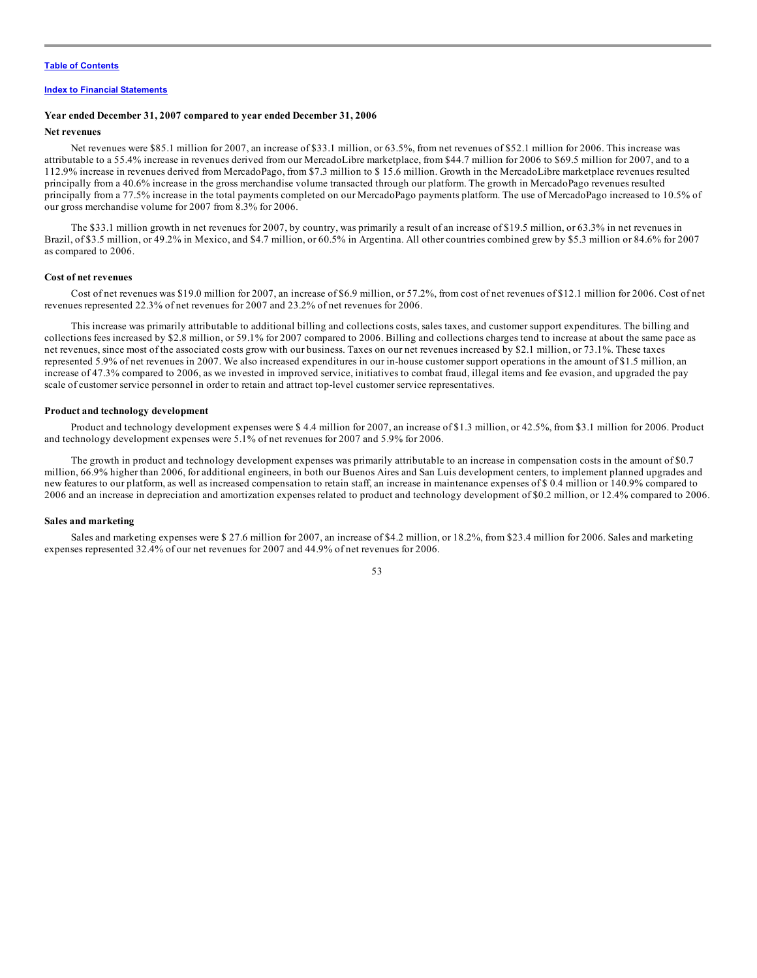# **Index to Financial Statements**

## **Year ended December 31, 2007 compared to year ended December 31, 2006**

#### **Net revenues**

Net revenues were \$85.1 million for 2007, an increase of \$33.1 million, or 63.5%, from net revenues of \$52.1 million for 2006. This increase was attributable to a 55.4% increase in revenues derived from our MercadoLibre marketplace, from \$44.7 million for 2006 to \$69.5 million for 2007, and to a 112.9% increase in revenues derived from MercadoPago, from \$7.3 million to \$ 15.6 million. Growth in the MercadoLibre marketplace revenues resulted principally from a 40.6% increase in the gross merchandise volume transacted through our platform. The growth in MercadoPago revenues resulted principally from a 77.5% increase in the total payments completed on our MercadoPago payments platform. The use of MercadoPago increased to 10.5% of our gross merchandise volume for 2007 from 8.3% for 2006.

The \$33.1 million growth in net revenues for 2007, by country, was primarily a result of an increase of \$19.5 million, or 63.3% in net revenues in Brazil, of \$3.5 million, or 49.2% in Mexico, and \$4.7 million, or 60.5% in Argentina. All other countries combined grew by \$5.3 million or 84.6% for 2007 as compared to 2006.

### **Cost of net revenues**

Cost of net revenues was \$19.0 million for 2007, an increase of \$6.9 million, or 57.2%, from cost of net revenues of \$12.1 million for 2006. Cost of net revenues represented 22.3% of net revenues for 2007 and 23.2% of net revenues for 2006.

This increase was primarily attributable to additional billing and collections costs, sales taxes, and customer support expenditures. The billing and collections fees increased by \$2.8 million, or 59.1% for 2007 compared to 2006. Billing and collections charges tend to increase at about the same pace as net revenues, since most of the associated costs grow with our business. Taxes on our net revenues increased by \$2.1 million, or 73.1%. These taxes represented 5.9% of net revenues in 2007. We also increased expenditures in our in-house customer support operations in the amount of \$1.5 million, an increase of 47.3% compared to 2006, as we invested in improved service, initiatives to combat fraud, illegal items and fee evasion, and upgraded the pay scale of customer service personnel in order to retain and attract top-level customer service representatives.

#### **Product and technology development**

Product and technology development expenses were \$ 4.4 million for 2007, an increase of \$1.3 million, or 42.5%, from \$3.1 million for 2006. Product and technology development expenses were 5.1% of net revenues for 2007 and 5.9% for 2006.

The growth in product and technology development expenses was primarily attributable to an increase in compensation costs in the amount of \$0.7 million, 66.9% higher than 2006, for additional engineers, in both our Buenos Aires and San Luis development centers, to implement planned upgrades and new features to our platform, as well as increased compensation to retain staff, an increase in maintenance expenses of \$ 0.4 million or 140.9% compared to 2006 and an increase in depreciation and amortization expenses related to product and technology development of \$0.2 million, or 12.4% compared to 2006.

### **Sales and marketing**

Sales and marketing expenses were \$ 27.6 million for 2007, an increase of \$4.2 million, or 18.2%, from \$23.4 million for 2006. Sales and marketing expenses represented 32.4% of our net revenues for 2007 and 44.9% of net revenues for 2006.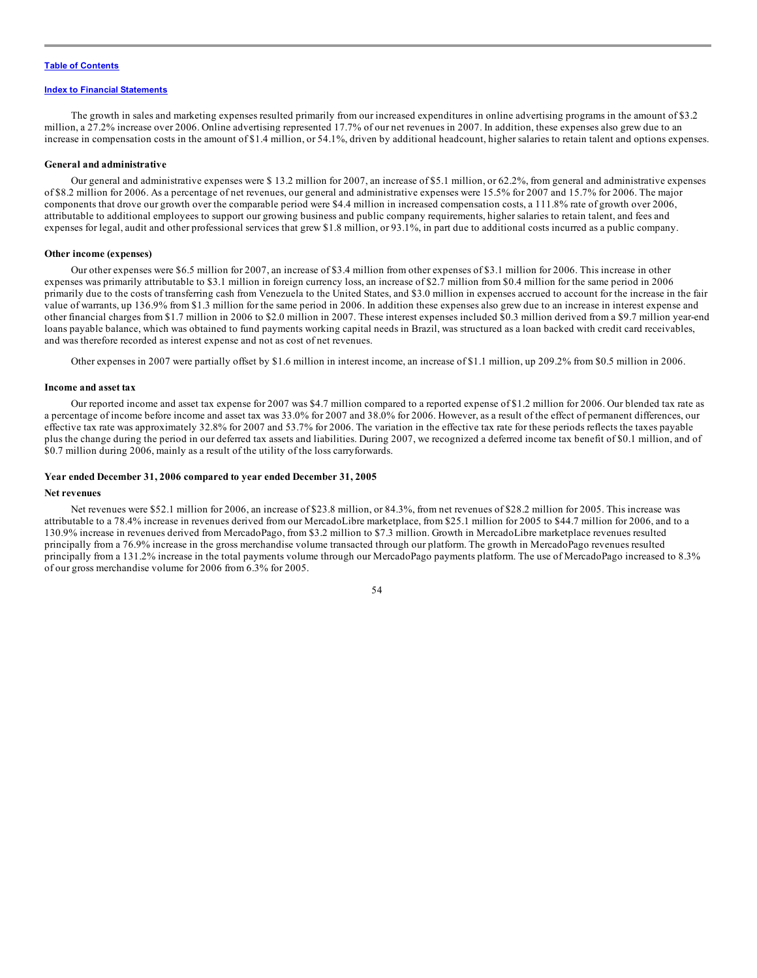# **Index to Financial Statements**

The growth in sales and marketing expenses resulted primarily from our increased expenditures in online advertising programs in the amount of \$3.2 million, a 27.2% increase over 2006. Online advertising represented 17.7% of our net revenues in 2007. In addition, these expenses also grew due to an increase in compensation costs in the amount of \$1.4 million, or 54.1%, driven by additional headcount, higher salaries to retain talent and options expenses.

### **General and administrative**

Our general and administrative expenses were \$ 13.2 million for 2007, an increase of \$5.1 million, or 62.2%, from general and administrative expenses of \$8.2 million for 2006. As a percentage of net revenues, our general and administrative expenses were 15.5% for 2007 and 15.7% for 2006. The major components that drove our growth over the comparable period were \$4.4 million in increased compensation costs, a 111.8% rate of growth over 2006, attributable to additional employees to support our growing business and public company requirements, higher salaries to retain talent, and fees and expenses for legal, audit and other professional services that grew \$1.8 million, or 93.1%, in part due to additional costs incurred as a public company.

#### **Other income (expenses)**

Our other expenses were \$6.5 million for 2007, an increase of \$3.4 million from other expenses of \$3.1 million for 2006. This increase in other expenses was primarily attributable to \$3.1 million in foreign currency loss, an increase of \$2.7 million from \$0.4 million for the same period in 2006 primarily due to the costs of transferring cash from Venezuela to the United States, and \$3.0 million in expenses accrued to account for the increase in the fair value of warrants, up 136.9% from \$1.3 million for the same period in 2006. In addition these expenses also grew due to an increase in interest expense and other financial charges from \$1.7 million in 2006 to \$2.0 million in 2007. These interest expenses included \$0.3 million derived from a \$9.7 million year-end loans payable balance, which was obtained to fund payments working capital needs in Brazil, was structured as a loan backed with credit card receivables, and was therefore recorded as interest expense and not as cost of net revenues.

Other expenses in 2007 were partially offset by \$1.6 million in interest income, an increase of \$1.1 million, up 209.2% from \$0.5 million in 2006.

#### **Income and asset tax**

Our reported income and asset tax expense for 2007 was \$4.7 million compared to a reported expense of \$1.2 million for 2006. Our blended tax rate as a percentage of income before income and asset tax was 33.0% for 2007 and 38.0% for 2006. However, as a result of the effect of permanent differences, our effective tax rate was approximately 32.8% for 2007 and 53.7% for 2006. The variation in the effective tax rate for these periods reflects the taxes payable plus the change during the period in our deferred tax assets and liabilities. During 2007, we recognized a deferred income tax benefit of \$0.1 million, and of \$0.7 million during 2006, mainly as a result of the utility of the loss carryforwards.

### **Year ended December 31, 2006 compared to year ended December 31, 2005**

#### **Net revenues**

Net revenues were \$52.1 million for 2006, an increase of \$23.8 million, or 84.3%, from net revenues of \$28.2 million for 2005. This increase was attributable to a 78.4% increase in revenues derived from our MercadoLibre marketplace, from \$25.1 million for 2005 to \$44.7 million for 2006, and to a 130.9% increase in revenues derived from MercadoPago, from \$3.2 million to \$7.3 million. Growth in MercadoLibre marketplace revenues resulted principally from a 76.9% increase in the gross merchandise volume transacted through our platform. The growth in MercadoPago revenues resulted principally from a 131.2% increase in the total payments volume through our MercadoPago payments platform. The use of MercadoPago increased to 8.3% of our gross merchandise volume for 2006 from 6.3% for 2005.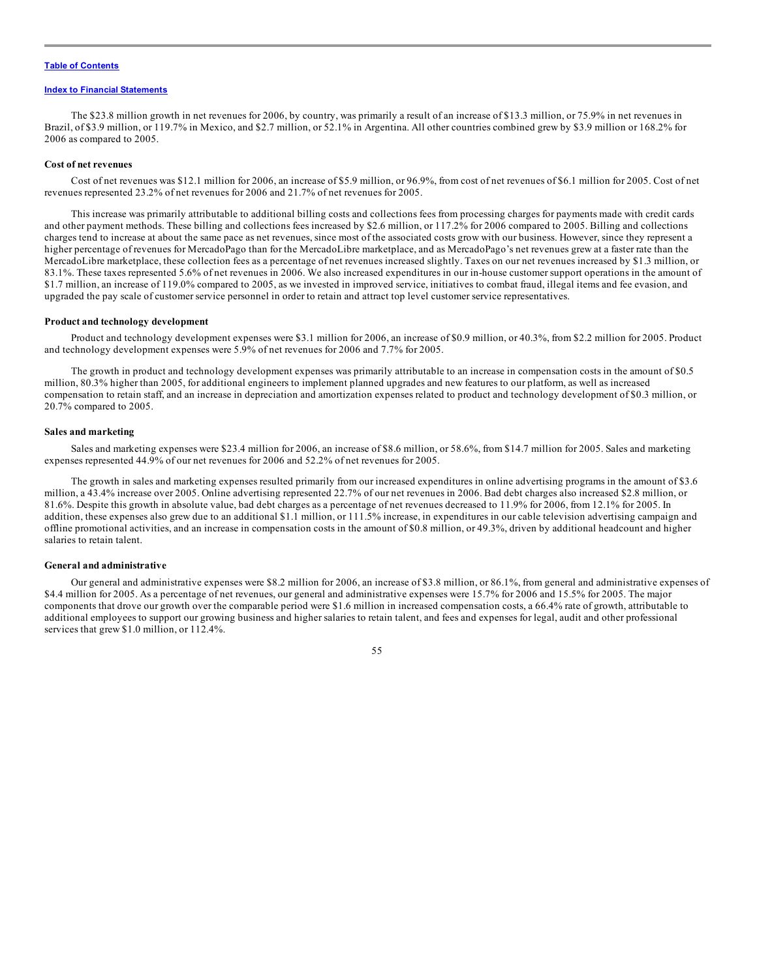# **Index to Financial Statements**

The \$23.8 million growth in net revenues for 2006, by country, was primarily a result of an increase of \$13.3 million, or 75.9% in net revenues in Brazil, of \$3.9 million, or 119.7% in Mexico, and \$2.7 million, or 52.1% in Argentina. All other countries combined grew by \$3.9 million or 168.2% for 2006 as compared to 2005.

### **Cost of net revenues**

Cost of net revenues was \$12.1 million for 2006, an increase of \$5.9 million, or 96.9%, from cost of net revenues of \$6.1 million for 2005. Cost of net revenues represented 23.2% of net revenues for 2006 and 21.7% of net revenues for 2005.

This increase was primarily attributable to additional billing costs and collections fees from processing charges for payments made with credit cards and other payment methods. These billing and collections fees increased by \$2.6 million, or 117.2% for 2006 compared to 2005. Billing and collections charges tend to increase at about the same pace as net revenues, since most of the associated costs grow with our business. However, since they represent a higher percentage of revenues for MercadoPago than for the MercadoLibre marketplace, and as MercadoPago's net revenues grew at a faster rate than the MercadoLibre marketplace, these collection fees as a percentage of net revenues increased slightly. Taxes on our net revenues increased by \$1.3 million, or 83.1%. These taxes represented 5.6% of net revenues in 2006. We also increased expenditures in our in-house customer support operations in the amount of \$1.7 million, an increase of 119.0% compared to 2005, as we invested in improved service, initiatives to combat fraud, illegal items and fee evasion, and upgraded the pay scale of customer service personnel in order to retain and attract top level customer service representatives.

#### **Product and technology development**

Product and technology development expenses were \$3.1 million for 2006, an increase of \$0.9 million, or 40.3%, from \$2.2 million for 2005. Product and technology development expenses were 5.9% of net revenues for 2006 and 7.7% for 2005.

The growth in product and technology development expenses was primarily attributable to an increase in compensation costs in the amount of \$0.5 million, 80.3% higher than 2005, for additional engineers to implement planned upgrades and new features to our platform, as well as increased compensation to retain staff, and an increase in depreciation and amortization expenses related to product and technology development of \$0.3 million, or 20.7% compared to 2005.

### **Sales and marketing**

Sales and marketing expenses were \$23.4 million for 2006, an increase of \$8.6 million, or 58.6%, from \$14.7 million for 2005. Sales and marketing expenses represented 44.9% of our net revenues for 2006 and 52.2% of net revenues for 2005.

The growth in sales and marketing expenses resulted primarily from our increased expenditures in online advertising programs in the amount of \$3.6 million, a 43.4% increase over 2005. Online advertising represented 22.7% of our net revenues in 2006. Bad debt charges also increased \$2.8 million, or 81.6%. Despite this growth in absolute value, bad debt charges as a percentage of net revenues decreased to 11.9% for 2006, from 12.1% for 2005. In addition, these expenses also grew due to an additional \$1.1 million, or 111.5% increase, in expenditures in our cable television advertising campaign and offline promotional activities, and an increase in compensation costs in the amount of \$0.8 million, or 49.3%, driven by additional headcount and higher salaries to retain talent.

### **General and administrative**

Our general and administrative expenses were \$8.2 million for 2006, an increase of \$3.8 million, or 86.1%, from general and administrative expenses of \$4.4 million for 2005. As a percentage of net revenues, our general and administrative expenses were 15.7% for 2006 and 15.5% for 2005. The major components that drove our growth over the comparable period were \$1.6 million in increased compensation costs, a 66.4% rate of growth, attributable to additional employees to support our growing business and higher salaries to retain talent, and fees and expenses for legal, audit and other professional services that grew \$1.0 million, or 112.4%.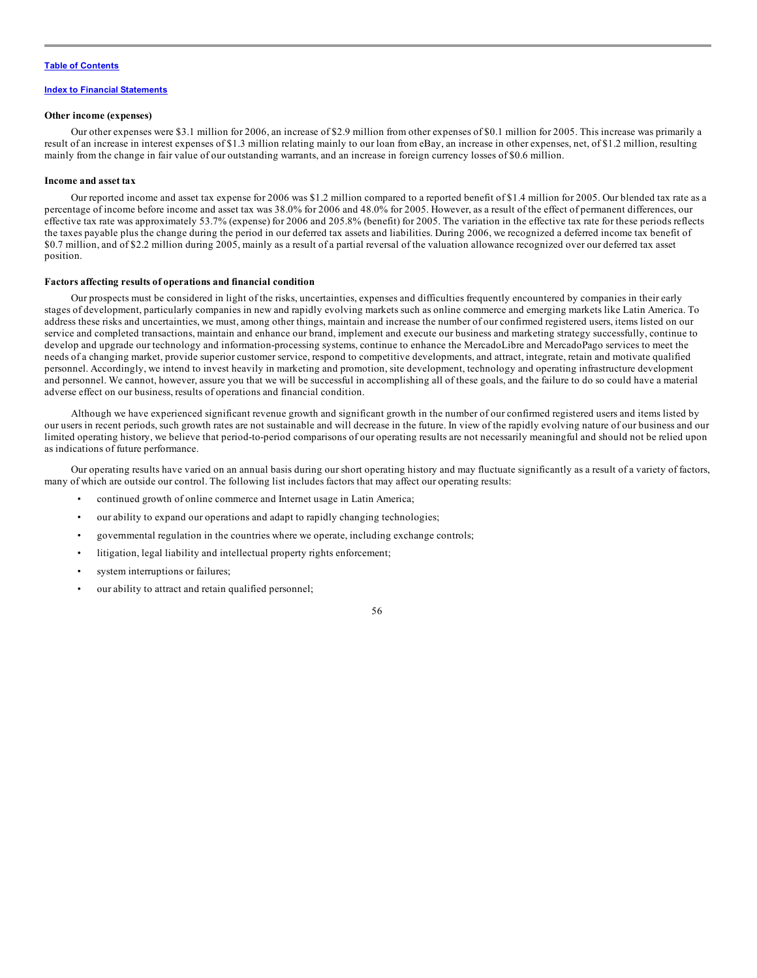## **Index to Financial Statements**

### **Other income (expenses)**

Our other expenses were \$3.1 million for 2006, an increase of \$2.9 million from other expenses of \$0.1 million for 2005. This increase was primarily a result of an increase in interest expenses of \$1.3 million relating mainly to our loan from eBay, an increase in other expenses, net, of \$1.2 million, resulting mainly from the change in fair value of our outstanding warrants, and an increase in foreign currency losses of \$0.6 million.

## **Income and asset tax**

Our reported income and asset tax expense for 2006 was \$1.2 million compared to a reported benefit of \$1.4 million for 2005. Our blended tax rate as a percentage of income before income and asset tax was 38.0% for 2006 and 48.0% for 2005. However, as a result of the effect of permanent differences, our effective tax rate was approximately 53.7% (expense) for 2006 and 205.8% (benefit) for 2005. The variation in the effective tax rate for these periods reflects the taxes payable plus the change during the period in our deferred tax assets and liabilities. During 2006, we recognized a deferred income tax benefit of \$0.7 million, and of \$2.2 million during 2005, mainly as a result of a partial reversal of the valuation allowance recognized over our deferred tax asset position.

#### **Factors affecting results of operations and financial condition**

Our prospects must be considered in light of the risks, uncertainties, expenses and difficulties frequently encountered by companies in their early stages of development, particularly companies in new and rapidly evolving markets such as online commerce and emerging markets like Latin America. To address these risks and uncertainties, we must, among other things, maintain and increase the number of our confirmed registered users, items listed on our service and completed transactions, maintain and enhance our brand, implement and execute our business and marketing strategy successfully, continue to develop and upgrade our technology and information-processing systems, continue to enhance the MercadoLibre and MercadoPago services to meet the needs of a changing market, provide superior customer service, respond to competitive developments, and attract, integrate, retain and motivate qualified personnel. Accordingly, we intend to invest heavily in marketing and promotion, site development, technology and operating infrastructure development and personnel. We cannot, however, assure you that we will be successful in accomplishing all of these goals, and the failure to do so could have a material adverse effect on our business, results of operations and financial condition.

Although we have experienced significant revenue growth and significant growth in the number of our confirmed registered users and items listed by our users in recent periods, such growth rates are not sustainable and will decrease in the future. In view of the rapidly evolving nature of our business and our limited operating history, we believe that period-to-period comparisons of our operating results are not necessarily meaningful and should not be relied upon as indications of future performance.

Our operating results have varied on an annual basis during our short operating history and may fluctuate significantly as a result of a variety of factors, many of which are outside our control. The following list includes factors that may affect our operating results:

- continued growth of online commerce and Internet usage in Latin America;
- our ability to expand our operations and adapt to rapidly changing technologies;
- governmental regulation in the countries where we operate, including exchange controls;
- litigation, legal liability and intellectual property rights enforcement;
- system interruptions or failures;
- our ability to attract and retain qualified personnel;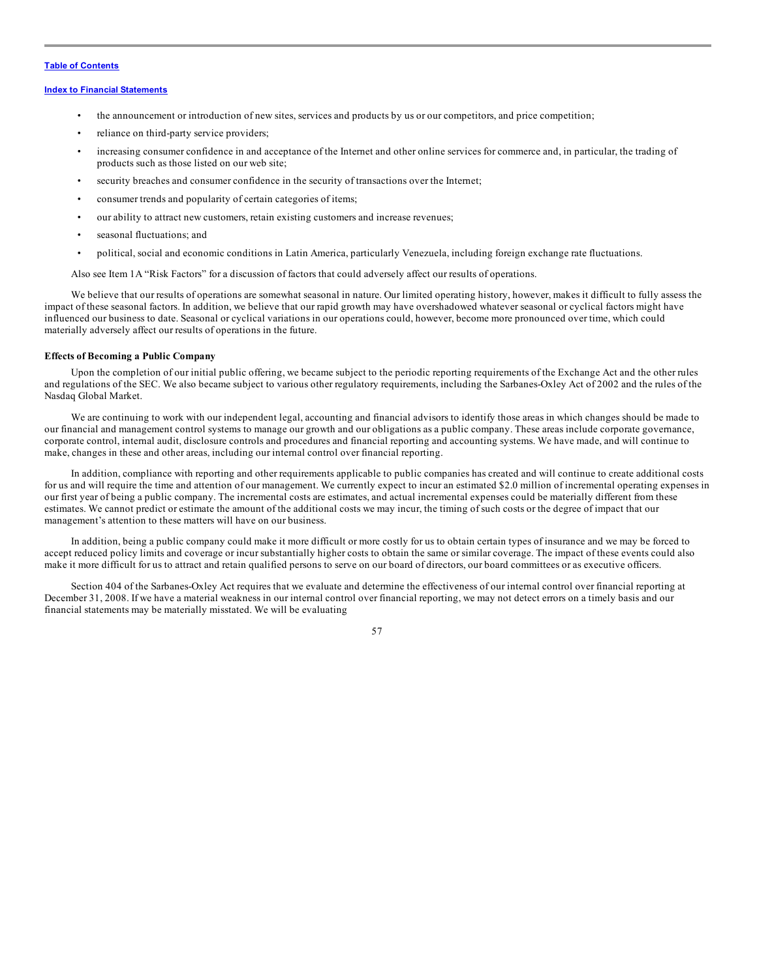# **Index to Financial Statements**

- the announcement or introduction of new sites, services and products by us or our competitors, and price competition;
- reliance on third-party service providers;
- increasing consumer confidence in and acceptance of the Internet and other online services for commerce and, in particular, the trading of products such as those listed on our web site;
- security breaches and consumer confidence in the security of transactions over the Internet;
- consumer trends and popularity of certain categories of items;
- our ability to attract new customers, retain existing customers and increase revenues;
- seasonal fluctuations; and
- political, social and economic conditions in Latin America, particularly Venezuela, including foreign exchange rate fluctuations.

Also see Item 1A "Risk Factors" for a discussion of factors that could adversely affect our results of operations.

We believe that our results of operations are somewhat seasonal in nature. Our limited operating history, however, makes it difficult to fully assess the impact of these seasonal factors. In addition, we believe that our rapid growth may have overshadowed whatever seasonal or cyclical factors might have influenced our business to date. Seasonal or cyclical variations in our operations could, however, become more pronounced over time, which could materially adversely affect our results of operations in the future.

### **Effects of Becoming a Public Company**

Upon the completion of our initial public offering, we became subject to the periodic reporting requirements of the Exchange Act and the other rules and regulations of the SEC. We also became subject to various other regulatory requirements, including the Sarbanes-Oxley Act of 2002 and the rules of the Nasdaq Global Market.

We are continuing to work with our independent legal, accounting and financial advisors to identify those areas in which changes should be made to our financial and management control systems to manage our growth and our obligations as a public company. These areas include corporate governance, corporate control, internal audit, disclosure controls and procedures and financial reporting and accounting systems. We have made, and will continue to make, changes in these and other areas, including our internal control over financial reporting.

In addition, compliance with reporting and other requirements applicable to public companies has created and will continue to create additional costs for us and will require the time and attention of our management. We currently expect to incur an estimated \$2.0 million of incremental operating expenses in our first year of being a public company. The incremental costs are estimates, and actual incremental expenses could be materially different from these estimates. We cannot predict or estimate the amount of the additional costs we may incur, the timing of such costs or the degree of impact that our management's attention to these matters will have on our business.

In addition, being a public company could make it more difficult or more costly for us to obtain certain types of insurance and we may be forced to accept reduced policy limits and coverage or incur substantially higher costs to obtain the same or similar coverage. The impact of these events could also make it more difficult for us to attract and retain qualified persons to serve on our board of directors, our board committees or as executive officers.

Section 404 of the Sarbanes-Oxley Act requires that we evaluate and determine the effectiveness of our internal control over financial reporting at December 31, 2008. If we have a material weakness in our internal control over financial reporting, we may not detect errors on a timely basis and our financial statements may be materially misstated. We will be evaluating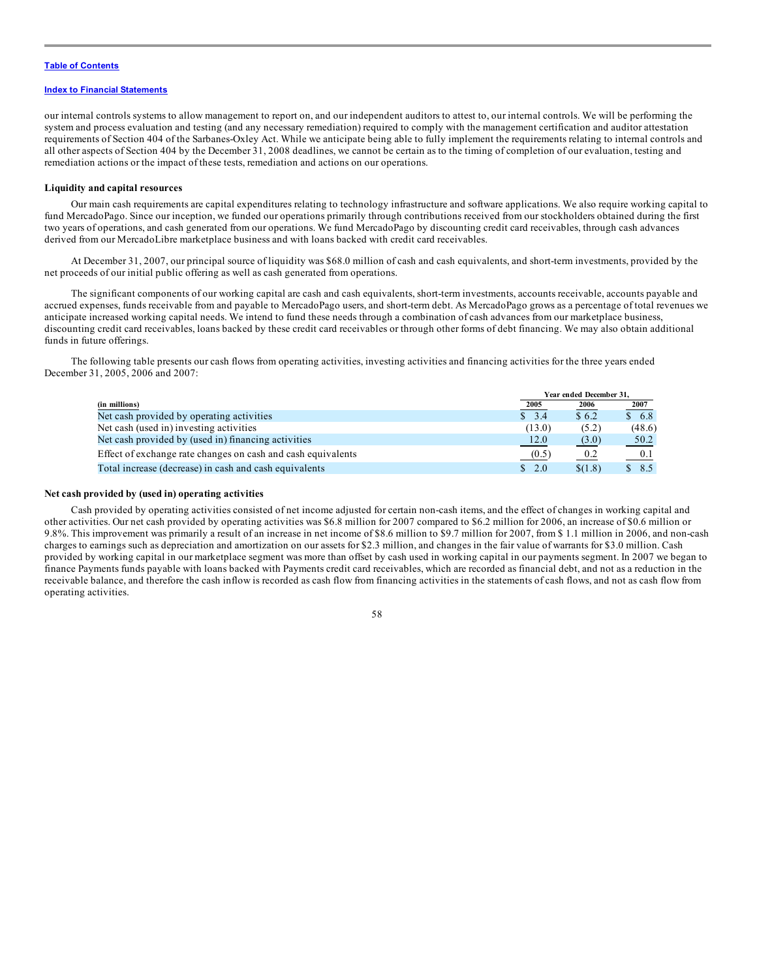# **Index to Financial Statements**

our internal controls systems to allow management to report on, and our independent auditors to attest to, our internal controls. We will be performing the system and process evaluation and testing (and any necessary remediation) required to comply with the management certification and auditor attestation requirements of Section 404 of the Sarbanes-Oxley Act. While we anticipate being able to fully implement the requirements relating to internal controls and all other aspects of Section 404 by the December 31, 2008 deadlines, we cannot be certain as to the timing of completion of our evaluation, testing and remediation actions or the impact of these tests, remediation and actions on our operations.

## **Liquidity and capital resources**

Our main cash requirements are capital expenditures relating to technology infrastructure and software applications. We also require working capital to fund MercadoPago. Since our inception, we funded our operations primarily through contributions received from our stockholders obtained during the first two years of operations, and cash generated from our operations. We fund MercadoPago by discounting credit card receivables, through cash advances derived from our MercadoLibre marketplace business and with loans backed with credit card receivables.

At December 31, 2007, our principal source of liquidity was \$68.0 million of cash and cash equivalents, and short-term investments, provided by the net proceeds of our initial public offering as well as cash generated from operations.

The significant components of our working capital are cash and cash equivalents, short-term investments, accounts receivable, accounts payable and accrued expenses, funds receivable from and payable to MercadoPago users, and short-term debt. As MercadoPago grows as a percentage of total revenues we anticipate increased working capital needs. We intend to fund these needs through a combination of cash advances from our marketplace business, discounting credit card receivables, loans backed by these credit card receivables or through other forms of debt financing. We may also obtain additional funds in future offerings.

The following table presents our cash flows from operating activities, investing activities and financing activities for the three years ended December 31, 2005, 2006 and 2007:

|                                                              |                  | Year ended December 31. |                              |
|--------------------------------------------------------------|------------------|-------------------------|------------------------------|
| (in millions)                                                | 2005             | 2006                    | <b>2007</b>                  |
| Net cash provided by operating activities                    | \$3.4            | \$6.2                   | \$6.8                        |
| Net cash (used in) investing activities                      | (13.0)           | (5.2)                   | (48.6)                       |
| Net cash provided by (used in) financing activities          | 12.0             | (3.0)                   | 50.2                         |
| Effect of exchange rate changes on cash and cash equivalents | (0.5)            | 0.2                     | $\overline{\phantom{0}}$ 0.1 |
| Total increase (decrease) in cash and cash equivalents       | $\frac{\ }{2.0}$ | \$(1.8)                 | \$8.5                        |

## **Net cash provided by (used in) operating activities**

Cash provided by operating activities consisted of net income adjusted for certain non-cash items, and the effect of changes in working capital and other activities. Our net cash provided by operating activities was \$6.8 million for 2007 compared to \$6.2 million for 2006, an increase of \$0.6 million or 9.8%. This improvement was primarily a result of an increase in net income of \$8.6 million to \$9.7 million for 2007, from \$ 1.1 million in 2006, and non-cash charges to earnings such as depreciation and amortization on our assets for \$2.3 million, and changes in the fair value of warrants for \$3.0 million. Cash provided by working capital in our marketplace segment was more than offset by cash used in working capital in our payments segment. In 2007 we began to finance Payments funds payable with loans backed with Payments credit card receivables, which are recorded as financial debt, and not as a reduction in the receivable balance, and therefore the cash inflow is recorded as cash flow from financing activities in the statements of cash flows, and not as cash flow from operating activities.

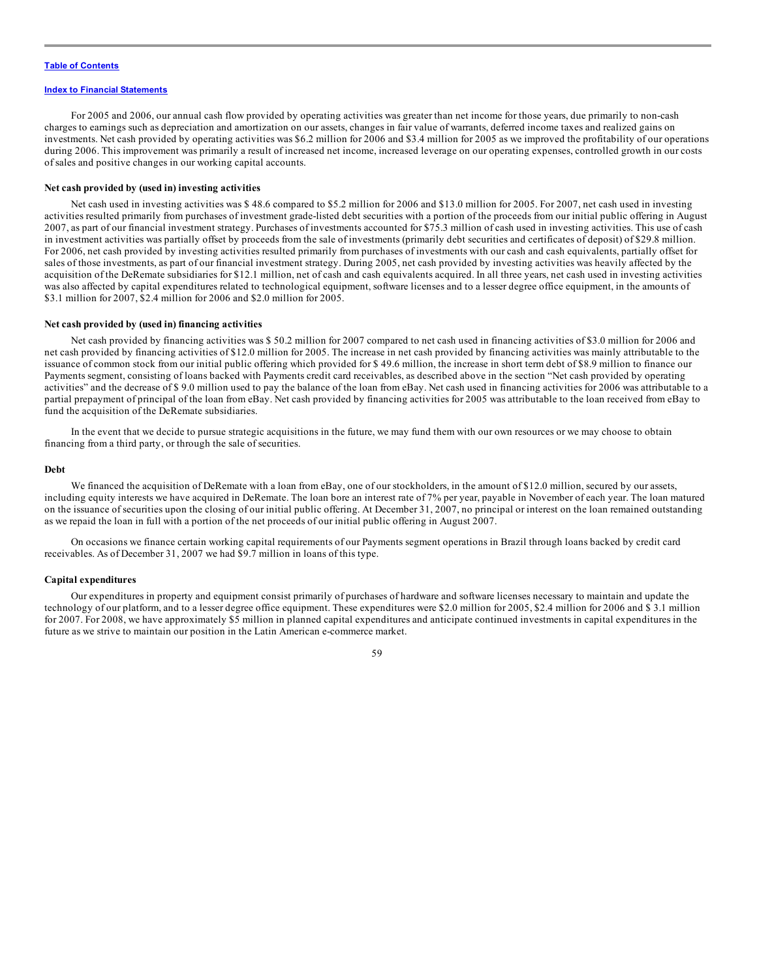## **Index to Financial Statements**

For 2005 and 2006, our annual cash flow provided by operating activities was greater than net income for those years, due primarily to non-cash charges to earnings such as depreciation and amortization on our assets, changes in fair value of warrants, deferred income taxes and realized gains on investments. Net cash provided by operating activities was \$6.2 million for 2006 and \$3.4 million for 2005 as we improved the profitability of our operations during 2006. This improvement was primarily a result of increased net income, increased leverage on our operating expenses, controlled growth in our costs of sales and positive changes in our working capital accounts.

# **Net cash provided by (used in) investing activities**

Net cash used in investing activities was \$48.6 compared to \$5.2 million for 2006 and \$13.0 million for 2005. For 2007, net cash used in investing activities resulted primarily from purchases of investment grade-listed debt securities with a portion of the proceeds from our initial public offering in August 2007, as part of our financial investment strategy. Purchases of investments accounted for \$75.3 million of cash used in investing activities. This use of cash in investment activities was partially offset by proceeds from the sale of investments (primarily debt securities and certificates of deposit) of \$29.8 million. For 2006, net cash provided by investing activities resulted primarily from purchases of investments with our cash and cash equivalents, partially offset for sales of those investments, as part of our financial investment strategy. During 2005, net cash provided by investing activities was heavily affected by the acquisition of the DeRemate subsidiaries for \$12.1 million, net of cash and cash equivalents acquired. In all three years, net cash used in investing activities was also affected by capital expenditures related to technological equipment, software licenses and to a lesser degree office equipment, in the amounts of \$3.1 million for 2007, \$2.4 million for 2006 and \$2.0 million for 2005.

### **Net cash provided by (used in) financing activities**

Net cash provided by financing activities was \$ 50.2 million for 2007 compared to net cash used in financing activities of \$3.0 million for 2006 and net cash provided by financing activities of \$12.0 million for 2005. The increase in net cash provided by financing activities was mainly attributable to the issuance of common stock from our initial public offering which provided for \$ 49.6 million, the increase in short term debt of \$8.9 million to finance our Payments segment, consisting of loans backed with Payments credit card receivables, as described above in the section "Net cash provided by operating activities" and the decrease of \$ 9.0 million used to pay the balance of the loan from eBay. Net cash used in financing activities for 2006 was attributable to a partial prepayment of principal of the loan from eBay. Net cash provided by financing activities for 2005 was attributable to the loan received from eBay to fund the acquisition of the DeRemate subsidiaries.

In the event that we decide to pursue strategic acquisitions in the future, we may fund them with our own resources or we may choose to obtain financing from a third party, or through the sale of securities.

### **Debt**

We financed the acquisition of DeRemate with a loan from eBay, one of our stockholders, in the amount of \$12.0 million, secured by our assets, including equity interests we have acquired in DeRemate. The loan bore an interest rate of 7% per year, payable in November of each year. The loan matured on the issuance of securities upon the closing of our initial public offering. At December 31, 2007, no principal or interest on the loan remained outstanding as we repaid the loan in full with a portion of the net proceeds of our initial public offering in August 2007.

On occasions we finance certain working capital requirements of our Payments segment operations in Brazil through loans backed by credit card receivables. As of December 31, 2007 we had \$9.7 million in loans of this type.

### **Capital expenditures**

Our expenditures in property and equipment consist primarily of purchases of hardware and software licenses necessary to maintain and update the technology of our platform, and to a lesser degree office equipment. These expenditures were \$2.0 million for 2005, \$2.4 million for 2006 and \$ 3.1 million for 2007. For 2008, we have approximately \$5 million in planned capital expenditures and anticipate continued investments in capital expenditures in the future as we strive to maintain our position in the Latin American e-commerce market.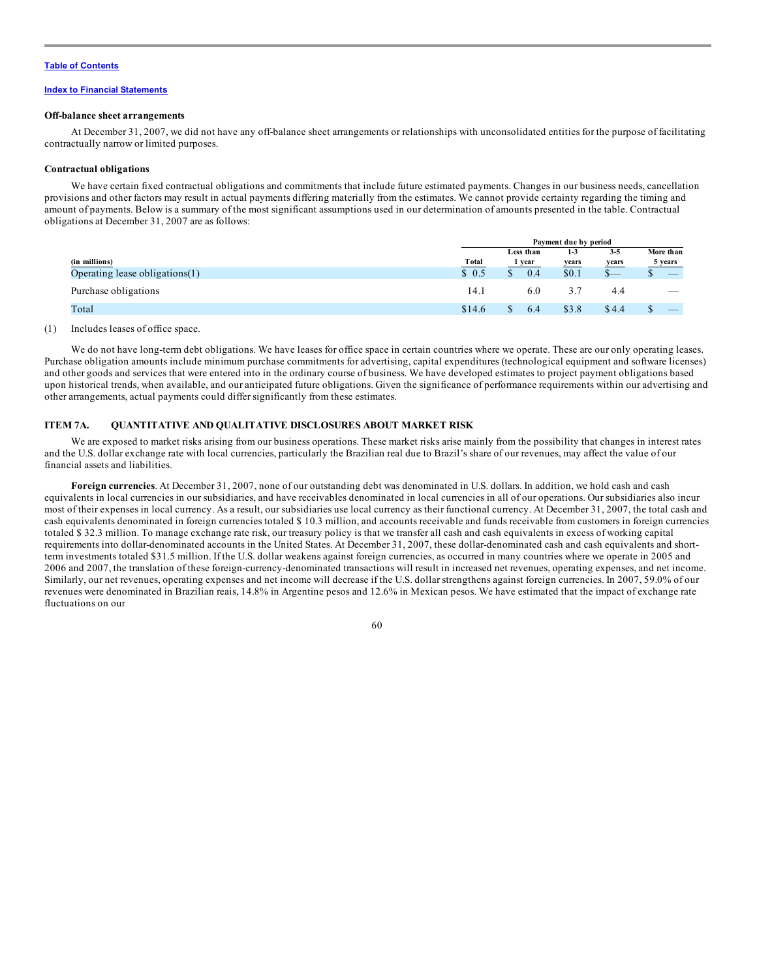# **Index to Financial Statements**

### **Off-balance sheet arrangements**

At December 31, 2007, we did not have any off-balance sheet arrangements or relationships with unconsolidated entities for the purpose of facilitating contractually narrow or limited purposes.

### **Contractual obligations**

We have certain fixed contractual obligations and commitments that include future estimated payments. Changes in our business needs, cancellation provisions and other factors may result in actual payments differing materially from the estimates. We cannot provide certainty regarding the timing and amount of payments. Below is a summary of the most significant assumptions used in our determination of amounts presented in the table. Contractual obligations at December 31, 2007 are as follows:

|                                   |        | Payment due by period |         |         |                          |
|-----------------------------------|--------|-----------------------|---------|---------|--------------------------|
|                                   |        | Less than             | $1 - 3$ | $3 - 5$ | More than                |
| (in millions)                     | Total  | 1 year                | years   | years   | 5 years                  |
| Operating lease obligations $(1)$ | \$0.5  | 0.4                   | \$0.1   | $S-$    |                          |
| Purchase obligations              | 14.1   | 6.0                   | 3.7     | 4.4     | $\overline{\phantom{a}}$ |
| Total                             | \$14.6 | 6.4                   | \$3.8   | \$4.4   |                          |

#### (1) Includes leases of office space.

We do not have long-term debt obligations. We have leases for office space in certain countries where we operate. These are our only operating leases. Purchase obligation amounts include minimum purchase commitments for advertising, capital expenditures (technological equipment and software licenses) and other goods and services that were entered into in the ordinary course of business. We have developed estimates to project payment obligations based upon historical trends, when available, and our anticipated future obligations. Given the significance of performance requirements within our advertising and other arrangements, actual payments could differ significantly from these estimates.

## **ITEM 7A. QUANTITATIVE AND QUALITATIVE DISCLOSURES ABOUT MARKET RISK**

We are exposed to market risks arising from our business operations. These market risks arise mainly from the possibility that changes in interest rates and the U.S. dollar exchange rate with local currencies, particularly the Brazilian real due to Brazil's share of our revenues, may affect the value of our financial assets and liabilities.

**Foreign currencies**. At December 31, 2007, none of our outstanding debt was denominated in U.S. dollars. In addition, we hold cash and cash equivalents in local currencies in our subsidiaries, and have receivables denominated in local currencies in all of our operations. Our subsidiaries also incur most of their expenses in local currency. As a result, our subsidiaries use local currency as their functional currency. At December 31, 2007, the total cash and cash equivalents denominated in foreign currencies totaled \$ 10.3 million, and accounts receivable and funds receivable from customers in foreign currencies totaled \$ 32.3 million. To manage exchange rate risk, our treasury policy is that we transfer all cash and cash equivalents in excess of working capital requirements into dollar-denominated accounts in the United States. At December 31, 2007, these dollar-denominated cash and cash equivalents and shortterm investments totaled \$31.5 million. If the U.S. dollar weakens against foreign currencies, as occurred in many countries where we operate in 2005 and 2006 and 2007, the translation of these foreign-currency-denominated transactions will result in increased net revenues, operating expenses, and net income. Similarly, our net revenues, operating expenses and net income will decrease if the U.S. dollar strengthens against foreign currencies. In 2007, 59.0% of our revenues were denominated in Brazilian reais, 14.8% in Argentine pesos and 12.6% in Mexican pesos. We have estimated that the impact of exchange rate fluctuations on our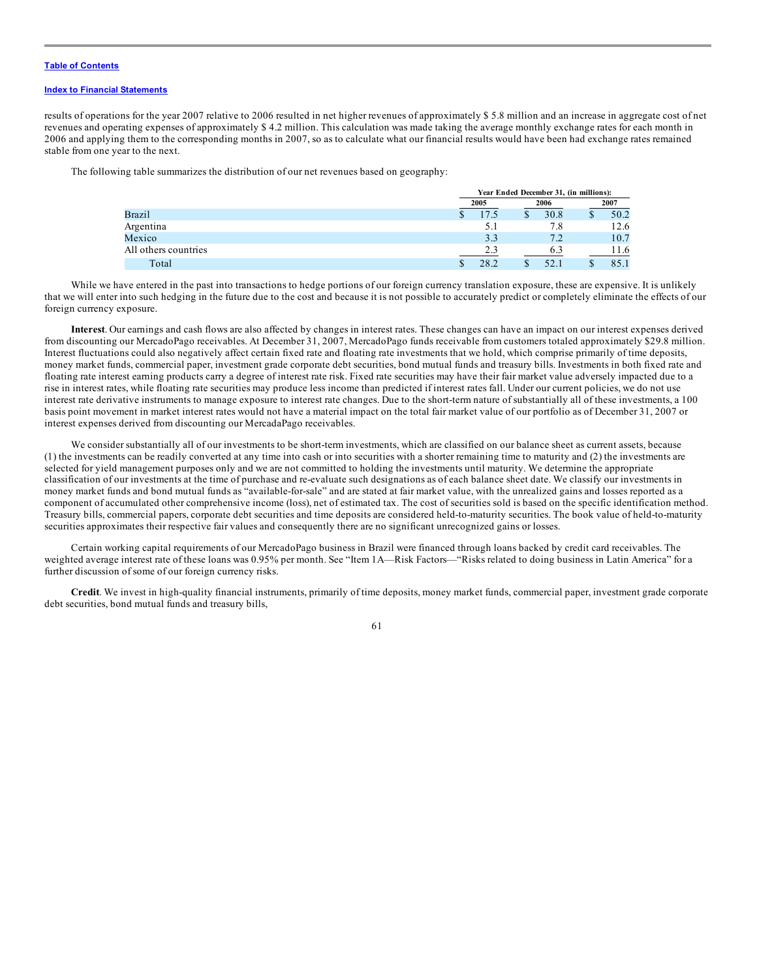# **Index to Financial Statements**

results of operations for the year 2007 relative to 2006 resulted in net higher revenues of approximately \$ 5.8 million and an increase in aggregate cost of net revenues and operating expenses of approximately \$ 4.2 million. This calculation was made taking the average monthly exchange rates for each month in 2006 and applying them to the corresponding months in 2007, so as to calculate what our financial results would have been had exchange rates remained stable from one year to the next.

The following table summarizes the distribution of our net revenues based on geography:

|                      | Year Ended December 31, (in millions): |  |      |      |
|----------------------|----------------------------------------|--|------|------|
|                      | 2005                                   |  | 2006 | 2007 |
| <b>Brazil</b>        | l 7.5                                  |  | 30.8 | 50.2 |
| Argentina            | 5.1                                    |  | 7.8  | 12.6 |
| Mexico               | 3.3                                    |  | 7.2  | 10.7 |
| All others countries | 2.3                                    |  | 6.3  | 11.6 |
| Total                | 28.2                                   |  |      |      |

While we have entered in the past into transactions to hedge portions of our foreign currency translation exposure, these are expensive. It is unlikely that we will enter into such hedging in the future due to the cost and because it is not possible to accurately predict or completely eliminate the effects of our foreign currency exposure.

**Interest**. Our earnings and cash flows are also affected by changes in interest rates. These changes can have an impact on our interest expenses derived from discounting our MercadoPago receivables. At December 31, 2007, MercadoPago funds receivable from customers totaled approximately \$29.8 million. Interest fluctuations could also negatively affect certain fixed rate and floating rate investments that we hold, which comprise primarily of time deposits, money market funds, commercial paper, investment grade corporate debt securities, bond mutual funds and treasury bills. Investments in both fixed rate and floating rate interest earning products carry a degree of interest rate risk. Fixed rate securities may have their fair market value adversely impacted due to a rise in interest rates, while floating rate securities may produce less income than predicted if interest rates fall. Under our current policies, we do not use interest rate derivative instruments to manage exposure to interest rate changes. Due to the short-term nature of substantially all of these investments, a 100 basis point movement in market interest rates would not have a material impact on the total fair market value of our portfolio as of December 31, 2007 or interest expenses derived from discounting our MercadaPago receivables.

We consider substantially all of our investments to be short-term investments, which are classified on our balance sheet as current assets, because (1) the investments can be readily converted at any time into cash or into securities with a shorter remaining time to maturity and (2) the investments are selected for yield management purposes only and we are not committed to holding the investments until maturity. We determine the appropriate classification of our investments at the time of purchase and re-evaluate such designations as of each balance sheet date. We classify our investments in money market funds and bond mutual funds as "available-for-sale" and are stated at fair market value, with the unrealized gains and losses reported as a component of accumulated other comprehensive income (loss), net of estimated tax. The cost of securities sold is based on the specific identification method. Treasury bills, commercial papers, corporate debt securities and time deposits are considered held-to-maturity securities. The book value of held-to-maturity securities approximates their respective fair values and consequently there are no significant unrecognized gains or losses.

Certain working capital requirements of our MercadoPago business in Brazil were financed through loans backed by credit card receivables. The weighted average interest rate of these loans was 0.95% per month. See "Item 1A—Risk Factors—"Risks related to doing business in Latin America" for a further discussion of some of our foreign currency risks.

**Credit**. We invest in high-quality financial instruments, primarily of time deposits, money market funds, commercial paper, investment grade corporate debt securities, bond mutual funds and treasury bills,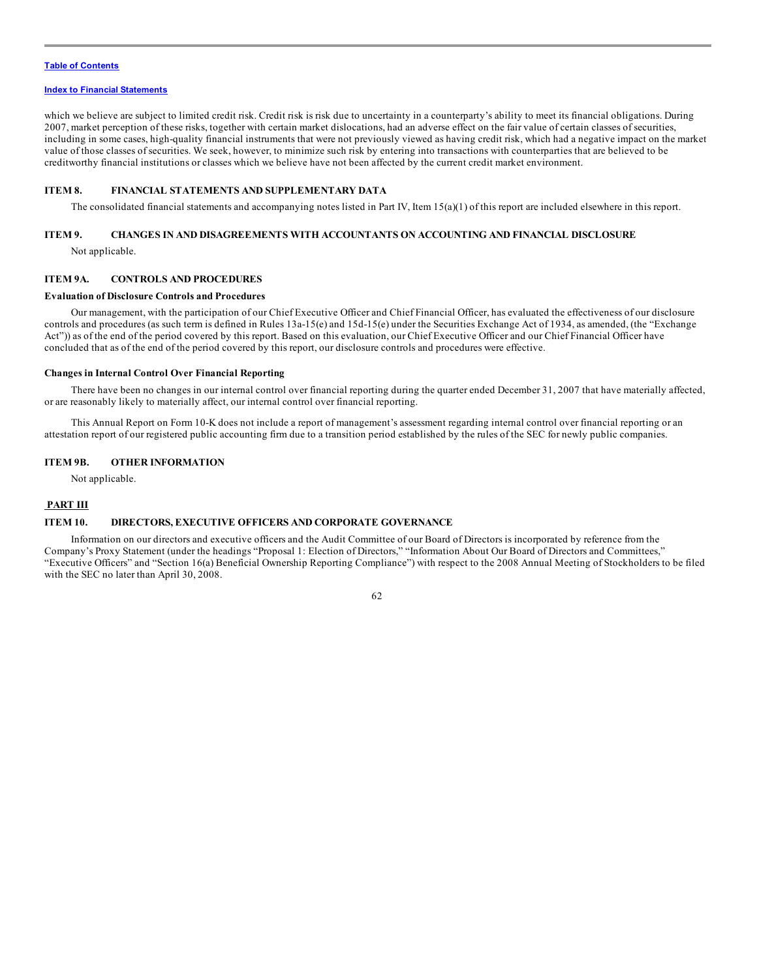# **Index to Financial Statements**

which we believe are subject to limited credit risk. Credit risk is risk due to uncertainty in a counterparty's ability to meet its financial obligations. During 2007, market perception of these risks, together with certain market dislocations, had an adverse effect on the fair value of certain classes of securities, including in some cases, high-quality financial instruments that were not previously viewed as having credit risk, which had a negative impact on the market value of those classes of securities. We seek, however, to minimize such risk by entering into transactions with counterparties that are believed to be creditworthy financial institutions or classes which we believe have not been affected by the current credit market environment.

# **ITEM 8. FINANCIAL STATEMENTS AND SUPPLEMENTARY DATA**

The consolidated financial statements and accompanying notes listed in Part IV, Item 15(a)(1) of this report are included elsewhere in this report.

### **ITEM 9. CHANGES IN AND DISAGREEMENTS WITH ACCOUNTANTS ON ACCOUNTING AND FINANCIAL DISCLOSURE**

Not applicable.

## **ITEM 9A. CONTROLS AND PROCEDURES**

#### **Evaluation of Disclosure Controls and Procedures**

Our management, with the participation of our Chief Executive Officer and Chief Financial Officer, has evaluated the effectiveness of our disclosure controls and procedures (as such term is defined in Rules 13a-15(e) and 15d-15(e) under the Securities Exchange Act of 1934, as amended, (the "Exchange Act")) as of the end of the period covered by this report. Based on this evaluation, our Chief Executive Officer and our Chief Financial Officer have concluded that as of the end of the period covered by this report, our disclosure controls and procedures were effective.

### **Changes in Internal Control Over Financial Reporting**

There have been no changes in our internal control over financial reporting during the quarter ended December 31, 2007 that have materially affected, or are reasonably likely to materially affect, our internal control over financial reporting.

This Annual Report on Form 10-K does not include a report of management's assessment regarding internal control over financial reporting or an attestation report of our registered public accounting firm due to a transition period established by the rules of the SEC for newly public companies.

## **ITEM 9B. OTHER INFORMATION**

Not applicable.

### **PART III**

# **ITEM 10. DIRECTORS, EXECUTIVE OFFICERS AND CORPORATE GOVERNANCE**

Information on our directors and executive officers and the Audit Committee of our Board of Directors is incorporated by reference from the Company's Proxy Statement (under the headings "Proposal 1: Election of Directors," "Information About Our Board of Directors and Committees," "Executive Officers" and "Section 16(a) Beneficial Ownership Reporting Compliance") with respect to the 2008 Annual Meeting of Stockholders to be filed with the SEC no later than April 30, 2008.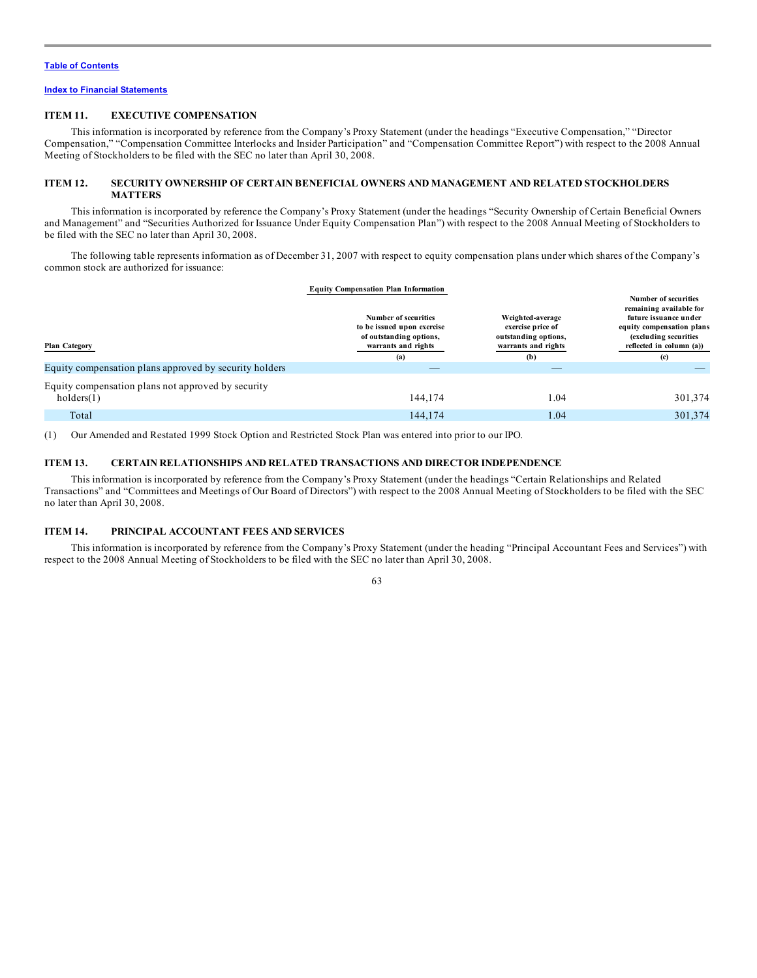# **Index to Financial Statements**

# **ITEM 11. EXECUTIVE COMPENSATION**

This information is incorporated by reference from the Company's Proxy Statement (under the headings "Executive Compensation," "Director Compensation," "Compensation Committee Interlocks and Insider Participation" and "Compensation Committee Report") with respect to the 2008 Annual Meeting of Stockholders to be filed with the SEC no later than April 30, 2008.

## **ITEM 12. SECURITY OWNERSHIP OF CERTAIN BENEFICIAL OWNERS AND MANAGEMENT AND RELATED STOCKHOLDERS MATTERS**

This information is incorporated by reference the Company's Proxy Statement (under the headings "Security Ownership of Certain Beneficial Owners and Management" and "Securities Authorized for Issuance Under Equity Compensation Plan") with respect to the 2008 Annual Meeting of Stockholders to be filed with the SEC no later than April 30, 2008.

The following table represents information as of December 31, 2007 with respect to equity compensation plans under which shares of the Company's common stock are authorized for issuance:

| <b>Plan Category</b>                                                   | <b>Equity Compensation Plan Information</b><br><b>Number of securities</b><br>to be issued upon exercise<br>of outstanding options,<br>warrants and rights | Weighted-average<br>exercise price of<br>outstanding options,<br>warrants and rights | Number of securities<br>remaining available for<br>future issuance under<br>equity compensation plans<br>(excluding securities<br>reflected in column (a)) |
|------------------------------------------------------------------------|------------------------------------------------------------------------------------------------------------------------------------------------------------|--------------------------------------------------------------------------------------|------------------------------------------------------------------------------------------------------------------------------------------------------------|
|                                                                        | (a)                                                                                                                                                        | (b)                                                                                  | $\left( \mathrm{c} \right)$                                                                                                                                |
| Equity compensation plans approved by security holders                 |                                                                                                                                                            |                                                                                      |                                                                                                                                                            |
| Equity compensation plans not approved by security<br>$h$ olders $(1)$ | 144,174                                                                                                                                                    | 1.04                                                                                 | 301.374                                                                                                                                                    |
| Total                                                                  | 144,174                                                                                                                                                    | 1.04                                                                                 | 301.374                                                                                                                                                    |

(1) Our Amended and Restated 1999 Stock Option and Restricted Stock Plan was entered into prior to our IPO.

# **ITEM 13. CERTAIN RELATIONSHIPS AND RELATED TRANSACTIONS AND DIRECTOR INDEPENDENCE**

This information is incorporated by reference from the Company's Proxy Statement (under the headings "Certain Relationships and Related Transactions" and "Committees and Meetings of Our Board of Directors") with respect to the 2008 Annual Meeting of Stockholders to be filed with the SEC no later than April 30, 2008.

## **ITEM 14. PRINCIPAL ACCOUNTANT FEES AND SERVICES**

This information is incorporated by reference from the Company's Proxy Statement (under the heading "Principal Accountant Fees and Services") with respect to the 2008 Annual Meeting of Stockholders to be filed with the SEC no later than April 30, 2008.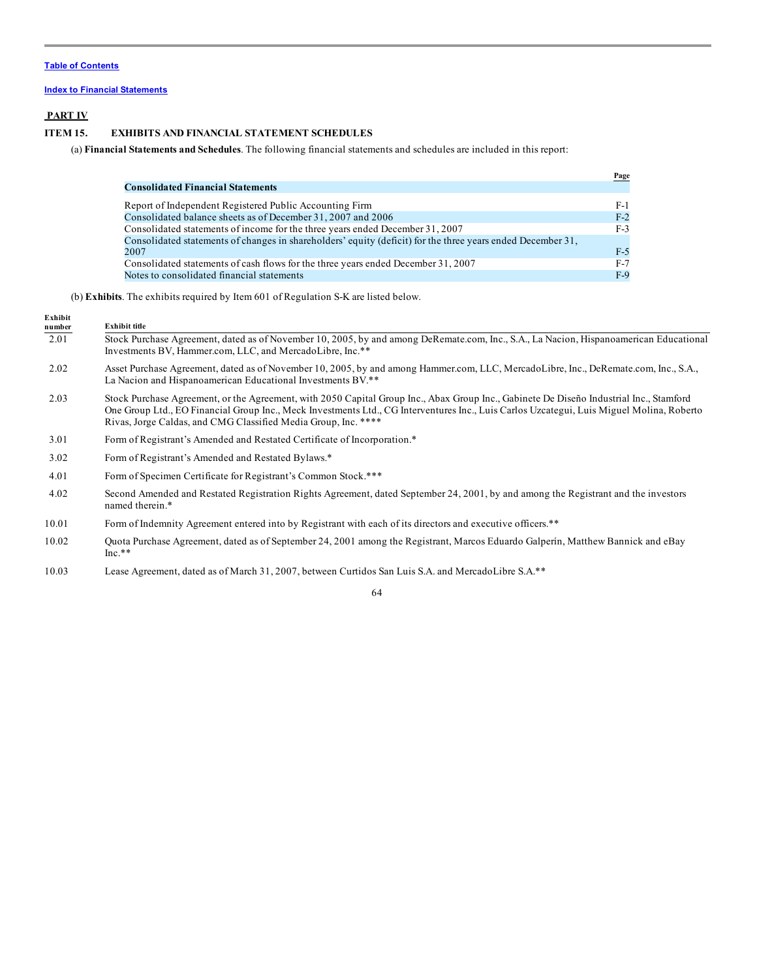# **Index to Financial Statements**

# **PART IV**

# **ITEM 15. EXHIBITS AND FINANCIAL STATEMENT SCHEDULES**

(a) **Financial Statements and Schedules**. The following financial statements and schedules are included in this report:

|                                                                                                             | Page  |
|-------------------------------------------------------------------------------------------------------------|-------|
| <b>Consolidated Financial Statements</b>                                                                    |       |
| Report of Independent Registered Public Accounting Firm                                                     | $F-1$ |
| Consolidated balance sheets as of December 31, 2007 and 2006                                                | $F-2$ |
| Consolidated statements of income for the three years ended December 31, 2007                               | $F-3$ |
| Consolidated statements of changes in shareholders' equity (deficit) for the three years ended December 31, |       |
| 2007                                                                                                        | $F-5$ |
| Consolidated statements of cash flows for the three years ended December 31, 2007                           | $F-7$ |
| Notes to consolidated financial statements                                                                  | $F-9$ |

(b) **Exhibits**. The exhibits required by Item 601 of Regulation S-K are listed below.

| Exhibit<br>number | <b>Exhibit title</b>                                                                                                                                                                                                                                                                                                                                   |
|-------------------|--------------------------------------------------------------------------------------------------------------------------------------------------------------------------------------------------------------------------------------------------------------------------------------------------------------------------------------------------------|
| 2.01              | Stock Purchase Agreement, dated as of November 10, 2005, by and among DeRemate.com, Inc., S.A., La Nacion, Hispanoamerican Educational<br>Investments BV, Hammer.com, LLC, and MercadoLibre, Inc.**                                                                                                                                                    |
| 2.02              | Asset Purchase Agreement, dated as of November 10, 2005, by and among Hammer.com, LLC, MercadoLibre, Inc., DeRemate.com, Inc., S.A.,<br>La Nacion and Hispanoamerican Educational Investments BV.**                                                                                                                                                    |
| 2.03              | Stock Purchase Agreement, or the Agreement, with 2050 Capital Group Inc., Abax Group Inc., Gabinete De Diseño Industrial Inc., Stamford<br>One Group Ltd., EO Financial Group Inc., Meck Investments Ltd., CG Interventures Inc., Luis Carlos Uzcategui, Luis Miguel Molina, Roberto<br>Rivas, Jorge Caldas, and CMG Classified Media Group, Inc. **** |
| 3.01              | Form of Registrant's Amended and Restated Certificate of Incorporation.*                                                                                                                                                                                                                                                                               |
| 3.02              | Form of Registrant's Amended and Restated Bylaws.*                                                                                                                                                                                                                                                                                                     |
| 4.01              | Form of Specimen Certificate for Registrant's Common Stock.***                                                                                                                                                                                                                                                                                         |
| 4.02              | Second Amended and Restated Registration Rights Agreement, dated September 24, 2001, by and among the Registrant and the investors<br>named therein.*                                                                                                                                                                                                  |
| 10.01             | Form of Indemnity Agreement entered into by Registrant with each of its directors and executive officers.**                                                                                                                                                                                                                                            |

- 10.02 Quota Purchase Agreement, dated as of September 24, 2001 among the Registrant, Marcos Eduardo Galperín, Matthew Bannick and eBay Inc.\*\*
- 10.03 Lease Agreement, dated as of March 31, 2007, between Curtidos San Luis S.A. and MercadoLibre S.A.\*\*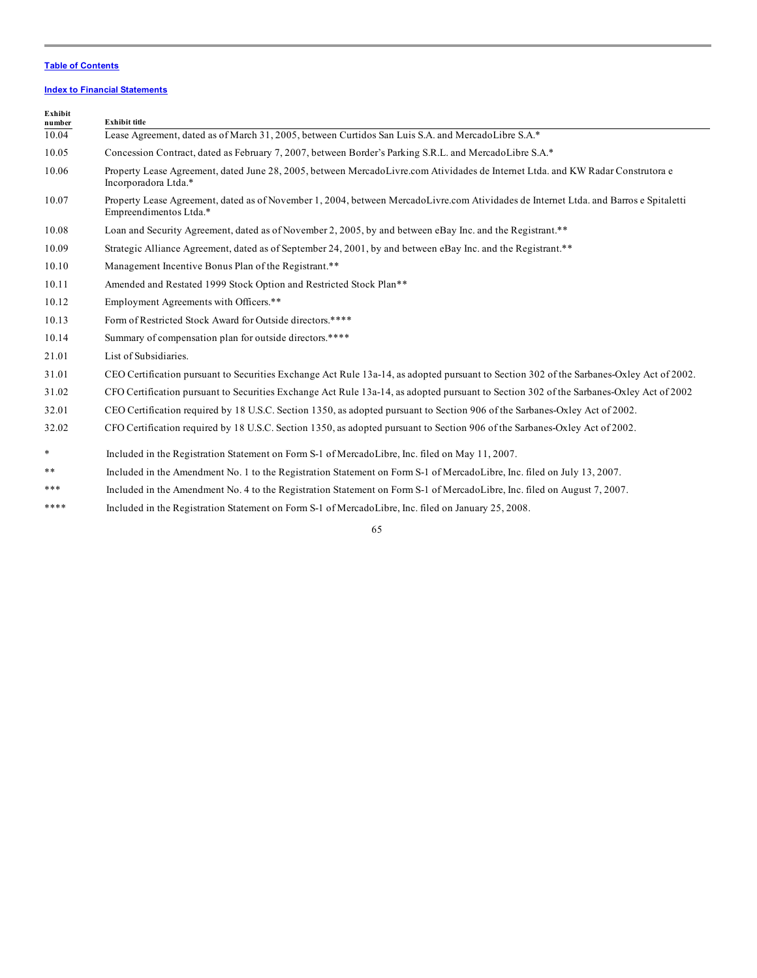# **Index to Financial Statements**

| Exhibit<br>number | <b>Exhibit title</b>                                                                                                                                            |
|-------------------|-----------------------------------------------------------------------------------------------------------------------------------------------------------------|
| 10.04             | Lease Agreement, dated as of March 31, 2005, between Curtidos San Luis S.A. and Mercado Libre S.A.*                                                             |
| 10.05             | Concession Contract, dated as February 7, 2007, between Border's Parking S.R.L. and MercadoLibre S.A.*                                                          |
| 10.06             | Property Lease Agreement, dated June 28, 2005, between MercadoLivre.com Atividades de Internet Ltda. and KW Radar Construtora e<br>Incorporadora Ltda.*         |
| 10.07             | Property Lease Agreement, dated as of November 1, 2004, between MercadoLivre.com Atividades de Internet Ltda. and Barros e Spitaletti<br>Empreendimentos Ltda.* |
| 10.08             | Loan and Security Agreement, dated as of November 2, 2005, by and between eBay Inc. and the Registrant.**                                                       |
| 10.09             | Strategic Alliance Agreement, dated as of September 24, 2001, by and between eBay Inc. and the Registrant.**                                                    |
| 10.10             | Management Incentive Bonus Plan of the Registrant.**                                                                                                            |
| 10.11             | Amended and Restated 1999 Stock Option and Restricted Stock Plan**                                                                                              |
| 10.12             | Employment Agreements with Officers.**                                                                                                                          |
| 10.13             | Form of Restricted Stock Award for Outside directors.****                                                                                                       |
| 10.14             | Summary of compensation plan for outside directors.****                                                                                                         |
| 21.01             | List of Subsidiaries.                                                                                                                                           |
| 31.01             | CEO Certification pursuant to Securities Exchange Act Rule 13a-14, as adopted pursuant to Section 302 of the Sarbanes-Oxley Act of 2002.                        |
| 31.02             | CFO Certification pursuant to Securities Exchange Act Rule 13a-14, as adopted pursuant to Section 302 of the Sarbanes-Oxley Act of 2002                         |
| 32.01             | CEO Certification required by 18 U.S.C. Section 1350, as adopted pursuant to Section 906 of the Sarbanes-Oxley Act of 2002.                                     |
| 32.02             | CFO Certification required by 18 U.S.C. Section 1350, as adopted pursuant to Section 906 of the Sarbanes-Oxley Act of 2002.                                     |
| $\ast$            | Included in the Registration Statement on Form S-1 of Mercado Libre, Inc. filed on May 11, 2007.                                                                |
| $***$             | Included in the Amendment No. 1 to the Registration Statement on Form S-1 of MercadoLibre, Inc. filed on July 13, 2007.                                         |
| ***               | Included in the Amendment No. 4 to the Registration Statement on Form S-1 of MercadoLibre, Inc. filed on August 7, 2007.                                        |
| ****              | Included in the Registration Statement on Form S-1 of MercadoLibre, Inc. filed on January 25, 2008.                                                             |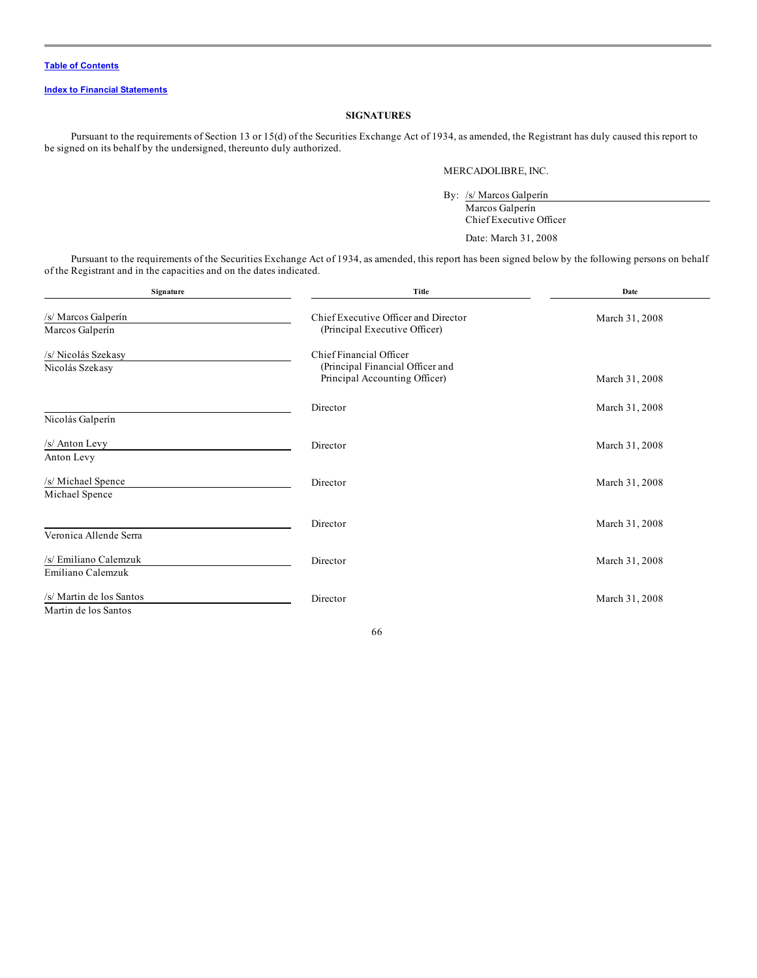# **Index to Financial Statements**

# **SIGNATURES**

Pursuant to the requirements of Section 13 or 15(d) of the Securities Exchange Act of 1934, as amended, the Registrant has duly caused this report to be signed on its behalf by the undersigned, thereunto duly authorized.

MERCADOLIBRE, INC.

By: /s/ Marcos Galperín Marcos Galperín Chief Executive Officer

Date: March 31, 2008

Pursuant to the requirements of the Securities Exchange Act of 1934, as amended, this report has been signed below by the following persons on behalf of the Registrant and in the capacities and on the dates indicated.

| Signature                                        | Title                                                                                        | Date           |
|--------------------------------------------------|----------------------------------------------------------------------------------------------|----------------|
| /s/ Marcos Galperín<br>Marcos Galperín           | Chief Executive Officer and Director<br>(Principal Executive Officer)                        | March 31, 2008 |
| /s/ Nicolás Szekasy<br>Nicolás Szekasy           | Chief Financial Officer<br>(Principal Financial Officer and<br>Principal Accounting Officer) | March 31, 2008 |
| Nicolás Galperín                                 | Director                                                                                     | March 31, 2008 |
| /s/ Anton Levy<br>Anton Levy                     | Director                                                                                     | March 31, 2008 |
| /s/ Michael Spence<br>Michael Spence             | Director                                                                                     | March 31, 2008 |
| Veronica Allende Serra                           | Director                                                                                     | March 31, 2008 |
| /s/ Emiliano Calemzuk<br>Emiliano Calemzuk       | Director                                                                                     | March 31, 2008 |
| /s/ Martin de los Santos<br>Martin de los Santos | Director                                                                                     | March 31, 2008 |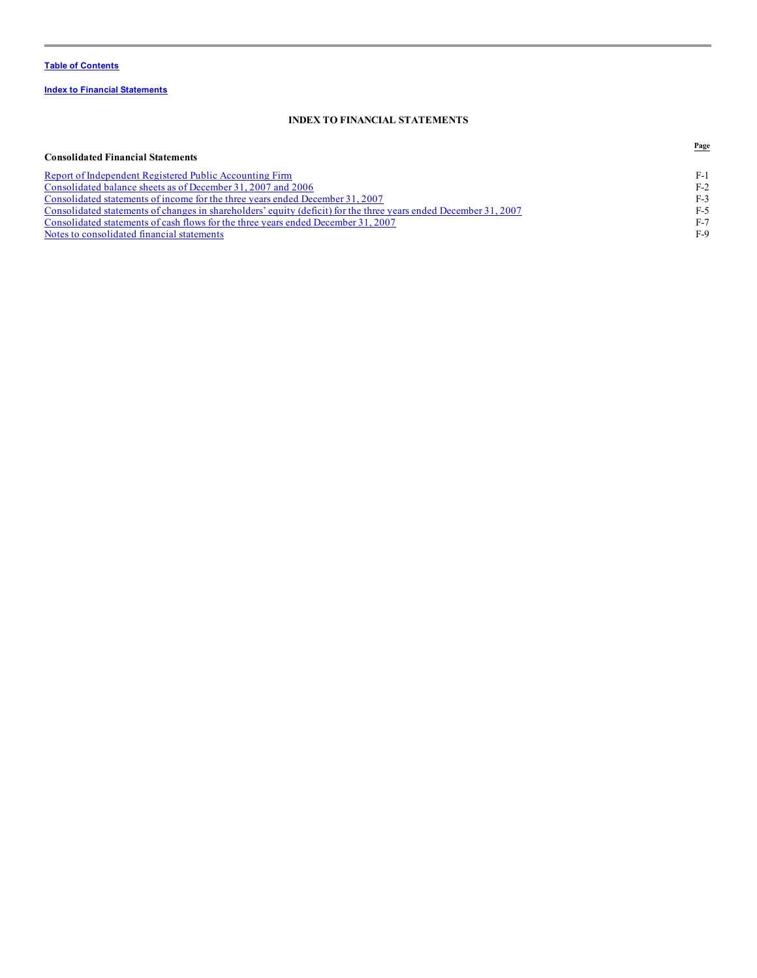**Index to Financial Statements**

# **INDEX TO FINANCIAL STATEMENTS**

|                                                                                                                  | Page  |
|------------------------------------------------------------------------------------------------------------------|-------|
| <b>Consolidated Financial Statements</b>                                                                         |       |
| Report of Independent Registered Public Accounting Firm                                                          | $F-1$ |
| Consolidated balance sheets as of December 31, 2007 and 2006                                                     | $F-2$ |
| Consolidated statements of income for the three years ended December 31, 2007                                    | $F-3$ |
| Consolidated statements of changes in shareholders' equity (deficit) for the three years ended December 31, 2007 | $F-5$ |
| Consolidated statements of cash flows for the three years ended December 31, 2007                                | $F-7$ |
| Notes to consolidated financial statements                                                                       | $F-9$ |
|                                                                                                                  |       |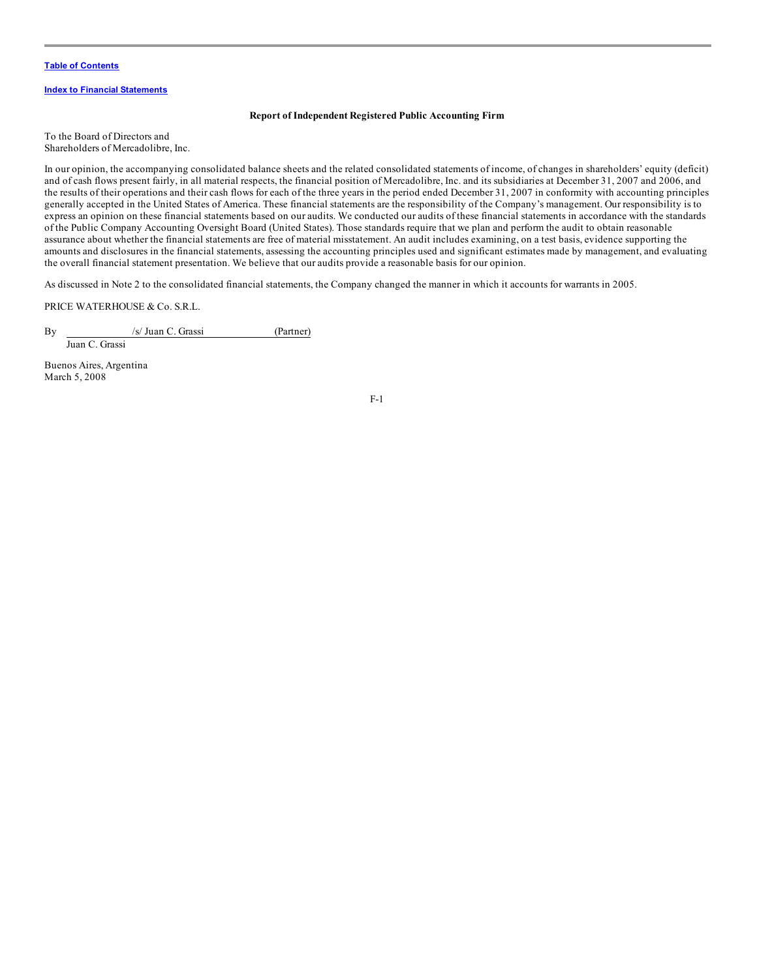# <span id="page-70-0"></span>**Index to Financial Statements**

# **Report of Independent Registered Public Accounting Firm**

To the Board of Directors and Shareholders of Mercadolibre, Inc.

In our opinion, the accompanying consolidated balance sheets and the related consolidated statements of income, of changes in shareholders' equity (deficit) and of cash flows present fairly, in all material respects, the financial position of Mercadolibre, Inc. and its subsidiaries at December 31, 2007 and 2006, and the results of their operations and their cash flows for each of the three years in the period ended December 31, 2007 in conformity with accounting principles generally accepted in the United States of America. These financial statements are the responsibility of the Company's management. Our responsibility is to express an opinion on these financial statements based on our audits. We conducted our audits of these financial statements in accordance with the standards of the Public Company Accounting Oversight Board (United States). Those standards require that we plan and perform the audit to obtain reasonable assurance about whether the financial statements are free of material misstatement. An audit includes examining, on a test basis, evidence supporting the amounts and disclosures in the financial statements, assessing the accounting principles used and significant estimates made by management, and evaluating the overall financial statement presentation. We believe that our audits provide a reasonable basis for our opinion.

As discussed in Note 2 to the consolidated financial statements, the Company changed the manner in which it accounts for warrants in 2005.

PRICE WATERHOUSE & Co. S.R.L.

By /s/ Juan C. Grassi (Partner) Juan C. Grassi

Buenos Aires, Argentina March 5, 2008

F-1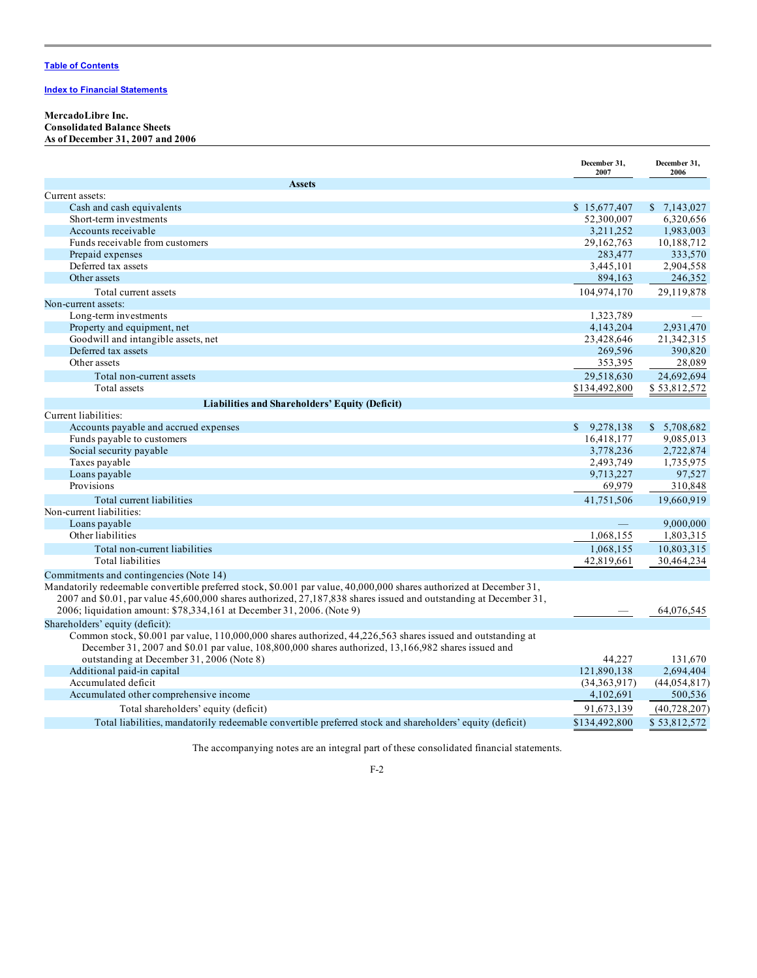# <span id="page-71-0"></span>**Index to Financial Statements**

**MercadoLibre Inc. Consolidated Balance Sheets As of December 31, 2007 and 2006**

|                                                                                                                     | December 31,<br>2007 | December 31.<br>2006 |
|---------------------------------------------------------------------------------------------------------------------|----------------------|----------------------|
| <b>Assets</b>                                                                                                       |                      |                      |
| Current assets:                                                                                                     |                      |                      |
| Cash and cash equivalents                                                                                           | \$15,677,407         | \$7,143,027          |
| Short-term investments                                                                                              | 52,300,007           | 6,320,656            |
| Accounts receivable                                                                                                 | 3,211,252            | 1,983,003            |
| Funds receivable from customers                                                                                     | 29,162,763           | 10,188,712           |
| Prepaid expenses                                                                                                    | 283,477              | 333,570              |
| Deferred tax assets                                                                                                 | 3,445,101            | 2,904,558            |
| Other assets                                                                                                        | 894,163              | 246,352              |
| Total current assets                                                                                                | 104,974,170          | 29,119,878           |
| Non-current assets:                                                                                                 |                      |                      |
| Long-term investments                                                                                               | 1,323,789            |                      |
| Property and equipment, net                                                                                         | 4,143,204            | 2,931,470            |
| Goodwill and intangible assets, net                                                                                 | 23,428,646           | 21,342,315           |
| Deferred tax assets                                                                                                 | 269,596              | 390,820              |
| Other assets                                                                                                        | 353,395              | 28,089               |
| Total non-current assets                                                                                            | 29,518,630           | 24,692,694           |
| Total assets                                                                                                        | \$134,492,800        | \$53,812,572         |
| Liabilities and Shareholders' Equity (Deficit)                                                                      |                      |                      |
| Current liabilities:                                                                                                |                      |                      |
| Accounts payable and accrued expenses                                                                               | \$9,278,138          | \$5,708,682          |
| Funds payable to customers                                                                                          | 16,418,177           | 9.085.013            |
| Social security payable                                                                                             | 3,778,236            | 2,722,874            |
| Taxes payable                                                                                                       | 2,493,749            | 1,735,975            |
| Loans payable                                                                                                       | 9,713,227            | 97,527               |
| Provisions                                                                                                          | 69,979               | 310,848              |
| Total current liabilities                                                                                           | 41,751,506           | 19,660,919           |
| Non-current liabilities:                                                                                            |                      |                      |
| Loans payable                                                                                                       |                      | 9,000,000            |
| Other liabilities                                                                                                   | 1,068,155            | 1,803,315            |
|                                                                                                                     |                      |                      |
| Total non-current liabilities                                                                                       | 1,068,155            | 10,803,315           |
| <b>Total liabilities</b>                                                                                            | 42,819,661           | 30,464,234           |
| Commitments and contingencies (Note 14)                                                                             |                      |                      |
| Mandatorily redeemable convertible preferred stock, \$0.001 par value, 40,000,000 shares authorized at December 31, |                      |                      |
| 2007 and \$0.01, par value 45,600,000 shares authorized, 27,187,838 shares issued and outstanding at December 31,   |                      |                      |
| 2006; liquidation amount: \$78,334,161 at December 31, 2006. (Note 9)                                               |                      | 64.076.545           |
| Shareholders' equity (deficit):                                                                                     |                      |                      |
| Common stock, \$0.001 par value, 110,000,000 shares authorized, 44,226,563 shares issued and outstanding at         |                      |                      |
| December 31, 2007 and \$0.01 par value, 108,800,000 shares authorized, 13,166,982 shares issued and                 |                      |                      |
| outstanding at December 31, 2006 (Note 8)                                                                           | 44.227               | 131.670              |
| Additional paid-in capital                                                                                          | 121,890,138          | 2,694,404            |
| Accumulated deficit                                                                                                 | (34,363,917)         | (44, 054, 817)       |
| Accumulated other comprehensive income                                                                              | 4,102,691            | 500,536              |
| Total shareholders' equity (deficit)                                                                                | 91,673,139           | (40, 728, 207)       |
| Total liabilities, mandatorily redeemable convertible preferred stock and shareholders' equity (deficit)            | \$134,492,800        | \$53,812,572         |
|                                                                                                                     |                      |                      |

The accompanying notes are an integral part of these consolidated financial statements.

F-2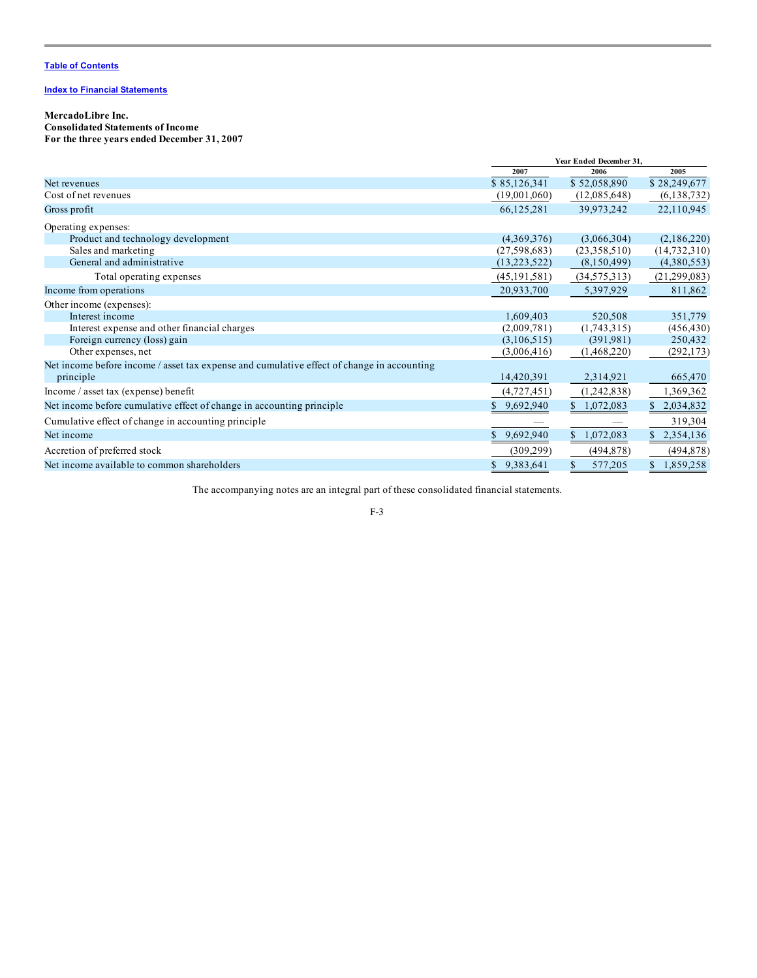# **Index to Financial Statements**

## **MercadoLibre Inc. Consolidated Statements of Income**

**For the three years ended December 31, 2007**

|                                                                                            | Year Ended December 31. |                |                |
|--------------------------------------------------------------------------------------------|-------------------------|----------------|----------------|
|                                                                                            | 2007                    | 2006           | 2005           |
| Net revenues                                                                               | \$85,126,341            | \$52,058,890   | \$28,249,677   |
| Cost of net revenues                                                                       | (19,001,060)            | (12,085,648)   | (6,138,732)    |
| Gross profit                                                                               | 66,125,281              | 39,973,242     | 22,110,945     |
| Operating expenses:                                                                        |                         |                |                |
| Product and technology development                                                         | (4,369,376)             | (3,066,304)    | (2,186,220)    |
| Sales and marketing                                                                        | (27,598,683)            | (23,358,510)   | (14, 732, 310) |
| General and administrative                                                                 | (13,223,522)            | (8,150,499)    | (4,380,553)    |
| Total operating expenses                                                                   | (45, 191, 581)          | (34, 575, 313) | (21,299,083)   |
| Income from operations                                                                     | 20,933,700              | 5,397,929      | 811,862        |
| Other income (expenses):                                                                   |                         |                |                |
| Interest income                                                                            | 1,609,403               | 520,508        | 351,779        |
| Interest expense and other financial charges                                               | (2,009,781)             | (1,743,315)    | (456, 430)     |
| Foreign currency (loss) gain                                                               | (3,106,515)             | (391,981)      | 250,432        |
| Other expenses, net                                                                        | (3,006,416)             | (1,468,220)    | (292, 173)     |
| Net income before income / asset tax expense and cumulative effect of change in accounting |                         |                |                |
| principle                                                                                  | 14,420,391              | 2,314,921      | 665,470        |
| Income / asset tax (expense) benefit                                                       | (4,727,451)             | (1,242,838)    | 1,369,362      |
| Net income before cumulative effect of change in accounting principle                      | 9,692,940               | 1,072,083      | 2,034,832      |
| Cumulative effect of change in accounting principle                                        |                         |                | 319,304        |
| Net income                                                                                 | 9,692,940               | 1,072,083      | 2,354,136      |
| Accretion of preferred stock                                                               | (309, 299)              | (494, 878)     | (494, 878)     |
| Net income available to common shareholders                                                | 9,383,641               | 577,205        | 1,859,258      |
|                                                                                            |                         |                |                |

The accompanying notes are an integral part of these consolidated financial statements.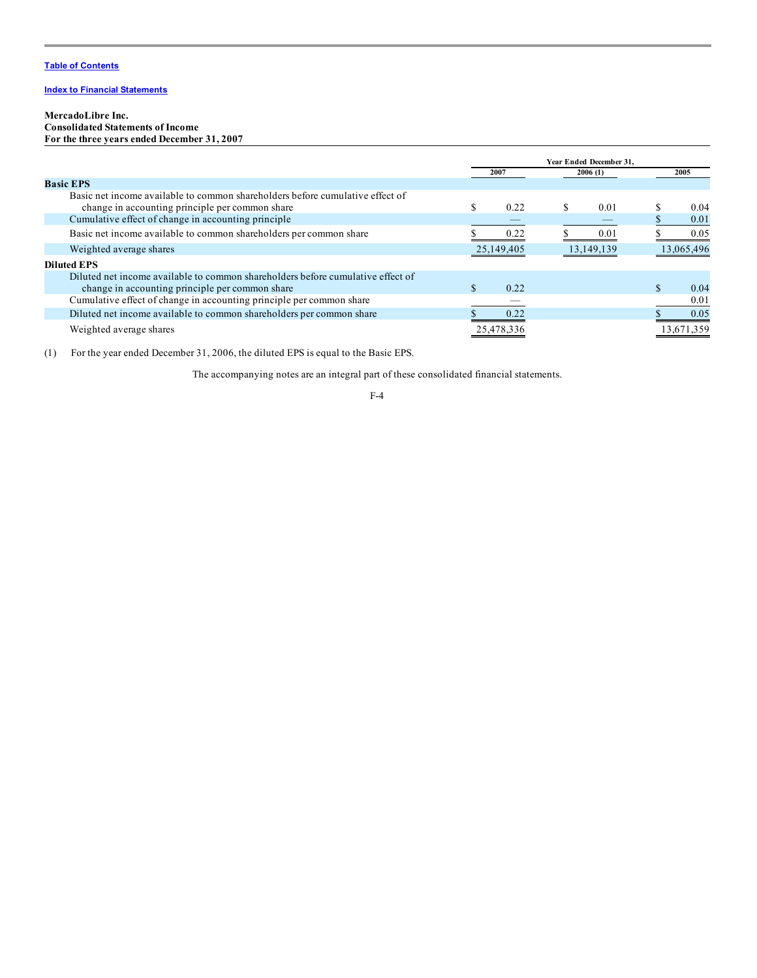# **Index to Financial Statements**

## **MercadoLibre Inc. Consolidated Statements of Income**

**For the three years ended December 31, 2007**

|                                                                                 | Year Ended December 31, |            |         |            |  |            |
|---------------------------------------------------------------------------------|-------------------------|------------|---------|------------|--|------------|
|                                                                                 | 2007                    |            | 2006(1) |            |  | 2005       |
| <b>Basic EPS</b>                                                                |                         |            |         |            |  |            |
| Basic net income available to common shareholders before cumulative effect of   |                         |            |         |            |  |            |
| change in accounting principle per common share                                 | \$.                     | 0.22       | S       | 0.01       |  | 0.04       |
| Cumulative effect of change in accounting principle                             |                         |            |         |            |  | 0.01       |
| Basic net income available to common shareholders per common share              |                         | 0.22       |         | 0.01       |  | 0.05       |
| Weighted average shares                                                         |                         | 25,149,405 |         | 13,149,139 |  | 13,065,496 |
| <b>Diluted EPS</b>                                                              |                         |            |         |            |  |            |
| Diluted net income available to common shareholders before cumulative effect of |                         |            |         |            |  |            |
| change in accounting principle per common share                                 |                         | 0.22       |         |            |  | 0.04       |
| Cumulative effect of change in accounting principle per common share            |                         |            |         |            |  | 0.01       |
| Diluted net income available to common shareholders per common share            |                         | 0.22       |         |            |  | 0.05       |
| Weighted average shares                                                         |                         | 25,478,336 |         |            |  | 13,671,359 |

(1) For the year ended December 31, 2006, the diluted EPS is equal to the Basic EPS.

The accompanying notes are an integral part of these consolidated financial statements.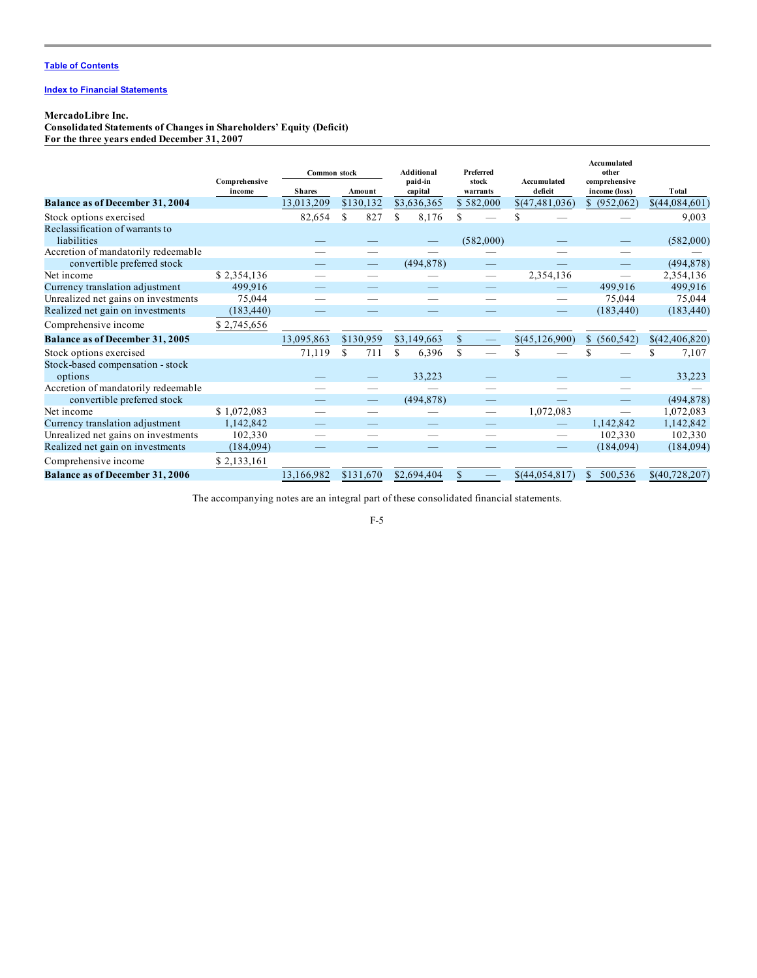# **MercadoLibre Inc.**

**Consolidated Statements of Changes in Shareholders' Equity (Deficit) For the three years ended December 31, 2007**

|                                        | Comprehensive | <b>Common</b> stock |           | <b>Additional</b><br>paid-in | <b>Preferred</b><br>stock | <b>Accumulated</b> | Accumulated<br>other<br>comprehensive |                  |
|----------------------------------------|---------------|---------------------|-----------|------------------------------|---------------------------|--------------------|---------------------------------------|------------------|
|                                        | income        | <b>Shares</b>       | Amount    | capital                      | warrants                  | deficit            | income (loss)                         | Total            |
| Balance as of December 31, 2004        |               | 13,013,209          | \$130,132 | \$3,636,365                  | \$582,000                 | \$(47, 481, 036)   | $$$ (952,062)                         | \$(44,084,601)   |
| Stock options exercised                |               | 82,654              | 827<br>S  | S<br>8,176                   | S                         |                    |                                       | 9,003            |
| Reclassification of warrants to        |               |                     |           |                              |                           |                    |                                       |                  |
| liabilities                            |               |                     |           |                              | (582,000)                 |                    |                                       | (582,000)        |
| Accretion of mandatorily redeemable    |               |                     |           |                              |                           |                    |                                       |                  |
| convertible preferred stock            |               |                     |           | (494, 878)                   |                           |                    |                                       | (494, 878)       |
| Net income                             | \$2,354,136   |                     |           |                              |                           | 2,354,136          |                                       | 2,354,136        |
| Currency translation adjustment        | 499,916       |                     |           |                              |                           |                    | 499,916                               | 499,916          |
| Unrealized net gains on investments    | 75,044        |                     |           |                              |                           |                    | 75,044                                | 75,044           |
| Realized net gain on investments       | (183, 440)    |                     |           |                              |                           |                    | (183, 440)                            | (183, 440)       |
| Comprehensive income                   | \$2,745,656   |                     |           |                              |                           |                    |                                       |                  |
| <b>Balance as of December 31, 2005</b> |               | 13,095,863          | \$130,959 | \$3,149,663                  | $\mathbf{s}$              | \$(45,126,900)     | \$ (560, 542)                         | \$(42, 406, 820) |
| Stock options exercised                |               | 71,119              | S<br>711  | S<br>6,396                   | \$                        | S                  |                                       | 7,107<br>\$      |
| Stock-based compensation - stock       |               |                     |           |                              |                           |                    |                                       |                  |
| options                                |               |                     |           | 33,223                       |                           |                    |                                       | 33,223           |
| Accretion of mandatorily redeemable    |               |                     |           |                              |                           |                    |                                       |                  |
| convertible preferred stock            |               |                     |           | (494, 878)                   |                           |                    |                                       | (494, 878)       |
| Net income                             | \$1,072,083   |                     |           |                              | —                         | 1,072,083          |                                       | 1,072,083        |
| Currency translation adjustment        | 1,142,842     |                     |           |                              |                           |                    | 1,142,842                             | 1,142,842        |
| Unrealized net gains on investments    | 102,330       |                     |           |                              |                           |                    | 102,330                               | 102,330          |
| Realized net gain on investments       | (184, 094)    |                     |           |                              |                           |                    | (184,094)                             | (184,094)        |
| Comprehensive income                   | \$2,133,161   |                     |           |                              |                           |                    |                                       |                  |
| <b>Balance as of December 31, 2006</b> |               | 13,166,982          | \$131,670 | \$2,694,404                  | \$                        | \$(44,054,817)     | 500,536                               | \$(40,728,207)   |

The accompanying notes are an integral part of these consolidated financial statements.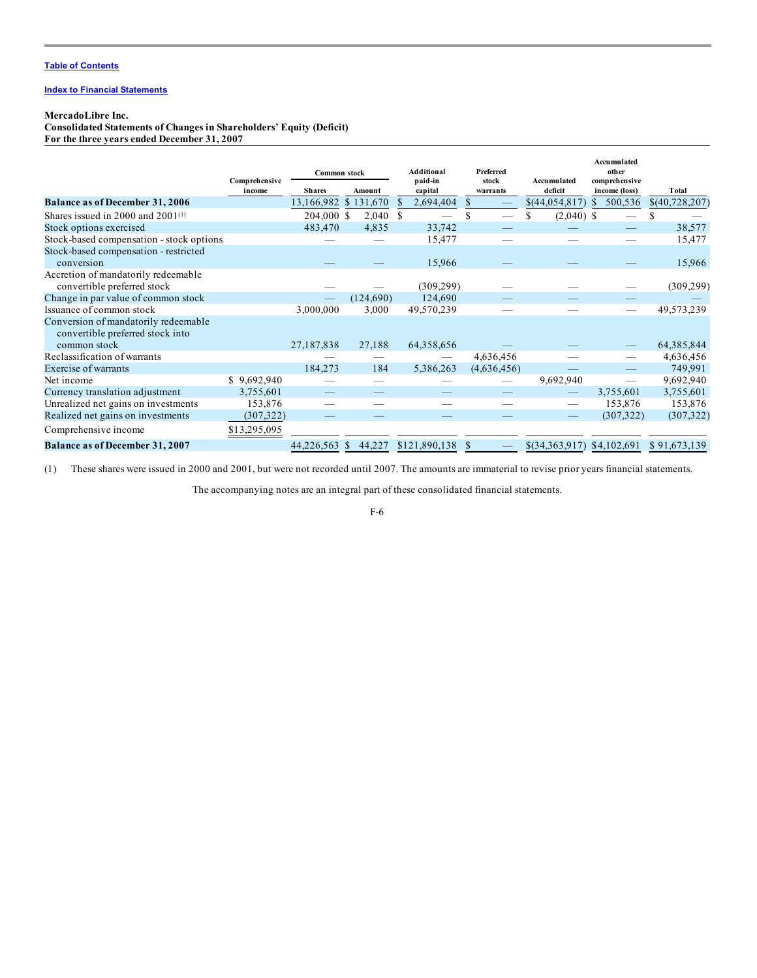# **MercadoLibre Inc.**

**Consolidated Statements of Changes in Shareholders' Equity (Deficit) For the three years ended December 31, 2007**

|                                                                          | Comprehensive | <b>Common</b> stock |                         | <b>Additional</b><br>paid-in | Preferred<br>stock | Accumulated                 | <b>Accumulated</b><br>other<br>comprehensive |                |
|--------------------------------------------------------------------------|---------------|---------------------|-------------------------|------------------------------|--------------------|-----------------------------|----------------------------------------------|----------------|
|                                                                          | income        | <b>Shares</b>       | Amount                  | capital                      | warrants           | deficit                     | income (loss)                                | Total          |
| <b>Balance as of December 31, 2006</b>                                   |               | 13,166,982          | \$131,670               | 2,694,404                    | <sup>\$</sup>      | \$(44,054,817)              | 500,536                                      | \$(40,728,207) |
| Shares issued in 2000 and $2001^{(1)}$                                   |               | 204,000 \$          | $2,040$ \$              |                              | S                  | $(2,040)$ \$                |                                              |                |
| Stock options exercised                                                  |               | 483,470             | 4,835                   | 33,742                       |                    |                             |                                              | 38,577         |
| Stock-based compensation - stock options                                 |               |                     |                         | 15,477                       |                    |                             |                                              | 15,477         |
| Stock-based compensation - restricted                                    |               |                     |                         |                              |                    |                             |                                              |                |
| conversion                                                               |               |                     |                         | 15,966                       |                    |                             |                                              | 15,966         |
| Accretion of mandatorily redeemable<br>convertible preferred stock       |               |                     |                         | (309, 299)                   |                    |                             |                                              | (309, 299)     |
| Change in par value of common stock                                      |               |                     | (124,690)               | 124,690                      |                    |                             |                                              |                |
| Issuance of common stock                                                 |               | 3,000,000           | 3,000                   | 49,570,239                   |                    |                             |                                              | 49,573,239     |
| Conversion of mandatorily redeemable<br>convertible preferred stock into |               |                     |                         |                              |                    |                             |                                              |                |
| common stock                                                             |               | 27,187,838          | 27,188                  | 64,358,656                   |                    |                             |                                              | 64, 385, 844   |
| Reclassification of warrants                                             |               |                     |                         |                              | 4,636,456          |                             |                                              | 4,636,456      |
| Exercise of warrants                                                     |               | 184,273             | 184                     | 5,386,263                    | (4,636,456)        |                             |                                              | 749,991        |
| Net income                                                               | \$9,692,940   |                     |                         |                              |                    | 9,692,940                   | $\overline{\phantom{a}}$                     | 9,692,940      |
| Currency translation adjustment                                          | 3,755,601     |                     |                         |                              |                    |                             | 3,755,601                                    | 3,755,601      |
| Unrealized net gains on investments                                      | 153,876       |                     |                         |                              |                    |                             | 153,876                                      | 153,876        |
| Realized net gains on investments                                        | (307, 322)    |                     |                         |                              |                    |                             | (307, 322)                                   | (307, 322)     |
| Comprehensive income                                                     | \$13,295,095  |                     |                         |                              |                    |                             |                                              |                |
| <b>Balance as of December 31, 2007</b>                                   |               | 44,226,563          | 44,227<br><sup>\$</sup> | \$121,890,138                |                    | $$(34,363,917)$ \$4,102,691 |                                              | \$91,673,139   |

(1) These shares were issued in 2000 and 2001, but were not recorded until 2007. The amounts are immaterial to revise prior years financial statements.

The accompanying notes are an integral part of these consolidated financial statements.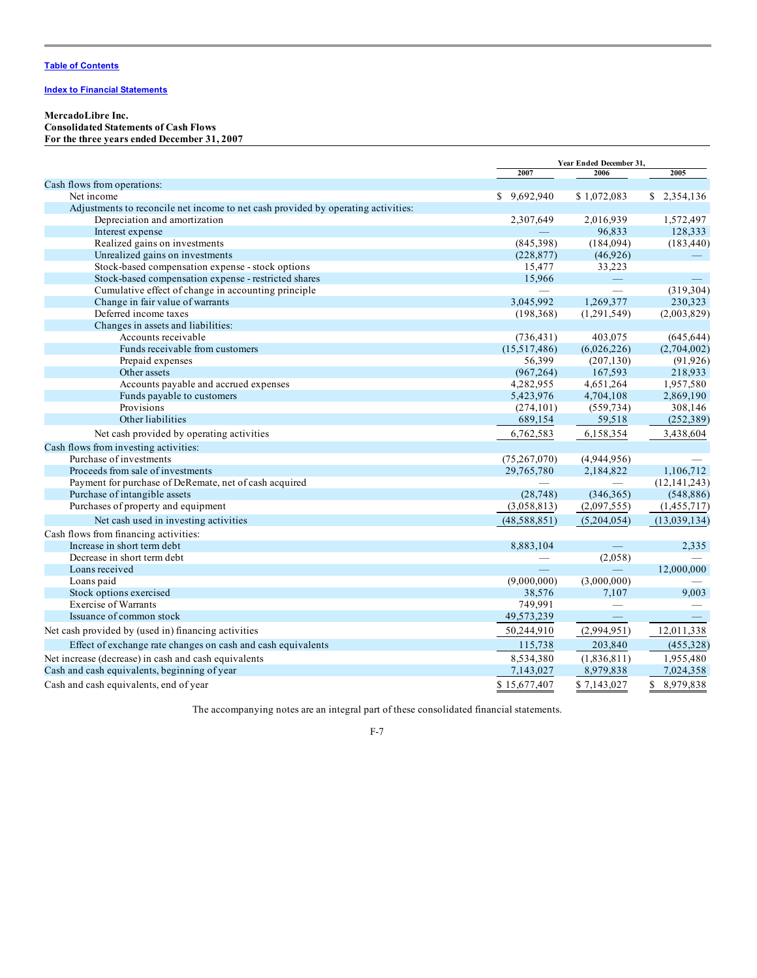# **Index to Financial Statements**

# **MercadoLibre Inc. Consolidated Statements of Cash Flows**

|  | For the three years ended December 31, 2007 |
|--|---------------------------------------------|
|--|---------------------------------------------|

|                                                                                   |              | Year Ended December 31,  |                          |  |  |
|-----------------------------------------------------------------------------------|--------------|--------------------------|--------------------------|--|--|
|                                                                                   | 2007         | 2006                     | 2005                     |  |  |
| Cash flows from operations:                                                       |              |                          |                          |  |  |
| Net income                                                                        | \$9,692,940  | \$1,072,083              | \$2,354,136              |  |  |
| Adjustments to reconcile net income to net cash provided by operating activities: |              |                          |                          |  |  |
| Depreciation and amortization                                                     | 2,307,649    | 2,016,939                | 1,572,497                |  |  |
| Interest expense                                                                  |              | 96,833                   | 128,333                  |  |  |
| Realized gains on investments                                                     | (845,398)    | (184,094)                | (183, 440)               |  |  |
| Unrealized gains on investments                                                   | (228, 877)   | (46,926)                 |                          |  |  |
| Stock-based compensation expense - stock options                                  | 15,477       | 33,223                   |                          |  |  |
| Stock-based compensation expense - restricted shares                              | 15,966       |                          |                          |  |  |
| Cumulative effect of change in accounting principle                               |              |                          | (319, 304)               |  |  |
| Change in fair value of warrants                                                  | 3,045,992    | 1,269,377                | 230,323                  |  |  |
| Deferred income taxes                                                             | (198, 368)   | (1,291,549)              | (2,003,829)              |  |  |
| Changes in assets and liabilities:                                                |              |                          |                          |  |  |
| Accounts receivable                                                               | (736, 431)   | 403,075                  | (645, 644)               |  |  |
| Funds receivable from customers                                                   | (15,517,486) | (6,026,226)              | (2,704,002)              |  |  |
| Prepaid expenses                                                                  | 56,399       | (207, 130)               | (91, 926)                |  |  |
| Other assets                                                                      | (967, 264)   | 167,593                  | 218,933                  |  |  |
| Accounts payable and accrued expenses                                             | 4,282,955    | 4,651,264                | 1,957,580                |  |  |
| Funds payable to customers                                                        | 5,423,976    | 4,704,108                | 2,869,190                |  |  |
| Provisions                                                                        | (274, 101)   | (559, 734)               | 308,146                  |  |  |
| Other liabilities                                                                 | 689,154      | 59,518                   | (252, 389)               |  |  |
| Net cash provided by operating activities                                         | 6,762,583    | 6,158,354                | 3,438,604                |  |  |
| Cash flows from investing activities:                                             |              |                          |                          |  |  |
| Purchase of investments                                                           | (75,267,070) | (4,944,956)              |                          |  |  |
| Proceeds from sale of investments                                                 | 29,765,780   | 2,184,822                | 1,106,712                |  |  |
| Payment for purchase of DeRemate, net of cash acquired                            |              |                          | (12, 141, 243)           |  |  |
| Purchase of intangible assets                                                     | (28, 748)    | (346, 365)               | (548, 886)               |  |  |
| Purchases of property and equipment                                               | (3,058,813)  | (2,097,555)              | (1,455,717)              |  |  |
| Net cash used in investing activities                                             | (48,588,851) | (5,204,054)              | (13,039,134)             |  |  |
| Cash flows from financing activities:                                             |              |                          |                          |  |  |
| Increase in short term debt                                                       | 8,883,104    |                          | 2,335                    |  |  |
| Decrease in short term debt                                                       |              | (2,058)                  |                          |  |  |
| Loans received                                                                    |              |                          | 12,000,000               |  |  |
| Loans paid                                                                        | (9,000,000)  | (3,000,000)              |                          |  |  |
| Stock options exercised                                                           | 38,576       | 7,107                    | 9,003                    |  |  |
| <b>Exercise of Warrants</b>                                                       | 749,991      |                          |                          |  |  |
| Issuance of common stock                                                          | 49,573,239   | $\overline{\phantom{m}}$ | $\overline{\phantom{m}}$ |  |  |
| Net cash provided by (used in) financing activities                               | 50,244,910   | (2,994,951)              | 12,011,338               |  |  |
| Effect of exchange rate changes on cash and cash equivalents                      | 115,738      | 203,840                  | (455, 328)               |  |  |
| Net increase (decrease) in cash and cash equivalents                              | 8,534,380    | (1,836,811)              | 1,955,480                |  |  |
| Cash and cash equivalents, beginning of year                                      | 7,143,027    | 8,979,838                | 7,024,358                |  |  |
|                                                                                   |              |                          |                          |  |  |
| Cash and cash equivalents, end of year                                            | \$15,677,407 | \$7,143,027              | \$8,979,838              |  |  |

The accompanying notes are an integral part of these consolidated financial statements.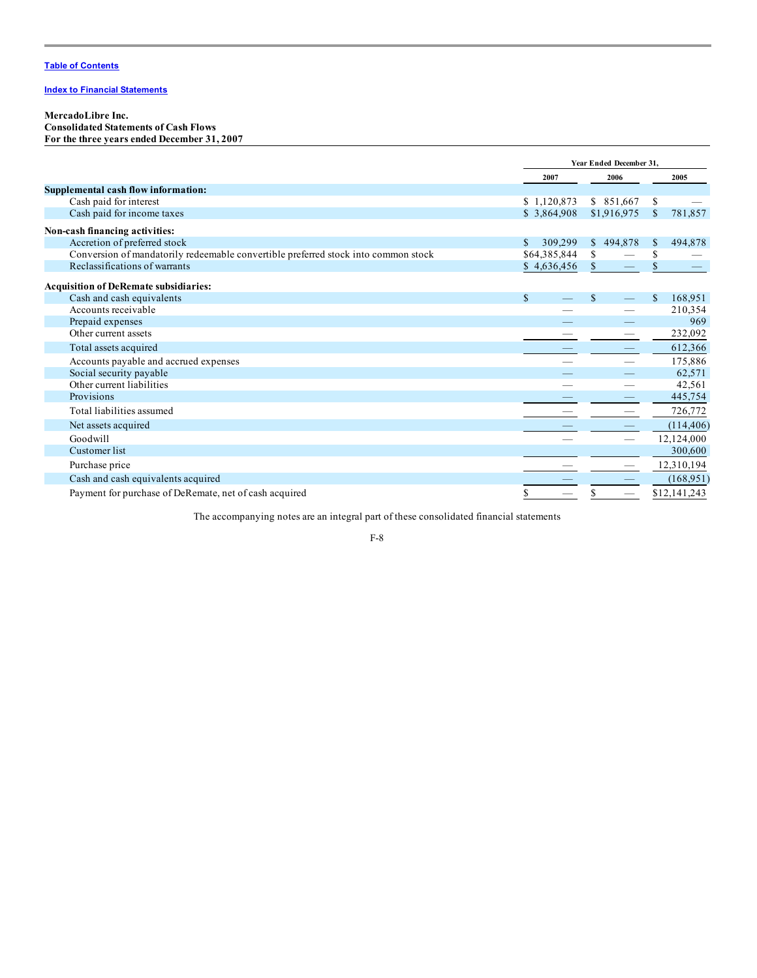# **Index to Financial Statements**

# **MercadoLibre Inc. Consolidated Statements of Cash Flows For the three years ended December 31, 2007**

|                                                                                    |                                       | <b>Year Ended December 31.</b>                  |                          |
|------------------------------------------------------------------------------------|---------------------------------------|-------------------------------------------------|--------------------------|
|                                                                                    | 2007                                  | 2006                                            | 2005                     |
| Supplemental cash flow information:                                                |                                       |                                                 |                          |
| Cash paid for interest                                                             | \$1,120,873                           | \$ 851,667                                      | \$                       |
| Cash paid for income taxes                                                         | \$3,864,908                           | \$1,916,975                                     | $\mathcal{S}$<br>781,857 |
| Non-cash financing activities:                                                     |                                       |                                                 |                          |
| Accretion of preferred stock                                                       | 309,299                               | \$<br>494,878                                   | \$<br>494,878            |
| Conversion of mandatorily redeemable convertible preferred stock into common stock | \$64,385,844                          | S<br>$\overline{\phantom{0}}$                   | \$                       |
| Reclassifications of warrants                                                      | \$4,636,456                           | $\mathbb{S}$                                    | \$                       |
| <b>Acquisition of DeRemate subsidiaries:</b>                                       |                                       |                                                 |                          |
| Cash and cash equivalents                                                          | $\mathbb{S}$                          | $\mathbb{S}$                                    | $\mathbb{S}$<br>168,951  |
| Accounts receivable                                                                |                                       |                                                 | 210,354                  |
| Prepaid expenses                                                                   |                                       |                                                 | 969                      |
| Other current assets                                                               |                                       |                                                 | 232,092                  |
| Total assets acquired                                                              |                                       |                                                 | 612,366                  |
| Accounts payable and accrued expenses                                              |                                       |                                                 | 175,886                  |
| Social security payable                                                            |                                       |                                                 | 62,571                   |
| Other current liabilities                                                          |                                       |                                                 | 42,561                   |
| Provisions                                                                         |                                       |                                                 | 445,754                  |
| Total liabilities assumed                                                          |                                       |                                                 | 726,772                  |
| Net assets acquired                                                                |                                       |                                                 | (114, 406)               |
| Goodwill                                                                           |                                       |                                                 | 12,124,000               |
| Customer list                                                                      |                                       |                                                 | 300,600                  |
| Purchase price                                                                     |                                       |                                                 | 12,310,194               |
| Cash and cash equivalents acquired                                                 |                                       |                                                 | (168,951)                |
| Payment for purchase of DeRemate, net of cash acquired                             | \$<br>$\hspace{0.1mm}-\hspace{0.1mm}$ | \$<br>$\qquad \qquad \overline{\qquad \qquad }$ | \$12,141,243             |

The accompanying notes are an integral part of these consolidated financial statements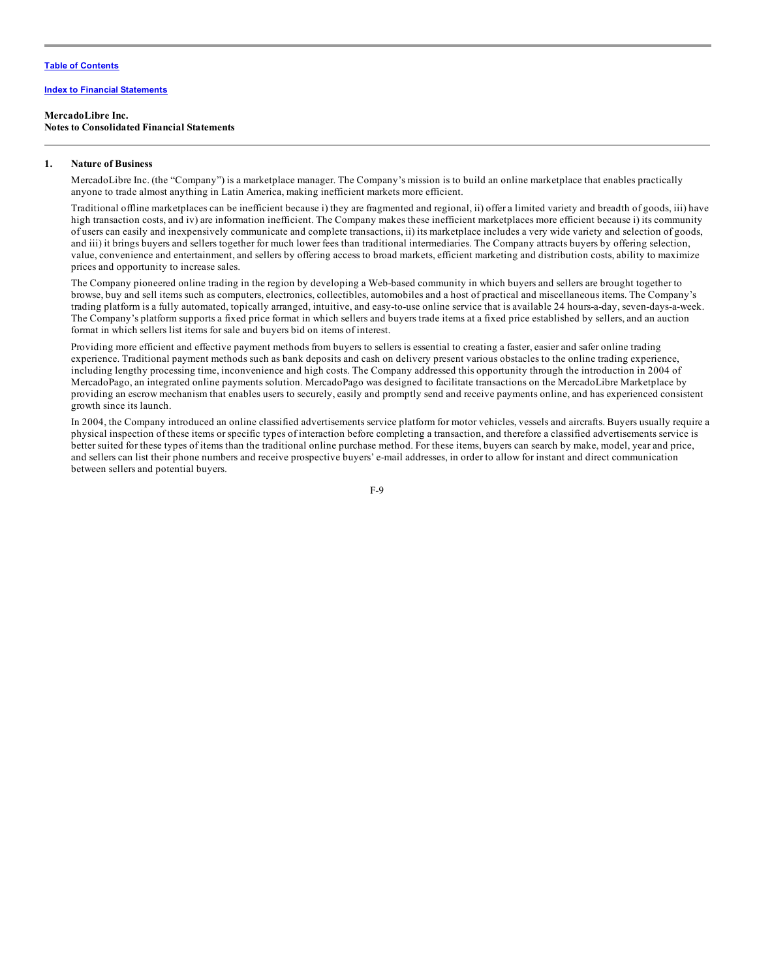## **Index to Financial Statements**

## **MercadoLibre Inc.**

## **Notes to Consolidated Financial Statements**

### **1. Nature of Business**

MercadoLibre Inc. (the "Company") is a marketplace manager. The Company's mission is to build an online marketplace that enables practically anyone to trade almost anything in Latin America, making inefficient markets more efficient.

Traditional offline marketplaces can be inefficient because i) they are fragmented and regional, ii) offer a limited variety and breadth of goods, iii) have high transaction costs, and iv) are information inefficient. The Company makes these inefficient marketplaces more efficient because i) its community of users can easily and inexpensively communicate and complete transactions, ii) its marketplace includes a very wide variety and selection of goods, and iii) it brings buyers and sellers together for much lower fees than traditional intermediaries. The Company attracts buyers by offering selection, value, convenience and entertainment, and sellers by offering access to broad markets, efficient marketing and distribution costs, ability to maximize prices and opportunity to increase sales.

The Company pioneered online trading in the region by developing a Web-based community in which buyers and sellers are brought together to browse, buy and sell items such as computers, electronics, collectibles, automobiles and a host of practical and miscellaneous items. The Company's trading platform is a fully automated, topically arranged, intuitive, and easy-to-use online service that is available 24 hours-a-day, seven-days-a-week. The Company's platform supports a fixed price format in which sellers and buyers trade items at a fixed price established by sellers, and an auction format in which sellers list items for sale and buyers bid on items of interest.

Providing more efficient and effective payment methods from buyers to sellers is essential to creating a faster, easier and safer online trading experience. Traditional payment methods such as bank deposits and cash on delivery present various obstacles to the online trading experience, including lengthy processing time, inconvenience and high costs. The Company addressed this opportunity through the introduction in 2004 of MercadoPago, an integrated online payments solution. MercadoPago was designed to facilitate transactions on the MercadoLibre Marketplace by providing an escrow mechanism that enables users to securely, easily and promptly send and receive payments online, and has experienced consistent growth since its launch.

In 2004, the Company introduced an online classified advertisements service platform for motor vehicles, vessels and aircrafts. Buyers usually require a physical inspection of these items or specific types of interaction before completing a transaction, and therefore a classified advertisements service is better suited for these types of items than the traditional online purchase method. For these items, buyers can search by make, model, year and price, and sellers can list their phone numbers and receive prospective buyers' e-mail addresses, in order to allow for instant and direct communication between sellers and potential buyers.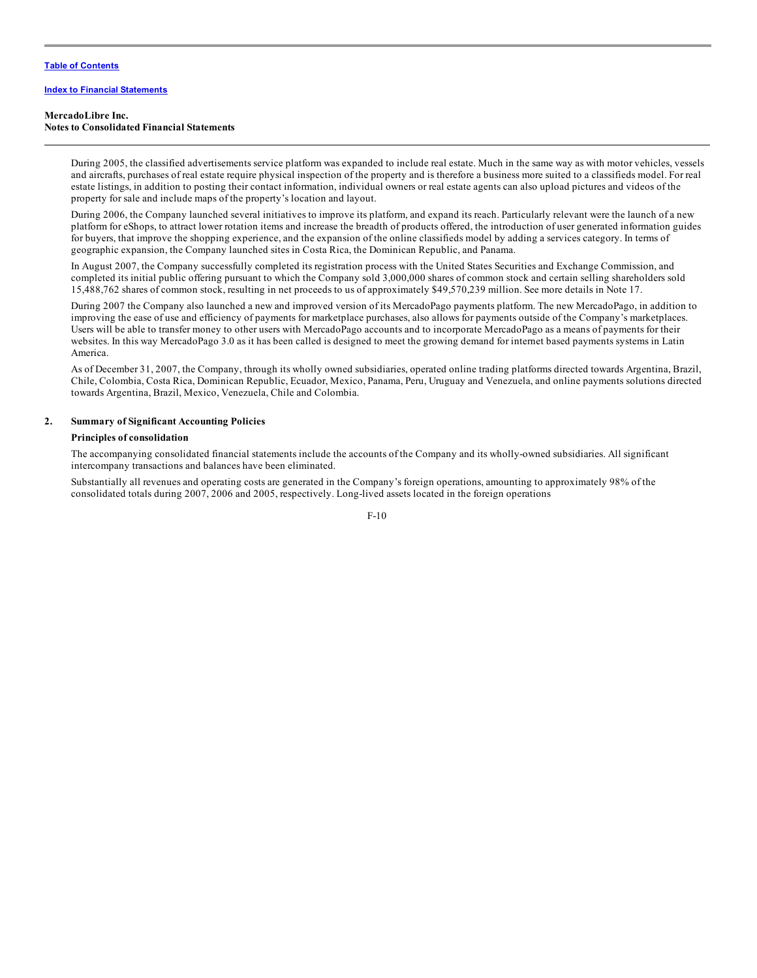#### **MercadoLibre Inc.**

# **Notes to Consolidated Financial Statements**

During 2005, the classified advertisements service platform was expanded to include real estate. Much in the same way as with motor vehicles, vessels and aircrafts, purchases of real estate require physical inspection of the property and is therefore a business more suited to a classifieds model. For real estate listings, in addition to posting their contact information, individual owners or real estate agents can also upload pictures and videos of the property for sale and include maps of the property's location and layout.

During 2006, the Company launched several initiatives to improve its platform, and expand its reach. Particularly relevant were the launch of a new platform for eShops, to attract lower rotation items and increase the breadth of products offered, the introduction of user generated information guides for buyers, that improve the shopping experience, and the expansion of the online classifieds model by adding a services category. In terms of geographic expansion, the Company launched sites in Costa Rica, the Dominican Republic, and Panama.

In August 2007, the Company successfully completed its registration process with the United States Securities and Exchange Commission, and completed its initial public offering pursuant to which the Company sold 3,000,000 shares of common stock and certain selling shareholders sold 15,488,762 shares of common stock, resulting in net proceeds to us of approximately \$49,570,239 million. See more details in Note 17.

During 2007 the Company also launched a new and improved version of its MercadoPago payments platform. The new MercadoPago, in addition to improving the ease of use and efficiency of payments for marketplace purchases, also allows for payments outside of the Company's marketplaces. Users will be able to transfer money to other users with MercadoPago accounts and to incorporate MercadoPago as a means of payments for their websites. In this way MercadoPago 3.0 as it has been called is designed to meet the growing demand for internet based payments systems in Latin America.

As of December 31, 2007, the Company, through its wholly owned subsidiaries, operated online trading platforms directed towards Argentina, Brazil, Chile, Colombia, Costa Rica, Dominican Republic, Ecuador, Mexico, Panama, Peru, Uruguay and Venezuela, and online payments solutions directed towards Argentina, Brazil, Mexico, Venezuela, Chile and Colombia.

#### **2. Summary of Significant Accounting Policies**

### **Principles of consolidation**

The accompanying consolidated financial statements include the accounts of the Company and its wholly-owned subsidiaries. All significant intercompany transactions and balances have been eliminated.

Substantially all revenues and operating costs are generated in the Company's foreign operations, amounting to approximately 98% of the consolidated totals during 2007, 2006 and 2005, respectively. Long-lived assets located in the foreign operations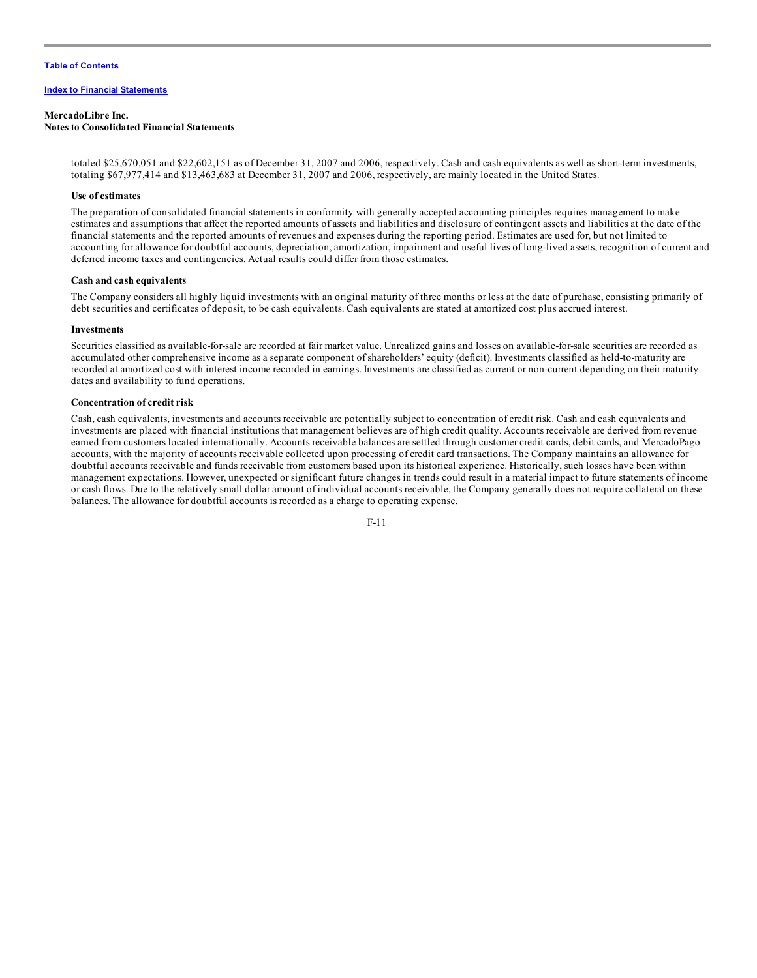## **MercadoLibre Inc.**

### **Notes to Consolidated Financial Statements**

totaled \$25,670,051 and \$22,602,151 as of December 31, 2007 and 2006, respectively. Cash and cash equivalents as well as short-term investments, totaling \$67,977,414 and \$13,463,683 at December 31, 2007 and 2006, respectively, are mainly located in the United States.

#### **Use of estimates**

The preparation of consolidated financial statements in conformity with generally accepted accounting principles requires management to make estimates and assumptions that affect the reported amounts of assets and liabilities and disclosure of contingent assets and liabilities at the date of the financial statements and the reported amounts of revenues and expenses during the reporting period. Estimates are used for, but not limited to accounting for allowance for doubtful accounts, depreciation, amortization, impairment and useful lives of long-lived assets, recognition of current and deferred income taxes and contingencies. Actual results could differ from those estimates.

#### **Cash and cash equivalents**

The Company considers all highly liquid investments with an original maturity of three months or less at the date of purchase, consisting primarily of debt securities and certificates of deposit, to be cash equivalents. Cash equivalents are stated at amortized cost plus accrued interest.

#### **Investments**

Securities classified as available-for-sale are recorded at fair market value. Unrealized gains and losses on available-for-sale securities are recorded as accumulated other comprehensive income as a separate component of shareholders' equity (deficit). Investments classified as held-to-maturity are recorded at amortized cost with interest income recorded in earnings. Investments are classified as current or non-current depending on their maturity dates and availability to fund operations.

### **Concentration of credit risk**

Cash, cash equivalents, investments and accounts receivable are potentially subject to concentration of credit risk. Cash and cash equivalents and investments are placed with financial institutions that management believes are of high credit quality. Accounts receivable are derived from revenue earned from customers located internationally. Accounts receivable balances are settled through customer credit cards, debit cards, and MercadoPago accounts, with the majority of accounts receivable collected upon processing of credit card transactions. The Company maintains an allowance for doubtful accounts receivable and funds receivable from customers based upon its historical experience. Historically, such losses have been within management expectations. However, unexpected or significant future changes in trends could result in a material impact to future statements of income or cash flows. Due to the relatively small dollar amount of individual accounts receivable, the Company generally does not require collateral on these balances. The allowance for doubtful accounts is recorded as a charge to operating expense.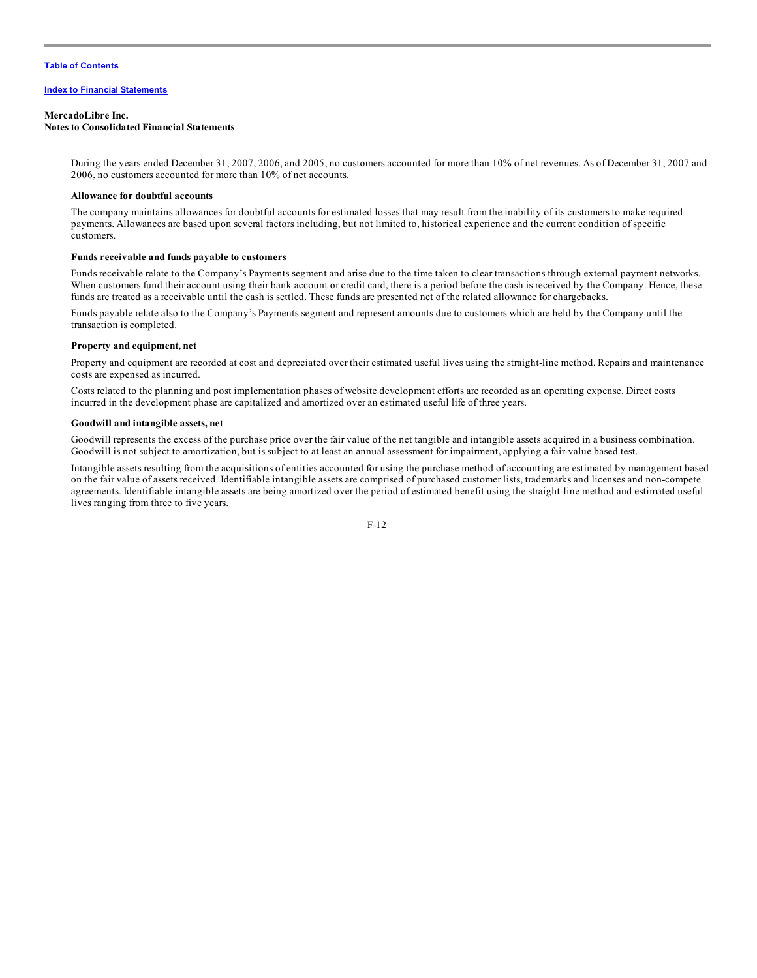## **MercadoLibre Inc.**

### **Notes to Consolidated Financial Statements**

During the years ended December 31, 2007, 2006, and 2005, no customers accounted for more than 10% of net revenues. As of December 31, 2007 and 2006, no customers accounted for more than 10% of net accounts.

#### **Allowance for doubtful accounts**

The company maintains allowances for doubtful accounts for estimated losses that may result from the inability of its customers to make required payments. Allowances are based upon several factors including, but not limited to, historical experience and the current condition of specific customers.

### **Funds receivable and funds payable to customers**

Funds receivable relate to the Company's Payments segment and arise due to the time taken to clear transactions through external payment networks. When customers fund their account using their bank account or credit card, there is a period before the cash is received by the Company. Hence, these funds are treated as a receivable until the cash is settled. These funds are presented net of the related allowance for chargebacks.

Funds payable relate also to the Company's Payments segment and represent amounts due to customers which are held by the Company until the transaction is completed.

### **Property and equipment, net**

Property and equipment are recorded at cost and depreciated over their estimated useful lives using the straight-line method. Repairs and maintenance costs are expensed as incurred.

Costs related to the planning and post implementation phases of website development efforts are recorded as an operating expense. Direct costs incurred in the development phase are capitalized and amortized over an estimated useful life of three years.

### **Goodwill and intangible assets, net**

Goodwill represents the excess of the purchase price over the fair value of the net tangible and intangible assets acquired in a business combination. Goodwill is not subject to amortization, but is subject to at least an annual assessment for impairment, applying a fair-value based test.

Intangible assets resulting from the acquisitions of entities accounted for using the purchase method of accounting are estimated by management based on the fair value of assets received. Identifiable intangible assets are comprised of purchased customer lists, trademarks and licenses and non-compete agreements. Identifiable intangible assets are being amortized over the period of estimated benefit using the straight-line method and estimated useful lives ranging from three to five years.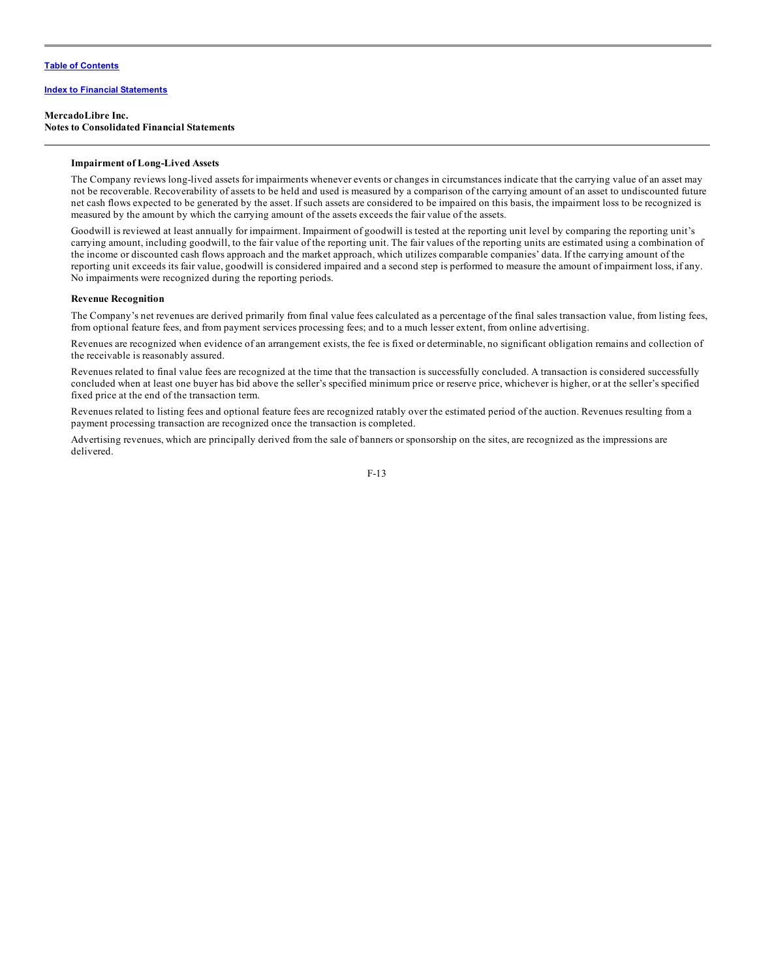## **MercadoLibre Inc. Notes to Consolidated Financial Statements**

#### **Impairment of Long-Lived Assets**

The Company reviews long-lived assets for impairments whenever events or changes in circumstances indicate that the carrying value of an asset may not be recoverable. Recoverability of assets to be held and used is measured by a comparison of the carrying amount of an asset to undiscounted future net cash flows expected to be generated by the asset. If such assets are considered to be impaired on this basis, the impairment loss to be recognized is measured by the amount by which the carrying amount of the assets exceeds the fair value of the assets.

Goodwill is reviewed at least annually for impairment. Impairment of goodwill is tested at the reporting unit level by comparing the reporting unit's carrying amount, including goodwill, to the fair value of the reporting unit. The fair values of the reporting units are estimated using a combination of the income or discounted cash flows approach and the market approach, which utilizes comparable companies' data. If the carrying amount of the reporting unit exceeds its fair value, goodwill is considered impaired and a second step is performed to measure the amount of impairment loss, if any. No impairments were recognized during the reporting periods.

#### **Revenue Recognition**

The Company's net revenues are derived primarily from final value fees calculated as a percentage of the final sales transaction value, from listing fees, from optional feature fees, and from payment services processing fees; and to a much lesser extent, from online advertising.

Revenues are recognized when evidence of an arrangement exists, the fee is fixed or determinable, no significant obligation remains and collection of the receivable is reasonably assured.

Revenues related to final value fees are recognized at the time that the transaction is successfully concluded. A transaction is considered successfully concluded when at least one buyer has bid above the seller's specified minimum price or reserve price, whichever is higher, or at the seller's specified fixed price at the end of the transaction term.

Revenues related to listing fees and optional feature fees are recognized ratably over the estimated period of the auction. Revenues resulting from a payment processing transaction are recognized once the transaction is completed.

Advertising revenues, which are principally derived from the sale of banners or sponsorship on the sites, are recognized as the impressions are delivered.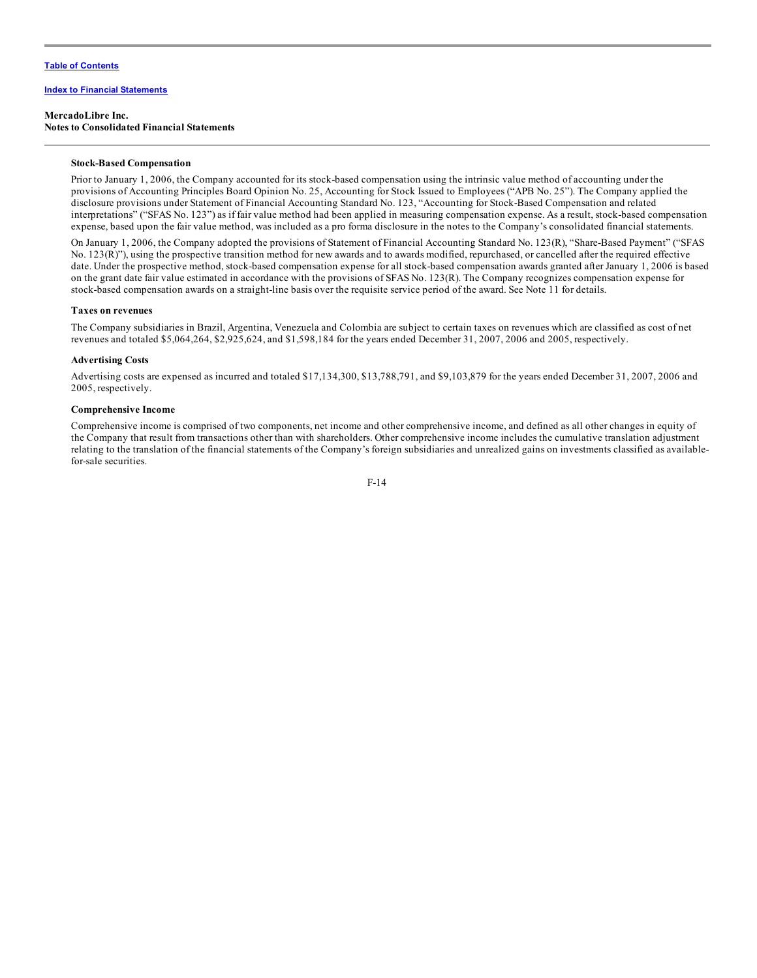## **MercadoLibre Inc. Notes to Consolidated Financial Statements**

#### **Stock-Based Compensation**

Prior to January 1, 2006, the Company accounted for its stock-based compensation using the intrinsic value method of accounting under the provisions of Accounting Principles Board Opinion No. 25, Accounting for Stock Issued to Employees ("APB No. 25"). The Company applied the disclosure provisions under Statement of Financial Accounting Standard No. 123, "Accounting for Stock-Based Compensation and related interpretations" ("SFAS No. 123") as if fair value method had been applied in measuring compensation expense. As a result, stock-based compensation expense, based upon the fair value method, was included as a pro forma disclosure in the notes to the Company's consolidated financial statements.

On January 1, 2006, the Company adopted the provisions of Statement of Financial Accounting Standard No. 123(R), "Share-Based Payment" ("SFAS No. 123(R)"), using the prospective transition method for new awards and to awards modified, repurchased, or cancelled after the required effective date. Under the prospective method, stock-based compensation expense for all stock-based compensation awards granted after January 1, 2006 is based on the grant date fair value estimated in accordance with the provisions of SFAS No. 123(R). The Company recognizes compensation expense for stock-based compensation awards on a straight-line basis over the requisite service period of the award. See Note 11 for details.

#### **Taxes on revenues**

The Company subsidiaries in Brazil, Argentina, Venezuela and Colombia are subject to certain taxes on revenues which are classified as cost of net revenues and totaled \$5,064,264, \$2,925,624, and \$1,598,184 for the years ended December 31, 2007, 2006 and 2005, respectively.

#### **Advertising Costs**

Advertising costs are expensed as incurred and totaled \$17,134,300, \$13,788,791, and \$9,103,879 for the years ended December 31, 2007, 2006 and 2005, respectively.

#### **Comprehensive Income**

Comprehensive income is comprised of two components, net income and other comprehensive income, and defined as all other changes in equity of the Company that result from transactions other than with shareholders. Other comprehensive income includes the cumulative translation adjustment relating to the translation of the financial statements of the Company's foreign subsidiaries and unrealized gains on investments classified as availablefor-sale securities.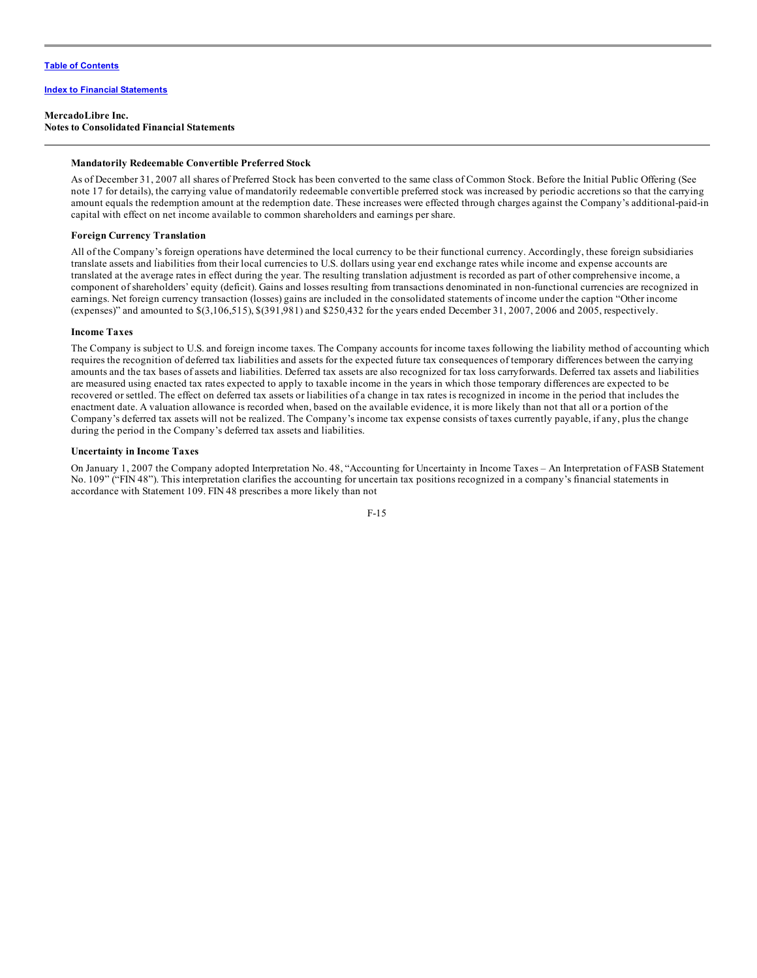### **MercadoLibre Inc. Notes to Consolidated Financial Statements**

### **Mandatorily Redeemable Convertible Preferred Stock**

As of December 31, 2007 all shares of Preferred Stock has been converted to the same class of Common Stock. Before the Initial Public Offering (See note 17 for details), the carrying value of mandatorily redeemable convertible preferred stock was increased by periodic accretions so that the carrying amount equals the redemption amount at the redemption date. These increases were effected through charges against the Company's additional-paid-in capital with effect on net income available to common shareholders and earnings per share.

### **Foreign Currency Translation**

All of the Company's foreign operations have determined the local currency to be their functional currency. Accordingly, these foreign subsidiaries translate assets and liabilities from their local currencies to U.S. dollars using year end exchange rates while income and expense accounts are translated at the average rates in effect during the year. The resulting translation adjustment is recorded as part of other comprehensive income, a component of shareholders' equity (deficit). Gains and losses resulting from transactions denominated in non-functional currencies are recognized in earnings. Net foreign currency transaction (losses) gains are included in the consolidated statements of income under the caption "Other income (expenses)" and amounted to \$(3,106,515), \$(391,981) and \$250,432 for the years ended December 31, 2007, 2006 and 2005, respectively.

### **Income Taxes**

The Company is subject to U.S. and foreign income taxes. The Company accounts for income taxes following the liability method of accounting which requires the recognition of deferred tax liabilities and assets for the expected future tax consequences of temporary differences between the carrying amounts and the tax bases of assets and liabilities. Deferred tax assets are also recognized for tax loss carryforwards. Deferred tax assets and liabilities are measured using enacted tax rates expected to apply to taxable income in the years in which those temporary differences are expected to be recovered or settled. The effect on deferred tax assets or liabilities of a change in tax rates is recognized in income in the period that includes the enactment date. A valuation allowance is recorded when, based on the available evidence, it is more likely than not that all or a portion of the Company's deferred tax assets will not be realized. The Company's income tax expense consists of taxes currently payable, if any, plus the change during the period in the Company's deferred tax assets and liabilities.

#### **Uncertainty in Income Taxes**

On January 1, 2007 the Company adopted Interpretation No. 48, "Accounting for Uncertainty in Income Taxes – An Interpretation of FASB Statement No. 109" ("FIN 48"). This interpretation clarifies the accounting for uncertain tax positions recognized in a company's financial statements in accordance with Statement 109. FIN 48 prescribes a more likely than not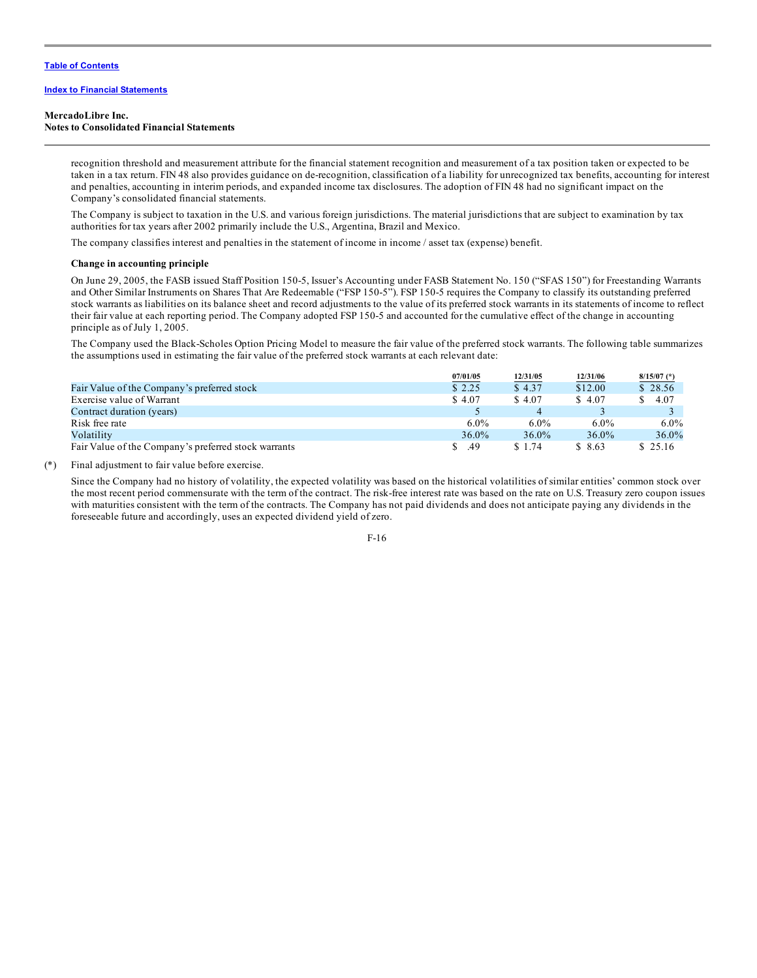## **MercadoLibre Inc.**

## **Notes to Consolidated Financial Statements**

recognition threshold and measurement attribute for the financial statement recognition and measurement of a tax position taken or expected to be taken in a tax return. FIN 48 also provides guidance on de-recognition, classification of a liability for unrecognized tax benefits, accounting for interest and penalties, accounting in interim periods, and expanded income tax disclosures. The adoption of FIN 48 had no significant impact on the Company's consolidated financial statements.

The Company is subject to taxation in the U.S. and various foreign jurisdictions. The material jurisdictions that are subject to examination by tax authorities for tax years after 2002 primarily include the U.S., Argentina, Brazil and Mexico.

The company classifies interest and penalties in the statement of income in income / asset tax (expense) benefit.

### **Change in accounting principle**

On June 29, 2005, the FASB issued Staff Position 150-5, Issuer's Accounting under FASB Statement No. 150 ("SFAS 150") for Freestanding Warrants and Other Similar Instruments on Shares That Are Redeemable ("FSP 150-5"). FSP 150-5 requires the Company to classify its outstanding preferred stock warrants as liabilities on its balance sheet and record adjustments to the value of its preferred stock warrants in its statements of income to reflect their fair value at each reporting period. The Company adopted FSP 150-5 and accounted for the cumulative effect of the change in accounting principle as of July 1, 2005.

The Company used the Black-Scholes Option Pricing Model to measure the fair value of the preferred stock warrants. The following table summarizes the assumptions used in estimating the fair value of the preferred stock warrants at each relevant date:

|                                                      | 07/01/05 | 12/31/05 | 12/31/06 | $8/15/07$ (*) |
|------------------------------------------------------|----------|----------|----------|---------------|
| Fair Value of the Company's preferred stock          | \$2.25   | \$4.37   | \$12.00  | \$28.56       |
| Exercise value of Warrant                            | \$4.07   | \$4.07   | \$4.07   | 4.07          |
| Contract duration (years)                            |          |          |          |               |
| Risk free rate                                       | $6.0\%$  | $6.0\%$  | $6.0\%$  | $6.0\%$       |
| Volatility                                           | $36.0\%$ | $36.0\%$ | $36.0\%$ | $36.0\%$      |
| Fair Value of the Company's preferred stock warrants | .49      | \$1.74   | \$8.63   | \$25.16       |

#### (\*) Final adjustment to fair value before exercise.

Since the Company had no history of volatility, the expected volatility was based on the historical volatilities of similar entities' common stock over the most recent period commensurate with the term of the contract. The risk-free interest rate was based on the rate on U.S. Treasury zero coupon issues with maturities consistent with the term of the contracts. The Company has not paid dividends and does not anticipate paying any dividends in the foreseeable future and accordingly, uses an expected dividend yield of zero.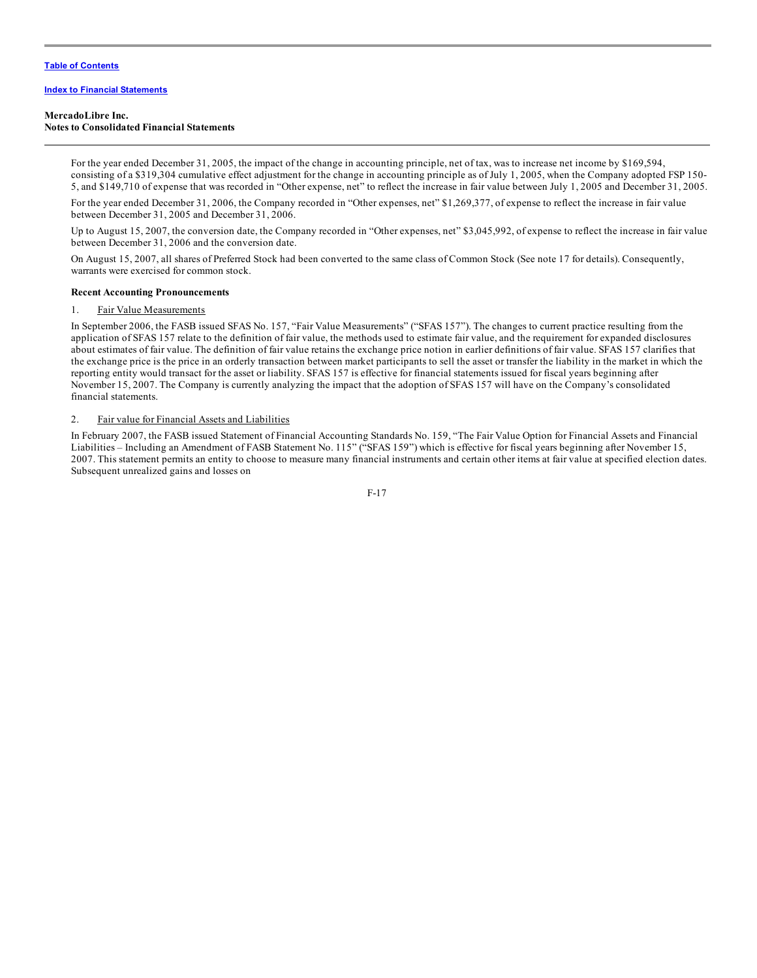## **MercadoLibre Inc.**

### **Notes to Consolidated Financial Statements**

For the year ended December 31, 2005, the impact of the change in accounting principle, net of tax, was to increase net income by \$169,594, consisting of a \$319,304 cumulative effect adjustment for the change in accounting principle as of July 1, 2005, when the Company adopted FSP 150- 5, and \$149,710 of expense that was recorded in "Other expense, net" to reflect the increase in fair value between July 1, 2005 and December 31, 2005.

For the year ended December 31, 2006, the Company recorded in "Other expenses, net" \$1,269,377, of expense to reflect the increase in fair value between December 31, 2005 and December 31, 2006.

Up to August 15, 2007, the conversion date, the Company recorded in "Other expenses, net" \$3,045,992, of expense to reflect the increase in fair value between December 31, 2006 and the conversion date.

On August 15, 2007, all shares of Preferred Stock had been converted to the same class of Common Stock (See note 17 for details). Consequently, warrants were exercised for common stock.

#### **Recent Accounting Pronouncements**

#### 1. Fair Value Measurements

In September 2006, the FASB issued SFAS No. 157, "Fair Value Measurements" ("SFAS 157"). The changes to current practice resulting from the application of SFAS 157 relate to the definition of fair value, the methods used to estimate fair value, and the requirement for expanded disclosures about estimates of fair value. The definition of fair value retains the exchange price notion in earlier definitions of fair value. SFAS 157 clarifies that the exchange price is the price in an orderly transaction between market participants to sell the asset or transfer the liability in the market in which the reporting entity would transact for the asset or liability. SFAS 157 is effective for financial statements issued for fiscal years beginning after November 15, 2007. The Company is currently analyzing the impact that the adoption of SFAS 157 will have on the Company's consolidated financial statements.

## 2. Fair value for Financial Assets and Liabilities

In February 2007, the FASB issued Statement of Financial Accounting Standards No. 159, "The Fair Value Option for Financial Assets and Financial Liabilities – Including an Amendment of FASB Statement No. 115" ("SFAS 159") which is effective for fiscal years beginning after November 15, 2007. This statement permits an entity to choose to measure many financial instruments and certain other items at fair value at specified election dates. Subsequent unrealized gains and losses on

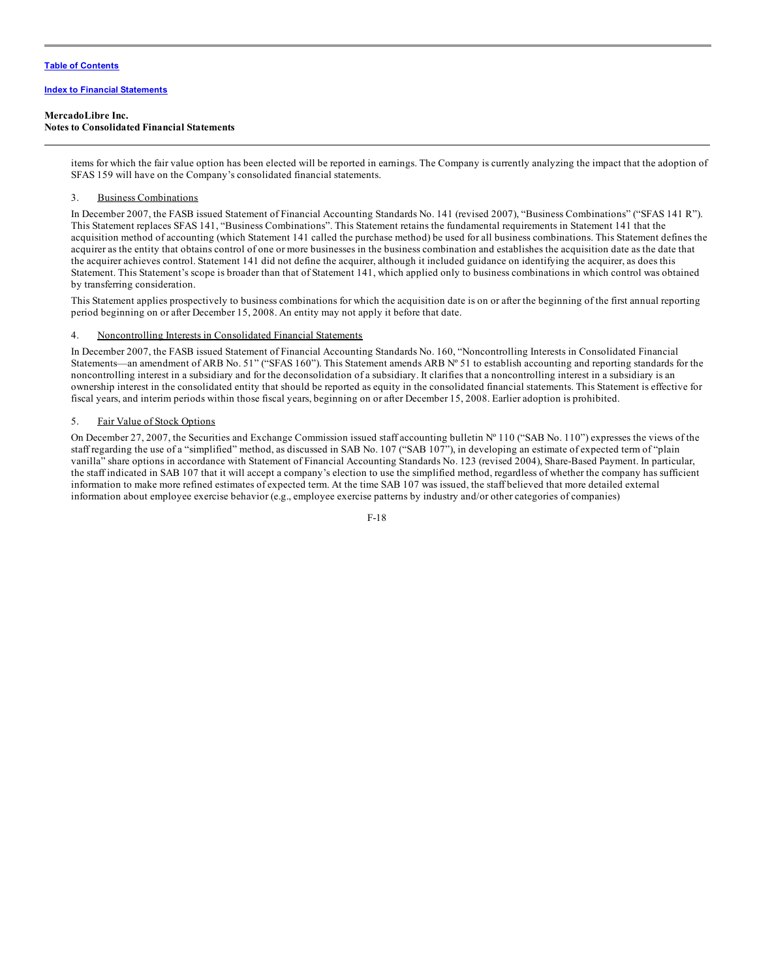#### **MercadoLibre Inc.**

### **Notes to Consolidated Financial Statements**

items for which the fair value option has been elected will be reported in earnings. The Company is currently analyzing the impact that the adoption of SFAS 159 will have on the Company's consolidated financial statements.

#### 3. Business Combinations

In December 2007, the FASB issued Statement of Financial Accounting Standards No. 141 (revised 2007), "Business Combinations" ("SFAS 141 R"). This Statement replaces SFAS 141, "Business Combinations". This Statement retains the fundamental requirements in Statement 141 that the acquisition method of accounting (which Statement 141 called the purchase method) be used for all business combinations. This Statement defines the acquirer as the entity that obtains control of one or more businesses in the business combination and establishes the acquisition date as the date that the acquirer achieves control. Statement 141 did not define the acquirer, although it included guidance on identifying the acquirer, as does this Statement. This Statement's scope is broader than that of Statement 141, which applied only to business combinations in which control was obtained by transferring consideration.

This Statement applies prospectively to business combinations for which the acquisition date is on or after the beginning of the first annual reporting period beginning on or after December 15, 2008. An entity may not apply it before that date.

#### 4. Noncontrolling Interests in Consolidated Financial Statements

In December 2007, the FASB issued Statement of Financial Accounting Standards No. 160, "Noncontrolling Interests in Consolidated Financial Statements—an amendment of ARB No. 51" ("SFAS 160"). This Statement amends ARB Nº 51 to establish accounting and reporting standards for the noncontrolling interest in a subsidiary and for the deconsolidation of a subsidiary. It clarifies that a noncontrolling interest in a subsidiary is an ownership interest in the consolidated entity that should be reported as equity in the consolidated financial statements. This Statement is effective for fiscal years, and interim periods within those fiscal years, beginning on or after December 15, 2008. Earlier adoption is prohibited.

## 5. Fair Value of Stock Options

On December 27, 2007, the Securities and Exchange Commission issued staff accounting bulletin N° 110 ("SAB No. 110") expresses the views of the staff regarding the use of a "simplified" method, as discussed in SAB No. 107 ("SAB 107"), in developing an estimate of expected term of "plain vanilla" share options in accordance with Statement of Financial Accounting Standards No. 123 (revised 2004), Share-Based Payment. In particular, the staff indicated in SAB 107 that it will accept a company's election to use the simplified method, regardless of whether the company has sufficient information to make more refined estimates of expected term. At the time SAB 107 was issued, the staff believed that more detailed external information about employee exercise behavior (e.g., employee exercise patterns by industry and/or other categories of companies)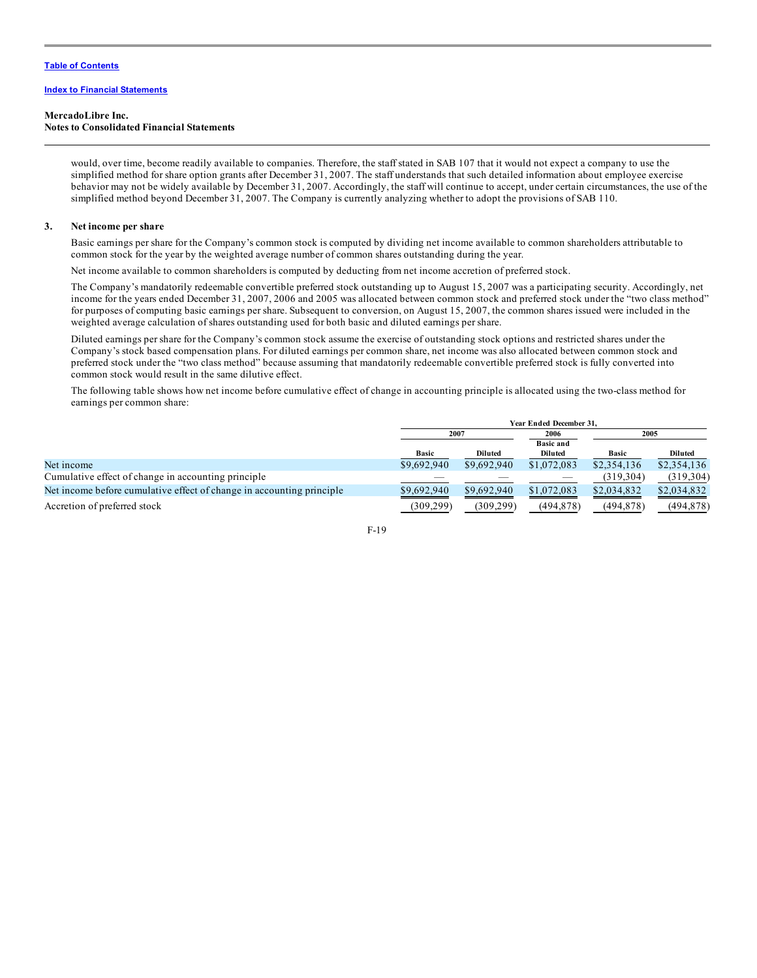## **Index to Financial Statements**

## **MercadoLibre Inc.**

### **Notes to Consolidated Financial Statements**

would, over time, become readily available to companies. Therefore, the staff stated in SAB 107 that it would not expect a company to use the simplified method for share option grants after December 31, 2007. The staff understands that such detailed information about employee exercise behavior may not be widely available by December 31, 2007. Accordingly, the staff will continue to accept, under certain circumstances, the use of the simplified method beyond December 31, 2007. The Company is currently analyzing whether to adopt the provisions of SAB 110.

#### **3. Net income per share**

Basic earnings per share for the Company's common stock is computed by dividing net income available to common shareholders attributable to common stock for the year by the weighted average number of common shares outstanding during the year.

Net income available to common shareholders is computed by deducting from net income accretion of preferred stock.

The Company's mandatorily redeemable convertible preferred stock outstanding up to August 15, 2007 was a participating security. Accordingly, net income for the years ended December 31, 2007, 2006 and 2005 was allocated between common stock and preferred stock under the "two class method" for purposes of computing basic earnings per share. Subsequent to conversion, on August 15, 2007, the common shares issued were included in the weighted average calculation of shares outstanding used for both basic and diluted earnings per share.

Diluted earnings per share for the Company's common stock assume the exercise of outstanding stock options and restricted shares under the Company's stock based compensation plans. For diluted earnings per common share, net income was also allocated between common stock and preferred stock under the "two class method" because assuming that mandatorily redeemable convertible preferred stock is fully converted into common stock would result in the same dilutive effect.

The following table shows how net income before cumulative effect of change in accounting principle is allocated using the two-class method for earnings per common share:

|                                                                       | Year Ended December 31.                |             |                                    |              |                |  |  |  |  |
|-----------------------------------------------------------------------|----------------------------------------|-------------|------------------------------------|--------------|----------------|--|--|--|--|
|                                                                       | 2007<br><b>Basic</b><br><b>Diluted</b> |             | 2006                               | 2005         |                |  |  |  |  |
|                                                                       |                                        |             | <b>Basic and</b><br><b>Diluted</b> | <b>Basic</b> | <b>Diluted</b> |  |  |  |  |
| Net income                                                            | \$9,692,940                            | \$9,692,940 | \$1,072,083                        | \$2,354,136  | \$2,354,136    |  |  |  |  |
| Cumulative effect of change in accounting principle                   |                                        |             |                                    | (319,304)    | (319,304)      |  |  |  |  |
| Net income before cumulative effect of change in accounting principle | \$9,692,940                            | \$9,692,940 | \$1,072,083                        | \$2,034,832  | \$2,034,832    |  |  |  |  |
| Accretion of preferred stock                                          | (309, 299)                             | (309, 299)  | (494, 878)                         | (494, 878)   | (494, 878)     |  |  |  |  |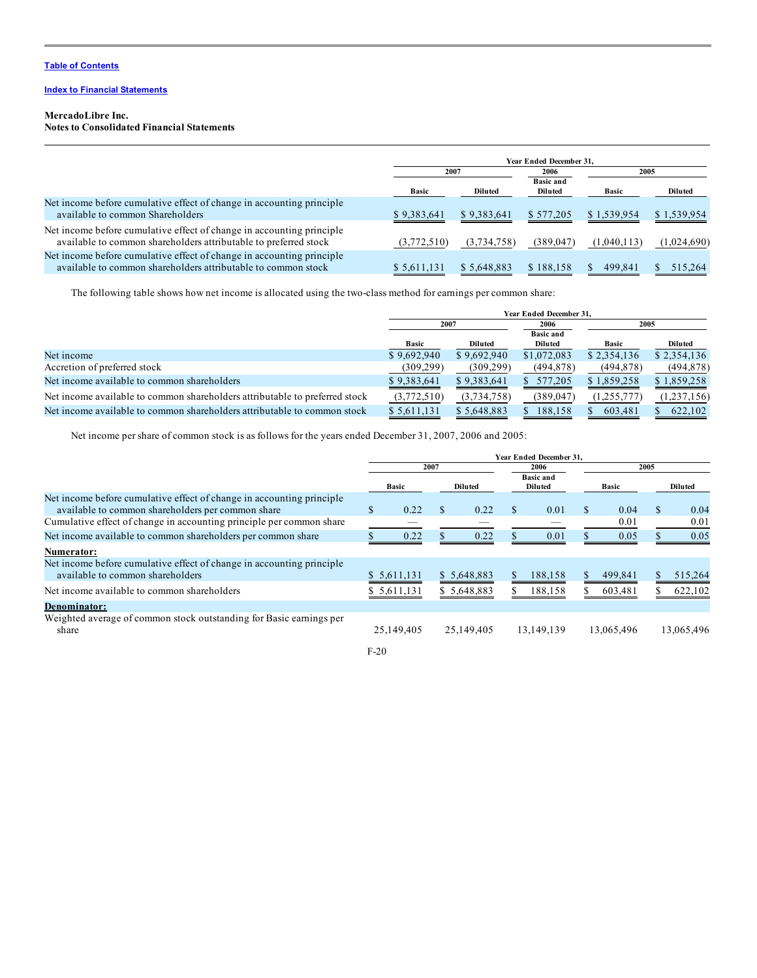# **MercadoLibre Inc.**

# **Notes to Consolidated Financial Statements**

|                                                                                                                                           | Year Ended December 31, |                |                                    |              |                |  |  |  |  |
|-------------------------------------------------------------------------------------------------------------------------------------------|-------------------------|----------------|------------------------------------|--------------|----------------|--|--|--|--|
|                                                                                                                                           | 2007                    |                | 2006                               | 2005         |                |  |  |  |  |
|                                                                                                                                           | <b>Basic</b>            | <b>Diluted</b> | <b>Basic and</b><br><b>Diluted</b> | <b>Basic</b> | <b>Diluted</b> |  |  |  |  |
| Net income before cumulative effect of change in accounting principle<br>available to common Shareholders                                 | \$9,383,641             | \$9,383,641    | \$577,205                          | \$1,539,954  | \$1,539,954    |  |  |  |  |
| Net income before cumulative effect of change in accounting principle<br>available to common shareholders attributable to preferred stock | (3,772,510)             | (3,734,758)    | (389, 047)                         | (1,040,113)  | (1,024,690)    |  |  |  |  |
| Net income before cumulative effect of change in accounting principle<br>available to common shareholders attributable to common stock    | \$5,611,131             | \$5.648.883    | \$188,158                          | 499.841      | 515.264        |  |  |  |  |

The following table shows how net income is allocated using the two-class method for earnings per common share:

|                                                                             | Year Ended December 31, |                |                                    |              |                |  |  |  |
|-----------------------------------------------------------------------------|-------------------------|----------------|------------------------------------|--------------|----------------|--|--|--|
|                                                                             | 2007                    |                | 2006                               | 2005         |                |  |  |  |
|                                                                             | Basic                   | <b>Diluted</b> | <b>Basic and</b><br><b>Diluted</b> | <b>Basic</b> | <b>Diluted</b> |  |  |  |
| Net income                                                                  | \$9,692,940             | \$9,692,940    | \$1,072,083                        | \$2,354,136  | \$2,354,136    |  |  |  |
| Accretion of preferred stock                                                | (309, 299)              | (309.299)      | (494, 878)                         | (494, 878)   | (494, 878)     |  |  |  |
| Net income available to common shareholders                                 | \$9,383,641             | \$9,383,641    | \$577,205                          | \$1,859,258  | \$1,859,258    |  |  |  |
| Net income available to common shareholders attributable to preferred stock | (3,772,510)             | (3,734,758)    | (389.047)                          | (1,255,777)  | (1,237,156)    |  |  |  |
| Net income available to common shareholders attributable to common stock    | \$5,611,131             | \$5.648.883    | 188,158                            | 603.481      | 622,102        |  |  |  |

Net income per share of common stock is as follows for the years ended December 31, 2007, 2006 and 2005:

|                                                                                                                            | Year Ended December 31, |              |     |                |    |                                    |      |              |  |                |
|----------------------------------------------------------------------------------------------------------------------------|-------------------------|--------------|-----|----------------|----|------------------------------------|------|--------------|--|----------------|
|                                                                                                                            |                         | 2007<br>2006 |     |                |    |                                    | 2005 |              |  |                |
|                                                                                                                            |                         | <b>Basic</b> |     | <b>Diluted</b> |    | <b>Basic and</b><br><b>Diluted</b> |      | <b>Basic</b> |  | <b>Diluted</b> |
| Net income before cumulative effect of change in accounting principle<br>available to common shareholders per common share | \$                      | 0.22         | \$. | 0.22           | £. | 0.01                               |      | 0.04         |  | 0.04           |
| Cumulative effect of change in accounting principle per common share                                                       |                         |              |     |                |    |                                    |      | 0.01         |  | 0.01           |
| Net income available to common shareholders per common share                                                               |                         | 0.22         |     | 0.22           |    | 0.01                               |      | 0.05         |  | 0.05           |
| Numerator:                                                                                                                 |                         |              |     |                |    |                                    |      |              |  |                |
| Net income before cumulative effect of change in accounting principle<br>available to common shareholders                  |                         | \$5,611,131  |     | \$ 5,648,883   |    | 188,158                            |      | 499,841      |  | 515,264        |
| Net income available to common shareholders                                                                                |                         | \$5,611,131  |     | \$5,648,883    |    | 188,158                            |      | 603,481      |  | 622,102        |
| Denominator:                                                                                                               |                         |              |     |                |    |                                    |      |              |  |                |
| Weighted average of common stock outstanding for Basic earnings per<br>share                                               |                         | 25,149,405   |     | 25,149,405     |    | 13,149,139                         |      | 13,065,496   |  | 13,065,496     |
|                                                                                                                            | $F-20$                  |              |     |                |    |                                    |      |              |  |                |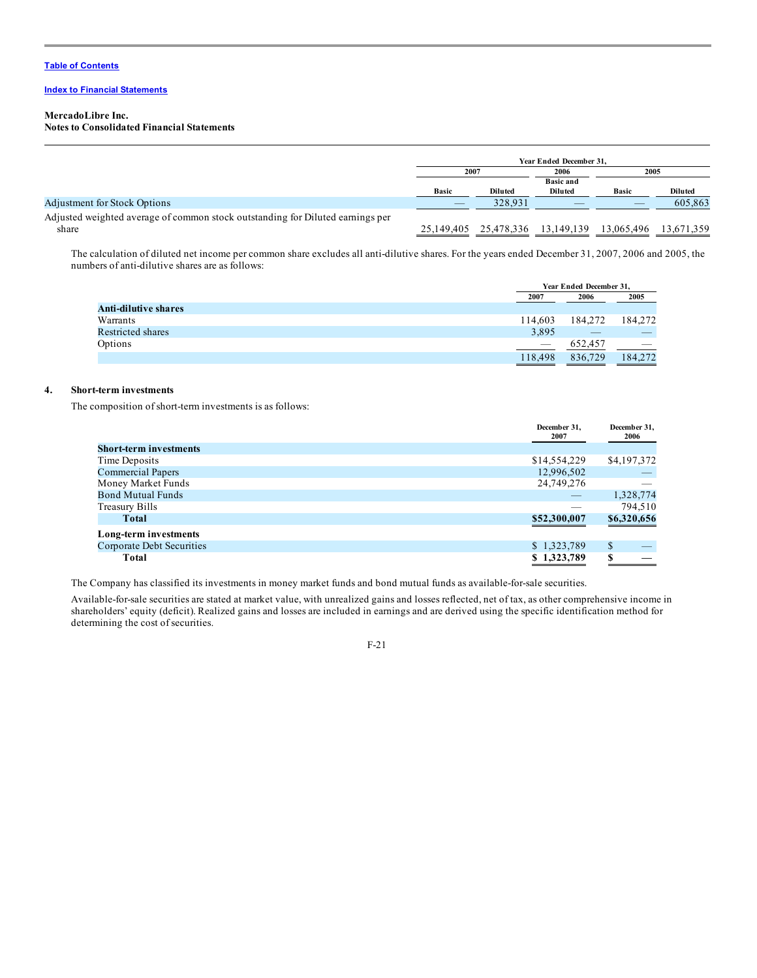# **MercadoLibre Inc.**

## **Notes to Consolidated Financial Statements**

|                                                                                | Year Ended December 31. |                |                  |                                                                  |                |
|--------------------------------------------------------------------------------|-------------------------|----------------|------------------|------------------------------------------------------------------|----------------|
|                                                                                | 2007                    |                | 2006             | 2005                                                             |                |
|                                                                                |                         |                | <b>Basic and</b> |                                                                  |                |
|                                                                                | <b>Basic</b>            | <b>Diluted</b> | <b>Diluted</b>   | <b>Basic</b>                                                     | <b>Diluted</b> |
| <b>Adjustment for Stock Options</b>                                            |                         | 328.931        |                  |                                                                  | 605.863        |
| Adjusted weighted average of common stock outstanding for Diluted earnings per |                         |                |                  |                                                                  |                |
| share                                                                          |                         |                |                  | 25, 149, 405 25, 478, 336 13, 149, 139 13, 065, 496 13, 671, 359 |                |

The calculation of diluted net income per common share excludes all anti-dilutive shares. For the years ended December 31, 2007, 2006 and 2005, the numbers of anti-dilutive shares are as follows:

|                             |         | Year Ended December 31. |                                |  |
|-----------------------------|---------|-------------------------|--------------------------------|--|
|                             | 2007    | 2006                    | 2005                           |  |
| <b>Anti-dilutive shares</b> |         |                         |                                |  |
| Warrants                    | 114.603 | 184,272                 | 184,272                        |  |
| Restricted shares           | 3,895   | $-$                     |                                |  |
| Options                     |         | 652.457                 | $\overbrace{\hspace{25mm}}^{}$ |  |
|                             | 118,498 | 836,729                 | 184,272                        |  |

### **4. Short-term investments**

The composition of short-term investments is as follows:

|                               | December 31.<br>2007 | December 31.<br>2006 |
|-------------------------------|----------------------|----------------------|
| <b>Short-term investments</b> |                      |                      |
| Time Deposits                 | \$14,554,229         | \$4,197,372          |
| <b>Commercial Papers</b>      | 12,996,502           |                      |
| Money Market Funds            | 24,749,276           |                      |
| <b>Bond Mutual Funds</b>      |                      | 1,328,774            |
| Treasury Bills                |                      | 794,510              |
| Total                         | \$52,300,007         | \$6,320,656          |
| Long-term investments         |                      |                      |
| Corporate Debt Securities     | \$1,323,789          | \$                   |
| Total                         | \$1,323,789          | S                    |

The Company has classified its investments in money market funds and bond mutual funds as available-for-sale securities.

Available-for-sale securities are stated at market value, with unrealized gains and losses reflected, net of tax, as other comprehensive income in shareholders' equity (deficit). Realized gains and losses are included in earnings and are derived using the specific identification method for determining the cost of securities.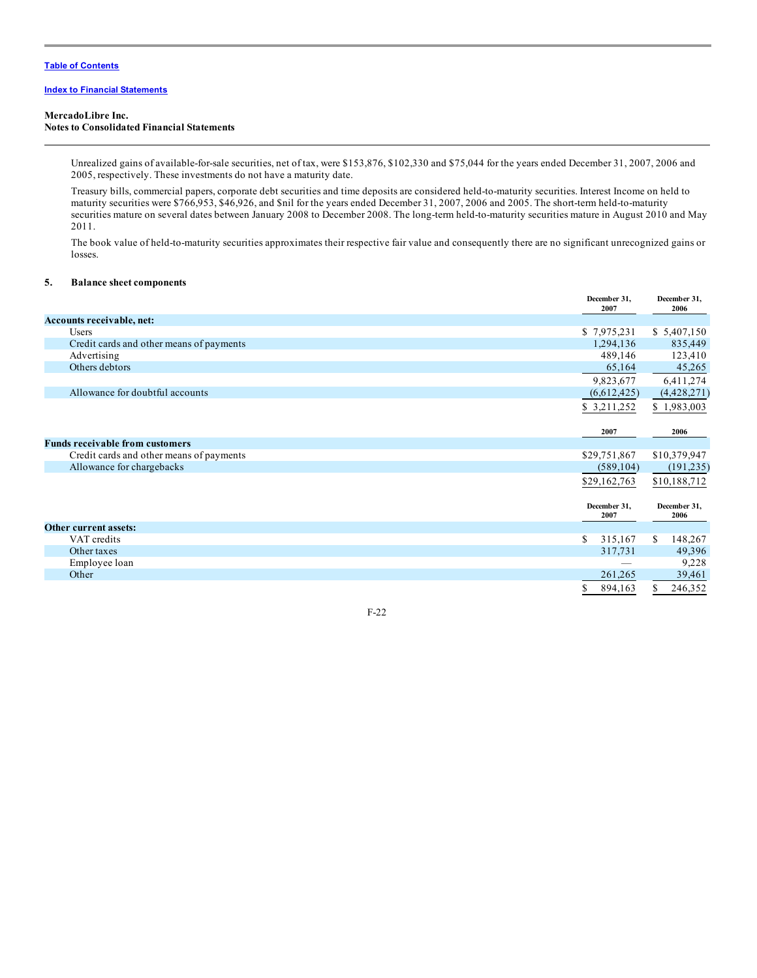# **MercadoLibre Inc.**

## **Notes to Consolidated Financial Statements**

Unrealized gains of available-for-sale securities, net of tax, were \$153,876, \$102,330 and \$75,044 for the years ended December 31, 2007, 2006 and 2005, respectively. These investments do not have a maturity date.

Treasury bills, commercial papers, corporate debt securities and time deposits are considered held-to-maturity securities. Interest Income on held to maturity securities were \$766,953, \$46,926, and \$nil for the years ended December 31, 2007, 2006 and 2005. The short-term held-to-maturity securities mature on several dates between January 2008 to December 2008. The long-term held-to-maturity securities mature in August 2010 and May 2011.

The book value of held-to-maturity securities approximates their respective fair value and consequently there are no significant unrecognized gains or losses.

## **5. Balance sheet components**

|                                          | December 31,<br>2007 | December 31,<br>2006     |
|------------------------------------------|----------------------|--------------------------|
| Accounts receivable, net:                |                      |                          |
| <b>Users</b>                             | \$7,975,231          | \$5,407,150              |
| Credit cards and other means of payments | 1,294,136            | 835,449                  |
| Advertising                              | 489,146              | 123,410                  |
| Others debtors                           | 65,164               | 45,265                   |
|                                          | 9,823,677            | 6,411,274                |
| Allowance for doubtful accounts          | (6,612,425)          | (4,428,271)              |
|                                          | \$ 3,211,252         | \$1,983,003              |
|                                          | 2007                 | 2006                     |
| <b>Funds receivable from customers</b>   |                      |                          |
| Credit cards and other means of payments | \$29,751,867         | \$10,379,947             |
| Allowance for chargebacks                | (589, 104)           | (191, 235)               |
|                                          | \$29,162,763         | \$10,188,712             |
|                                          | December 31,<br>2007 | December 31,<br>2006     |
| Other current assets:                    |                      |                          |
| VAT credits                              | \$<br>315,167        | 148,267<br><sup>\$</sup> |
| Other taxes                              | 317,731              | 49,396                   |
| Employee loan                            |                      | 9,228                    |
| Other                                    | 261,265              | 39,461                   |
|                                          | \$<br>894,163        | \$<br>246,352            |

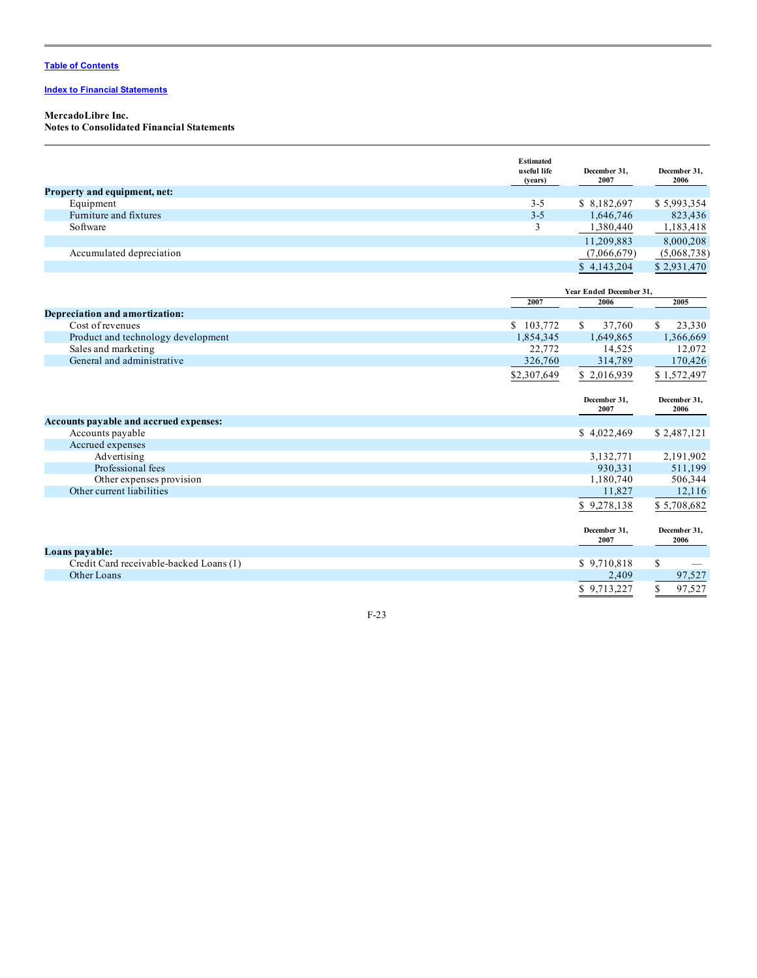# **Index to Financial Statements**

# **MercadoLibre Inc.**

**Notes to Consolidated Financial Statements**

|                                     | <b>Estimated</b><br>useful life<br>(years) | December 31.<br>2007 | December 31,<br>2006 |
|-------------------------------------|--------------------------------------------|----------------------|----------------------|
| <b>Property and equipment, net:</b> |                                            |                      |                      |
| Equipment                           | $3 - 5$                                    | \$ 8,182,697         | \$5,993,354          |
| Furniture and fixtures              | $3 - 5$                                    | 1,646,746            | 823,436              |
| Software                            |                                            | 1,380,440            | 1,183,418            |
|                                     |                                            | 11,209,883           | 8,000,208            |
| Accumulated depreciation            |                                            | (7,066,679)          | (5,068,738)          |
|                                     |                                            | \$4.143.204          | \$2.931.470          |

|                                         |             | Year Ended December 31, |                      |  |  |
|-----------------------------------------|-------------|-------------------------|----------------------|--|--|
|                                         | 2007        | 2006                    | 2005                 |  |  |
| Depreciation and amortization:          |             |                         |                      |  |  |
| Cost of revenues                        | \$103,772   | S.<br>37,760            | 23,330<br>\$         |  |  |
| Product and technology development      | 1,854,345   | 1,649,865               | 1,366,669            |  |  |
| Sales and marketing                     | 22,772      | 14,525                  | 12,072               |  |  |
| General and administrative              | 326,760     | 314,789                 | 170,426              |  |  |
|                                         | \$2,307,649 | \$2,016,939             | \$1,572,497          |  |  |
|                                         |             | December 31,<br>2007    | December 31,<br>2006 |  |  |
| Accounts payable and accrued expenses:  |             |                         |                      |  |  |
| Accounts payable                        |             | \$4,022,469             | \$2,487,121          |  |  |
| Accrued expenses                        |             |                         |                      |  |  |
| Advertising                             |             | 3,132,771               | 2,191,902            |  |  |
| Professional fees                       |             | 930,331                 | 511,199              |  |  |
| Other expenses provision                |             | 1,180,740               | 506,344              |  |  |
| Other current liabilities               |             | 11,827                  | 12,116               |  |  |
|                                         |             | \$9,278,138             | \$5,708,682          |  |  |
|                                         |             | December 31,<br>2007    | December 31,<br>2006 |  |  |
| Loans payable:                          |             |                         |                      |  |  |
| Credit Card receivable-backed Loans (1) |             | \$9,710,818             | \$                   |  |  |
| Other Loans                             |             | 2,409                   | 97,527               |  |  |

F-23

\$ 9,713,227 \$ 97,527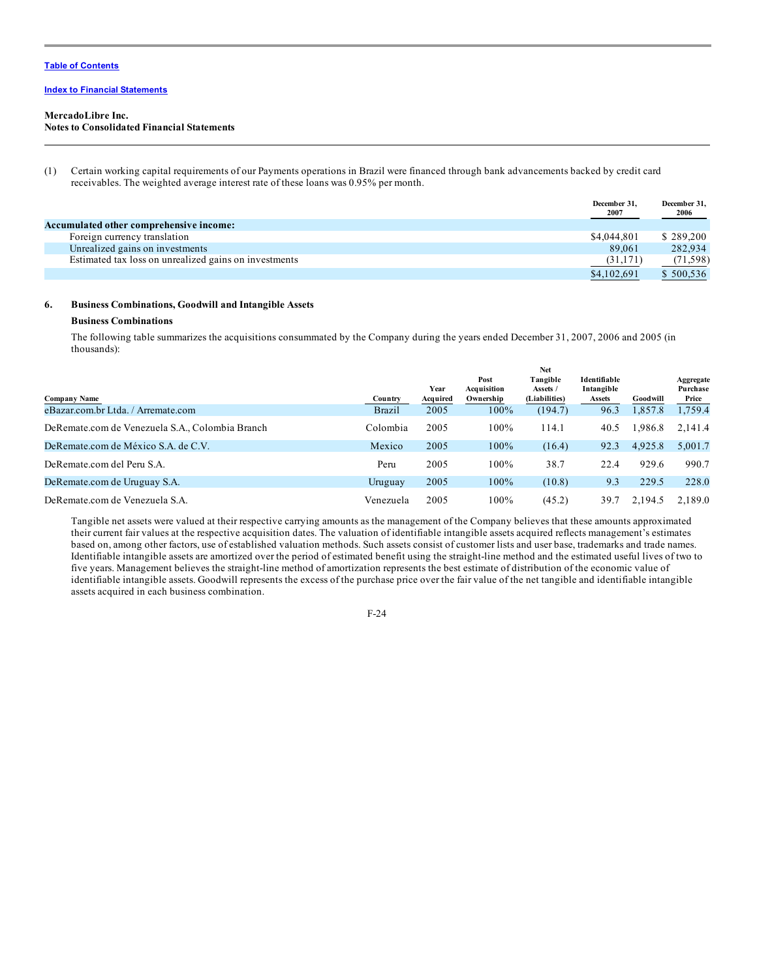# **MercadoLibre Inc.**

### **Notes to Consolidated Financial Statements**

(1) Certain working capital requirements of our Payments operations in Brazil were financed through bank advancements backed by credit card receivables. The weighted average interest rate of these loans was 0.95% per month.

|                                                       | December 31.<br>2007 | December 31,<br>2006 |
|-------------------------------------------------------|----------------------|----------------------|
| Accumulated other comprehensive income:               |                      |                      |
| Foreign currency translation                          | \$4,044,801          | \$289,200            |
| Unrealized gains on investments                       | 89,061               | 282.934              |
| Estimated tax loss on unrealized gains on investments | (31,171)             | (71, 598)            |
|                                                       | \$4,102,691          | \$500.536            |

### **6. Business Combinations, Goodwill and Intangible Assets**

#### **Business Combinations**

The following table summarizes the acquisitions consummated by the Company during the years ended December 31, 2007, 2006 and 2005 (in thousands):

|                                                 |           | Net      |             |               |               |          |           |
|-------------------------------------------------|-----------|----------|-------------|---------------|---------------|----------|-----------|
|                                                 |           |          | Post        | Tangible      | Identifiable  |          | Aggregate |
|                                                 |           | Year     | Acquisition | Assets /      | Intangible    |          | Purchase  |
| <b>Company Name</b>                             | Country   | Acquired | Ownership   | (Liabilities) | <b>Assets</b> | Goodwill | Price     |
| eBazar.com.br Ltda. / Arremate.com              | Brazil    | 2005     | 100%        | (194.7)       | 96.3          | 1,857.8  | 1,759.4   |
| DeRemate.com de Venezuela S.A., Colombia Branch | Colombia  | 2005     | 100%        | 114.1         | 40.5          | 1,986.8  | 2.141.4   |
| DeRemate.com de México S.A. de C.V.             | Mexico    | 2005     | 100%        | (16.4)        | 92.3          | 4,925.8  | 5.001.7   |
| DeRemate.com del Peru S.A.                      | Peru      | 2005     | 100%        | 38.7          | 22.4          | 929.6    | 990.7     |
| DeRemate.com de Uruguay S.A.                    | Uruguay   | 2005     | 100%        | (10.8)        | 9.3           | 229.5    | 228.0     |
| DeRemate.com de Venezuela S.A.                  | Venezuela | 2005     | 100%        | (45.2)        | 39.7          | 2.194.5  | 2.189.0   |

Tangible net assets were valued at their respective carrying amounts as the management of the Company believes that these amounts approximated their current fair values at the respective acquisition dates. The valuation of identifiable intangible assets acquired reflects management's estimates based on, among other factors, use of established valuation methods. Such assets consist of customer lists and user base, trademarks and trade names. Identifiable intangible assets are amortized over the period of estimated benefit using the straight-line method and the estimated useful lives of two to five years. Management believes the straight-line method of amortization represents the best estimate of distribution of the economic value of identifiable intangible assets. Goodwill represents the excess of the purchase price over the fair value of the net tangible and identifiable intangible assets acquired in each business combination.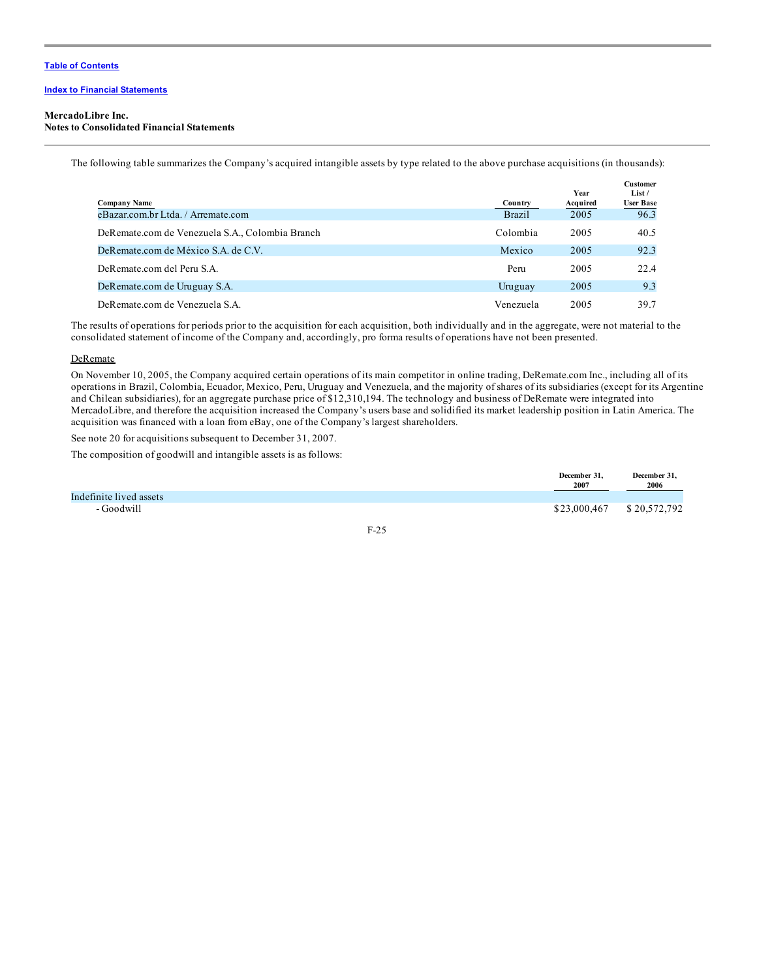# **MercadoLibre Inc.**

## **Notes to Consolidated Financial Statements**

The following table summarizes the Company's acquired intangible assets by type related to the above purchase acquisitions (in thousands):

|                                                 |               | Year     | Customer<br>List/ |
|-------------------------------------------------|---------------|----------|-------------------|
| <b>Company Name</b>                             | Country       | Acquired | <b>User Base</b>  |
| eBazar.com.br Ltda. / Arremate.com              | <b>Brazil</b> | 2005     | 96.3              |
| DeRemate.com de Venezuela S.A., Colombia Branch | Colombia      | 2005     | 40.5              |
| DeRemate.com de México S.A. de C.V.             | Mexico        | 2005     | 92.3              |
| DeRemate.com del Peru S.A.                      | Peru          | 2005     | 22.4              |
| DeRemate.com de Uruguay S.A.                    | Uruguay       | 2005     | 9.3               |
| DeRemate.com de Venezuela S.A.                  | Venezuela     | 2005     | 39.7              |

**Customer**

The results of operations for periods prior to the acquisition for each acquisition, both individually and in the aggregate, were not material to the consolidated statement of income of the Company and, accordingly, pro forma results of operations have not been presented.

#### **DeRemate**

On November 10, 2005, the Company acquired certain operations of its main competitor in online trading, DeRemate.com Inc., including all of its operations in Brazil, Colombia, Ecuador, Mexico, Peru, Uruguay and Venezuela, and the majority of shares of its subsidiaries (except for its Argentine and Chilean subsidiaries), for an aggregate purchase price of \$12,310,194. The technology and business of DeRemate were integrated into MercadoLibre, and therefore the acquisition increased the Company's users base and solidified its market leadership position in Latin America. The acquisition was financed with a loan from eBay, one of the Company's largest shareholders.

See note 20 for acquisitions subsequent to December 31, 2007.

The composition of goodwill and intangible assets is as follows:

|                         | December 31. | December 31. |
|-------------------------|--------------|--------------|
|                         | 2007         | 2006         |
| Indefinite lived assets |              |              |
| - Goodwill              | \$23,000,467 | \$20,572,792 |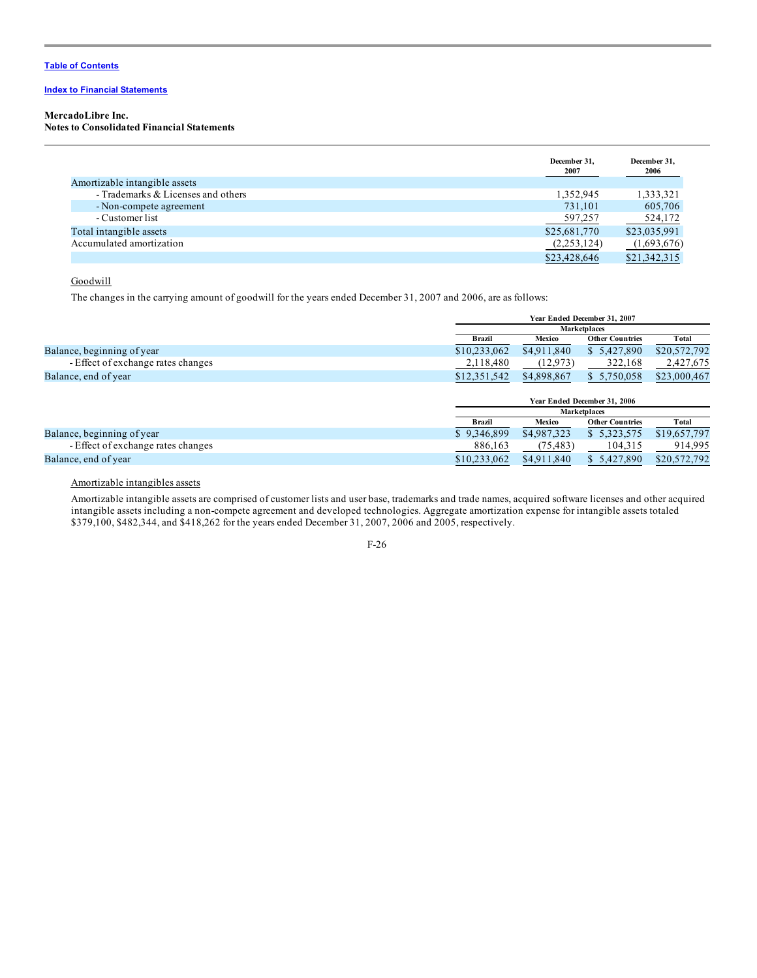# **Index to Financial Statements**

# **MercadoLibre Inc.**

**Notes to Consolidated Financial Statements**

|                                    | December 31.<br>2007 | December 31,<br>2006 |
|------------------------------------|----------------------|----------------------|
| Amortizable intangible assets      |                      |                      |
| - Trademarks & Licenses and others | 1,352,945            | 1,333,321            |
| - Non-compete agreement            | 731,101              | 605,706              |
| - Customer list                    | 597,257              | 524,172              |
| Total intangible assets            | \$25,681,770         | \$23,035,991         |
| Accumulated amortization           | (2,253,124)          | (1,693,676)          |
|                                    | \$23,428,646         | \$21,342,315         |

# **Goodwill**

The changes in the carrying amount of goodwill for the years ended December 31, 2007 and 2006, are as follows:

|                                    | Year Ended December 31, 2007 |               |                        |              |
|------------------------------------|------------------------------|---------------|------------------------|--------------|
|                                    | <b>Marketplaces</b>          |               |                        |              |
|                                    | Brazil                       | <b>Mexico</b> | <b>Other Countries</b> | Total        |
| Balance, beginning of year         | \$10,233,062                 | \$4,911,840   | 5.427.890              | \$20,572,792 |
| - Effect of exchange rates changes | 2,118,480                    | (12, 973)     | 322.168                | 2.427.675    |
| Balance, end of year               | \$12,351,542                 | \$4,898,867   | 5.750.058              | \$23,000,467 |

|                                    |              | Year Ended December 31, 2006 |                        |              |  |  |  |
|------------------------------------|--------------|------------------------------|------------------------|--------------|--|--|--|
|                                    |              | <b>Marketplaces</b>          |                        |              |  |  |  |
|                                    | Brazil       | Mexico                       | <b>Other Countries</b> | Total        |  |  |  |
| Balance, beginning of year         | \$9.346.899  | \$4,987,323                  | 5.323.575              | \$19,657,797 |  |  |  |
| - Effect of exchange rates changes | 886,163      | (75, 483)                    | 104.315                | 914.995      |  |  |  |
| Balance, end of year               | \$10.233,062 | \$4,911,840                  | 5.427.890              | \$20,572,792 |  |  |  |

# Amortizable intangibles assets

Amortizable intangible assets are comprised of customer lists and user base, trademarks and trade names, acquired software licenses and other acquired intangible assets including a non-compete agreement and developed technologies. Aggregate amortization expense for intangible assets totaled \$379,100, \$482,344, and \$418,262 for the years ended December 31, 2007, 2006 and 2005, respectively.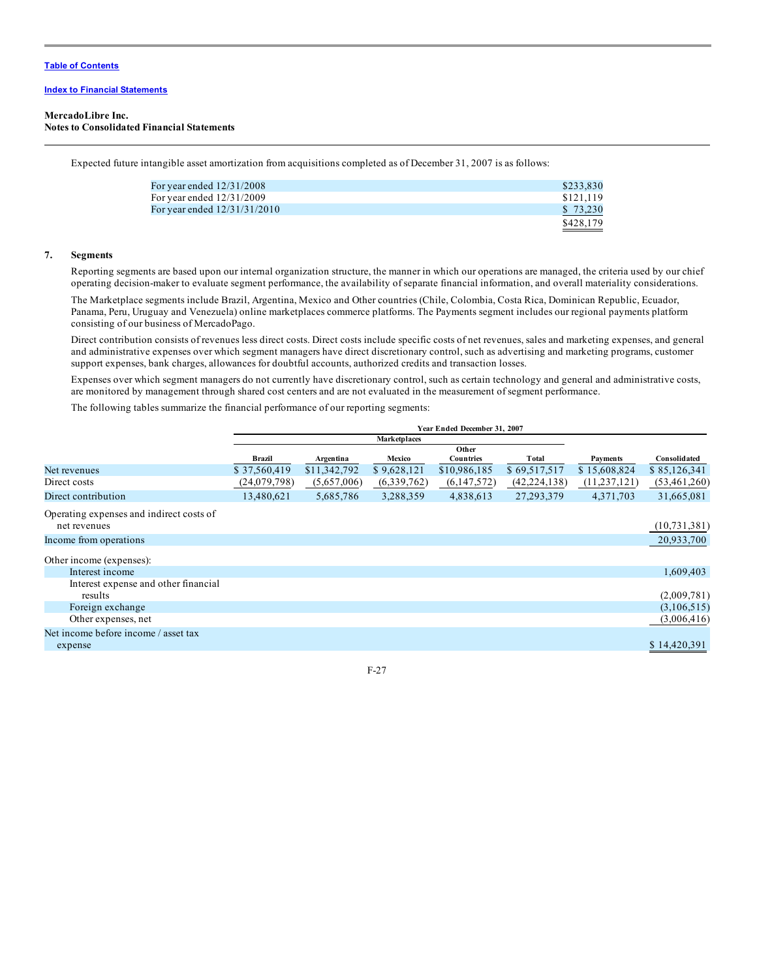# **MercadoLibre Inc.**

### **Notes to Consolidated Financial Statements**

Expected future intangible asset amortization from acquisitions completed as of December 31, 2007 is as follows:

| For year ended $12/31/2008$  | \$233.830 |
|------------------------------|-----------|
| For year ended $12/31/2009$  | \$121.119 |
| For year ended 12/31/31/2010 | \$73,230  |
|                              | \$428,179 |

### **7. Segments**

Reporting segments are based upon our internal organization structure, the manner in which our operations are managed, the criteria used by our chief operating decision-maker to evaluate segment performance, the availability of separate financial information, and overall materiality considerations.

The Marketplace segments include Brazil, Argentina, Mexico and Other countries (Chile, Colombia, Costa Rica, Dominican Republic, Ecuador, Panama, Peru, Uruguay and Venezuela) online marketplaces commerce platforms. The Payments segment includes our regional payments platform consisting of our business of MercadoPago.

Direct contribution consists of revenues less direct costs. Direct costs include specific costs of net revenues, sales and marketing expenses, and general and administrative expenses over which segment managers have direct discretionary control, such as advertising and marketing programs, customer support expenses, bank charges, allowances for doubtful accounts, authorized credits and transaction losses.

Expenses over which segment managers do not currently have discretionary control, such as certain technology and general and administrative costs, are monitored by management through shared cost centers and are not evaluated in the measurement of segment performance.

The following tables summarize the financial performance of our reporting segments:

|                                                          |              |              |              | Year Ended December 31, 2007 |                |                 |                |
|----------------------------------------------------------|--------------|--------------|--------------|------------------------------|----------------|-----------------|----------------|
|                                                          |              |              | Marketplaces |                              |                |                 |                |
|                                                          |              |              |              | Other                        |                |                 |                |
|                                                          | Brazil       | Argentina    | Mexico       | Countries                    | Total          | <b>Payments</b> | Consolidated   |
| Net revenues                                             | \$37,560,419 | \$11,342,792 | \$9,628,121  | \$10,986,185                 | \$69,517,517   | \$15,608,824    | \$85,126,341   |
| Direct costs                                             | (24,079,798) | (5,657,006)  | (6,339,762)  | (6,147,572)                  | (42, 224, 138) | (11, 237, 121)  | (53, 461, 260) |
| Direct contribution                                      | 13,480,621   | 5,685,786    | 3,288,359    | 4,838,613                    | 27, 293, 379   | 4,371,703       | 31,665,081     |
| Operating expenses and indirect costs of<br>net revenues |              |              |              |                              |                |                 | (10, 731, 381) |
|                                                          |              |              |              |                              |                |                 |                |
| Income from operations                                   |              |              |              |                              |                |                 | 20,933,700     |
| Other income (expenses):                                 |              |              |              |                              |                |                 |                |
| Interest income                                          |              |              |              |                              |                |                 | 1,609,403      |
| Interest expense and other financial                     |              |              |              |                              |                |                 |                |
| results                                                  |              |              |              |                              |                |                 | (2,009,781)    |
| Foreign exchange                                         |              |              |              |                              |                |                 | (3,106,515)    |
| Other expenses, net                                      |              |              |              |                              |                |                 | (3,006,416)    |
| Net income before income / asset tax                     |              |              |              |                              |                |                 |                |
| expense                                                  |              |              |              |                              |                |                 | \$14,420,391   |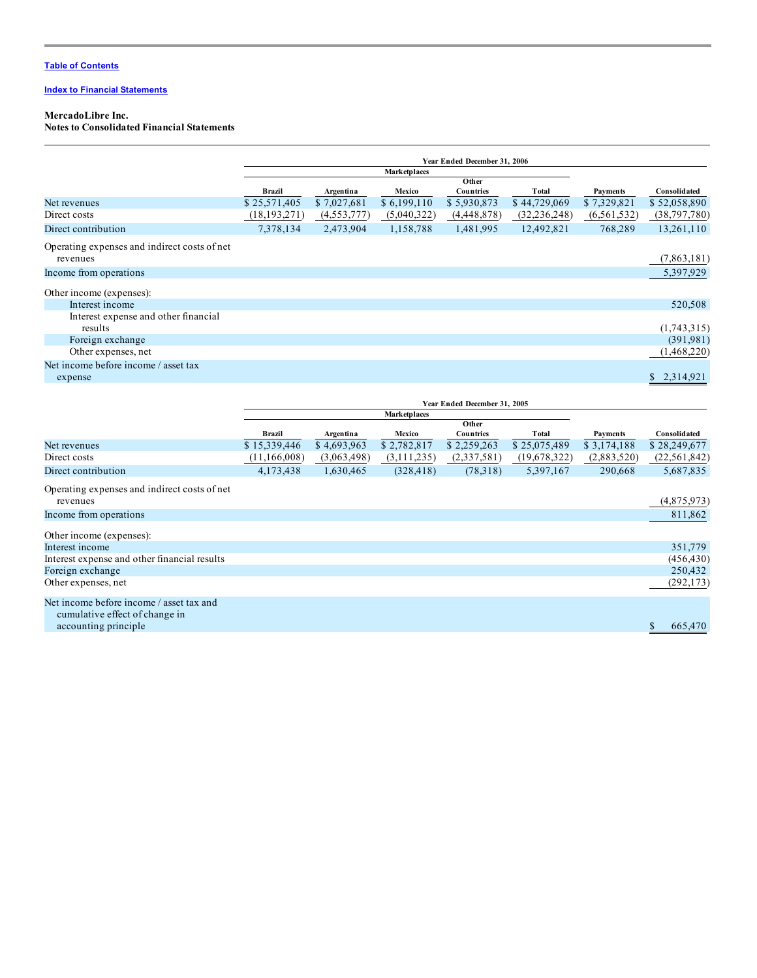# **MercadoLibre Inc.**

**Notes to Consolidated Financial Statements**

|                                              | Year Ended December 31, 2006 |             |             |             |                |             |                |  |
|----------------------------------------------|------------------------------|-------------|-------------|-------------|----------------|-------------|----------------|--|
|                                              |                              |             |             |             |                |             |                |  |
|                                              |                              |             |             | Other       |                |             |                |  |
|                                              | Brazil                       | Argentina   | Mexico      | Countries   | Total          | Payments    | Consolidated   |  |
| Net revenues                                 | \$25,571,405                 | \$7,027,681 | \$6,199,110 | \$5,930,873 | \$44,729,069   | \$7,329,821 | \$52,058,890   |  |
| Direct costs                                 | (18, 193, 271)               | (4,553,777) | (5,040,322) | (4,448,878) | (32, 236, 248) | (6,561,532) | (38, 797, 780) |  |
| Direct contribution                          | 7,378,134                    | 2,473,904   | 1,158,788   | 1,481,995   | 12,492,821     | 768,289     | 13,261,110     |  |
| Operating expenses and indirect costs of net |                              |             |             |             |                |             |                |  |
| revenues                                     |                              |             |             |             |                |             | (7,863,181)    |  |
| Income from operations                       |                              |             |             |             |                |             | 5,397,929      |  |
| Other income (expenses):                     |                              |             |             |             |                |             |                |  |
| Interest income                              |                              |             |             |             |                |             | 520,508        |  |
| Interest expense and other financial         |                              |             |             |             |                |             |                |  |
| results                                      |                              |             |             |             |                |             | (1,743,315)    |  |
| Foreign exchange                             |                              |             |             |             |                |             | (391, 981)     |  |
| Other expenses, net                          |                              |             |             |             |                |             | (1,468,220)    |  |
| Net income before income / asset tax         |                              |             |             |             |                |             |                |  |
| expense                                      |                              |             |             |             |                |             | \$2,314,921    |  |

|                                                                                                    |                |             |                     | Year Ended December 31, 2005 |              |                 |                |
|----------------------------------------------------------------------------------------------------|----------------|-------------|---------------------|------------------------------|--------------|-----------------|----------------|
|                                                                                                    |                |             | <b>Marketplaces</b> |                              |              |                 |                |
|                                                                                                    | Brazil         | Argentina   | Mexico              | Other<br>Countries           | Total        | <b>Payments</b> | Consolidated   |
| Net revenues                                                                                       | \$15,339,446   | \$4,693,963 | \$2,782,817         | \$2,259,263                  | \$25,075,489 | \$3,174,188     | \$28,249,677   |
| Direct costs                                                                                       | (11, 166, 008) | (3,063,498) | (3,111,235)         | (2,337,581)                  | (19,678,322) | (2,883,520)     | (22, 561, 842) |
| Direct contribution                                                                                | 4,173,438      | 1,630,465   | (328, 418)          | (78,318)                     | 5,397,167    | 290,668         | 5,687,835      |
| Operating expenses and indirect costs of net<br>revenues                                           |                |             |                     |                              |              |                 | (4,875,973)    |
| Income from operations                                                                             |                |             |                     |                              |              |                 | 811,862        |
| Other income (expenses):                                                                           |                |             |                     |                              |              |                 |                |
| Interest income                                                                                    |                |             |                     |                              |              |                 | 351,779        |
| Interest expense and other financial results                                                       |                |             |                     |                              |              |                 | (456, 430)     |
| Foreign exchange                                                                                   |                |             |                     |                              |              |                 | 250,432        |
| Other expenses, net                                                                                |                |             |                     |                              |              |                 | (292, 173)     |
| Net income before income / asset tax and<br>cumulative effect of change in<br>accounting principle |                |             |                     |                              |              |                 | 665,470        |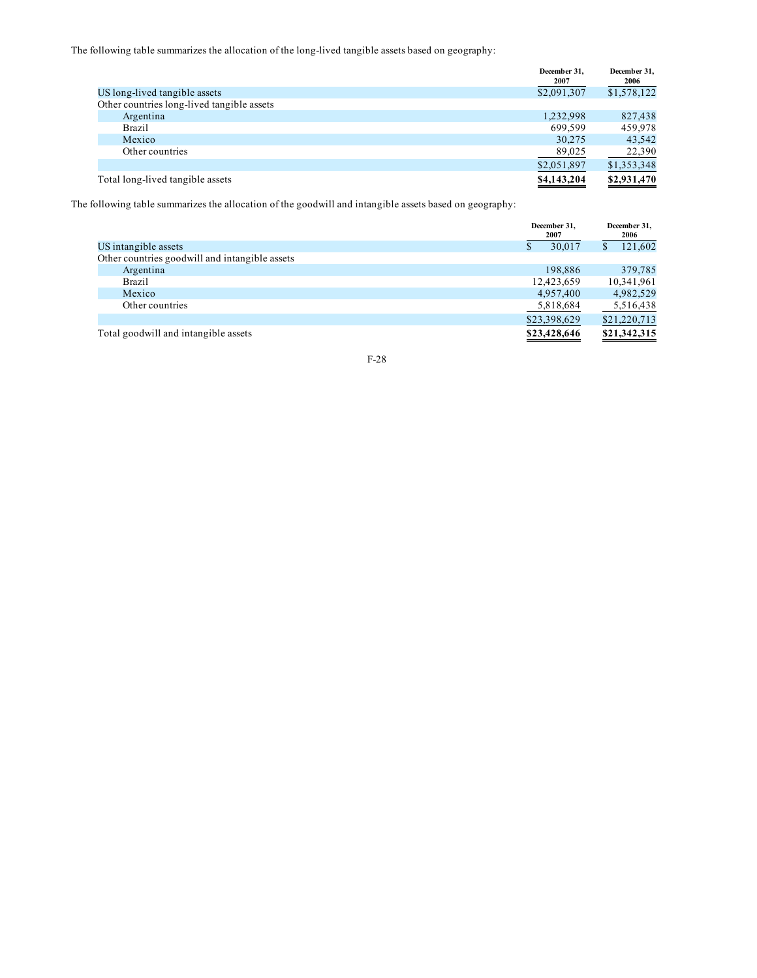The following table summarizes the allocation of the long-lived tangible assets based on geography:

|                                            | December 31,<br>2007 | December 31,<br>2006 |
|--------------------------------------------|----------------------|----------------------|
| US long-lived tangible assets              | \$2,091,307          | \$1,578,122          |
| Other countries long-lived tangible assets |                      |                      |
| Argentina                                  | 1,232,998            | 827,438              |
| Brazil                                     | 699.599              | 459,978              |
| Mexico                                     | 30.275               | 43,542               |
| Other countries                            | 89,025               | 22,390               |
|                                            | \$2,051,897          | \$1,353,348          |
| Total long-lived tangible assets           | \$4,143,204          | \$2,931,470          |

The following table summarizes the allocation of the goodwill and intangible assets based on geography:

|                                                | December 31,<br>2007 | December 31,<br>2006 |
|------------------------------------------------|----------------------|----------------------|
| US intangible assets                           | 30,017<br>۰ש         | 121,602              |
| Other countries goodwill and intangible assets |                      |                      |
| Argentina                                      | 198.886              | 379,785              |
| Brazil                                         | 12,423,659           | 10,341,961           |
| Mexico                                         | 4,957,400            | 4,982,529            |
| Other countries                                | 5,818,684            | 5,516,438            |
|                                                | \$23,398,629         | \$21,220,713         |
| Total goodwill and intangible assets           | \$23,428,646         | \$21,342,315         |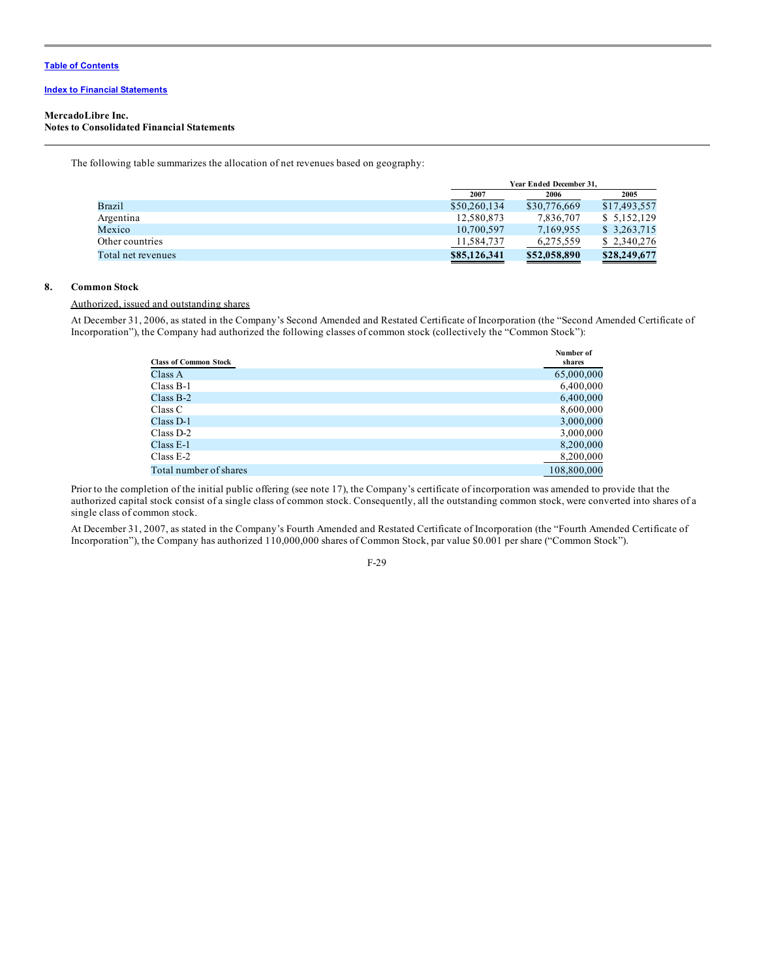# **MercadoLibre Inc.**

## **Notes to Consolidated Financial Statements**

The following table summarizes the allocation of net revenues based on geography:

|                    |              | Year Ended December 31. |              |  |  |  |
|--------------------|--------------|-------------------------|--------------|--|--|--|
|                    | 2007         | 2006                    | 2005         |  |  |  |
| Brazil             | \$50,260,134 | \$30,776,669            | \$17,493,557 |  |  |  |
| Argentina          | 12.580.873   | 7.836.707               | \$ 5.152,129 |  |  |  |
| Mexico             | 10,700,597   | 7.169.955               | \$ 3.263.715 |  |  |  |
| Other countries    | 11.584.737   | 6,275,559               | \$2.340.276  |  |  |  |
| Total net revenues | \$85,126,341 | \$52,058,890            | \$28,249,677 |  |  |  |

# **8. Common Stock**

# Authorized, issued and outstanding shares

At December 31, 2006, as stated in the Company's Second Amended and Restated Certificate of Incorporation (the "Second Amended Certificate of Incorporation"), the Company had authorized the following classes of common stock (collectively the "Common Stock"):

|                              | Number of   |
|------------------------------|-------------|
| <b>Class of Common Stock</b> | shares      |
| Class A                      | 65,000,000  |
| Class B-1                    | 6,400,000   |
| $Class B-2$                  | 6,400,000   |
| Class C                      | 8,600,000   |
| Class D-1                    | 3,000,000   |
| Class D-2                    | 3,000,000   |
| Class E-1                    | 8,200,000   |
| $Class E-2$                  | 8,200,000   |
| Total number of shares       | 108,800,000 |

Prior to the completion of the initial public offering (see note 17), the Company's certificate of incorporation was amended to provide that the authorized capital stock consist of a single class of common stock. Consequently, all the outstanding common stock, were converted into shares of a single class of common stock.

At December 31, 2007, as stated in the Company's Fourth Amended and Restated Certificate of Incorporation (the "Fourth Amended Certificate of Incorporation"), the Company has authorized 110,000,000 shares of Common Stock, par value \$0.001 per share ("Common Stock").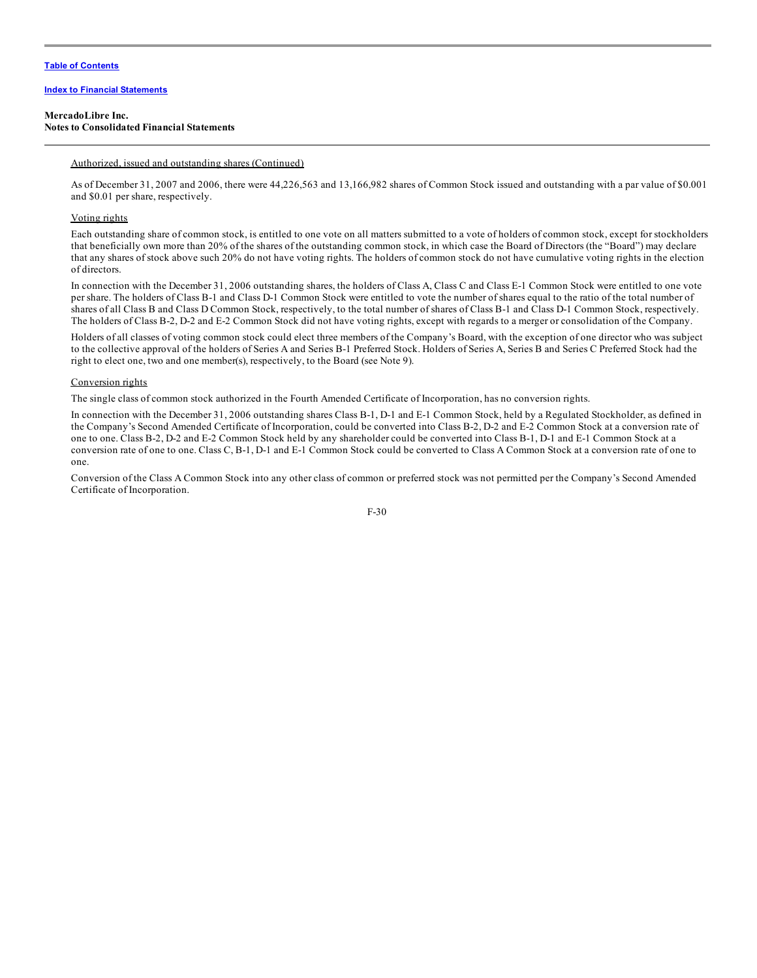# **Index to Financial Statements**

## **MercadoLibre Inc.**

### **Notes to Consolidated Financial Statements**

### Authorized, issued and outstanding shares (Continued)

As of December 31, 2007 and 2006, there were 44,226,563 and 13,166,982 shares of Common Stock issued and outstanding with a par value of \$0.001 and \$0.01 per share, respectively.

## Voting rights

Each outstanding share of common stock, is entitled to one vote on all matters submitted to a vote of holders of common stock, except for stockholders that beneficially own more than 20% of the shares of the outstanding common stock, in which case the Board of Directors (the "Board") may declare that any shares of stock above such 20% do not have voting rights. The holders of common stock do not have cumulative voting rights in the election of directors.

In connection with the December 31, 2006 outstanding shares, the holders of Class A, Class C and Class E-1 Common Stock were entitled to one vote per share. The holders of Class B-1 and Class D-1 Common Stock were entitled to vote the number of shares equal to the ratio of the total number of shares of all Class B and Class D Common Stock, respectively, to the total number of shares of Class B-1 and Class D-1 Common Stock, respectively. The holders of Class B-2, D-2 and E-2 Common Stock did not have voting rights, except with regards to a merger or consolidation of the Company.

Holders of all classes of voting common stock could elect three members of the Company's Board, with the exception of one director who was subject to the collective approval of the holders of Series A and Series B-1 Preferred Stock. Holders of Series A, Series B and Series C Preferred Stock had the right to elect one, two and one member(s), respectively, to the Board (see Note 9).

### Conversion rights

The single class of common stock authorized in the Fourth Amended Certificate of Incorporation, has no conversion rights.

In connection with the December 31, 2006 outstanding shares Class B-1, D-1 and E-1 Common Stock, held by a Regulated Stockholder, as defined in the Company's Second Amended Certificate of Incorporation, could be converted into Class B-2, D-2 and E-2 Common Stock at a conversion rate of one to one. Class B-2, D-2 and E-2 Common Stock held by any shareholder could be converted into Class B-1, D-1 and E-1 Common Stock at a conversion rate of one to one. Class C, B-1, D-1 and E-1 Common Stock could be converted to Class A Common Stock at a conversion rate of one to one.

Conversion of the Class A Common Stock into any other class of common or preferred stock was not permitted per the Company's Second Amended Certificate of Incorporation.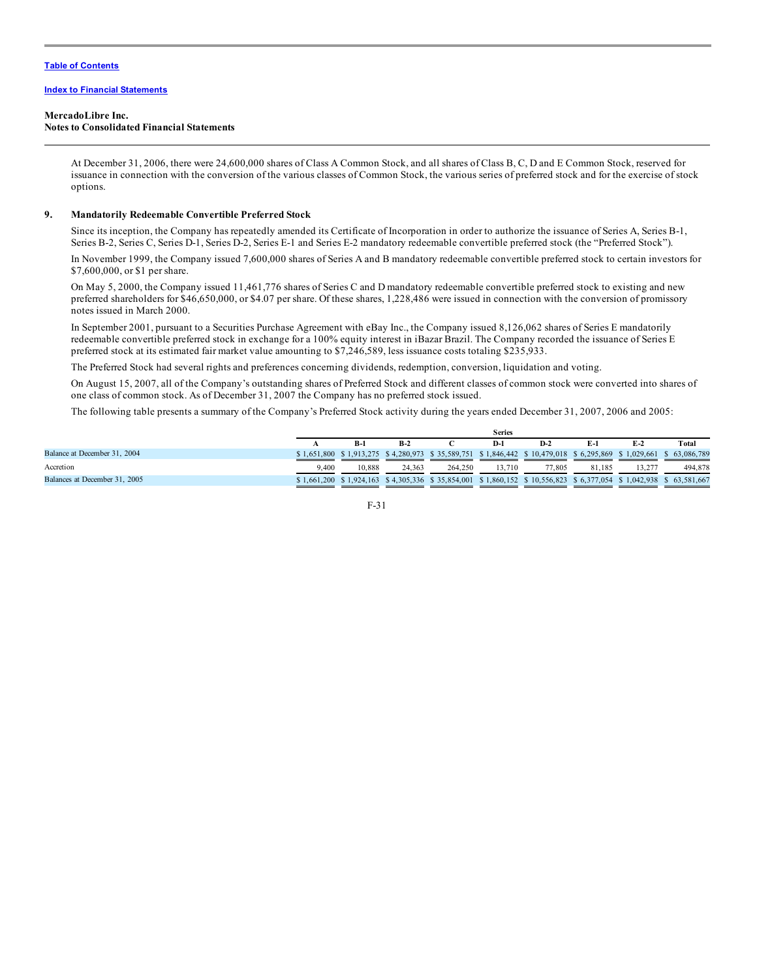## **MercadoLibre Inc.**

### **Notes to Consolidated Financial Statements**

At December 31, 2006, there were 24,600,000 shares of Class A Common Stock, and all shares of Class B, C, D and E Common Stock, reserved for issuance in connection with the conversion of the various classes of Common Stock, the various series of preferred stock and for the exercise of stock options.

#### **9. Mandatorily Redeemable Convertible Preferred Stock**

Since its inception, the Company has repeatedly amended its Certificate of Incorporation in order to authorize the issuance of Series A, Series B-1, Series B-2, Series C, Series D-1, Series D-2, Series E-1 and Series E-2 mandatory redeemable convertible preferred stock (the "Preferred Stock").

In November 1999, the Company issued 7,600,000 shares of Series A and B mandatory redeemable convertible preferred stock to certain investors for \$7,600,000, or \$1 per share.

On May 5, 2000, the Company issued 11,461,776 shares of Series C and D mandatory redeemable convertible preferred stock to existing and new preferred shareholders for \$46,650,000, or \$4.07 per share. Of these shares, 1,228,486 were issued in connection with the conversion of promissory notes issued in March 2000.

In September 2001, pursuant to a Securities Purchase Agreement with eBay Inc., the Company issued 8,126,062 shares of Series E mandatorily redeemable convertible preferred stock in exchange for a 100% equity interest in iBazar Brazil. The Company recorded the issuance of Series E preferred stock at its estimated fair market value amounting to \$7,246,589, less issuance costs totaling \$235,933.

The Preferred Stock had several rights and preferences concerning dividends, redemption, conversion, liquidation and voting.

On August 15, 2007, all of the Company's outstanding shares of Preferred Stock and different classes of common stock were converted into shares of one class of common stock. As of December 31, 2007 the Company has no preferred stock issued.

The following table presents a summary of the Company's Preferred Stock activity during the years ended December 31, 2007, 2006 and 2005:

|                               | Series |            |        |                                                                                                                |        |        |        |        |                                                                                                                |
|-------------------------------|--------|------------|--------|----------------------------------------------------------------------------------------------------------------|--------|--------|--------|--------|----------------------------------------------------------------------------------------------------------------|
|                               |        | <b>B-1</b> | $B-2$  |                                                                                                                | $D-1$  | $D-2$  | E-1    | $E-2$  | Total                                                                                                          |
| Balance at December 31, 2004  |        |            |        |                                                                                                                |        |        |        |        | \$1,651,800 \$1,913,275 \$4,280,973 \$35,589,751 \$1,846,442 \$10,479,018 \$6,295,869 \$1,029,661 \$63,086,789 |
| Accretion                     | 9.400  | 10.888     | 24,363 | 264,250                                                                                                        | 13.710 | 77.805 | 81.185 | 13.277 | 494,878                                                                                                        |
| Balances at December 31, 2005 |        |            |        | \$1,661,200 \$1,924,163 \$4,305,336 \$35,854,001 \$1,860,152 \$10,556,823 \$6,377,054 \$1,042,938 \$63,581,667 |        |        |        |        |                                                                                                                |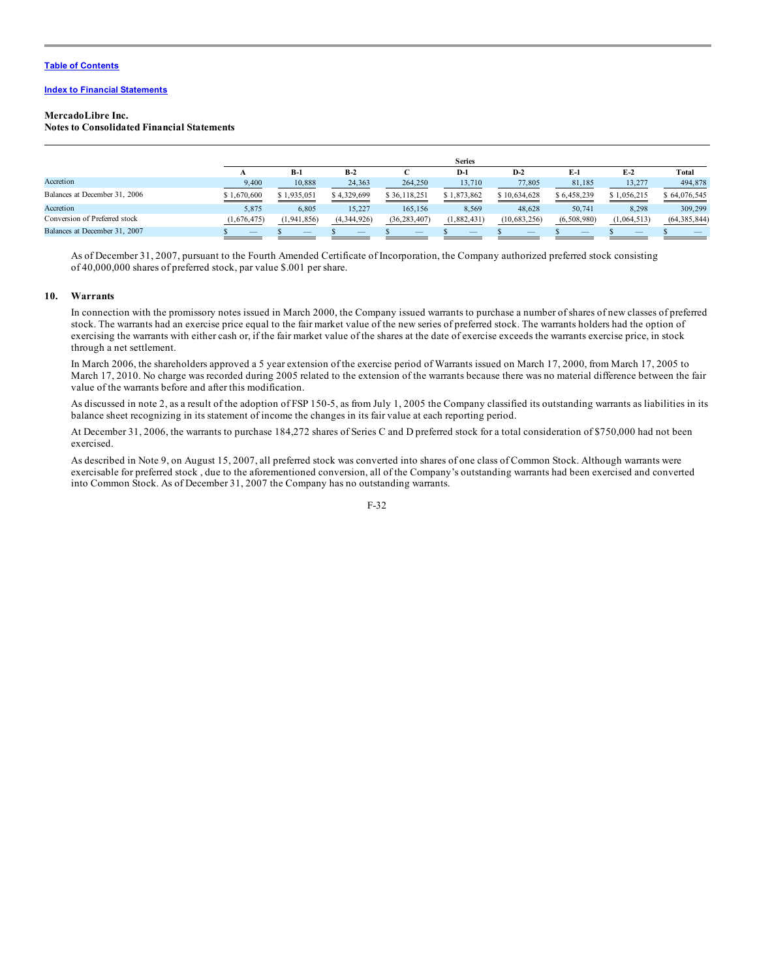# **MercadoLibre Inc.**

## **Notes to Consolidated Financial Statements**

|                               |                          |                          |                          |                          | <b>Series</b>            |                          |                          |                          |                |
|-------------------------------|--------------------------|--------------------------|--------------------------|--------------------------|--------------------------|--------------------------|--------------------------|--------------------------|----------------|
|                               | $\mathbf{r}$             | $B-1$                    | $B-2$                    |                          | $D-1$                    | $D-2$                    | $E-1$                    | $E-2$                    | Total          |
| Accretion                     | 9,400                    | 10,888                   | 24,363                   | 264,250                  | 13,710                   | 77,805                   | 81,185                   | 13,277                   | 494,878        |
| Balances at December 31, 2006 | \$1,670,600              | \$1,935,051              | \$4,329,699              | \$36,118,251             | \$1,873,862              | \$10,634,628             | \$6,458,239              | 1,056,215                | \$64,076,545   |
| Accretion                     | 5,875                    | 6,805                    | 15,227                   | 165,156                  | 8,569                    | 48.628                   | 50,741                   | 8,298                    | 309,299        |
| Conversion of Preferred stock | (1,676,475)              | (1, 941, 856)            | (4,344,926)              | (36, 283, 407)           | (1,882,431)              | (10, 683, 256)           | (6,508,980)              | (1,064,513)              | (64, 385, 844) |
| Balances at December 31, 2007 | $\overline{\phantom{a}}$ | $\overline{\phantom{a}}$ | $\overline{\phantom{a}}$ | $\overline{\phantom{a}}$ | $\overline{\phantom{a}}$ | $\overline{\phantom{a}}$ | $\overline{\phantom{a}}$ | $\overline{\phantom{a}}$ |                |

As of December 31, 2007, pursuant to the Fourth Amended Certificate of Incorporation, the Company authorized preferred stock consisting of 40,000,000 shares of preferred stock, par value \$.001 per share.

#### **10. Warrants**

In connection with the promissory notes issued in March 2000, the Company issued warrants to purchase a number of shares of new classes of preferred stock. The warrants had an exercise price equal to the fair market value of the new series of preferred stock. The warrants holders had the option of exercising the warrants with either cash or, if the fair market value of the shares at the date of exercise exceeds the warrants exercise price, in stock through a net settlement.

In March 2006, the shareholders approved a 5 year extension of the exercise period of Warrants issued on March 17, 2000, from March 17, 2005 to March 17, 2010. No charge was recorded during 2005 related to the extension of the warrants because there was no material difference between the fair value of the warrants before and after this modification.

As discussed in note 2, as a result of the adoption of FSP 150-5, as from July 1, 2005 the Company classified its outstanding warrants as liabilities in its balance sheet recognizing in its statement of income the changes in its fair value at each reporting period.

At December 31, 2006, the warrants to purchase 184,272 shares of Series C and D preferred stock for a total consideration of \$750,000 had not been exercised.

As described in Note 9, on August 15, 2007, all preferred stock was converted into shares of one class of Common Stock. Although warrants were exercisable for preferred stock , due to the aforementioned conversion, all of the Company's outstanding warrants had been exercised and converted into Common Stock. As of December 31, 2007 the Company has no outstanding warrants.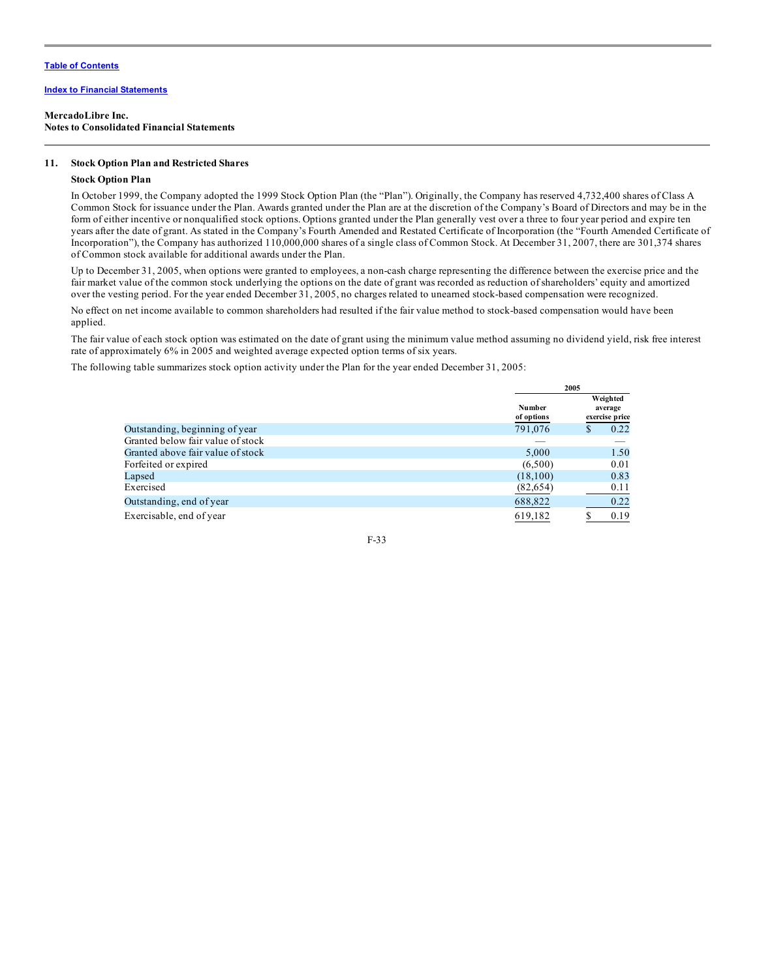**MercadoLibre Inc.**

**Notes to Consolidated Financial Statements**

### **11. Stock Option Plan and Restricted Shares**

#### **Stock Option Plan**

In October 1999, the Company adopted the 1999 Stock Option Plan (the "Plan"). Originally, the Company has reserved 4,732,400 shares of Class A Common Stock for issuance under the Plan. Awards granted under the Plan are at the discretion of the Company's Board of Directors and may be in the form of either incentive or nonqualified stock options. Options granted under the Plan generally vest over a three to four year period and expire ten years after the date of grant. As stated in the Company's Fourth Amended and Restated Certificate of Incorporation (the "Fourth Amended Certificate of Incorporation"), the Company has authorized 110,000,000 shares of a single class of Common Stock. At December 31, 2007, there are 301,374 shares of Common stock available for additional awards under the Plan.

Up to December 31, 2005, when options were granted to employees, a non-cash charge representing the difference between the exercise price and the fair market value of the common stock underlying the options on the date of grant was recorded as reduction of shareholders' equity and amortized over the vesting period. For the year ended December 31, 2005, no charges related to unearned stock-based compensation were recognized.

No effect on net income available to common shareholders had resulted if the fair value method to stock-based compensation would have been applied.

The fair value of each stock option was estimated on the date of grant using the minimum value method assuming no dividend yield, risk free interest rate of approximately 6% in 2005 and weighted average expected option terms of six years.

The following table summarizes stock option activity under the Plan for the year ended December 31, 2005:

|                                   |                      | 2005 |                                       |  |  |
|-----------------------------------|----------------------|------|---------------------------------------|--|--|
|                                   | Number<br>of options |      | Weighted<br>average<br>exercise price |  |  |
| Outstanding, beginning of year    | 791,076              | S    | 0.22                                  |  |  |
| Granted below fair value of stock |                      |      |                                       |  |  |
| Granted above fair value of stock | 5,000                |      | 1.50                                  |  |  |
| Forfeited or expired              | (6,500)              |      | 0.01                                  |  |  |
| Lapsed                            | (18,100)             |      | 0.83                                  |  |  |
| Exercised                         | (82, 654)            |      | 0.11                                  |  |  |
| Outstanding, end of year          | 688,822              |      | 0.22                                  |  |  |
| Exercisable, end of year          | 619.182              |      | 0.19                                  |  |  |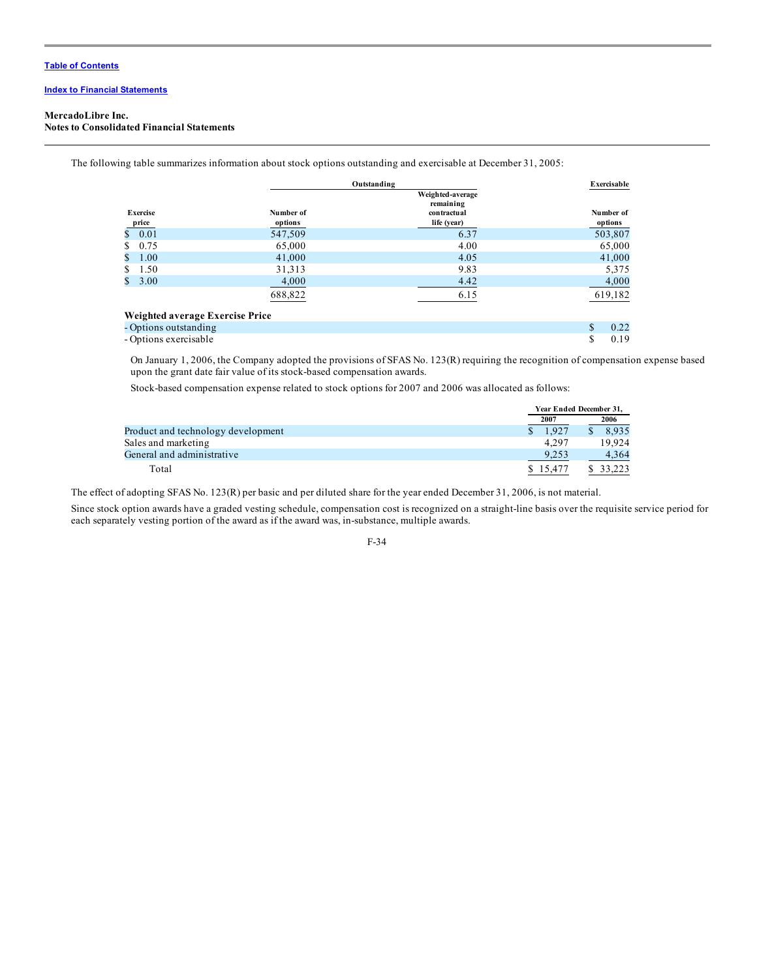# **MercadoLibre Inc.**

## **Notes to Consolidated Financial Statements**

The following table summarizes information about stock options outstanding and exercisable at December 31, 2005:

|                          |                                 |                      | Outstanding                |              | Exercisable          |
|--------------------------|---------------------------------|----------------------|----------------------------|--------------|----------------------|
|                          |                                 |                      | Weighted-average           |              |                      |
|                          |                                 |                      | remaining                  |              |                      |
| <b>Exercise</b><br>price |                                 | Number of<br>options | contractual<br>life (year) |              | Number of<br>options |
|                          |                                 |                      |                            |              |                      |
|                          | \$0.01                          | 547,509              | 6.37                       |              | 503,807              |
| S.                       | 0.75                            | 65,000               | 4.00                       |              | 65,000               |
| S.                       | 1.00                            | 41,000               | 4.05                       |              | 41,000               |
| S.                       | 1.50                            | 31,313               | 9.83                       |              | 5,375                |
|                          | \$3.00                          | 4,000                | 4.42                       |              | 4,000                |
|                          |                                 | 688,822              | 6.15                       |              | 619,182              |
|                          | Weighted average Exercise Price |                      |                            |              |                      |
|                          | - Options outstanding           |                      |                            | $\mathbb{S}$ | 0.22                 |
|                          | - Options exercisable           |                      |                            | \$           | 0.19                 |

On January 1, 2006, the Company adopted the provisions of SFAS No. 123(R) requiring the recognition of compensation expense based upon the grant date fair value of its stock-based compensation awards.

Stock-based compensation expense related to stock options for 2007 and 2006 was allocated as follows:

|                                    |          | Year Ended December 31. |  |  |
|------------------------------------|----------|-------------------------|--|--|
|                                    | 2007     | 2006                    |  |  |
| Product and technology development | 1.927    | 8.935                   |  |  |
| Sales and marketing                | 4.297    | 19.924                  |  |  |
| General and administrative         | 9.253    | 4.364                   |  |  |
| Total                              | \$15.477 | 33.223                  |  |  |

The effect of adopting SFAS No. 123(R) per basic and per diluted share for the year ended December 31, 2006, is not material.

Since stock option awards have a graded vesting schedule, compensation cost is recognized on a straight-line basis over the requisite service period for each separately vesting portion of the award as if the award was, in-substance, multiple awards.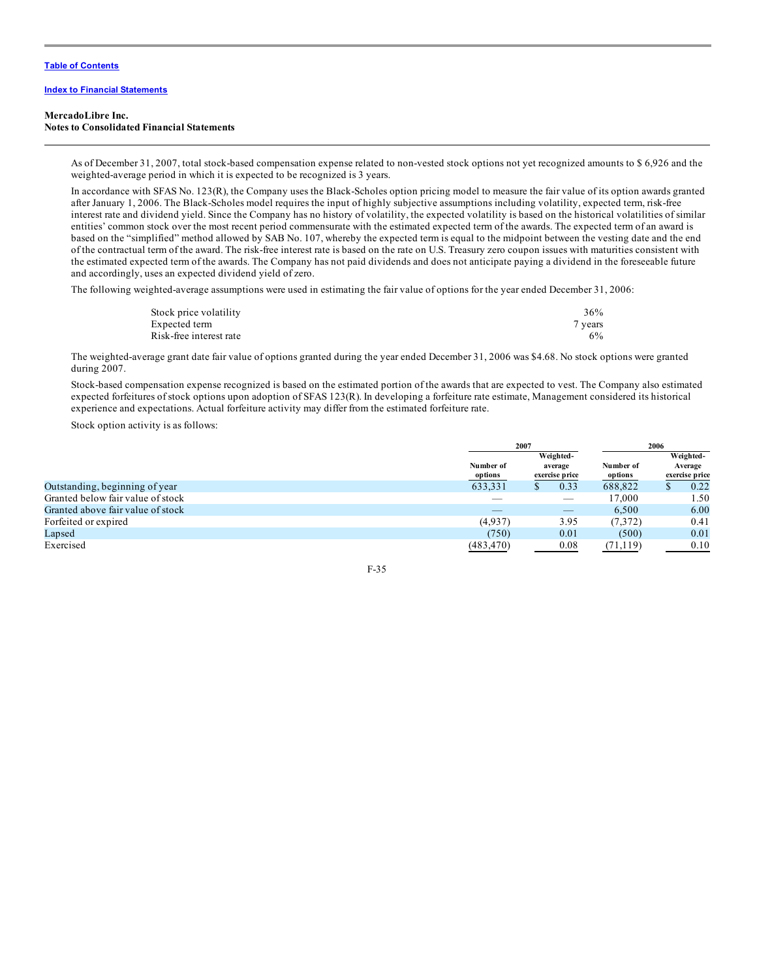### **MercadoLibre Inc.**

### **Notes to Consolidated Financial Statements**

As of December 31, 2007, total stock-based compensation expense related to non-vested stock options not yet recognized amounts to \$ 6,926 and the weighted-average period in which it is expected to be recognized is 3 years.

In accordance with SFAS No. 123(R), the Company uses the Black-Scholes option pricing model to measure the fair value of its option awards granted after January 1, 2006. The Black-Scholes model requires the input of highly subjective assumptions including volatility, expected term, risk-free interest rate and dividend yield. Since the Company has no history of volatility, the expected volatility is based on the historical volatilities of similar entities' common stock over the most recent period commensurate with the estimated expected term of the awards. The expected term of an award is based on the "simplified" method allowed by SAB No. 107, whereby the expected term is equal to the midpoint between the vesting date and the end of the contractual term of the award. The risk-free interest rate is based on the rate on U.S. Treasury zero coupon issues with maturities consistent with the estimated expected term of the awards. The Company has not paid dividends and does not anticipate paying a dividend in the foreseeable future and accordingly, uses an expected dividend yield of zero.

The following weighted-average assumptions were used in estimating the fair value of options for the year ended December 31, 2006:

| Stock price volatility  | 36%     |
|-------------------------|---------|
| Expected term           | 7 years |
| Risk-free interest rate | 6%      |

The weighted-average grant date fair value of options granted during the year ended December 31, 2006 was \$4.68. No stock options were granted during 2007.

Stock-based compensation expense recognized is based on the estimated portion of the awards that are expected to vest. The Company also estimated expected forfeitures of stock options upon adoption of SFAS 123(R). In developing a forfeiture rate estimate, Management considered its historical experience and expectations. Actual forfeiture activity may differ from the estimated forfeiture rate.

Stock option activity is as follows:

|                                   |                      | 2007                                   |      | 2006                 |                                        |      |
|-----------------------------------|----------------------|----------------------------------------|------|----------------------|----------------------------------------|------|
|                                   | Number of<br>options | Weighted-<br>average<br>exercise price |      | Number of<br>options | Weighted-<br>Average<br>exercise price |      |
| Outstanding, beginning of year    | 633,331              |                                        | 0.33 | 688,822              | Ф                                      | 0.22 |
| Granted below fair value of stock |                      |                                        |      | 17,000               |                                        | 1.50 |
| Granted above fair value of stock |                      |                                        |      | 6,500                |                                        | 6.00 |
| Forfeited or expired              | (4.937)              |                                        | 3.95 | (7.372)              |                                        | 0.41 |
| Lapsed                            | (750)                |                                        | 0.01 | (500)                |                                        | 0.01 |
| Exercised                         | (483, 470)           |                                        | 0.08 | (71, 119)            |                                        | 0.10 |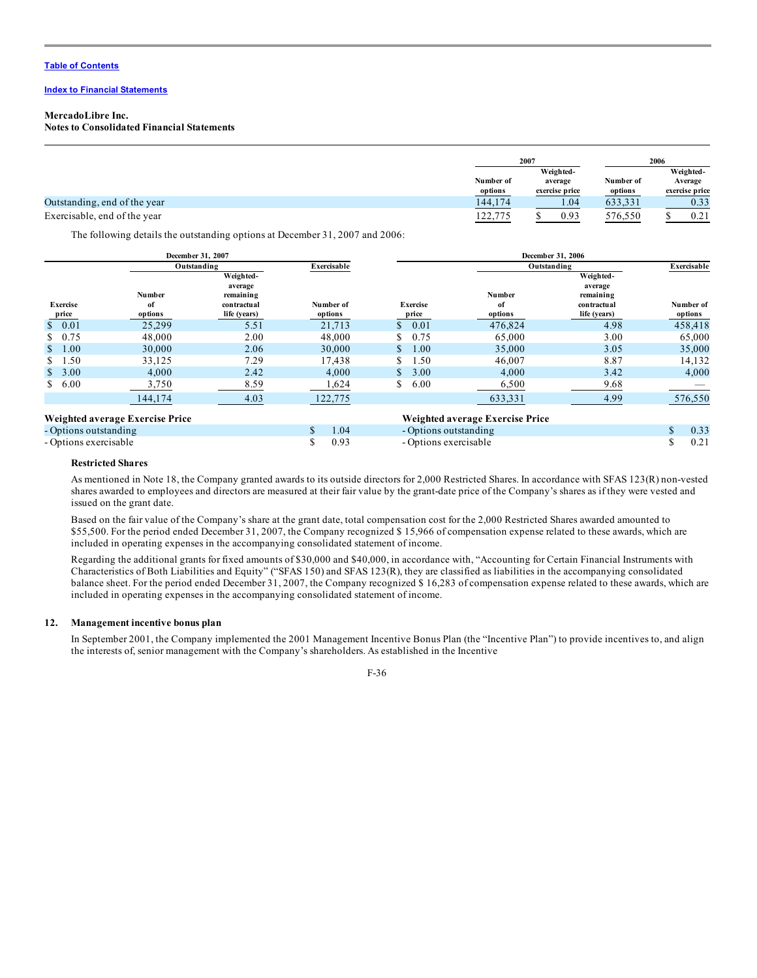## **MercadoLibre Inc.**

**Notes to Consolidated Financial Statements**

|                              |                      | 2007                                   |                      | 2006                                   |  |
|------------------------------|----------------------|----------------------------------------|----------------------|----------------------------------------|--|
|                              | Number of<br>options | Weighted-<br>average<br>exercise price | Number of<br>options | Weighted-<br>Average<br>exercise price |  |
| Outstanding, end of the year | 144,174              | 1.04                                   | 633,331              | 0.33                                   |  |
| Exercisable, end of the year | 122,775              | 0.93                                   | 576,550              | 0.21                                   |  |

The following details the outstanding options at December 31, 2007 and 2006:

| December 31, 2007     |                                 |                            | December 31, 2006 |                       |                                 |                          |             |
|-----------------------|---------------------------------|----------------------------|-------------------|-----------------------|---------------------------------|--------------------------|-------------|
|                       |                                 | Exercisable<br>Outstanding |                   |                       | Outstanding                     |                          | Exercisable |
|                       |                                 | Weighted-                  |                   |                       |                                 | Weighted-                |             |
|                       |                                 | average                    |                   |                       |                                 | average                  |             |
| <b>Exercise</b>       | Number<br>of                    | remaining<br>contractual   | Number of         | <b>Exercise</b>       | Number<br>of                    | remaining<br>contractual | Number of   |
| price                 | options                         | life (years)               | options           | price                 | options                         | life (years)             | options     |
| \$0.01                | 25,299                          | 5.51                       | 21,713            | 0.01                  | 476,824                         | 4.98                     | 458,418     |
| 0.75                  | 48,000                          | 2.00                       | 48,000            | 0.75                  | 65,000                          | 3.00                     | 65,000      |
| 1.00<br>S.            | 30,000                          | 2.06                       | 30,000            | 1.00                  | 35,000                          | 3.05                     | 35,000      |
| 1.50                  | 33.125                          | 7.29                       | 17.438            | 1.50                  | 46,007                          | 8.87                     | 14,132      |
| 3.00<br>S.            | 4.000                           | 2.42                       | 4.000             | 3.00                  | 4.000                           | 3.42                     | 4,000       |
| 6.00<br>S.            | 3,750                           | 8.59                       | 1,624             | 6.00<br>\$            | 6,500                           | 9.68                     |             |
|                       | 144,174                         | 4.03                       | 122,775           |                       | 633,331                         | 4.99                     | 576,550     |
|                       | Weighted average Exercise Price |                            |                   |                       | Weighted average Exercise Price |                          |             |
| - Options outstanding |                                 |                            | 1.04              | - Options outstanding |                                 |                          | \$.<br>0.33 |
| - Options exercisable |                                 |                            | 0.93              | - Options exercisable |                                 |                          | 0.21        |

## **Restricted Shares**

As mentioned in Note 18, the Company granted awards to its outside directors for 2,000 Restricted Shares. In accordance with SFAS 123(R) non-vested shares awarded to employees and directors are measured at their fair value by the grant-date price of the Company's shares as if they were vested and issued on the grant date.

Based on the fair value of the Company's share at the grant date, total compensation cost for the 2,000 Restricted Shares awarded amounted to \$55,500. For the period ended December 31, 2007, the Company recognized \$ 15,966 of compensation expense related to these awards, which are included in operating expenses in the accompanying consolidated statement of income.

Regarding the additional grants for fixed amounts of \$30,000 and \$40,000, in accordance with, "Accounting for Certain Financial Instruments with Characteristics of Both Liabilities and Equity" ("SFAS 150) and SFAS 123(R), they are classified as liabilities in the accompanying consolidated balance sheet. For the period ended December 31, 2007, the Company recognized \$ 16,283 of compensation expense related to these awards, which are included in operating expenses in the accompanying consolidated statement of income.

## **12. Management incentive bonus plan**

In September 2001, the Company implemented the 2001 Management Incentive Bonus Plan (the "Incentive Plan") to provide incentives to, and align the interests of, senior management with the Company's shareholders. As established in the Incentive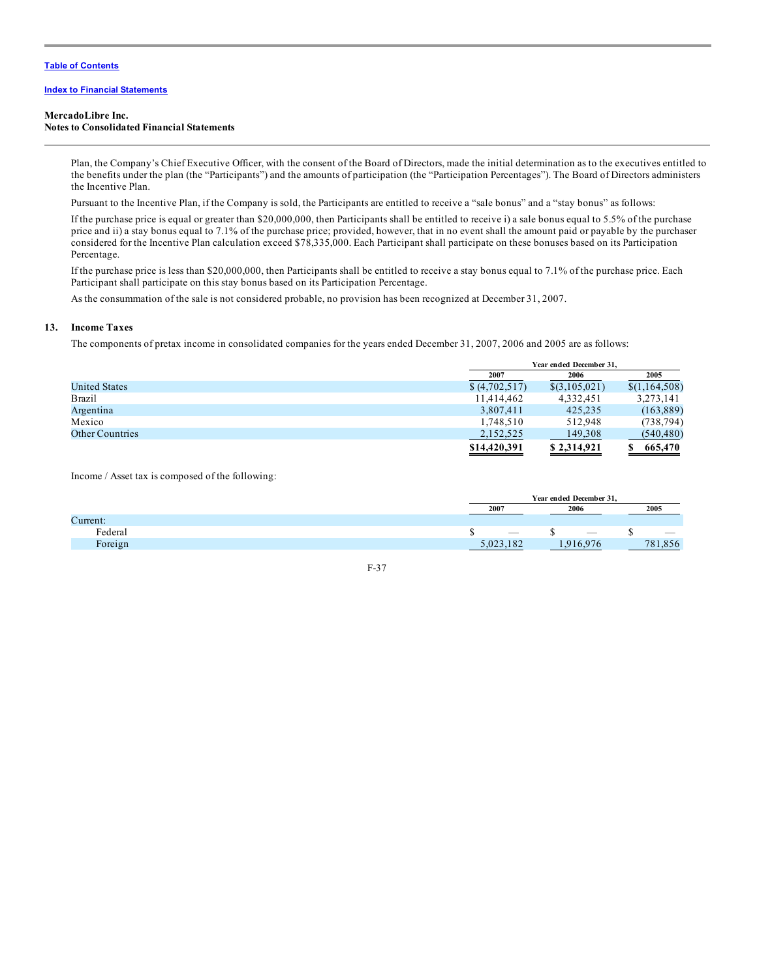## **MercadoLibre Inc.**

### **Notes to Consolidated Financial Statements**

Plan, the Company's Chief Executive Officer, with the consent of the Board of Directors, made the initial determination as to the executives entitled to the benefits under the plan (the "Participants") and the amounts of participation (the "Participation Percentages"). The Board of Directors administers the Incentive Plan.

Pursuant to the Incentive Plan, if the Company is sold, the Participants are entitled to receive a "sale bonus" and a "stay bonus" as follows:

If the purchase price is equal or greater than \$20,000,000, then Participants shall be entitled to receive i) a sale bonus equal to 5.5% of the purchase price and ii) a stay bonus equal to 7.1% of the purchase price; provided, however, that in no event shall the amount paid or payable by the purchaser considered for the Incentive Plan calculation exceed \$78,335,000. Each Participant shall participate on these bonuses based on its Participation Percentage.

If the purchase price is less than \$20,000,000, then Participants shall be entitled to receive a stay bonus equal to 7.1% of the purchase price. Each Participant shall participate on this stay bonus based on its Participation Percentage.

As the consummation of the sale is not considered probable, no provision has been recognized at December 31, 2007.

# **13. Income Taxes**

The components of pretax income in consolidated companies for the years ended December 31, 2007, 2006 and 2005 are as follows:

|                      |                | Year ended December 31. |               |  |
|----------------------|----------------|-------------------------|---------------|--|
|                      | 2007           | 2006                    | 2005          |  |
| <b>United States</b> | \$ (4,702,517) | \$(3,105,021)           | \$(1,164,508) |  |
| <b>Brazil</b>        | 11,414,462     | 4,332,451               | 3,273,141     |  |
| Argentina            | 3,807,411      | 425.235                 | (163, 889)    |  |
| Mexico               | 1,748,510      | 512.948                 | (738, 794)    |  |
| Other Countries      | 2,152,525      | 149,308                 | (540, 480)    |  |
|                      | \$14,420,391   | \$2.314.921             | 665,470       |  |

Income / Asset tax is composed of the following:

|          |           | Year ended December 31, |         |  |  |
|----------|-----------|-------------------------|---------|--|--|
|          | 2007      | 2006                    |         |  |  |
| Current: |           |                         |         |  |  |
| Federal  |           |                         | $-$     |  |  |
| Foreign  | 5,023,182 | .916.976                | 781,856 |  |  |

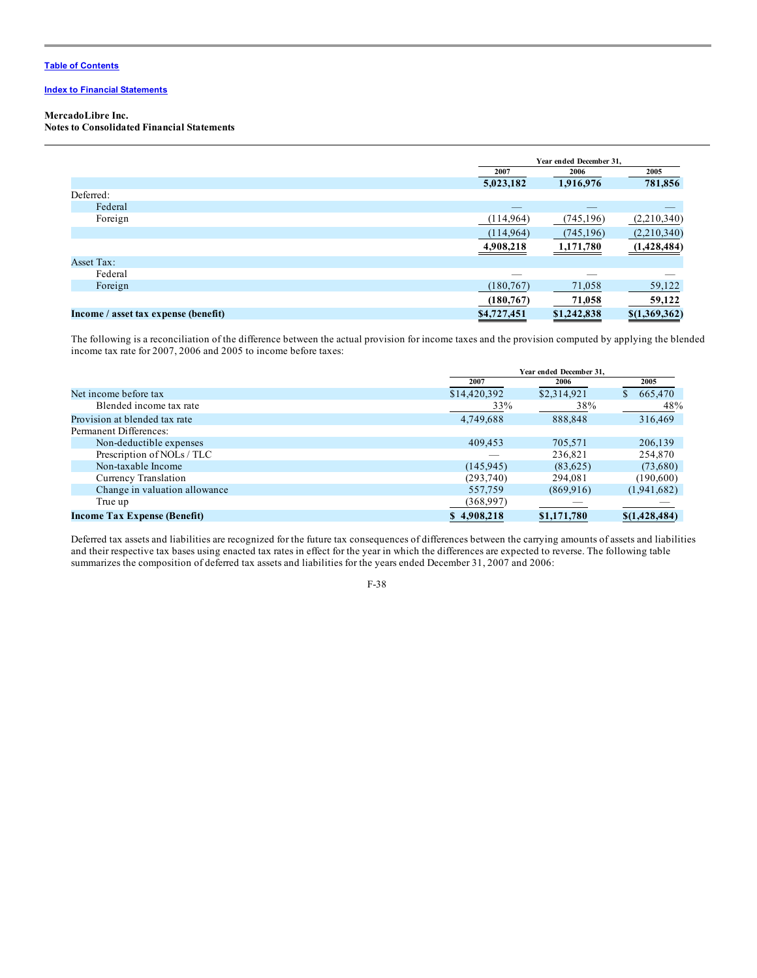# **MercadoLibre Inc.**

**Notes to Consolidated Financial Statements**

|                                      |             | Year ended December 31, |               |
|--------------------------------------|-------------|-------------------------|---------------|
|                                      | 2007        | 2006                    | 2005          |
|                                      | 5,023,182   | 1,916,976               | 781,856       |
| Deferred:                            |             |                         |               |
| Federal                              |             |                         | __            |
| Foreign                              | (114,964)   | (745, 196)              | (2,210,340)   |
|                                      | (114,964)   | (745, 196)              | (2,210,340)   |
|                                      | 4,908,218   | 1,171,780               | (1,428,484)   |
| <b>Asset Tax:</b>                    |             |                         |               |
| Federal                              |             |                         |               |
| Foreign                              | (180, 767)  | 71,058                  | 59,122        |
|                                      | (180,767)   | 71,058                  | 59,122        |
| Income / asset tax expense (benefit) | \$4,727,451 | \$1,242,838             | \$(1,369,362) |

The following is a reconciliation of the difference between the actual provision for income taxes and the provision computed by applying the blended income tax rate for 2007, 2006 and 2005 to income before taxes:

|                                     |              | Year ended December 31. |               |
|-------------------------------------|--------------|-------------------------|---------------|
|                                     | 2007         | 2006                    | 2005          |
| Net income before tax               | \$14,420,392 | \$2,314,921             | 665,470       |
| Blended income tax rate             | 33%          | 38%                     | 48%           |
| Provision at blended tax rate       | 4,749,688    | 888,848                 | 316,469       |
| Permanent Differences:              |              |                         |               |
| Non-deductible expenses             | 409,453      | 705.571                 | 206,139       |
| Prescription of NOLs / TLC          |              | 236.821                 | 254,870       |
| Non-taxable Income                  | (145, 945)   | (83,625)                | (73,680)      |
| Currency Translation                | (293,740)    | 294.081                 | (190,600)     |
| Change in valuation allowance       | 557,759      | (869.916)               | (1,941,682)   |
| True up                             | (368,997)    |                         |               |
| <b>Income Tax Expense (Benefit)</b> | \$4.908.218  | \$1,171,780             | \$(1,428,484) |

Deferred tax assets and liabilities are recognized for the future tax consequences of differences between the carrying amounts of assets and liabilities and their respective tax bases using enacted tax rates in effect for the year in which the differences are expected to reverse. The following table summarizes the composition of deferred tax assets and liabilities for the years ended December 31, 2007 and 2006: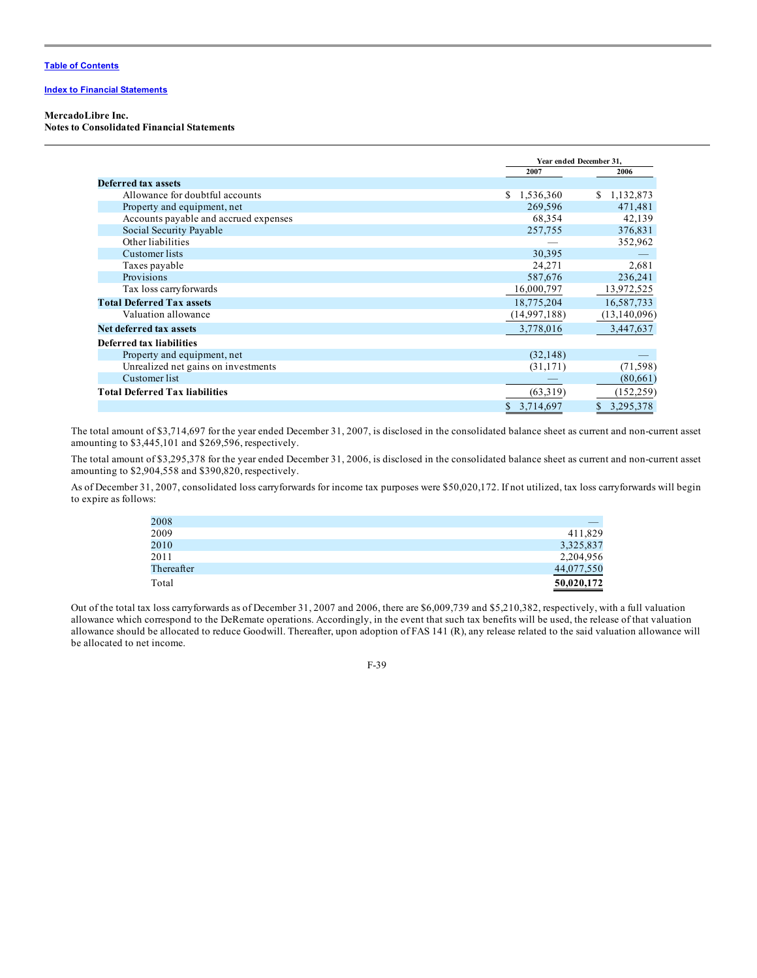# **Index to Financial Statements**

### **MercadoLibre Inc.**

**Notes to Consolidated Financial Statements**

|                                       |                 | Year ended December 31, |  |
|---------------------------------------|-----------------|-------------------------|--|
|                                       | 2007            | 2006                    |  |
| Deferred tax assets                   |                 |                         |  |
| Allowance for doubtful accounts       | 1,536,360<br>S. | 1,132,873<br>\$.        |  |
| Property and equipment, net           | 269,596         | 471,481                 |  |
| Accounts payable and accrued expenses | 68,354          | 42,139                  |  |
| Social Security Payable               | 257,755         | 376,831                 |  |
| Other liabilities                     |                 | 352,962                 |  |
| Customer lists                        | 30,395          |                         |  |
| Taxes payable                         | 24,271          | 2,681                   |  |
| Provisions                            | 587,676         | 236,241                 |  |
| Tax loss carry forwards               | 16,000,797      | 13,972,525              |  |
| <b>Total Deferred Tax assets</b>      | 18,775,204      | 16,587,733              |  |
| Valuation allowance                   | (14,997,188)    | (13,140,096)            |  |
| Net deferred tax assets               | 3,778,016       | 3,447,637               |  |
| Deferred tax liabilities              |                 |                         |  |
| Property and equipment, net           | (32, 148)       |                         |  |
| Unrealized net gains on investments   | (31, 171)       | (71, 598)               |  |
| Customer list                         |                 | (80, 661)               |  |
| <b>Total Deferred Tax liabilities</b> | (63,319)        | (152, 259)              |  |
|                                       | 3,714,697<br>S. | \$<br>3,295,378         |  |

The total amount of \$3,714,697 for the year ended December 31, 2007, is disclosed in the consolidated balance sheet as current and non-current asset amounting to \$3,445,101 and \$269,596, respectively.

The total amount of \$3,295,378 for the year ended December 31, 2006, is disclosed in the consolidated balance sheet as current and non-current asset amounting to \$2,904,558 and \$390,820, respectively.

As of December 31, 2007, consolidated loss carryforwards for income tax purposes were \$50,020,172. If not utilized, tax loss carryforwards will begin to expire as follows:

| 2008       |            |
|------------|------------|
| 2009       | 411,829    |
| 2010       | 3,325,837  |
| 2011       | 2,204,956  |
| Thereafter | 44,077,550 |
| Total      | 50,020,172 |

Out of the total tax loss carryforwards as of December 31, 2007 and 2006, there are \$6,009,739 and \$5,210,382, respectively, with a full valuation allowance which correspond to the DeRemate operations. Accordingly, in the event that such tax benefits will be used, the release of that valuation allowance should be allocated to reduce Goodwill. Thereafter, upon adoption of FAS 141 (R), any release related to the said valuation allowance will be allocated to net income.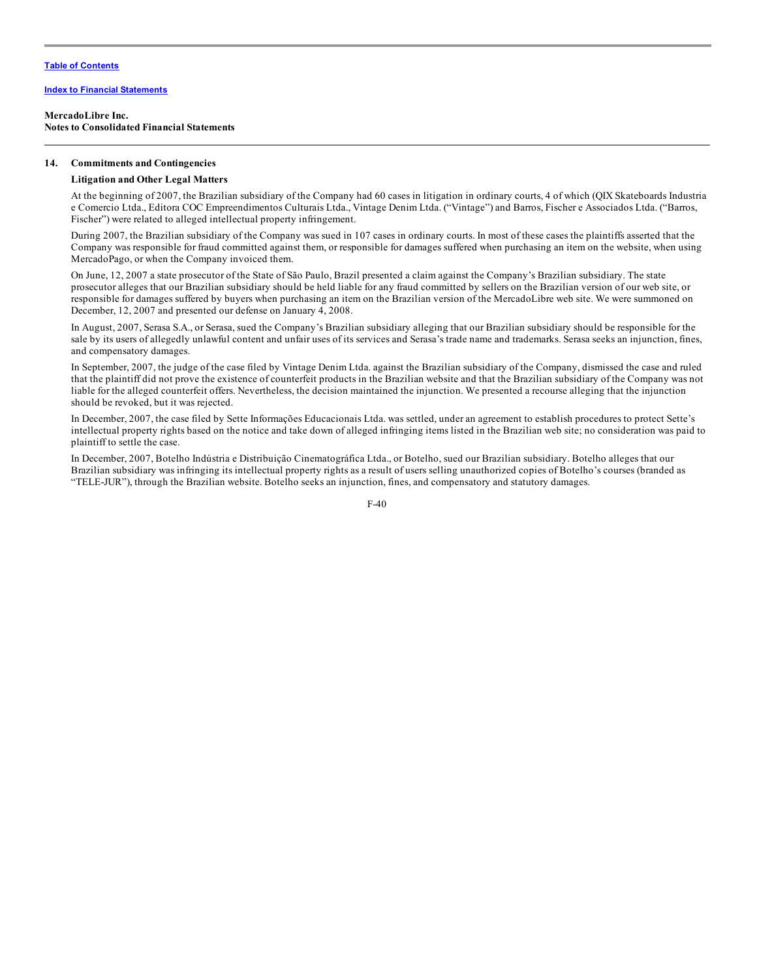**MercadoLibre Inc. Notes to Consolidated Financial Statements**

### **14. Commitments and Contingencies**

#### **Litigation and Other Legal Matters**

At the beginning of 2007, the Brazilian subsidiary of the Company had 60 cases in litigation in ordinary courts, 4 of which (QIX Skateboards Industria e Comercio Ltda., Editora COC Empreendimentos Culturais Ltda., Vintage Denim Ltda. ("Vintage") and Barros, Fischer e Associados Ltda. ("Barros, Fischer") were related to alleged intellectual property infringement.

During 2007, the Brazilian subsidiary of the Company was sued in 107 cases in ordinary courts. In most of these cases the plaintiffs asserted that the Company was responsible for fraud committed against them, or responsible for damages suffered when purchasing an item on the website, when using MercadoPago, or when the Company invoiced them.

On June, 12, 2007 a state prosecutor of the State of São Paulo, Brazil presented a claim against the Company's Brazilian subsidiary. The state prosecutor alleges that our Brazilian subsidiary should be held liable for any fraud committed by sellers on the Brazilian version of our web site, or responsible for damages suffered by buyers when purchasing an item on the Brazilian version of the MercadoLibre web site. We were summoned on December, 12, 2007 and presented our defense on January 4, 2008.

In August, 2007, Serasa S.A., or Serasa, sued the Company's Brazilian subsidiary alleging that our Brazilian subsidiary should be responsible for the sale by its users of allegedly unlawful content and unfair uses of its services and Serasa's trade name and trademarks. Serasa seeks an injunction, fines, and compensatory damages.

In September, 2007, the judge of the case filed by Vintage Denim Ltda. against the Brazilian subsidiary of the Company, dismissed the case and ruled that the plaintiff did not prove the existence of counterfeit products in the Brazilian website and that the Brazilian subsidiary of the Company was not liable for the alleged counterfeit offers. Nevertheless, the decision maintained the injunction. We presented a recourse alleging that the injunction should be revoked, but it was rejected.

In December, 2007, the case filed by Sette Informações Educacionais Ltda. was settled, under an agreement to establish procedures to protect Sette's intellectual property rights based on the notice and take down of alleged infringing items listed in the Brazilian web site; no consideration was paid to plaintiff to settle the case.

In December, 2007, Botelho Indústria e Distribuição Cinematográfica Ltda., or Botelho, sued our Brazilian subsidiary. Botelho alleges that our Brazilian subsidiary was infringing its intellectual property rights as a result of users selling unauthorized copies of Botelho's courses (branded as "TELE-JUR"), through the Brazilian website. Botelho seeks an injunction, fines, and compensatory and statutory damages.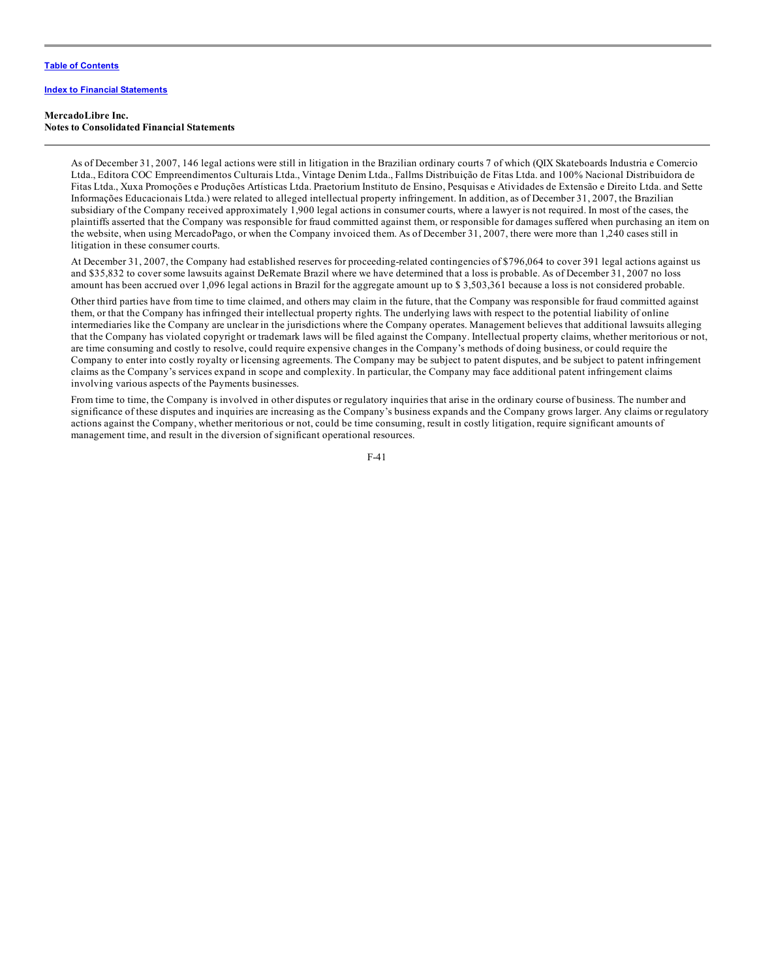### **Index to Financial Statements**

#### **MercadoLibre Inc. Notes to Consolidated Financial Statements**

As of December 31, 2007, 146 legal actions were still in litigation in the Brazilian ordinary courts 7 of which (QIX Skateboards Industria e Comercio Ltda., Editora COC Empreendimentos Culturais Ltda., Vintage Denim Ltda., Fallms Distribuição de Fitas Ltda. and 100% Nacional Distribuidora de Fitas Ltda., Xuxa Promoções e Produções Artísticas Ltda. Praetorium Instituto de Ensino, Pesquisas e Atividades de Extensão e Direito Ltda. and Sette Informações Educacionais Ltda.) were related to alleged intellectual property infringement. In addition, as of December 31, 2007, the Brazilian subsidiary of the Company received approximately 1,900 legal actions in consumer courts, where a lawyer is not required. In most of the cases, the plaintiffs asserted that the Company was responsible for fraud committed against them, or responsible for damages suffered when purchasing an item on the website, when using MercadoPago, or when the Company invoiced them. As of December 31, 2007, there were more than 1,240 cases still in litigation in these consumer courts.

At December 31, 2007, the Company had established reserves for proceeding-related contingencies of \$796,064 to cover 391 legal actions against us and \$35,832 to cover some lawsuits against DeRemate Brazil where we have determined that a loss is probable. As of December 31, 2007 no loss amount has been accrued over 1,096 legal actions in Brazil for the aggregate amount up to \$ 3,503,361 because a loss is not considered probable.

Other third parties have from time to time claimed, and others may claim in the future, that the Company was responsible for fraud committed against them, or that the Company has infringed their intellectual property rights. The underlying laws with respect to the potential liability of online intermediaries like the Company are unclear in the jurisdictions where the Company operates. Management believes that additional lawsuits alleging that the Company has violated copyright or trademark laws will be filed against the Company. Intellectual property claims, whether meritorious or not, are time consuming and costly to resolve, could require expensive changes in the Company's methods of doing business, or could require the Company to enter into costly royalty or licensing agreements. The Company may be subject to patent disputes, and be subject to patent infringement claims as the Company's services expand in scope and complexity. In particular, the Company may face additional patent infringement claims involving various aspects of the Payments businesses.

From time to time, the Company is involved in other disputes or regulatory inquiries that arise in the ordinary course of business. The number and significance of these disputes and inquiries are increasing as the Company's business expands and the Company grows larger. Any claims or regulatory actions against the Company, whether meritorious or not, could be time consuming, result in costly litigation, require significant amounts of management time, and result in the diversion of significant operational resources.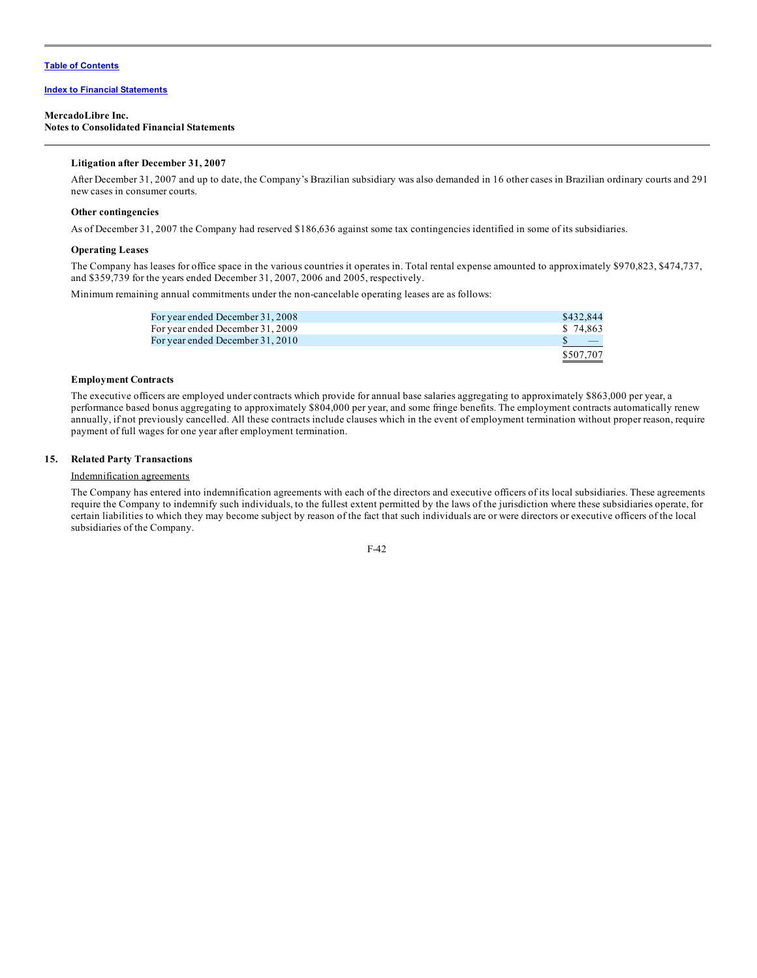# **Index to Financial Statements**

### **MercadoLibre Inc.**

#### **Notes to Consolidated Financial Statements**

### **Litigation after December 31, 2007**

After December 31, 2007 and up to date, the Company's Brazilian subsidiary was also demanded in 16 other cases in Brazilian ordinary courts and 291 new cases in consumer courts.

### **Other contingencies**

As of December 31, 2007 the Company had reserved \$186,636 against some tax contingencies identified in some of its subsidiaries.

#### **Operating Leases**

The Company has leases for office space in the various countries it operates in. Total rental expense amounted to approximately \$970,823, \$474,737, and \$359,739 for the years ended December 31, 2007, 2006 and 2005, respectively.

Minimum remaining annual commitments under the non-cancelable operating leases are as follows:

| For year ended December 31, 2008 | \$432,844 |
|----------------------------------|-----------|
| For year ended December 31, 2009 | \$74.863  |
| For year ended December 31, 2010 |           |
|                                  | \$507.707 |

#### **Employment Contracts**

The executive officers are employed under contracts which provide for annual base salaries aggregating to approximately \$863,000 per year, a performance based bonus aggregating to approximately \$804,000 per year, and some fringe benefits. The employment contracts automatically renew annually, if not previously cancelled. All these contracts include clauses which in the event of employment termination without proper reason, require payment of full wages for one year after employment termination.

### **15. Related Party Transactions**

### Indemnification agreements

The Company has entered into indemnification agreements with each of the directors and executive officers of its local subsidiaries. These agreements require the Company to indemnify such individuals, to the fullest extent permitted by the laws of the jurisdiction where these subsidiaries operate, for certain liabilities to which they may become subject by reason of the fact that such individuals are or were directors or executive officers of the local subsidiaries of the Company.

$$
F-42
$$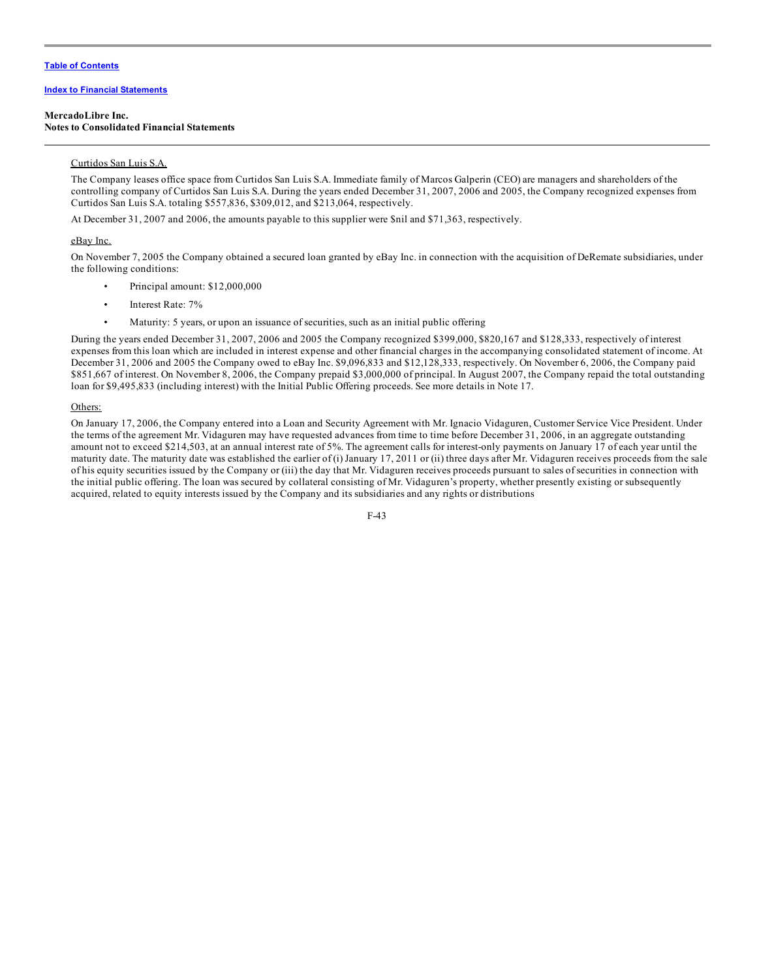### **Index to Financial Statements**

#### **MercadoLibre Inc.**

## **Notes to Consolidated Financial Statements**

### Curtidos San Luis S.A.

The Company leases office space from Curtidos San Luis S.A. Immediate family of Marcos Galperin (CEO) are managers and shareholders of the controlling company of Curtidos San Luis S.A. During the years ended December 31, 2007, 2006 and 2005, the Company recognized expenses from Curtidos San Luis S.A. totaling \$557,836, \$309,012, and \$213,064, respectively.

At December 31, 2007 and 2006, the amounts payable to this supplier were \$nil and \$71,363, respectively.

#### eBay Inc.

On November 7, 2005 the Company obtained a secured loan granted by eBay Inc. in connection with the acquisition of DeRemate subsidiaries, under the following conditions:

- Principal amount: \$12,000,000
- Interest Rate: 7%
- Maturity: 5 years, or upon an issuance of securities, such as an initial public offering

During the years ended December 31, 2007, 2006 and 2005 the Company recognized \$399,000, \$820,167 and \$128,333, respectively of interest expenses from this loan which are included in interest expense and other financial charges in the accompanying consolidated statement of income. At December 31, 2006 and 2005 the Company owed to eBay Inc. \$9,096,833 and \$12,128,333, respectively. On November 6, 2006, the Company paid \$851,667 of interest. On November 8, 2006, the Company prepaid \$3,000,000 of principal. In August 2007, the Company repaid the total outstanding loan for \$9,495,833 (including interest) with the Initial Public Offering proceeds. See more details in Note 17.

#### Others:

On January 17, 2006, the Company entered into a Loan and Security Agreement with Mr. Ignacio Vidaguren, Customer Service Vice President. Under the terms of the agreement Mr. Vidaguren may have requested advances from time to time before December 31, 2006, in an aggregate outstanding amount not to exceed \$214,503, at an annual interest rate of 5%. The agreement calls for interest-only payments on January 17 of each year until the maturity date. The maturity date was established the earlier of (i) January 17, 2011 or (ii) three days after Mr. Vidaguren receives proceeds from the sale of his equity securities issued by the Company or (iii) the day that Mr. Vidaguren receives proceeds pursuant to sales of securities in connection with the initial public offering. The loan was secured by collateral consisting of Mr. Vidaguren's property, whether presently existing or subsequently acquired, related to equity interests issued by the Company and its subsidiaries and any rights or distributions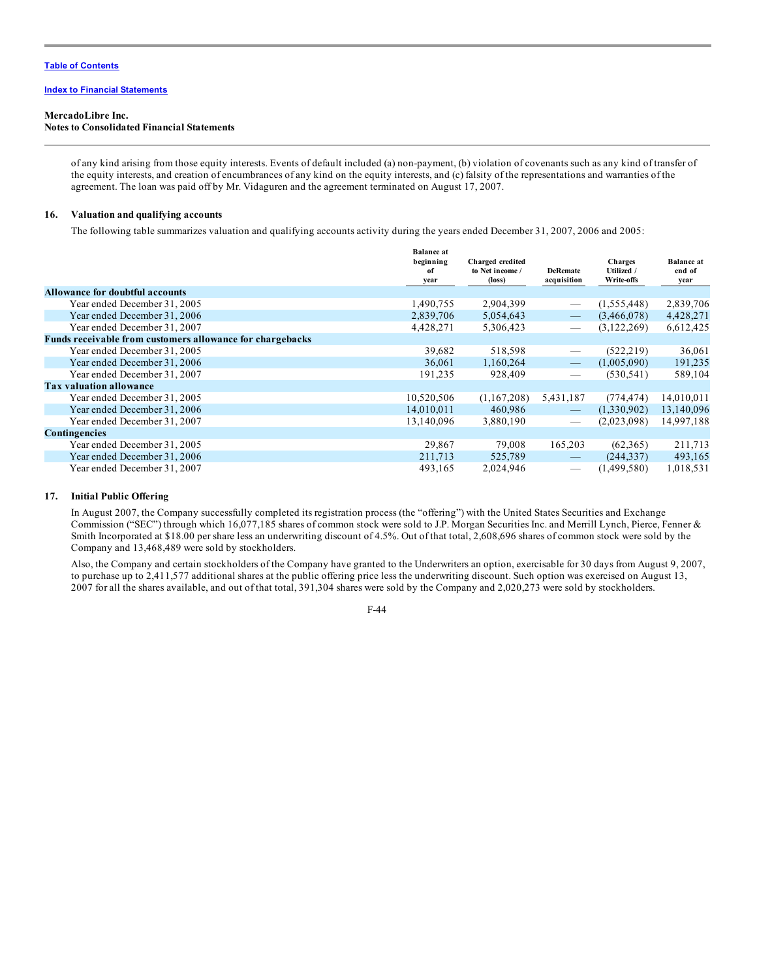### **MercadoLibre Inc.**

### **Notes to Consolidated Financial Statements**

of any kind arising from those equity interests. Events of default included (a) non-payment, (b) violation of covenants such as any kind of transfer of the equity interests, and creation of encumbrances of any kind on the equity interests, and (c) falsity of the representations and warranties of the agreement. The loan was paid off by Mr. Vidaguren and the agreement terminated on August 17, 2007.

#### **16. Valuation and qualifying accounts**

The following table summarizes valuation and qualifying accounts activity during the years ended December 31, 2007, 2006 and 2005:

|                                                           | <b>Balance</b> at<br>beginning<br>of<br>year | Charged credited<br>to Net income /<br>(loss) | <b>DeRemate</b><br>acquisition  | Charges<br>Utilized /<br>Write-offs | <b>Balance</b> at<br>end of<br>year |
|-----------------------------------------------------------|----------------------------------------------|-----------------------------------------------|---------------------------------|-------------------------------------|-------------------------------------|
| Allowance for doubtful accounts                           |                                              |                                               |                                 |                                     |                                     |
| Year ended December 31, 2005                              | 1,490,755                                    | 2,904,399                                     |                                 | (1,555,448)                         | 2,839,706                           |
| Year ended December 31, 2006                              | 2,839,706                                    | 5,054,643                                     |                                 | (3,466,078)                         | 4,428,271                           |
| Year ended December 31, 2007                              | 4,428,271                                    | 5,306,423                                     | $\hspace{0.1mm}-\hspace{0.1mm}$ | (3,122,269)                         | 6,612,425                           |
| Funds receivable from customers allowance for chargebacks |                                              |                                               |                                 |                                     |                                     |
| Year ended December 31, 2005                              | 39,682                                       | 518,598                                       |                                 | (522, 219)                          | 36,061                              |
| Year ended December 31, 2006                              | 36,061                                       | 1,160,264                                     | $\hspace{0.05cm}$               | (1,005,090)                         | 191,235                             |
| Year ended December 31, 2007                              | 191,235                                      | 928,409                                       | $\hspace{0.1mm}-\hspace{0.1mm}$ | (530, 541)                          | 589,104                             |
| <b>Tax valuation allowance</b>                            |                                              |                                               |                                 |                                     |                                     |
| Year ended December 31, 2005                              | 10,520,506                                   | (1,167,208)                                   | 5,431,187                       | (774, 474)                          | 14,010,011                          |
| Year ended December 31, 2006                              | 14,010,011                                   | 460,986                                       |                                 | (1,330,902)                         | 13,140,096                          |
| Year ended December 31, 2007                              | 13,140,096                                   | 3,880,190                                     | __                              | (2,023,098)                         | 14,997,188                          |
| <b>Contingencies</b>                                      |                                              |                                               |                                 |                                     |                                     |
| Year ended December 31, 2005                              | 29,867                                       | 79,008                                        | 165,203                         | (62, 365)                           | 211,713                             |
| Year ended December 31, 2006                              | 211,713                                      | 525,789                                       | $\overline{\phantom{m}}$        | (244, 337)                          | 493,165                             |
| Year ended December 31, 2007                              | 493,165                                      | 2,024,946                                     | $\overline{\phantom{a}}$        | (1,499,580)                         | 1,018,531                           |

## **17. Initial Public Offering**

In August 2007, the Company successfully completed its registration process (the "offering") with the United States Securities and Exchange Commission ("SEC") through which 16,077,185 shares of common stock were sold to J.P. Morgan Securities Inc. and Merrill Lynch, Pierce, Fenner & Smith Incorporated at \$18.00 per share less an underwriting discount of 4.5%. Out of that total, 2,608,696 shares of common stock were sold by the Company and 13,468,489 were sold by stockholders.

Also, the Company and certain stockholders of the Company have granted to the Underwriters an option, exercisable for 30 days from August 9, 2007, to purchase up to 2,411,577 additional shares at the public offering price less the underwriting discount. Such option was exercised on August 13, 2007 for all the shares available, and out of that total, 391,304 shares were sold by the Company and 2,020,273 were sold by stockholders.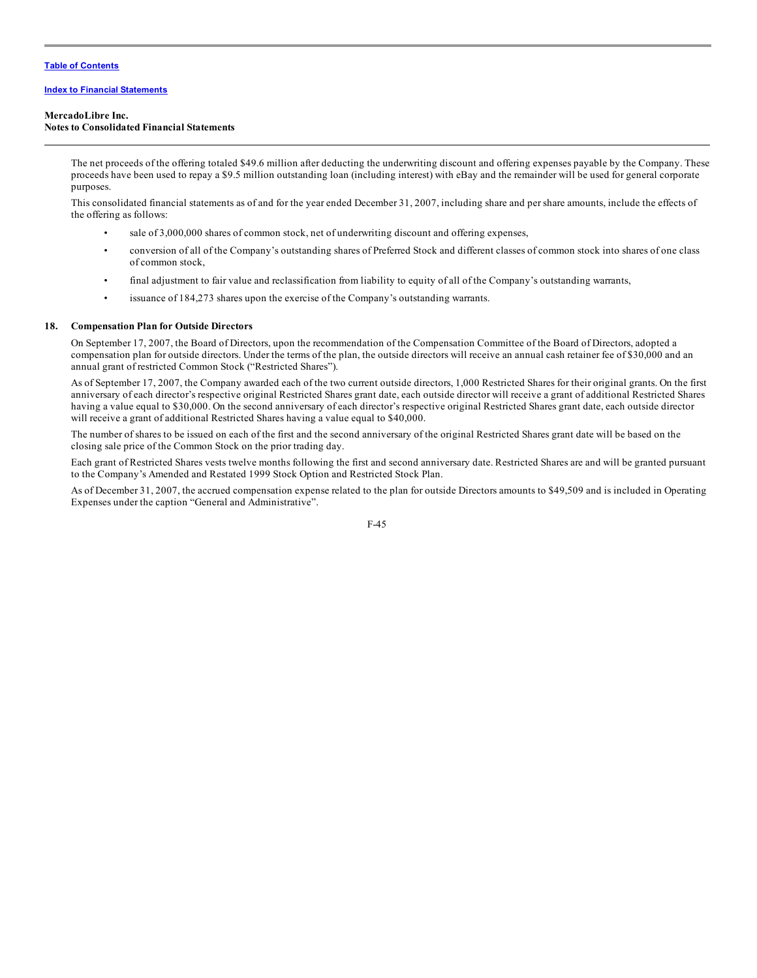### **Index to Financial Statements**

### **MercadoLibre Inc.**

### **Notes to Consolidated Financial Statements**

The net proceeds of the offering totaled \$49.6 million after deducting the underwriting discount and offering expenses payable by the Company. These proceeds have been used to repay a \$9.5 million outstanding loan (including interest) with eBay and the remainder will be used for general corporate purposes.

This consolidated financial statements as of and for the year ended December 31, 2007, including share and per share amounts, include the effects of the offering as follows:

- sale of 3,000,000 shares of common stock, net of underwriting discount and offering expenses,
- conversion of all of the Company's outstanding shares of Preferred Stock and different classes of common stock into shares of one class of common stock,
- final adjustment to fair value and reclassification from liability to equity of all of the Company's outstanding warrants,
- issuance of 184,273 shares upon the exercise of the Company's outstanding warrants.

### **18. Compensation Plan for Outside Directors**

On September 17, 2007, the Board of Directors, upon the recommendation of the Compensation Committee of the Board of Directors, adopted a compensation plan for outside directors. Under the terms of the plan, the outside directors will receive an annual cash retainer fee of \$30,000 and an annual grant of restricted Common Stock ("Restricted Shares").

As of September 17, 2007, the Company awarded each of the two current outside directors, 1,000 Restricted Shares for their original grants. On the first anniversary of each director's respective original Restricted Shares grant date, each outside director will receive a grant of additional Restricted Shares having a value equal to \$30,000. On the second anniversary of each director's respective original Restricted Shares grant date, each outside director will receive a grant of additional Restricted Shares having a value equal to \$40,000.

The number of shares to be issued on each of the first and the second anniversary of the original Restricted Shares grant date will be based on the closing sale price of the Common Stock on the prior trading day.

Each grant of Restricted Shares vests twelve months following the first and second anniversary date. Restricted Shares are and will be granted pursuant to the Company's Amended and Restated 1999 Stock Option and Restricted Stock Plan.

As of December 31, 2007, the accrued compensation expense related to the plan for outside Directors amounts to \$49,509 and is included in Operating Expenses under the caption "General and Administrative".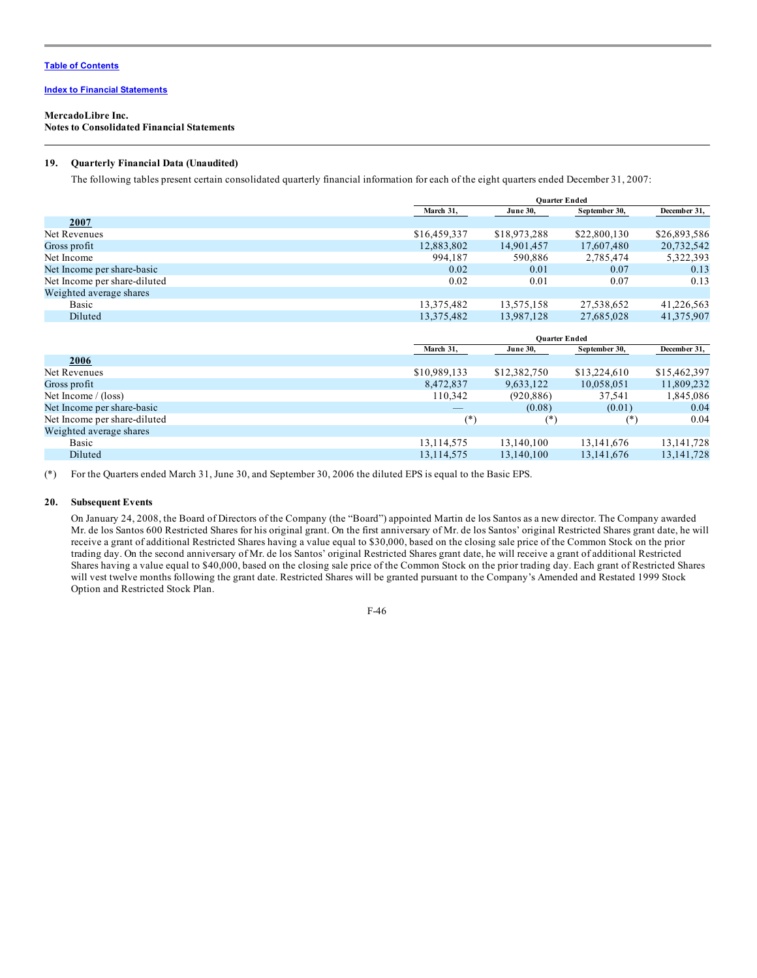### **MercadoLibre Inc.**

**Notes to Consolidated Financial Statements**

### **19. Quarterly Financial Data (Unaudited)**

The following tables present certain consolidated quarterly financial information for each of the eight quarters ended December 31, 2007:

|                              |              | <b>Ouarter Ended</b> |               |              |
|------------------------------|--------------|----------------------|---------------|--------------|
|                              | March 31,    | <b>June 30,</b>      | September 30, | December 31, |
| 2007                         |              |                      |               |              |
| Net Revenues                 | \$16,459,337 | \$18,973,288         | \$22,800,130  | \$26,893,586 |
| Gross profit                 | 12,883,802   | 14,901,457           | 17,607,480    | 20,732,542   |
| Net Income                   | 994.187      | 590,886              | 2,785,474     | 5,322,393    |
| Net Income per share-basic   | 0.02         | 0.01                 | 0.07          | 0.13         |
| Net Income per share-diluted | 0.02         | 0.01                 | 0.07          | 0.13         |
| Weighted average shares      |              |                      |               |              |
| Basic                        | 13,375,482   | 13,575,158           | 27,538,652    | 41,226,563   |
| Diluted                      | 13,375,482   | 13,987,128           | 27,685,028    | 41,375,907   |
|                              |              |                      |               |              |
|                              |              | <b>Quarter Ended</b> |               |              |
|                              | March 31,    | <b>June 30,</b>      | September 30, | December 31, |
| 2006                         |              |                      |               |              |
| Net Revenues                 | \$10,989,133 | \$12,382,750         | \$13,224,610  | \$15,462,397 |
| Gross profit                 | 8,472,837    | 9,633,122            | 10,058,051    | 11,809,232   |
| Net Income $/$ (loss)        | 110,342      | (920, 886)           | 37,541        | 1,845,086    |
| Net Income per share-basic   |              | (0.08)               | (0.01)        | 0.04         |
| Net Income per share-diluted | $(*)$        | $(*)$                | $(*)$         | 0.04         |

(\*) For the Quarters ended March 31, June 30, and September 30, 2006 the diluted EPS is equal to the Basic EPS.

#### **20. Subsequent Events**

Weighted average shares

On January 24, 2008, the Board of Directors of the Company (the "Board") appointed Martin de los Santos as a new director. The Company awarded Mr. de los Santos 600 Restricted Shares for his original grant. On the first anniversary of Mr. de los Santos' original Restricted Shares grant date, he will receive a grant of additional Restricted Shares having a value equal to \$30,000, based on the closing sale price of the Common Stock on the prior trading day. On the second anniversary of Mr. de los Santos' original Restricted Shares grant date, he will receive a grant of additional Restricted Shares having a value equal to \$40,000, based on the closing sale price of the Common Stock on the prior trading day. Each grant of Restricted Shares will vest twelve months following the grant date. Restricted Shares will be granted pursuant to the Company's Amended and Restated 1999 Stock Option and Restricted Stock Plan.

Basic 13,141,675 13,141,675 13,141,676 13,141,728 Diluted 13,114,575 13,140,100 13,141,676 13,141,728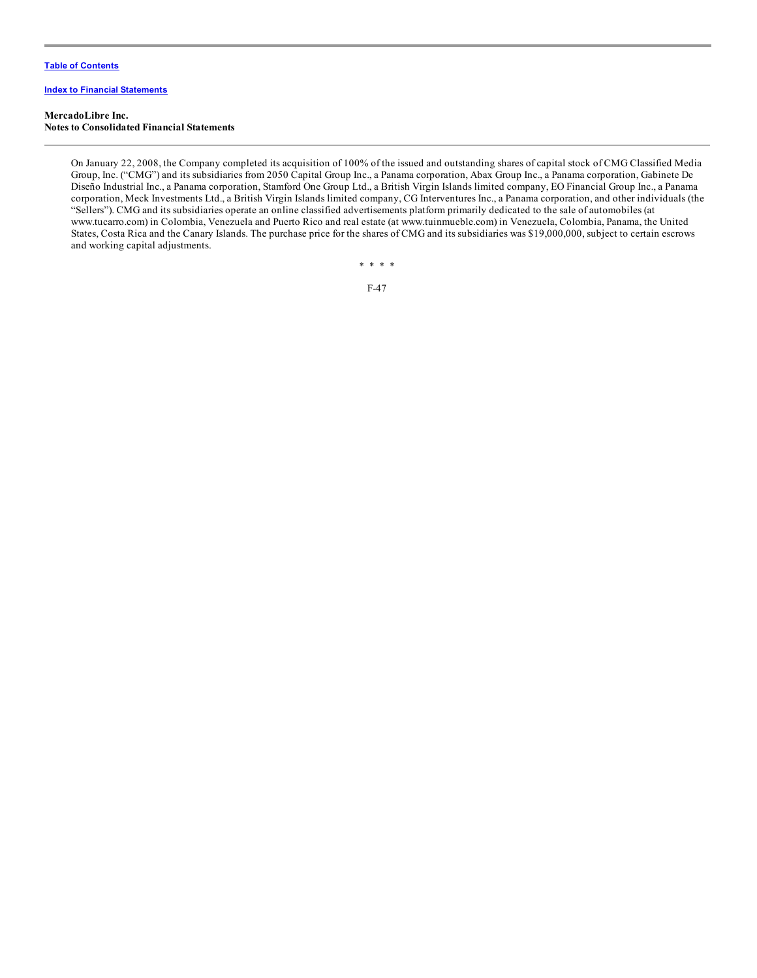# **Index to Financial Statements**

### **MercadoLibre Inc. Notes to Consolidated Financial Statements**

On January 22, 2008, the Company completed its acquisition of 100% of the issued and outstanding shares of capital stock of CMG Classified Media Group, Inc. ("CMG") and its subsidiaries from 2050 Capital Group Inc., a Panama corporation, Abax Group Inc., a Panama corporation, Gabinete De Diseño Industrial Inc., a Panama corporation, Stamford One Group Ltd., a British Virgin Islands limited company, EO Financial Group Inc., a Panama corporation, Meck Investments Ltd., a British Virgin Islands limited company, CG Interventures Inc., a Panama corporation, and other individuals (the "Sellers"). CMG and its subsidiaries operate an online classified advertisements platform primarily dedicated to the sale of automobiles (at www.tucarro.com) in Colombia, Venezuela and Puerto Rico and real estate (at www.tuinmueble.com) in Venezuela, Colombia, Panama, the United States, Costa Rica and the Canary Islands. The purchase price for the shares of CMG and its subsidiaries was \$19,000,000, subject to certain escrows and working capital adjustments.

\* \* \* \*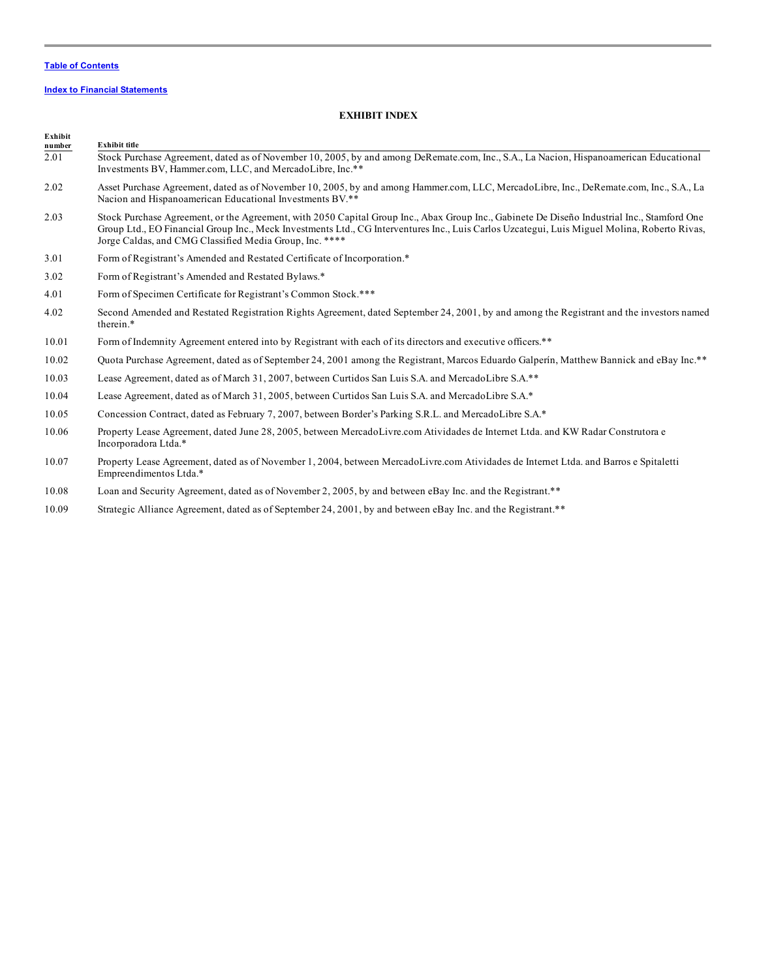**Exhibit**

# **Index to Financial Statements**

# **EXHIBIT INDEX**

| елигич<br>number | <b>Exhibit title</b>                                                                                                                                                                                                                                                                                                                                   |
|------------------|--------------------------------------------------------------------------------------------------------------------------------------------------------------------------------------------------------------------------------------------------------------------------------------------------------------------------------------------------------|
| 2.01             | Stock Purchase Agreement, dated as of November 10, 2005, by and among DeRemate.com, Inc., S.A., La Nacion, Hispanoamerican Educational<br>Investments BV, Hammer.com, LLC, and MercadoLibre, Inc.**                                                                                                                                                    |
| 2.02             | Asset Purchase Agreement, dated as of November 10, 2005, by and among Hammer.com, LLC, MercadoLibre, Inc., DeRemate.com, Inc., S.A., La<br>Nacion and Hispanoamerican Educational Investments BV.**                                                                                                                                                    |
| 2.03             | Stock Purchase Agreement, or the Agreement, with 2050 Capital Group Inc., Abax Group Inc., Gabinete De Diseño Industrial Inc., Stamford One<br>Group Ltd., EO Financial Group Inc., Meck Investments Ltd., CG Interventures Inc., Luis Carlos Uzcategui, Luis Miguel Molina, Roberto Rivas,<br>Jorge Caldas, and CMG Classified Media Group, Inc. **** |
| 3.01             | Form of Registrant's Amended and Restated Certificate of Incorporation.*                                                                                                                                                                                                                                                                               |
| 3.02             | Form of Registrant's Amended and Restated Bylaws.*                                                                                                                                                                                                                                                                                                     |
| 4.01             | Form of Specimen Certificate for Registrant's Common Stock.***                                                                                                                                                                                                                                                                                         |
| 4.02             | Second Amended and Restated Registration Rights Agreement, dated September 24, 2001, by and among the Registrant and the investors named<br>therein.*                                                                                                                                                                                                  |
| 10.01            | Form of Indemnity Agreement entered into by Registrant with each of its directors and executive officers.**                                                                                                                                                                                                                                            |
| 10.02            | Quota Purchase Agreement, dated as of September 24, 2001 among the Registrant, Marcos Eduardo Galperín, Matthew Bannick and eBay Inc.**                                                                                                                                                                                                                |
| 10.03            | Lease Agreement, dated as of March 31, 2007, between Curtidos San Luis S.A. and Mercado Libre S.A.**                                                                                                                                                                                                                                                   |
| 10.04            | Lease Agreement, dated as of March 31, 2005, between Curtidos San Luis S.A. and Mercado Libre S.A.*                                                                                                                                                                                                                                                    |
| 10.05            | Concession Contract, dated as February 7, 2007, between Border's Parking S.R.L. and MercadoLibre S.A.*                                                                                                                                                                                                                                                 |
| 10.06            | Property Lease Agreement, dated June 28, 2005, between MercadoLivre.com Atividades de Internet Ltda. and KW Radar Construtora e<br>Incorporadora Ltda.*                                                                                                                                                                                                |

- 10.07 Property Lease Agreement, dated as of November 1, 2004, between MercadoLivre.com Atividades de Internet Ltda. and Barros e Spitaletti Empreendimentos Ltda.\*
- 10.08 Loan and Security Agreement, dated as of November 2, 2005, by and between eBay Inc. and the Registrant.\*\*
- 10.09 Strategic Alliance Agreement, dated as of September 24, 2001, by and between eBay Inc. and the Registrant.\*\*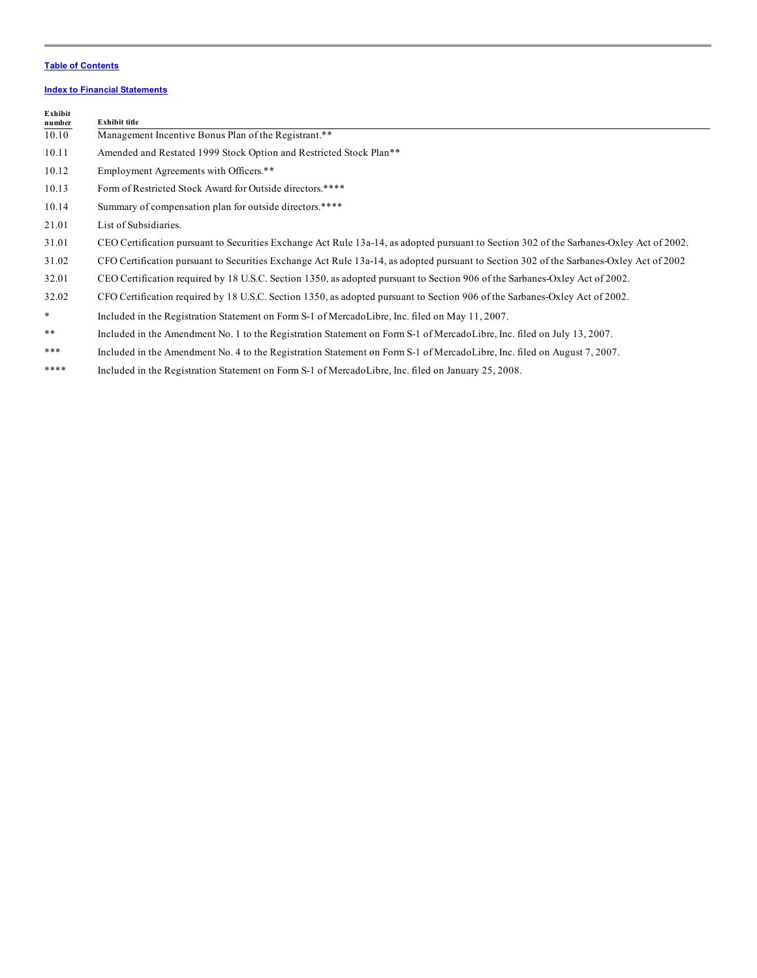# **Index to Financial Statements**

| Exhibit<br>number | <b>Exhibit title</b>                                                                                                                     |
|-------------------|------------------------------------------------------------------------------------------------------------------------------------------|
| 10.10             | Management Incentive Bonus Plan of the Registrant.**                                                                                     |
| 10.11             | Amended and Restated 1999 Stock Option and Restricted Stock Plan <sup>**</sup>                                                           |
| 10.12             | Employment Agreements with Officers.**                                                                                                   |
| 10.13             | Form of Restricted Stock Award for Outside directors.****                                                                                |
| 10.14             | Summary of compensation plan for outside directors.****                                                                                  |
| 21.01             | List of Subsidiaries.                                                                                                                    |
| 31.01             | CEO Certification pursuant to Securities Exchange Act Rule 13a-14, as adopted pursuant to Section 302 of the Sarbanes-Oxley Act of 2002. |
| 31.02             | CFO Certification pursuant to Securities Exchange Act Rule 13a-14, as adopted pursuant to Section 302 of the Sarbanes-Oxley Act of 2002  |
| 32.01             | CEO Certification required by 18 U.S.C. Section 1350, as adopted pursuant to Section 906 of the Sarbanes-Oxley Act of 2002.              |
| 32.02             | CFO Certification required by 18 U.S.C. Section 1350, as adopted pursuant to Section 906 of the Sarbanes-Oxley Act of 2002.              |
| $\ast$            | Included in the Registration Statement on Form S-1 of Mercado Libre, Inc. filed on May 11, 2007.                                         |
| $\ast\ast$        | Included in the Amendment No. 1 to the Registration Statement on Form S-1 of MercadoLibre, Inc. filed on July 13, 2007.                  |
| ***               | Included in the Amendment No. 4 to the Registration Statement on Form S-1 of MercadoLibre, Inc. filed on August 7, 2007.                 |
| ****              | Included in the Registration Statement on Form S-1 of MercadoLibre, Inc. filed on January 25, 2008.                                      |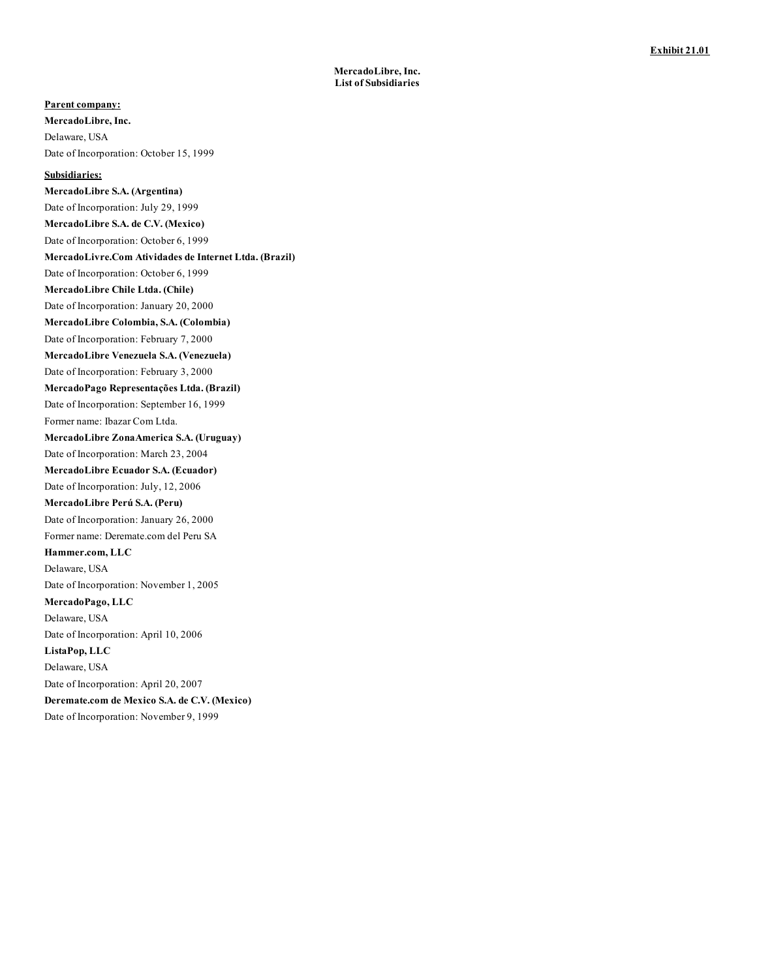**MercadoLibre, Inc. List of Subsidiaries**

**Parent company: MercadoLibre, Inc.** Delaware, USA Date of Incorporation: October 15, 1999 **Subsidiaries: MercadoLibre S.A. (Argentina)** Date of Incorporation: July 29, 1999 **MercadoLibre S.A. de C.V. (Mexico)** Date of Incorporation: October 6, 1999 **MercadoLivre.Com Atividades de Internet Ltda. (Brazil)** Date of Incorporation: October 6, 1999 **MercadoLibre Chile Ltda. (Chile)** Date of Incorporation: January 20, 2000 **MercadoLibre Colombia, S.A. (Colombia)** Date of Incorporation: February 7, 2000 **MercadoLibre Venezuela S.A. (Venezuela)** Date of Incorporation: February 3, 2000 **MercadoPago Representações Ltda. (Brazil)** Date of Incorporation: September 16, 1999 Former name: Ibazar Com Ltda. **MercadoLibre ZonaAmerica S.A. (Uruguay)** Date of Incorporation: March 23, 2004 **MercadoLibre Ecuador S.A. (Ecuador)** Date of Incorporation: July, 12, 2006 **MercadoLibre Perú S.A. (Peru)** Date of Incorporation: January 26, 2000 Former name: Deremate.com del Peru SA **Hammer.com, LLC** Delaware, USA Date of Incorporation: November 1, 2005 **MercadoPago, LLC** Delaware, USA Date of Incorporation: April 10, 2006 **ListaPop, LLC** Delaware, USA Date of Incorporation: April 20, 2007 **Deremate.com de Mexico S.A. de C.V. (Mexico)** Date of Incorporation: November 9, 1999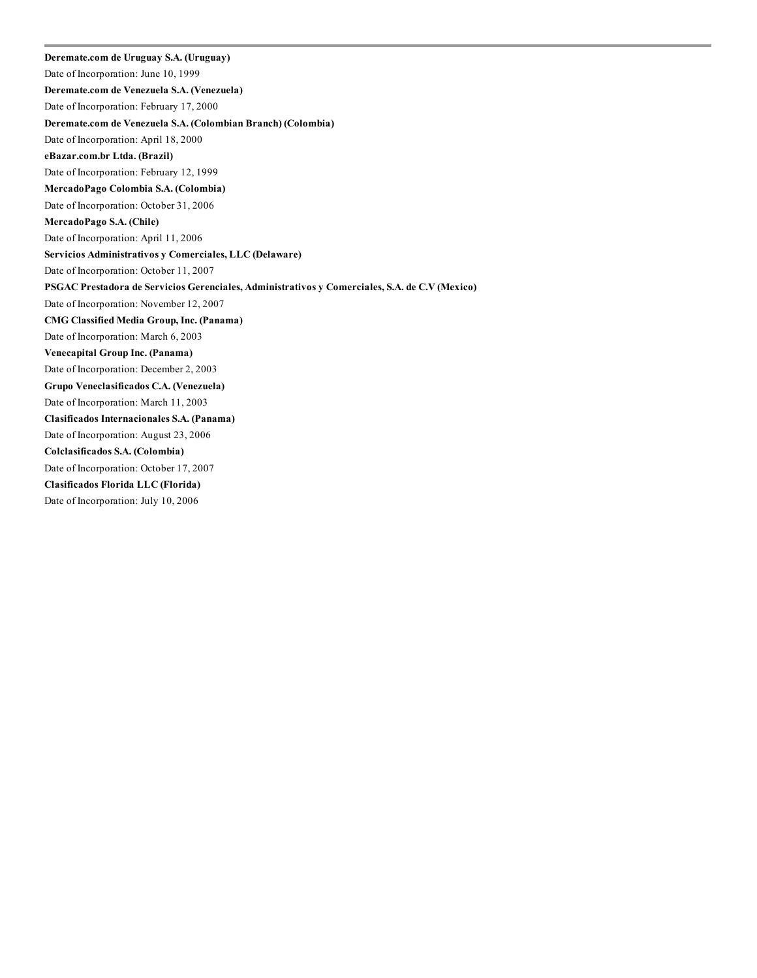**Deremate.com de Uruguay S.A. (Uruguay)** Date of Incorporation: June 10, 1999 **Deremate.com de Venezuela S.A. (Venezuela)** Date of Incorporation: February 17, 2000 **Deremate.com de Venezuela S.A. (Colombian Branch) (Colombia)** Date of Incorporation: April 18, 2000 **eBazar.com.br Ltda. (Brazil)** Date of Incorporation: February 12, 1999 **MercadoPago Colombia S.A. (Colombia)** Date of Incorporation: October 31, 2006 **MercadoPago S.A. (Chile)** Date of Incorporation: April 11, 2006 **Servicios Administrativos y Comerciales, LLC (Delaware)** Date of Incorporation: October 11, 2007 **PSGAC Prestadora de Servicios Gerenciales, Administrativos y Comerciales, S.A. de C.V (Mexico)** Date of Incorporation: November 12, 2007 **CMG Classified Media Group, Inc. (Panama)** Date of Incorporation: March 6, 2003 **Venecapital Group Inc. (Panama)** Date of Incorporation: December 2, 2003 **Grupo Veneclasificados C.A. (Venezuela)** Date of Incorporation: March 11, 2003 **Clasificados Internacionales S.A. (Panama)** Date of Incorporation: August 23, 2006 **Colclasificados S.A. (Colombia)** Date of Incorporation: October 17, 2007 **Clasificados Florida LLC (Florida)** Date of Incorporation: July 10, 2006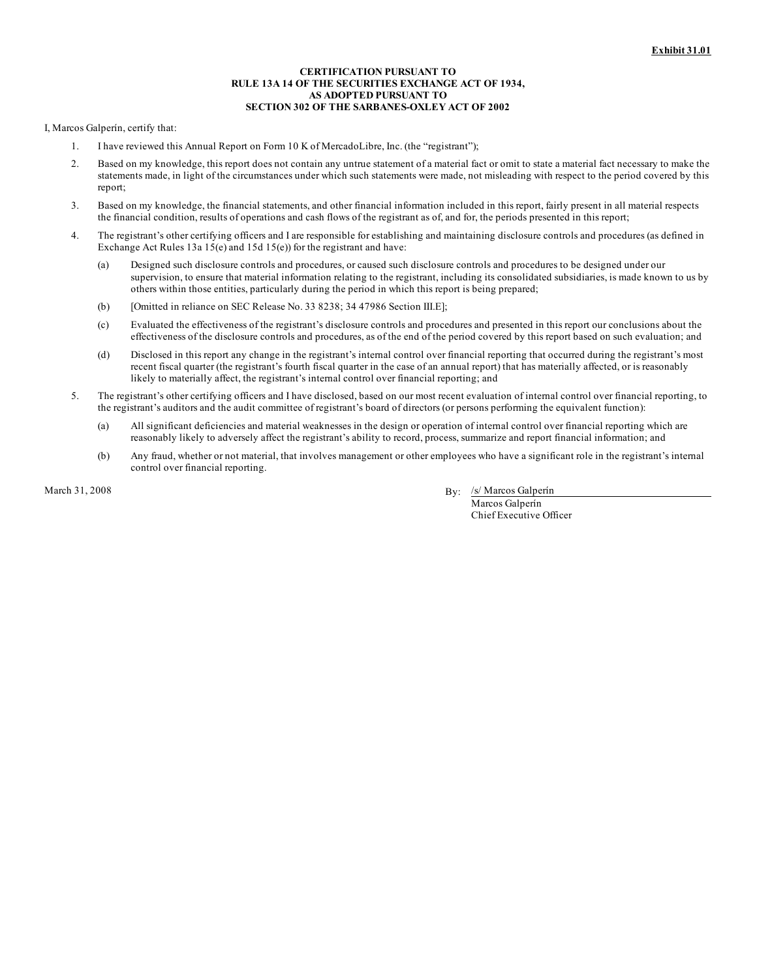### **CERTIFICATION PURSUANT TO RULE 13A 14 OF THE SECURITIES EXCHANGE ACT OF 1934, AS ADOPTED PURSUANT TO SECTION 302 OF THE SARBANES-OXLEY ACT OF 2002**

I, Marcos Galperín, certify that:

- 1. I have reviewed this Annual Report on Form 10 K of MercadoLibre, Inc. (the "registrant");
- 2. Based on my knowledge, this report does not contain any untrue statement of a material fact or omit to state a material fact necessary to make the statements made, in light of the circumstances under which such statements were made, not misleading with respect to the period covered by this report;
- 3. Based on my knowledge, the financial statements, and other financial information included in this report, fairly present in all material respects the financial condition, results of operations and cash flows of the registrant as of, and for, the periods presented in this report;
- 4. The registrant's other certifying officers and I are responsible for establishing and maintaining disclosure controls and procedures (as defined in Exchange Act Rules 13a 15(e) and 15d 15(e)) for the registrant and have:
	- (a) Designed such disclosure controls and procedures, or caused such disclosure controls and procedures to be designed under our supervision, to ensure that material information relating to the registrant, including its consolidated subsidiaries, is made known to us by others within those entities, particularly during the period in which this report is being prepared;
	- (b) [Omitted in reliance on SEC Release No. 33 8238; 34 47986 Section III.E];
	- (c) Evaluated the effectiveness of the registrant's disclosure controls and procedures and presented in this report our conclusions about the effectiveness of the disclosure controls and procedures, as of the end of the period covered by this report based on such evaluation; and
	- (d) Disclosed in this report any change in the registrant's internal control over financial reporting that occurred during the registrant's most recent fiscal quarter (the registrant's fourth fiscal quarter in the case of an annual report) that has materially affected, or is reasonably likely to materially affect, the registrant's internal control over financial reporting; and
- 5. The registrant's other certifying officers and I have disclosed, based on our most recent evaluation of internal control over financial reporting, to the registrant's auditors and the audit committee of registrant's board of directors (or persons performing the equivalent function):
	- (a) All significant deficiencies and material weaknesses in the design or operation of internal control over financial reporting which are reasonably likely to adversely affect the registrant's ability to record, process, summarize and report financial information; and
	- (b) Any fraud, whether or not material, that involves management or other employees who have a significant role in the registrant's internal control over financial reporting.

March 31, 2008

By: /s/ Marcos Galperín Marcos Galperín Chief Executive Officer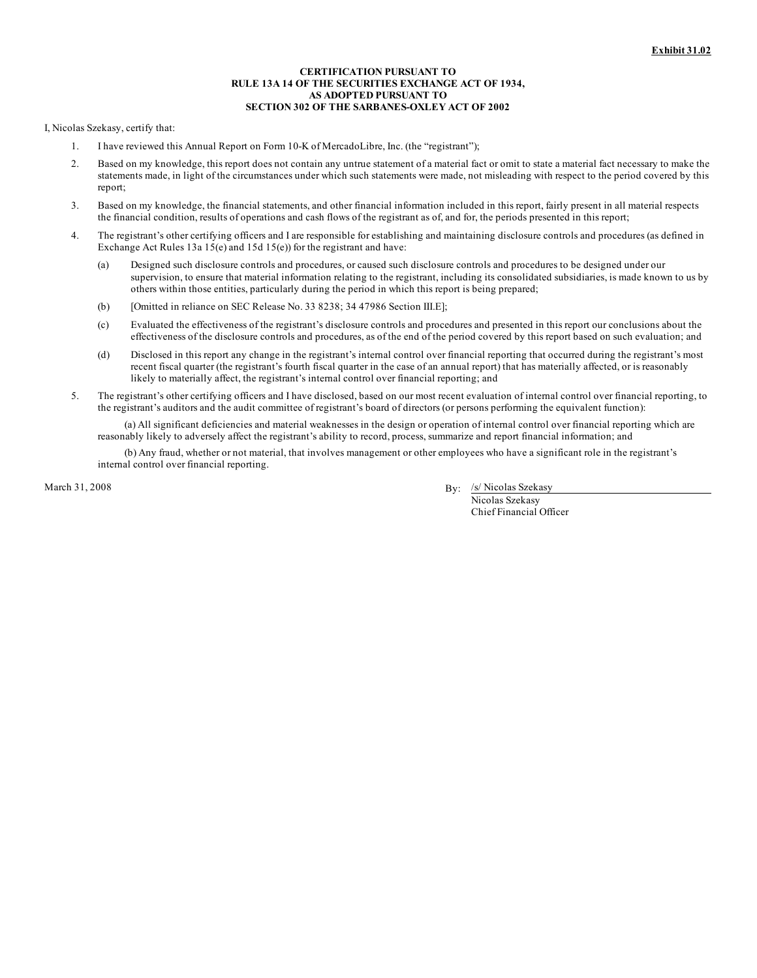### **CERTIFICATION PURSUANT TO RULE 13A 14 OF THE SECURITIES EXCHANGE ACT OF 1934, AS ADOPTED PURSUANT TO SECTION 302 OF THE SARBANES-OXLEY ACT OF 2002**

I, Nicolas Szekasy, certify that:

- 1. I have reviewed this Annual Report on Form 10-K of MercadoLibre, Inc. (the "registrant");
- 2. Based on my knowledge, this report does not contain any untrue statement of a material fact or omit to state a material fact necessary to make the statements made, in light of the circumstances under which such statements were made, not misleading with respect to the period covered by this report;
- 3. Based on my knowledge, the financial statements, and other financial information included in this report, fairly present in all material respects the financial condition, results of operations and cash flows of the registrant as of, and for, the periods presented in this report;
- 4. The registrant's other certifying officers and I are responsible for establishing and maintaining disclosure controls and procedures (as defined in Exchange Act Rules 13a 15(e) and 15d 15(e)) for the registrant and have:
	- (a) Designed such disclosure controls and procedures, or caused such disclosure controls and procedures to be designed under our supervision, to ensure that material information relating to the registrant, including its consolidated subsidiaries, is made known to us by others within those entities, particularly during the period in which this report is being prepared;
	- (b) [Omitted in reliance on SEC Release No. 33 8238; 34 47986 Section III.E];
	- (c) Evaluated the effectiveness of the registrant's disclosure controls and procedures and presented in this report our conclusions about the effectiveness of the disclosure controls and procedures, as of the end of the period covered by this report based on such evaluation; and
	- (d) Disclosed in this report any change in the registrant's internal control over financial reporting that occurred during the registrant's most recent fiscal quarter (the registrant's fourth fiscal quarter in the case of an annual report) that has materially affected, or is reasonably likely to materially affect, the registrant's internal control over financial reporting; and
- 5. The registrant's other certifying officers and I have disclosed, based on our most recent evaluation of internal control over financial reporting, to the registrant's auditors and the audit committee of registrant's board of directors (or persons performing the equivalent function):

(a) All significant deficiencies and material weaknesses in the design or operation of internal control over financial reporting which are reasonably likely to adversely affect the registrant's ability to record, process, summarize and report financial information; and

(b) Any fraud, whether or not material, that involves management or other employees who have a significant role in the registrant's internal control over financial reporting.

March 31, 2008

By: /s/ Nicolas Szekasy Nicolas Szekasy Chief Financial Officer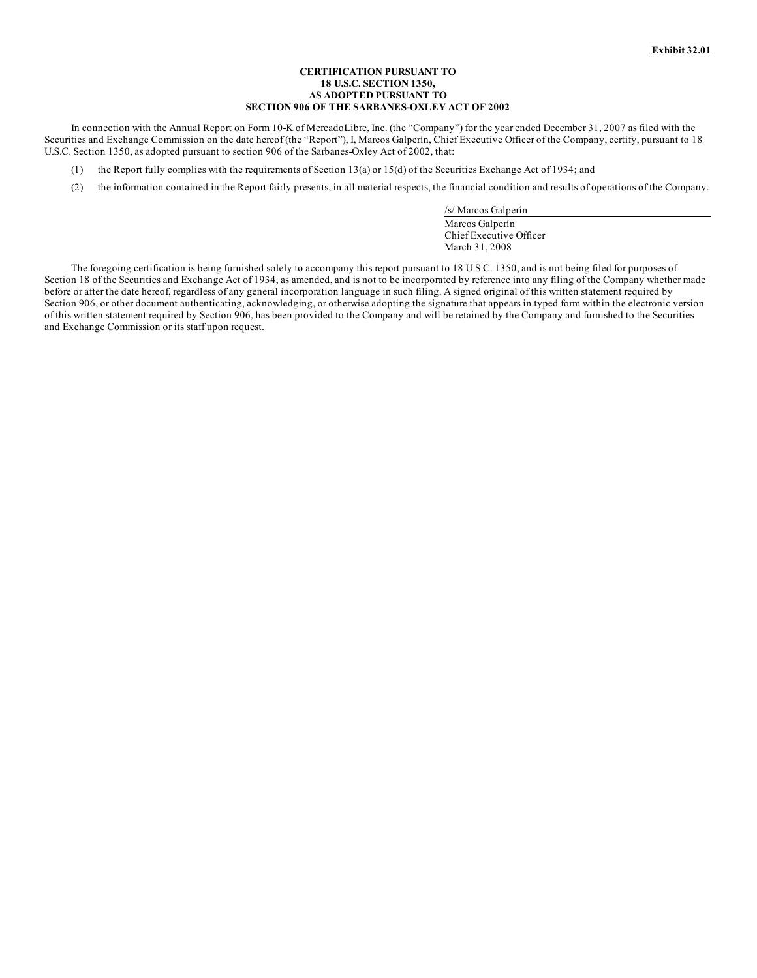#### **CERTIFICATION PURSUANT TO 18 U.S.C. SECTION 1350, AS ADOPTED PURSUANT TO SECTION 906 OF THE SARBANES-OXLEY ACT OF 2002**

In connection with the Annual Report on Form 10-K of MercadoLibre, Inc. (the "Company") for the year ended December 31, 2007 as filed with the Securities and Exchange Commission on the date hereof (the "Report"), I, Marcos Galperín, Chief Executive Officer of the Company, certify, pursuant to 18 U.S.C. Section 1350, as adopted pursuant to section 906 of the Sarbanes-Oxley Act of 2002, that:

- (1) the Report fully complies with the requirements of Section 13(a) or 15(d) of the Securities Exchange Act of 1934; and
- (2) the information contained in the Report fairly presents, in all material respects, the financial condition and results of operations of the Company.

/s/ Marcos Galperín Marcos Galperín Chief Executive Officer March 31, 2008

The foregoing certification is being furnished solely to accompany this report pursuant to 18 U.S.C. 1350, and is not being filed for purposes of Section 18 of the Securities and Exchange Act of 1934, as amended, and is not to be incorporated by reference into any filing of the Company whether made before or after the date hereof, regardless of any general incorporation language in such filing. A signed original of this written statement required by Section 906, or other document authenticating, acknowledging, or otherwise adopting the signature that appears in typed form within the electronic version of this written statement required by Section 906, has been provided to the Company and will be retained by the Company and furnished to the Securities and Exchange Commission or its staff upon request.